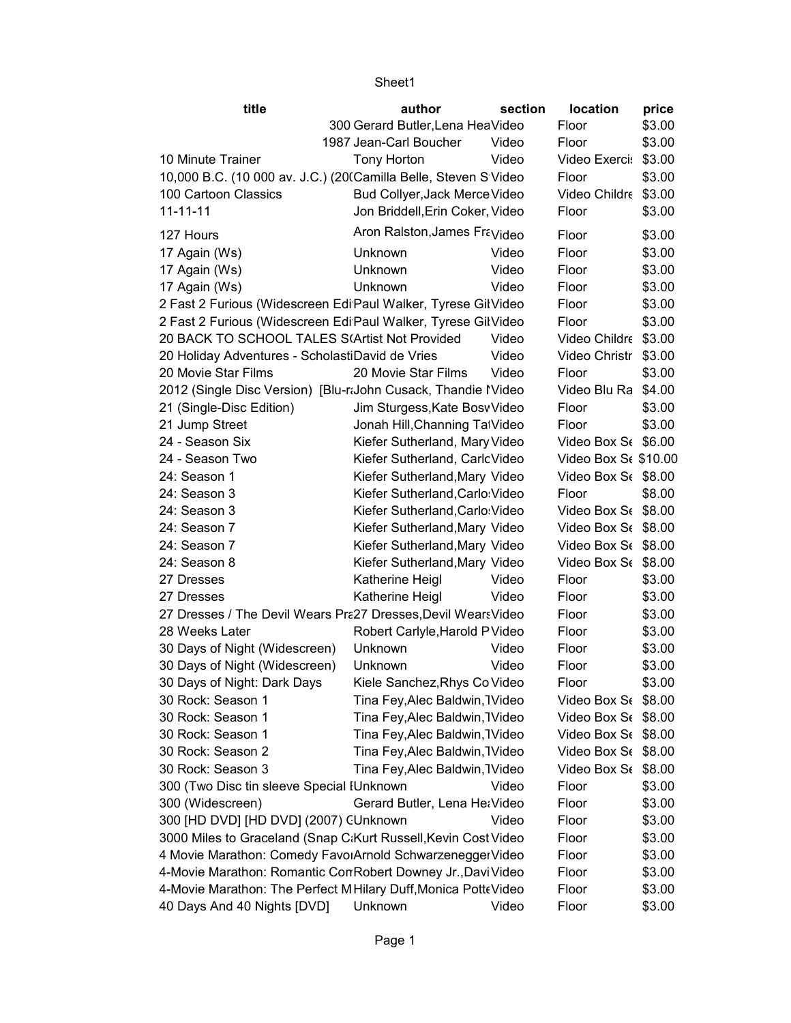| title                                                           | author                            | section | location             | price  |
|-----------------------------------------------------------------|-----------------------------------|---------|----------------------|--------|
|                                                                 | 300 Gerard Butler, Lena Hea Video |         | Floor                | \$3.00 |
|                                                                 | 1987 Jean-Carl Boucher            | Video   | Floor                | \$3.00 |
| 10 Minute Trainer                                               | Tony Horton                       | Video   | Video Exercis        | \$3.00 |
| 10,000 B.C. (10 000 av. J.C.) (20(Camilla Belle, Steven S'Video |                                   |         | Floor                | \$3.00 |
| 100 Cartoon Classics                                            | Bud Collyer, Jack Merce Video     |         | Video Childre \$3.00 |        |
| $11 - 11 - 11$                                                  | Jon Briddell, Erin Coker, Video   |         | Floor                | \$3.00 |
|                                                                 | Aron Ralston, James Fravideo      |         |                      |        |
| 127 Hours                                                       |                                   |         | Floor                | \$3.00 |
| 17 Again (Ws)                                                   | Unknown                           | Video   | Floor                | \$3.00 |
| 17 Again (Ws)                                                   | Unknown                           | Video   | Floor                | \$3.00 |
| 17 Again (Ws)                                                   | Unknown                           | Video   | Floor                | \$3.00 |
| 2 Fast 2 Furious (Widescreen Edi Paul Walker, Tyrese Gil Video  |                                   |         | Floor                | \$3.00 |
| 2 Fast 2 Furious (Widescreen Edi Paul Walker, Tyrese Gil Video  |                                   |         | Floor                | \$3.00 |
| 20 BACK TO SCHOOL TALES S(Artist Not Provided                   |                                   | Video   | Video Childre \$3.00 |        |
| 20 Holiday Adventures - ScholastiDavid de Vries                 |                                   | Video   | Video Christr \$3.00 |        |
| 20 Movie Star Films                                             | 20 Movie Star Films               | Video   | Floor                | \$3.00 |
| 2012 (Single Disc Version) [Blu-raJohn Cusack, Thandie IVideo   |                                   |         | Video Blu Ra         | \$4.00 |
| 21 (Single-Disc Edition)                                        | Jim Sturgess, Kate Bosv Video     |         | Floor                | \$3.00 |
| 21 Jump Street                                                  | Jonah Hill, Channing TalVideo     |         | Floor                | \$3.00 |
| 24 - Season Six                                                 | Kiefer Sutherland, Mary Video     |         | Video Box St \$6.00  |        |
| 24 - Season Two                                                 | Kiefer Sutherland, CarlcVideo     |         | Video Box Se \$10.00 |        |
| 24: Season 1                                                    | Kiefer Sutherland, Mary Video     |         | Video Box St \$8.00  |        |
| 24: Season 3                                                    | Kiefer Sutherland, Carlo: Video   |         | Floor                | \$8.00 |
| 24: Season 3                                                    | Kiefer Sutherland, Carlo: Video   |         | Video Box St \$8.00  |        |
| 24: Season 7                                                    | Kiefer Sutherland, Mary Video     |         | Video Box St \$8.00  |        |
| 24: Season 7                                                    | Kiefer Sutherland, Mary Video     |         | Video Box St \$8.00  |        |
| 24: Season 8                                                    | Kiefer Sutherland, Mary Video     |         | Video Box St \$8.00  |        |
| 27 Dresses                                                      | Katherine Heigl                   | Video   | Floor                | \$3.00 |
| 27 Dresses                                                      | Katherine Heigl                   | Video   | Floor                | \$3.00 |
|                                                                 |                                   |         |                      | \$3.00 |
| 27 Dresses / The Devil Wears Pra27 Dresses, Devil Wears Video   |                                   |         | Floor                |        |
| 28 Weeks Later                                                  | Robert Carlyle, Harold PVideo     |         | Floor                | \$3.00 |
| 30 Days of Night (Widescreen)                                   | Unknown                           | Video   | Floor                | \$3.00 |
| 30 Days of Night (Widescreen)                                   | Unknown                           | Video   | Floor                | \$3.00 |
| 30 Days of Night: Dark Days                                     | Kiele Sanchez, Rhys Co Video      |         | Floor                | \$3.00 |
| 30 Rock: Season 1                                               | Tina Fey, Alec Baldwin, TVideo    |         | Video Box Se \$8.00  |        |
| 30 Rock: Season 1                                               | Tina Fey, Alec Baldwin, TVideo    |         | Video Box Se \$8.00  |        |
| 30 Rock: Season 1                                               | Tina Fey, Alec Baldwin, TVideo    |         | Video Box St \$8.00  |        |
| 30 Rock: Season 2                                               | Tina Fey, Alec Baldwin, TVideo    |         | Video Box Se \$8.00  |        |
| 30 Rock: Season 3                                               | Tina Fey, Alec Baldwin, TVideo    |         | Video Box Se \$8.00  |        |
| 300 (Two Disc tin sleeve Special IUnknown                       |                                   | Video   | Floor                | \$3.00 |
| 300 (Widescreen)                                                | Gerard Butler, Lena HetVideo      |         | Floor                | \$3.00 |
| 300 [HD DVD] [HD DVD] (2007) CUnknown                           |                                   | Video   | Floor                | \$3.00 |
| 3000 Miles to Graceland (Snap C:Kurt Russell, Kevin Cost Video  |                                   |         | Floor                | \$3.00 |
| 4 Movie Marathon: Comedy FavoiArnold SchwarzeneggerVideo        |                                   |         | Floor                | \$3.00 |
| 4-Movie Marathon: Romantic ConRobert Downey Jr., Davi Video     |                                   |         | Floor                | \$3.00 |
| 4-Movie Marathon: The Perfect M Hilary Duff, Monica PotteVideo  |                                   |         | Floor                | \$3.00 |
| 40 Days And 40 Nights [DVD]                                     | Unknown                           | Video   | Floor                | \$3.00 |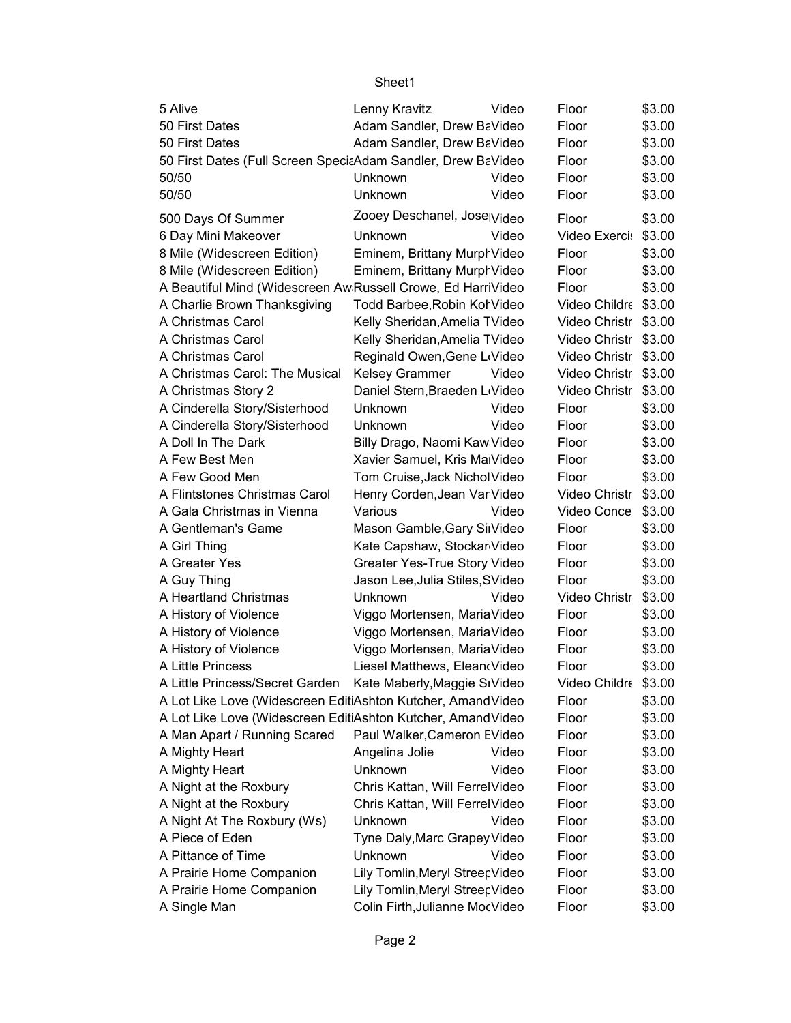| 5 Alive                                                                                                                     | Lenny Kravitz                             | Video | Floor                         | \$3.00           |
|-----------------------------------------------------------------------------------------------------------------------------|-------------------------------------------|-------|-------------------------------|------------------|
| 50 First Dates                                                                                                              | Adam Sandler, Drew BaVideo                |       | Floor                         | \$3.00           |
| 50 First Dates                                                                                                              | Adam Sandler, Drew BaVideo                |       | Floor                         | \$3.00           |
| 50 First Dates (Full Screen SpeciaAdam Sandler, Drew BaVideo                                                                |                                           |       | Floor                         | \$3.00           |
| 50/50                                                                                                                       | <b>Unknown</b>                            | Video | Floor                         | \$3.00           |
| 50/50                                                                                                                       | <b>Unknown</b>                            | Video | Floor                         | \$3.00           |
| 500 Days Of Summer                                                                                                          | Zooey Deschanel, Jose Video               |       | Floor                         | \$3.00           |
| 6 Day Mini Makeover                                                                                                         | Unknown                                   | Video | Video Exercis                 | \$3.00           |
| 8 Mile (Widescreen Edition)                                                                                                 | Eminem, Brittany Murph Video              |       | Floor                         | \$3.00           |
| 8 Mile (Widescreen Edition)                                                                                                 | Eminem, Brittany Murph Video              |       | Floor                         | \$3.00           |
| A Beautiful Mind (Widescreen Aw Russell Crowe, Ed HarriVideo                                                                |                                           |       | Floor                         | \$3.00           |
| A Charlie Brown Thanksgiving                                                                                                | Todd Barbee, Robin Kol Video              |       | Video Childre \$3.00          |                  |
| A Christmas Carol                                                                                                           | Kelly Sheridan, Amelia TVideo             |       | Video Christr \$3.00          |                  |
| A Christmas Carol                                                                                                           | Kelly Sheridan, Amelia TVideo             |       | Video Christr \$3.00          |                  |
| A Christmas Carol                                                                                                           | Reginald Owen, Gene L <sub>'Video</sub>   |       | Video Christr \$3.00          |                  |
| A Christmas Carol: The Musical                                                                                              | Kelsey Grammer                            | Video | Video Christr \$3.00          |                  |
| A Christmas Story 2                                                                                                         | Daniel Stern, Braeden L <sub>'Video</sub> |       | Video Christr \$3.00          |                  |
| A Cinderella Story/Sisterhood                                                                                               | <b>Unknown</b>                            | Video | Floor                         | \$3.00           |
| A Cinderella Story/Sisterhood                                                                                               | <b>Unknown</b>                            | Video | Floor                         | \$3.00           |
| A Doll In The Dark                                                                                                          | Billy Drago, Naomi Kaw Video              |       | Floor                         | \$3.00           |
| A Few Best Men                                                                                                              | Xavier Samuel, Kris MalVideo              |       | Floor                         | \$3.00           |
| A Few Good Men                                                                                                              | Tom Cruise, Jack Nichol Video             |       | Floor                         | \$3.00           |
| A Flintstones Christmas Carol                                                                                               | Henry Corden, Jean Var Video              |       | Video Christr                 | \$3.00           |
| A Gala Christmas in Vienna                                                                                                  | Various                                   | Video | Video Conce                   | \$3.00           |
| A Gentleman's Game                                                                                                          | Mason Gamble, Gary SirVideo               |       | Floor                         | \$3.00           |
| A Girl Thing                                                                                                                | Kate Capshaw, Stockar Video               |       | Floor                         | \$3.00           |
| A Greater Yes                                                                                                               | Greater Yes-True Story Video              |       | Floor                         | \$3.00           |
| A Guy Thing                                                                                                                 | Jason Lee, Julia Stiles, SVideo           |       | Floor                         | \$3.00           |
| A Heartland Christmas                                                                                                       | <b>Unknown</b>                            | Video | Video Christr                 | \$3.00           |
| A History of Violence                                                                                                       | Viggo Mortensen, MariaVideo               |       | Floor                         | \$3.00           |
|                                                                                                                             |                                           |       | Floor                         | \$3.00           |
| A History of Violence                                                                                                       | Viggo Mortensen, MariaVideo               |       |                               |                  |
| A History of Violence                                                                                                       | Viggo Mortensen, MariaVideo               |       | Floor                         | \$3.00           |
| A Little Princess                                                                                                           | Liesel Matthews, Elean(Video              |       | Floor<br>Video Childre \$3.00 | \$3.00           |
| A Little Princess/Secret Garden Kate Maberly, Maggie SIVideo<br>A Lot Like Love (Widescreen EditiAshton Kutcher, AmandVideo |                                           |       |                               |                  |
|                                                                                                                             |                                           |       | Floor                         | \$3.00           |
| A Lot Like Love (Widescreen EditiAshton Kutcher, AmandVideo<br>A Man Apart / Running Scared                                 | Paul Walker, Cameron EVideo               |       | Floor<br>Floor                | \$3.00<br>\$3.00 |
|                                                                                                                             |                                           | Video | Floor                         | \$3.00           |
| A Mighty Heart                                                                                                              | Angelina Jolie<br>Unknown                 | Video | Floor                         | \$3.00           |
| A Mighty Heart                                                                                                              |                                           |       |                               |                  |
| A Night at the Roxbury                                                                                                      | Chris Kattan, Will FerrelVideo            |       | Floor                         | \$3.00           |
| A Night at the Roxbury                                                                                                      | Chris Kattan, Will FerrelVideo            |       | Floor                         | \$3.00           |
| A Night At The Roxbury (Ws)                                                                                                 | Unknown                                   | Video | Floor                         | \$3.00           |
| A Piece of Eden                                                                                                             | Tyne Daly, Marc Grapey Video              |       | Floor                         | \$3.00           |
| A Pittance of Time                                                                                                          | Unknown                                   | Video | Floor                         | \$3.00           |
| A Prairie Home Companion                                                                                                    | Lily Tomlin, Meryl Streep Video           |       | Floor                         | \$3.00           |
| A Prairie Home Companion                                                                                                    | Lily Tomlin, Meryl Streep Video           |       | Floor                         | \$3.00           |
| A Single Man                                                                                                                | Colin Firth, Julianne MocVideo            |       | Floor                         | \$3.00           |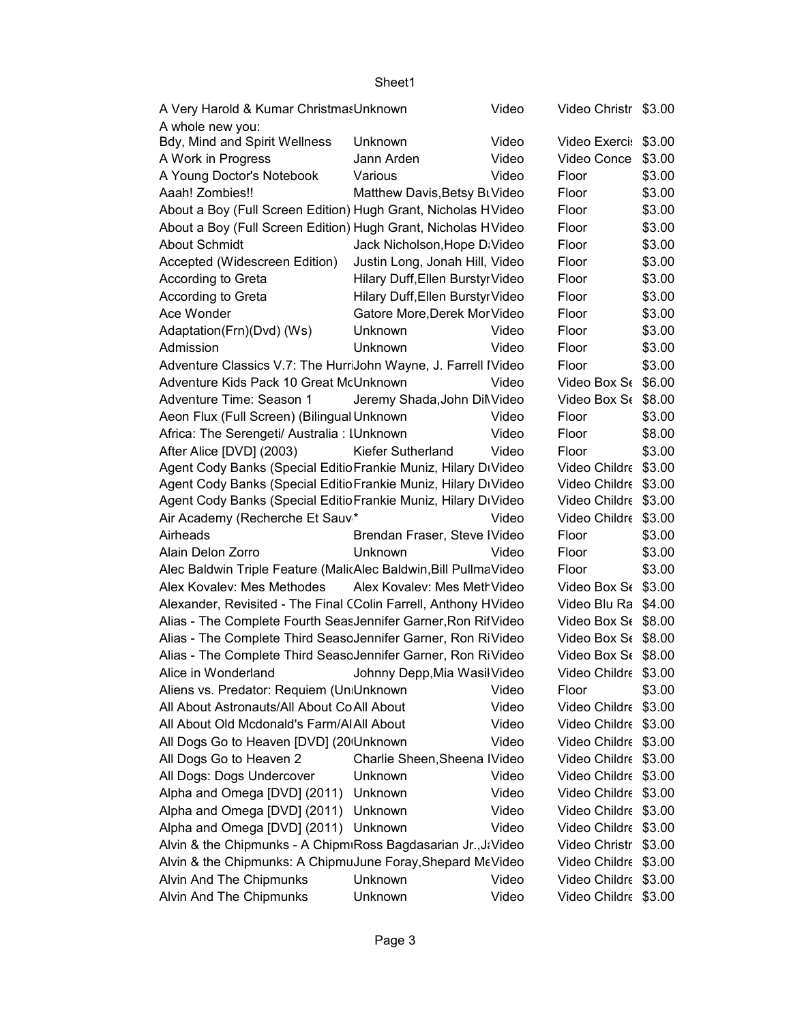| A Very Harold & Kumar Christmas Unknown                          |                                  | Video | Video Christr \$3.00 |        |
|------------------------------------------------------------------|----------------------------------|-------|----------------------|--------|
| A whole new you:                                                 |                                  |       |                      |        |
| Bdy, Mind and Spirit Wellness                                    | Unknown                          | Video | Video Exerci: \$3.00 |        |
| A Work in Progress                                               | Jann Arden                       | Video | Video Conce \$3.00   |        |
| A Young Doctor's Notebook                                        | Various                          | Video | Floor                | \$3.00 |
| Aaah! Zombies!!                                                  | Matthew Davis, Betsy Bt Video    |       | Floor                | \$3.00 |
| About a Boy (Full Screen Edition) Hugh Grant, Nicholas HVideo    |                                  |       | Floor                | \$3.00 |
| About a Boy (Full Screen Edition) Hugh Grant, Nicholas HVideo    |                                  |       | Floor                | \$3.00 |
| <b>About Schmidt</b>                                             | Jack Nicholson, Hope DiVideo     |       | Floor                | \$3.00 |
| Accepted (Widescreen Edition) Justin Long, Jonah Hill, Video     |                                  |       | Floor                | \$3.00 |
| According to Greta                                               | Hilary Duff, Ellen Burstyr Video |       | Floor                | \$3.00 |
| According to Greta                                               | Hilary Duff, Ellen Burstyr Video |       | Floor                | \$3.00 |
| Ace Wonder                                                       | Gatore More, Derek Mor Video     |       | Floor                | \$3.00 |
| Adaptation(Frn)(Dvd) (Ws)                                        | Unknown                          | Video | Floor                | \$3.00 |
| Admission                                                        | Unknown                          | Video | Floor                | \$3.00 |
| Adventure Classics V.7: The HurriJohn Wayne, J. Farrell IVideo   |                                  |       | Floor                | \$3.00 |
| Adventure Kids Pack 10 Great McUnknown                           |                                  | Video | Video Box St \$6.00  |        |
| Adventure Time: Season 1                                         | Jeremy Shada, John DiNVideo      |       | Video Box St \$8.00  |        |
| Aeon Flux (Full Screen) (Bilingual Unknown                       |                                  | Video | Floor                | \$3.00 |
| Africa: The Serengeti/ Australia: IUnknown                       |                                  | Video | Floor                | \$8.00 |
| After Alice [DVD] (2003)                                         | <b>Kiefer Sutherland</b>         | Video | Floor                | \$3.00 |
| Agent Cody Banks (Special Editio Frankie Muniz, Hilary DiVideo   |                                  |       | Video Childre \$3.00 |        |
| Agent Cody Banks (Special Editio Frankie Muniz, Hilary DiVideo   |                                  |       | Video Childre \$3.00 |        |
| Agent Cody Banks (Special Editio Frankie Muniz, Hilary DiVideo   |                                  |       | Video Childre \$3.00 |        |
| Air Academy (Recherche Et Sauv*                                  |                                  | Video | Video Childre \$3.00 |        |
|                                                                  | Brendan Fraser, Steve IVideo     |       |                      | \$3.00 |
| Airheads                                                         |                                  |       | Floor                |        |
| Alain Delon Zorro                                                | Unknown                          | Video | Floor                | \$3.00 |
| Alec Baldwin Triple Feature (MalicAlec Baldwin, Bill PullmaVideo |                                  |       | Floor                | \$3.00 |
| Alex Kovalev: Mes Methodes                                       | Alex Kovalev: Mes Meth Video     |       | Video Box St \$3.00  |        |
| Alexander, Revisited - The Final (Colin Farrell, Anthony HVideo  |                                  |       | Video Blu Ra \$4.00  |        |
| Alias - The Complete Fourth SeasJennifer Garner, Ron Rif Video   |                                  |       | Video Box St \$8.00  |        |
| Alias - The Complete Third SeasoJennifer Garner, Ron RiVideo     |                                  |       | Video Box St \$8.00  |        |
| Alias - The Complete Third SeasoJennifer Garner, Ron RiVideo     |                                  |       | Video Box St \$8.00  |        |
| Alice in Wonderland                                              | Johnny Depp, Mia Wasil Video     |       | Video Childre \$3.00 |        |
| Aliens vs. Predator: Requiem (Un Unknown)                        |                                  | Video | Floor                | \$3.00 |
| All About Astronauts/All About CoAll About                       |                                  | Video | Video Childre \$3.00 |        |
| All About Old Mcdonald's Farm/AIAII About                        |                                  | Video | Video Childre \$3.00 |        |
| All Dogs Go to Heaven [DVD] (20 Unknown                          |                                  | Video | Video Childre \$3.00 |        |
| All Dogs Go to Heaven 2                                          | Charlie Sheen, Sheena IVideo     |       | Video Childre \$3.00 |        |
| All Dogs: Dogs Undercover                                        | Unknown                          | Video | Video Childre \$3.00 |        |
| Alpha and Omega [DVD] (2011) Unknown                             |                                  | Video | Video Childre \$3.00 |        |
| Alpha and Omega [DVD] (2011) Unknown                             |                                  | Video | Video Childre \$3.00 |        |
| Alpha and Omega [DVD] (2011) Unknown                             |                                  | Video | Video Childre \$3.00 |        |
| Alvin & the Chipmunks - A ChipmiRoss Bagdasarian Jr., JaVideo    |                                  |       | Video Christr \$3.00 |        |
| Alvin & the Chipmunks: A ChipmuJune Foray, Shepard MeVideo       |                                  |       | Video Childre \$3.00 |        |
| Alvin And The Chipmunks                                          | Unknown                          | Video | Video Childre \$3.00 |        |
| Alvin And The Chipmunks                                          | Unknown                          | Video | Video Childre \$3.00 |        |
|                                                                  |                                  |       |                      |        |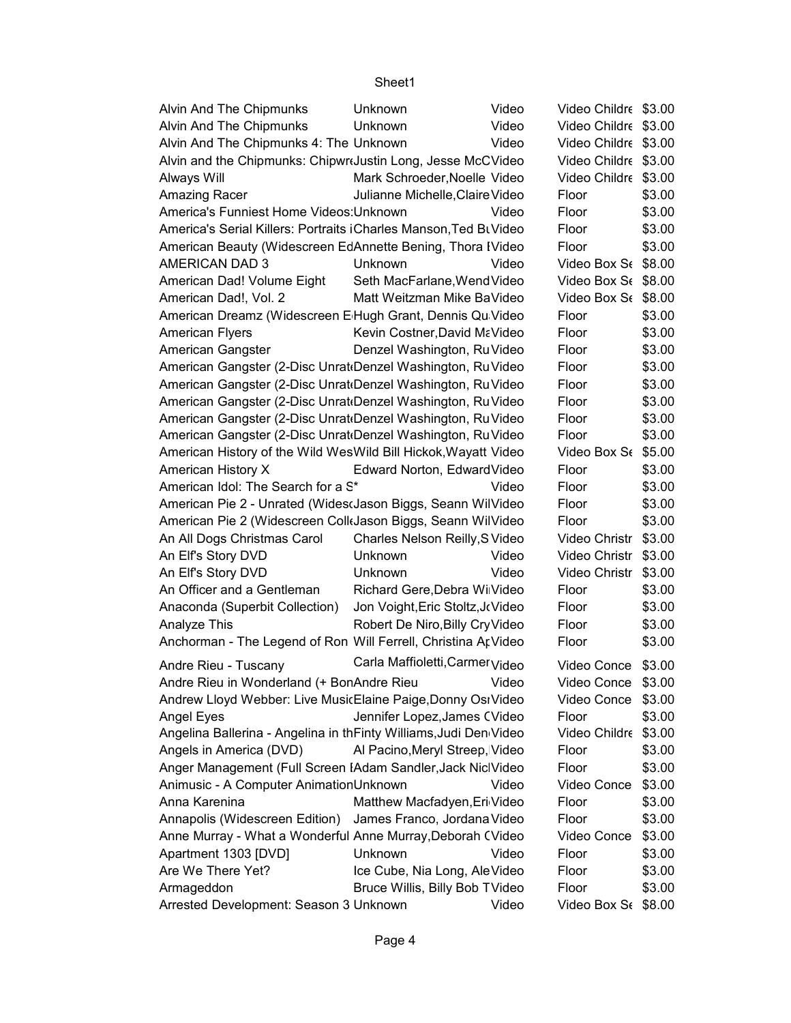| Alvin And The Chipmunks                                           | Unknown                                    | Video | Video Childre \$3.00 |        |
|-------------------------------------------------------------------|--------------------------------------------|-------|----------------------|--------|
| Alvin And The Chipmunks                                           | Unknown                                    | Video | Video Childre \$3.00 |        |
| Alvin And The Chipmunks 4: The Unknown                            |                                            | Video | Video Childre \$3.00 |        |
| Alvin and the Chipmunks: ChipwroJustin Long, Jesse McCVideo       |                                            |       | Video Childre \$3.00 |        |
| Always Will                                                       | Mark Schroeder, Noelle Video               |       | Video Childre \$3.00 |        |
| Amazing Racer                                                     | Julianne Michelle, Claire Video            |       | Floor                | \$3.00 |
| America's Funniest Home Videos Unknown                            |                                            | Video | Floor                | \$3.00 |
| America's Serial Killers: Portraits iCharles Manson, Ted BtVideo  |                                            |       | Floor                | \$3.00 |
| American Beauty (Widescreen EdAnnette Bening, Thora IVideo        |                                            |       | Floor                | \$3.00 |
| <b>AMERICAN DAD 3</b>                                             | Unknown                                    | Video | Video Box St \$8.00  |        |
| American Dad! Volume Eight                                        | Seth MacFarlane, Wend Video                |       | Video Box St \$8.00  |        |
| American Dad!, Vol. 2                                             | Matt Weitzman Mike BaVideo                 |       | Video Box St \$8.00  |        |
| American Dreamz (Widescreen E Hugh Grant, Dennis Qu Video         |                                            |       | Floor                | \$3.00 |
| <b>American Flyers</b>                                            | Kevin Costner, David MaVideo               |       | Floor                | \$3.00 |
| American Gangster                                                 | Denzel Washington, RuVideo                 |       | Floor                | \$3.00 |
|                                                                   |                                            |       |                      |        |
| American Gangster (2-Disc Unrat Denzel Washington, RuVideo        |                                            |       | Floor                | \$3.00 |
| American Gangster (2-Disc Unrat Denzel Washington, RuVideo        |                                            |       | Floor                | \$3.00 |
| American Gangster (2-Disc Unrat Denzel Washington, RuVideo        |                                            |       | Floor                | \$3.00 |
| American Gangster (2-Disc Unrat Denzel Washington, RuVideo        |                                            |       | Floor                | \$3.00 |
| American Gangster (2-Disc Unrat Denzel Washington, RuVideo        |                                            |       | Floor                | \$3.00 |
| American History of the Wild WesWild Bill Hickok, Wayatt Video    |                                            |       | Video Box St \$5.00  |        |
| American History X                                                | Edward Norton, EdwardVideo                 |       | Floor                | \$3.00 |
| American Idol: The Search for a S*                                |                                            | Video | Floor                | \$3.00 |
| American Pie 2 - Unrated (Wides Jason Biggs, Seann WilVideo       |                                            |       | Floor                | \$3.00 |
| American Pie 2 (Widescreen Coll Jason Biggs, Seann WilVideo       |                                            |       | Floor                | \$3.00 |
| An All Dogs Christmas Carol                                       | Charles Nelson Reilly, S Video             |       | Video Christr        | \$3.00 |
| An Elf's Story DVD                                                | Unknown                                    | Video | Video Christr \$3.00 |        |
| An Elf's Story DVD                                                | Unknown                                    | Video | Video Christr \$3.00 |        |
| An Officer and a Gentleman                                        | Richard Gere, Debra Wi Video               |       | Floor                | \$3.00 |
| Anaconda (Superbit Collection)                                    | Jon Voight, Eric Stoltz, JrVideo           |       | Floor                | \$3.00 |
| Analyze This                                                      | Robert De Niro, Billy CryVideo             |       | Floor                | \$3.00 |
| Anchorman - The Legend of Ron Will Ferrell, Christina At Video    |                                            |       | Floor                | \$3.00 |
|                                                                   |                                            |       |                      |        |
| Andre Rieu - Tuscany                                              | Carla Maffioletti, Carmer <sub>Video</sub> |       | Video Conce \$3.00   |        |
| Andre Rieu in Wonderland (+ BonAndre Rieu                         |                                            | Video | Video Conce \$3.00   |        |
| Andrew Lloyd Webber: Live MusicElaine Paige, Donny OsrVideo       |                                            |       | Video Conce          | \$3.00 |
| Angel Eyes                                                        | Jennifer Lopez, James CVideo               |       | Floor                | \$3.00 |
| Angelina Ballerina - Angelina in thFinty Williams, Judi Den Video |                                            |       | Video Childre \$3.00 |        |
| Angels in America (DVD)                                           | Al Pacino, Meryl Streep, Video             |       | Floor                | \$3.00 |
| Anger Management (Full Screen IAdam Sandler, Jack NiclVideo       |                                            |       | Floor                | \$3.00 |
| Animusic - A Computer AnimationUnknown                            |                                            | Video | Video Conce          | \$3.00 |
| Anna Karenina                                                     | Matthew Macfadyen, Eri Video               |       | Floor                | \$3.00 |
| Annapolis (Widescreen Edition)                                    | James Franco, Jordana Video                |       | Floor                | \$3.00 |
| Anne Murray - What a Wonderful Anne Murray, Deborah CVideo        |                                            |       | Video Conce          | \$3.00 |
| Apartment 1303 [DVD]                                              | Unknown                                    | Video | Floor                | \$3.00 |
| Are We There Yet?                                                 | Ice Cube, Nia Long, Ale Video              |       | Floor                | \$3.00 |
|                                                                   | Bruce Willis, Billy Bob TVideo             |       | Floor                | \$3.00 |
| Armageddon                                                        |                                            |       |                      |        |
| Arrested Development: Season 3 Unknown                            |                                            | Video | Video Box St \$8.00  |        |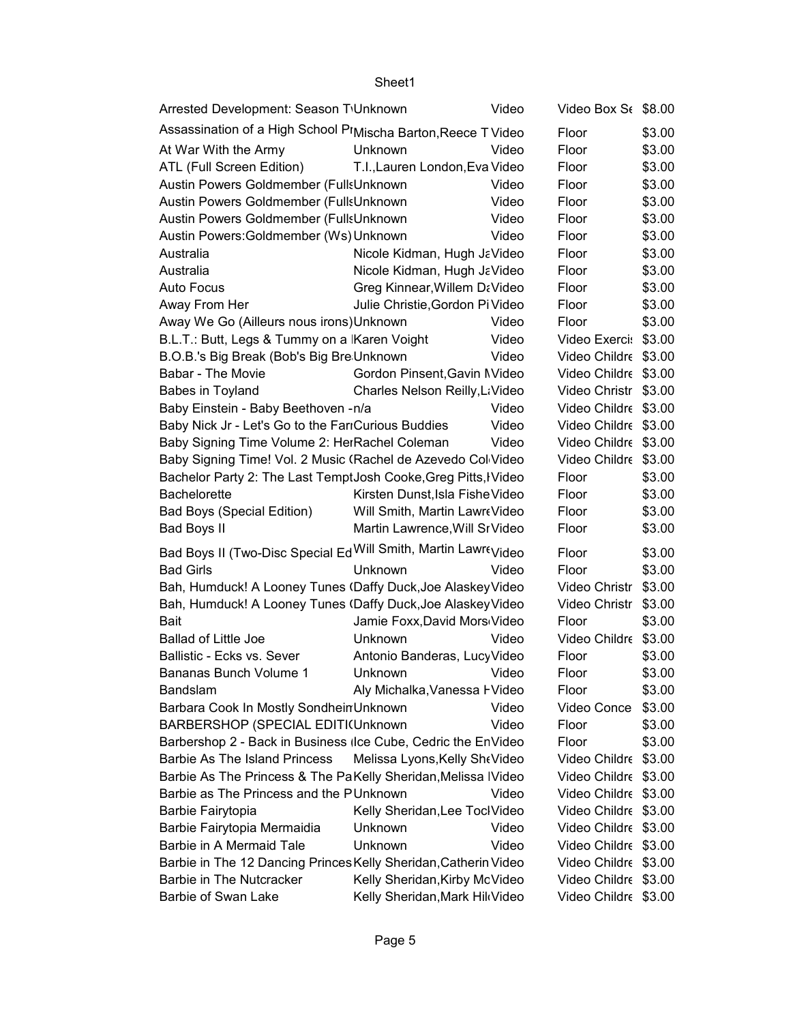| Arrested Development: Season T'Unknown                          |                                 | Video | Video Box S <sub>6</sub> \$8.00 |        |
|-----------------------------------------------------------------|---------------------------------|-------|---------------------------------|--------|
| Assassination of a High School PIMischa Barton, Reece TVideo    |                                 |       | Floor                           | \$3.00 |
| At War With the Army                                            | Unknown                         | Video | Floor                           | \$3.00 |
| ATL (Full Screen Edition)                                       | T.I., Lauren London, Eva Video  |       | Floor                           | \$3.00 |
| Austin Powers Goldmember (FullsUnknown                          |                                 | Video | Floor                           | \$3.00 |
| Austin Powers Goldmember (FullsUnknown                          |                                 | Video | Floor                           | \$3.00 |
| Austin Powers Goldmember (FullsUnknown                          |                                 | Video | Floor                           | \$3.00 |
| Austin Powers: Goldmember (Ws) Unknown                          |                                 | Video | Floor                           | \$3.00 |
| Australia                                                       | Nicole Kidman, Hugh JaVideo     |       | Floor                           | \$3.00 |
| Australia                                                       | Nicole Kidman, Hugh JaVideo     |       | Floor                           | \$3.00 |
| <b>Auto Focus</b>                                               | Greg Kinnear, Willem DaVideo    |       | Floor                           | \$3.00 |
| Away From Her                                                   | Julie Christie, Gordon Pi Video |       | Floor                           | \$3.00 |
| Away We Go (Ailleurs nous irons) Unknown                        |                                 | Video | Floor                           | \$3.00 |
| B.L.T.: Butt, Legs & Tummy on a Karen Voight                    |                                 | Video | Video Exerci: \$3.00            |        |
| B.O.B.'s Big Break (Bob's Big Bre Unknown                       |                                 | Video | Video Childre \$3.00            |        |
| Babar - The Movie                                               | Gordon Pinsent, Gavin NVideo    |       | Video Childre \$3.00            |        |
| Babes in Toyland                                                | Charles Nelson Reilly, LiVideo  |       | Video Christr \$3.00            |        |
| Baby Einstein - Baby Beethoven - n/a                            |                                 | Video | Video Childre \$3.00            |        |
| Baby Nick Jr - Let's Go to the FariCurious Buddies              |                                 | Video | Video Childre \$3.00            |        |
| Baby Signing Time Volume 2: HerRachel Coleman                   |                                 | Video | Video Childre \$3.00            |        |
| Baby Signing Time! Vol. 2 Music (Rachel de Azevedo Col Video    |                                 |       | Video Childre \$3.00            |        |
| Bachelor Party 2: The Last Tempt Josh Cooke, Greg Pitts, IVideo |                                 |       | Floor                           | \$3.00 |
| <b>Bachelorette</b>                                             | Kirsten Dunst, Isla Fishe Video |       | Floor                           | \$3.00 |
| <b>Bad Boys (Special Edition)</b>                               | Will Smith, Martin LawreVideo   |       | Floor                           | \$3.00 |
| Bad Boys II                                                     | Martin Lawrence, Will Sr Video  |       | Floor                           | \$3.00 |
|                                                                 |                                 |       |                                 |        |
| Bad Boys II (Two-Disc Special Ed Will Smith, Martin Lawre Video |                                 |       | Floor                           | \$3.00 |
| <b>Bad Girls</b>                                                | Unknown                         | Video | Floor                           | \$3.00 |
| Bah, Humduck! A Looney Tunes (Daffy Duck, Joe Alaskey Video     |                                 |       | Video Christr \$3.00            |        |
| Bah, Humduck! A Looney Tunes (Daffy Duck, Joe Alaskey Video     |                                 |       | Video Christr \$3.00            |        |
| Bait                                                            | Jamie Foxx, David Mors Video    |       | Floor                           | \$3.00 |
| <b>Ballad of Little Joe</b>                                     | Unknown                         | Video | Video Childre \$3.00            |        |
| Ballistic - Ecks vs. Sever                                      | Antonio Banderas, LucyVideo     |       | Floor                           | \$3.00 |
| Bananas Bunch Volume 1                                          | Unknown                         | Video | Floor                           | \$3.00 |
| <b>Bandslam</b>                                                 | Aly Michalka, Vanessa FVideo    |       | Floor                           | \$3.00 |
| Barbara Cook In Mostly Sondhein Unknown                         |                                 | Video | Video Conce \$3.00              |        |
| BARBERSHOP (SPECIAL EDITI(Unknown                               |                                 | Video | Floor                           | \$3.00 |
| Barbershop 2 - Back in Business (Ice Cube, Cedric the EnVideo   |                                 |       | Floor                           | \$3.00 |
| Barbie As The Island Princess Melissa Lyons, Kelly SheVideo     |                                 |       | Video Childre \$3.00            |        |
| Barbie As The Princess & The PaKelly Sheridan, Melissa IVideo   |                                 |       | Video Childre \$3.00            |        |
| Barbie as The Princess and the PUnknown                         |                                 | Video | Video Childre \$3.00            |        |
| Barbie Fairytopia                                               | Kelly Sheridan, Lee ToclVideo   |       | Video Childre \$3.00            |        |
| Barbie Fairytopia Mermaidia                                     | Unknown                         | Video | Video Childre \$3.00            |        |
| Barbie in A Mermaid Tale                                        | Unknown                         | Video | Video Childre \$3.00            |        |
| Barbie in The 12 Dancing Princes Kelly Sheridan, Catherin Video |                                 |       | Video Childre \$3.00            |        |
| Barbie in The Nutcracker                                        | Kelly Sheridan, Kirby McVideo   |       | Video Childre \$3.00            |        |
| Barbie of Swan Lake                                             | Kelly Sheridan, Mark HillVideo  |       | Video Childre \$3.00            |        |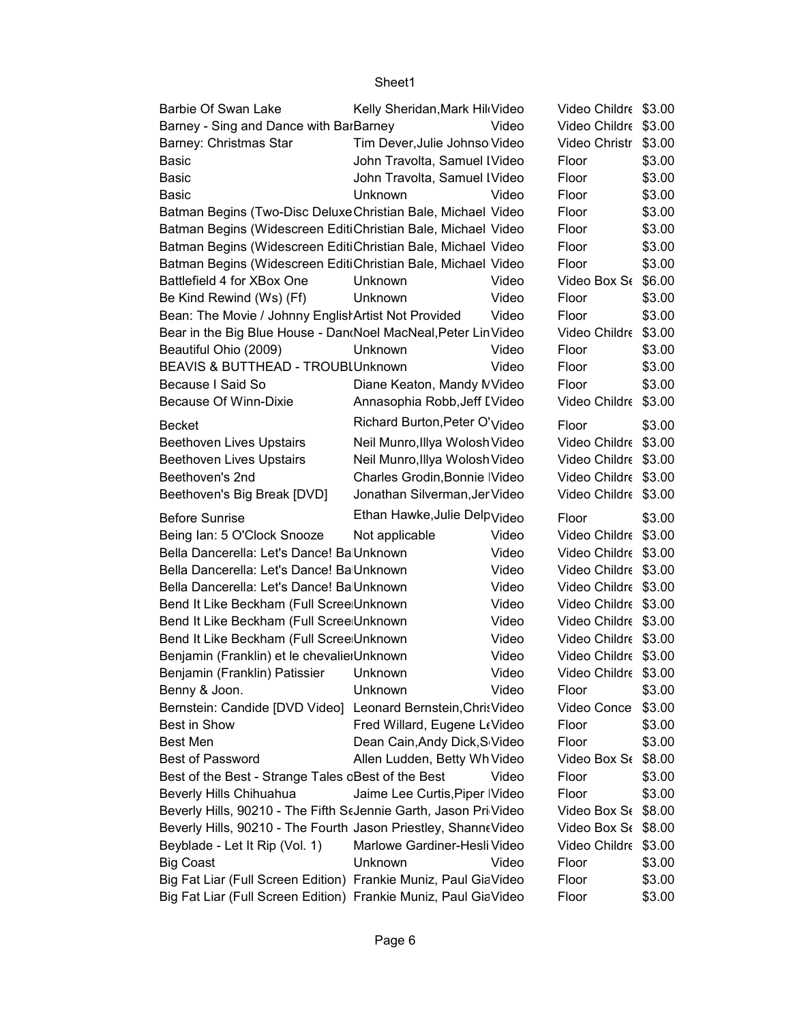| Barbie Of Swan Lake                                              | Kelly Sheridan, Mark HillVideo            |       | Video Childre \$3.00 |        |
|------------------------------------------------------------------|-------------------------------------------|-------|----------------------|--------|
| Barney - Sing and Dance with BarBarney                           |                                           | Video | Video Childre \$3.00 |        |
| Barney: Christmas Star                                           | Tim Dever, Julie Johnso Video             |       | Video Christr \$3.00 |        |
| <b>Basic</b>                                                     | John Travolta, Samuel IVideo              |       | Floor                | \$3.00 |
| <b>Basic</b>                                                     | John Travolta, Samuel IVideo              |       | Floor                | \$3.00 |
| <b>Basic</b>                                                     | <b>Unknown</b>                            | Video | Floor                | \$3.00 |
| Batman Begins (Two-Disc Deluxe Christian Bale, Michael Video     |                                           |       | Floor                | \$3.00 |
| Batman Begins (Widescreen EditiChristian Bale, Michael Video     |                                           |       | Floor                | \$3.00 |
| Batman Begins (Widescreen EditiChristian Bale, Michael Video     |                                           |       | Floor                | \$3.00 |
| Batman Begins (Widescreen EditiChristian Bale, Michael Video     |                                           |       | Floor                | \$3.00 |
| Battlefield 4 for XBox One                                       | Unknown                                   | Video | Video Box St \$6.00  |        |
| Be Kind Rewind (Ws) (Ff)                                         | Unknown                                   | Video | Floor                | \$3.00 |
| Bean: The Movie / Johnny Englist Artist Not Provided             |                                           | Video | Floor                | \$3.00 |
| Bear in the Big Blue House - Dan(Noel MacNeal, Peter Lin Video   |                                           |       | Video Childre \$3.00 |        |
| Beautiful Ohio (2009)                                            | Unknown                                   | Video | Floor                | \$3.00 |
| BEAVIS & BUTTHEAD - TROUBLUnknown                                |                                           | Video | Floor                | \$3.00 |
| Because I Said So                                                | Diane Keaton, Mandy NVideo                |       | Floor                | \$3.00 |
| Because Of Winn-Dixie                                            | Annasophia Robb, Jeff LVideo              |       | Video Childre \$3.00 |        |
|                                                                  |                                           |       |                      |        |
| <b>Becket</b>                                                    | Richard Burton, Peter O' <sub>Video</sub> |       | Floor                | \$3.00 |
| <b>Beethoven Lives Upstairs</b>                                  | Neil Munro, Illya Wolosh Video            |       | Video Childre \$3.00 |        |
| <b>Beethoven Lives Upstairs</b>                                  | Neil Munro, Illya Wolosh Video            |       | Video Childre \$3.00 |        |
| Beethoven's 2nd                                                  | Charles Grodin, Bonnie IVideo             |       | Video Childre \$3.00 |        |
| Beethoven's Big Break [DVD]                                      | Jonathan Silverman, Jer Video             |       | Video Childre \$3.00 |        |
| <b>Before Sunrise</b>                                            | Ethan Hawke, Julie Delp Video             |       | Floor                | \$3.00 |
| Being Ian: 5 O'Clock Snooze                                      | Not applicable                            | Video | Video Childre \$3.00 |        |
| Bella Dancerella: Let's Dance! Ba Unknown                        |                                           | Video | Video Childre \$3.00 |        |
| Bella Dancerella: Let's Dance! Ba Unknown                        |                                           | Video | Video Childre \$3.00 |        |
| Bella Dancerella: Let's Dance! Ba Unknown                        |                                           | Video | Video Childre \$3.00 |        |
| Bend It Like Beckham (Full Scree Unknown                         |                                           | Video | Video Childre \$3.00 |        |
| Bend It Like Beckham (Full Scree Unknown                         |                                           | Video | Video Childre \$3.00 |        |
|                                                                  |                                           |       |                      |        |
| Bend It Like Beckham (Full Scree Unknown                         |                                           | Video | Video Childre \$3.00 |        |
| Benjamin (Franklin) et le chevalierUnknown                       |                                           | Video | Video Childre \$3.00 |        |
| Benjamin (Franklin) Patissier                                    | Unknown                                   | Video | Video Childre \$3.00 |        |
| Benny & Joon.                                                    | Unknown                                   | Video | Floor                | \$3.00 |
| Bernstein: Candide [DVD Video]                                   | Leonard Bernstein, Chris Video            |       | Video Conce          | \$3.00 |
| Best in Show                                                     | Fred Willard, Eugene LtVideo              |       | Floor                | \$3.00 |
| Best Men                                                         | Dean Cain, Andy Dick, SVideo              |       | Floor                | \$3.00 |
| <b>Best of Password</b>                                          | Allen Ludden, Betty Wh Video              |       | Video Box St \$8.00  |        |
| Best of the Best - Strange Tales cBest of the Best               |                                           | Video | Floor                | \$3.00 |
| Beverly Hills Chihuahua                                          | Jaime Lee Curtis, Piper IVideo            |       | Floor                | \$3.00 |
| Beverly Hills, 90210 - The Fifth ScJennie Garth, Jason Pri Video |                                           |       | Video Box St \$8.00  |        |
| Beverly Hills, 90210 - The Fourth Jason Priestley, ShanneVideo   |                                           |       | Video Box St \$8.00  |        |
| Beyblade - Let It Rip (Vol. 1)                                   | Marlowe Gardiner-Hesli Video              |       | Video Childre \$3.00 |        |
| <b>Big Coast</b>                                                 | Unknown                                   | Video | Floor                | \$3.00 |
| Big Fat Liar (Full Screen Edition) Frankie Muniz, Paul GiaVideo  |                                           |       | Floor                | \$3.00 |
| Big Fat Liar (Full Screen Edition) Frankie Muniz, Paul GiaVideo  |                                           |       | Floor                | \$3.00 |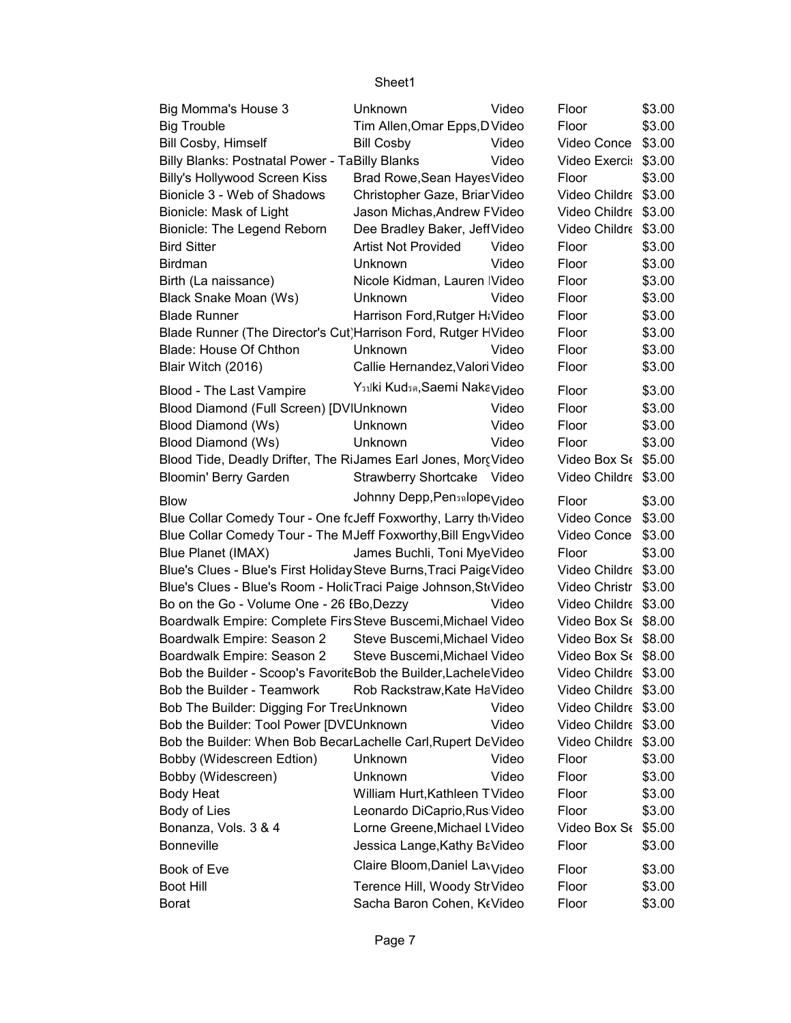| Big Momma's House 3                                               | Unknown                                                 | Video | Floor                           | \$3.00 |
|-------------------------------------------------------------------|---------------------------------------------------------|-------|---------------------------------|--------|
| <b>Big Trouble</b>                                                | Tim Allen, Omar Epps, D Video                           |       | Floor                           | \$3.00 |
| <b>Bill Cosby, Himself</b>                                        | <b>Bill Cosby</b>                                       | Video | Video Conce                     | \$3.00 |
| Billy Blanks: Postnatal Power - TaBilly Blanks                    |                                                         | Video | Video Exerci: \$3.00            |        |
| <b>Billy's Hollywood Screen Kiss</b>                              | Brad Rowe, Sean Hayes Video                             |       | Floor                           | \$3.00 |
| Bionicle 3 - Web of Shadows                                       | Christopher Gaze, Briar Video                           |       | Video Childre \$3.00            |        |
| Bionicle: Mask of Light                                           | Jason Michas, Andrew FVideo                             |       | Video Childre \$3.00            |        |
| Bionicle: The Legend Reborn                                       | Dee Bradley Baker, Jeff Video                           |       | Video Childre \$3.00            |        |
| <b>Bird Sitter</b>                                                | <b>Artist Not Provided</b>                              | Video | Floor                           | \$3.00 |
| Birdman                                                           | Unknown                                                 | Video | Floor                           | \$3.00 |
| Birth (La naissance)                                              | Nicole Kidman, Lauren IVideo                            |       | Floor                           | \$3.00 |
| Black Snake Moan (Ws)                                             | Unknown                                                 | Video | Floor                           | \$3.00 |
| <b>Blade Runner</b>                                               | Harrison Ford, Rutger H&Video                           |       | Floor                           | \$3.00 |
| Blade Runner (The Director's Cut) Harrison Ford, Rutger HVideo    |                                                         |       | Floor                           | \$3.00 |
| Blade: House Of Chthon                                            | Unknown                                                 | Video | Floor                           | \$3.00 |
| Blair Witch (2016)                                                | Callie Hernandez, Valori Video                          |       | Floor                           | \$3.00 |
|                                                                   |                                                         |       |                                 |        |
| Blood - The Last Vampire                                          | Y <sub>51</sub> ki Kud <sub>59</sub> , Saemi Naka Video |       | Floor                           | \$3.00 |
| Blood Diamond (Full Screen) [DVIUnknown                           |                                                         | Video | Floor                           | \$3.00 |
| Blood Diamond (Ws)                                                | Unknown                                                 | Video | Floor                           | \$3.00 |
| Blood Diamond (Ws)                                                | Unknown                                                 | Video | Floor                           | \$3.00 |
| Blood Tide, Deadly Drifter, The RiJames Earl Jones, MorcVideo     |                                                         |       | Video Box S $\epsilon$ \$5.00   |        |
| Bloomin' Berry Garden                                             | Strawberry Shortcake Video                              |       | Video Childre \$3.00            |        |
| <b>Blow</b>                                                       | Johnny Depp, Pensalope Video                            |       | Floor                           | \$3.00 |
| Blue Collar Comedy Tour - One fcJeff Foxworthy, Larry th Video    |                                                         |       | Video Conce \$3.00              |        |
| Blue Collar Comedy Tour - The MJeff Foxworthy, Bill EngvVideo     |                                                         |       | Video Conce \$3.00              |        |
| Blue Planet (IMAX)                                                | James Buchli, Toni MyeVideo                             |       | Floor                           | \$3.00 |
| Blue's Clues - Blue's First Holiday Steve Burns, Traci PaigeVideo |                                                         |       | Video Childre \$3.00            |        |
| Blue's Clues - Blue's Room - HolicTraci Paige Johnson, SteVideo   |                                                         |       | Video Christr \$3.00            |        |
| Bo on the Go - Volume One - 26 IBo, Dezzy                         |                                                         | Video | Video Childre \$3.00            |        |
| Boardwalk Empire: Complete Firs Steve Buscemi, Michael Video      |                                                         |       | Video Box S <sub>6</sub> \$8.00 |        |
| Boardwalk Empire: Season 2                                        | Steve Buscemi, Michael Video                            |       | Video Box St \$8.00             |        |
|                                                                   | Steve Buscemi, Michael Video                            |       | Video Box St \$8.00             |        |
| Boardwalk Empire: Season 2                                        |                                                         |       |                                 |        |
| Bob the Builder - Scoop's Favorite Bob the Builder, Lachele Video |                                                         |       | Video Childre \$3.00            |        |
| Bob the Builder - Teamwork                                        | Rob Rackstraw, Kate HaVideo                             |       | Video Childre \$3.00            |        |
| Bob The Builder: Digging For TreaUnknown                          |                                                         | Video | Video Childre \$3.00            |        |
| Bob the Builder: Tool Power [DVCUnknown                           |                                                         | Video | Video Childre \$3.00            |        |
| Bob the Builder: When Bob BecarLachelle Carl, Rupert DeVideo      |                                                         |       | Video Childre \$3.00            |        |
| Bobby (Widescreen Edtion)                                         | Unknown                                                 | Video | Floor                           | \$3.00 |
| Bobby (Widescreen)                                                | Unknown                                                 | Video | Floor                           | \$3.00 |
| <b>Body Heat</b>                                                  | William Hurt, Kathleen TVideo                           |       | Floor                           | \$3.00 |
| Body of Lies                                                      | Leonardo DiCaprio, Rus Video                            |       | Floor                           | \$3.00 |
| Bonanza, Vols. 3 & 4                                              | Lorne Greene, Michael LVideo                            |       | Video Box Se \$5.00             |        |
| <b>Bonneville</b>                                                 | Jessica Lange, Kathy BaVideo                            |       | Floor                           | \$3.00 |
| Book of Eve                                                       | Claire Bloom, Daniel Lavvideo                           |       | Floor                           | \$3.00 |
| <b>Boot Hill</b>                                                  | Terence Hill, Woody StrVideo                            |       | Floor                           | \$3.00 |
| <b>Borat</b>                                                      | Sacha Baron Cohen, KeVideo                              |       | Floor                           | \$3.00 |
|                                                                   |                                                         |       |                                 |        |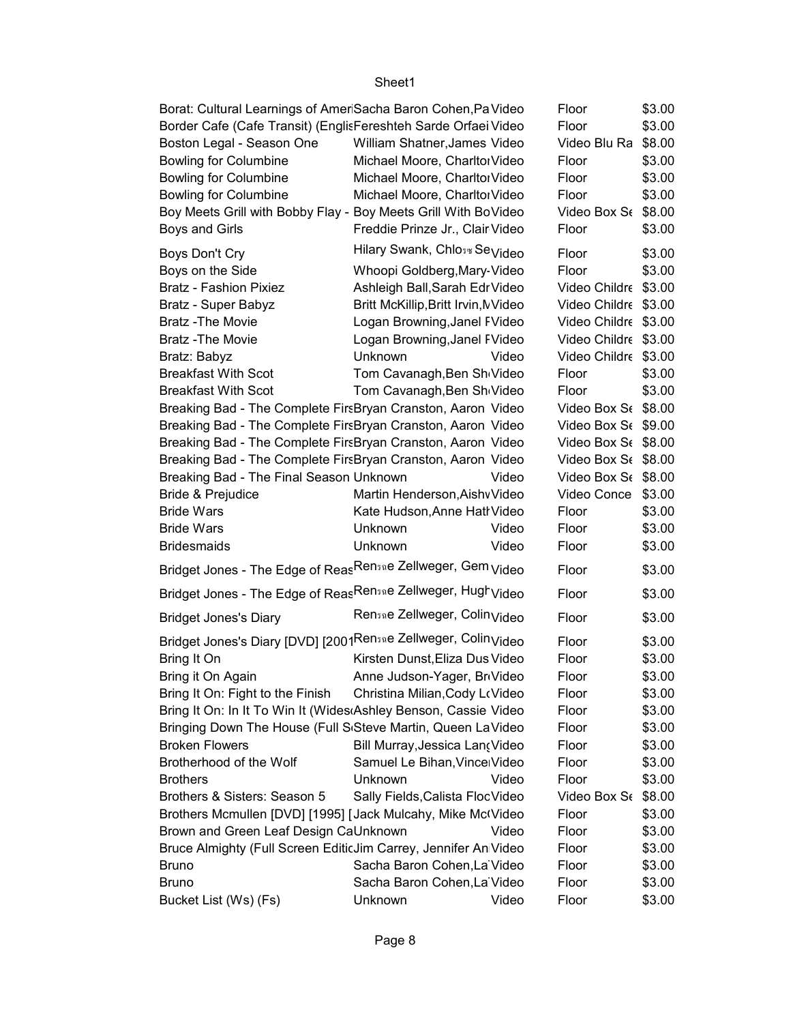| Borat: Cultural Learnings of Amer Sacha Baron Cohen, Pa Video   |                                          |       | Floor                           | \$3.00 |
|-----------------------------------------------------------------|------------------------------------------|-------|---------------------------------|--------|
| Border Cafe (Cafe Transit) (EnglisFereshteh Sarde Orfaei Video  |                                          |       | Floor                           | \$3.00 |
| Boston Legal - Season One                                       | William Shatner, James Video             |       | Video Blu Ra                    | \$8.00 |
| <b>Bowling for Columbine</b>                                    | Michael Moore, CharltorVideo             |       | Floor                           | \$3.00 |
| <b>Bowling for Columbine</b>                                    | Michael Moore, CharltorVideo             |       | Floor                           | \$3.00 |
| <b>Bowling for Columbine</b>                                    | Michael Moore, CharltorVideo             |       | Floor                           | \$3.00 |
| Boy Meets Grill with Bobby Flay - Boy Meets Grill With BoVideo  |                                          |       | Video Box S <sub>6</sub> \$8.00 |        |
| Boys and Girls                                                  | Freddie Prinze Jr., Clair Video          |       | Floor                           | \$3.00 |
|                                                                 | Hilary Swank, Chlosw Se <sub>Video</sub> |       |                                 | \$3.00 |
| Boys Don't Cry                                                  |                                          |       | Floor                           |        |
| Boys on the Side                                                | Whoopi Goldberg, Mary-Video              |       | Floor                           | \$3.00 |
| <b>Bratz - Fashion Pixiez</b>                                   | Ashleigh Ball, Sarah Edr Video           |       | Video Childre \$3.00            |        |
| Bratz - Super Babyz                                             | Britt McKillip, Britt Irvin, NVideo      |       | Video Childre \$3.00            |        |
| <b>Bratz-The Movie</b>                                          | Logan Browning, Janel FVideo             |       | Video Childre \$3.00            |        |
| Bratz - The Movie                                               | Logan Browning, Janel FVideo             |       | Video Childre \$3.00            |        |
| Bratz: Babyz                                                    | Unknown                                  | Video | Video Childre \$3.00            |        |
| <b>Breakfast With Scot</b>                                      | Tom Cavanagh, Ben Sh <sub>'</sub> Video  |       | Floor                           | \$3.00 |
| <b>Breakfast With Scot</b>                                      | Tom Cavanagh, Ben Sh <sub>'</sub> Video  |       | Floor                           | \$3.00 |
| Breaking Bad - The Complete FirsBryan Cranston, Aaron Video     |                                          |       | Video Box St \$8.00             |        |
| Breaking Bad - The Complete FirsBryan Cranston, Aaron Video     |                                          |       | Video Box $St$ \$9.00           |        |
| Breaking Bad - The Complete FirsBryan Cranston, Aaron Video     |                                          |       | Video Box St \$8.00             |        |
| Breaking Bad - The Complete FirsBryan Cranston, Aaron Video     |                                          |       | Video Box Se \$8.00             |        |
| Breaking Bad - The Final Season Unknown                         |                                          | Video | Video Box St \$8.00             |        |
|                                                                 |                                          |       | Video Conce \$3.00              |        |
| Bride & Prejudice                                               | Martin Henderson, Aishy Video            |       |                                 |        |
| <b>Bride Wars</b>                                               | Kate Hudson, Anne Hatl Video             |       | Floor                           | \$3.00 |
| <b>Bride Wars</b>                                               | Unknown                                  | Video | Floor                           | \$3.00 |
| <b>Bridesmaids</b>                                              | Unknown                                  | Video | Floor                           | \$3.00 |
| Bridget Jones - The Edge of ReasRensae Zellweger, Gem Video     |                                          |       | Floor                           | \$3.00 |
| Bridget Jones - The Edge of ReasRensae Zellweger, Hugh Video    |                                          |       | Floor                           | \$3.00 |
| <b>Bridget Jones's Diary</b>                                    | Rensae Zellweger, Colin Video            |       | Floor                           | \$3.00 |
| Bridget Jones's Diary [DVD] [2001Rensae Zellweger, Colin Video  |                                          |       | Floor                           | \$3.00 |
| Bring It On                                                     | Kirsten Dunst, Eliza Dus Video           |       | Floor                           | \$3.00 |
| Bring it On Again                                               | Anne Judson-Yager, BriVideo              |       | Floor                           | \$3.00 |
| Bring It On: Fight to the Finish Christina Milian, Cody LtVideo |                                          |       | Floor                           | \$3.00 |
| Bring It On: In It To Win It (Wides Ashley Benson, Cassie Video |                                          |       | Floor                           | \$3.00 |
| Bringing Down The House (Full S Steve Martin, Queen LaVideo     |                                          |       | Floor                           | \$3.00 |
| <b>Broken Flowers</b>                                           |                                          |       |                                 |        |
|                                                                 | Bill Murray, Jessica LançVideo           |       | Floor                           | \$3.00 |
| Brotherhood of the Wolf                                         | Samuel Le Bihan, Vince Video             |       | Floor                           | \$3.00 |
| <b>Brothers</b>                                                 | Unknown                                  | Video | Floor                           | \$3.00 |
| Brothers & Sisters: Season 5                                    | Sally Fields, Calista FlocVideo          |       | Video Box St \$8.00             |        |
| Brothers Mcmullen [DVD] [1995] [Jack Mulcahy, Mike Mc(Video     |                                          |       | Floor                           | \$3.00 |
| Brown and Green Leaf Design CaUnknown                           |                                          | Video | Floor                           | \$3.00 |
| Bruce Almighty (Full Screen EditicJim Carrey, Jennifer AniVideo |                                          |       | Floor                           | \$3.00 |
| <b>Bruno</b>                                                    | Sacha Baron Cohen, La Video              |       | Floor                           | \$3.00 |
| <b>Bruno</b>                                                    | Sacha Baron Cohen, La Video              |       | Floor                           | \$3.00 |
| Bucket List (Ws) (Fs)                                           | Unknown                                  | Video | Floor                           | \$3.00 |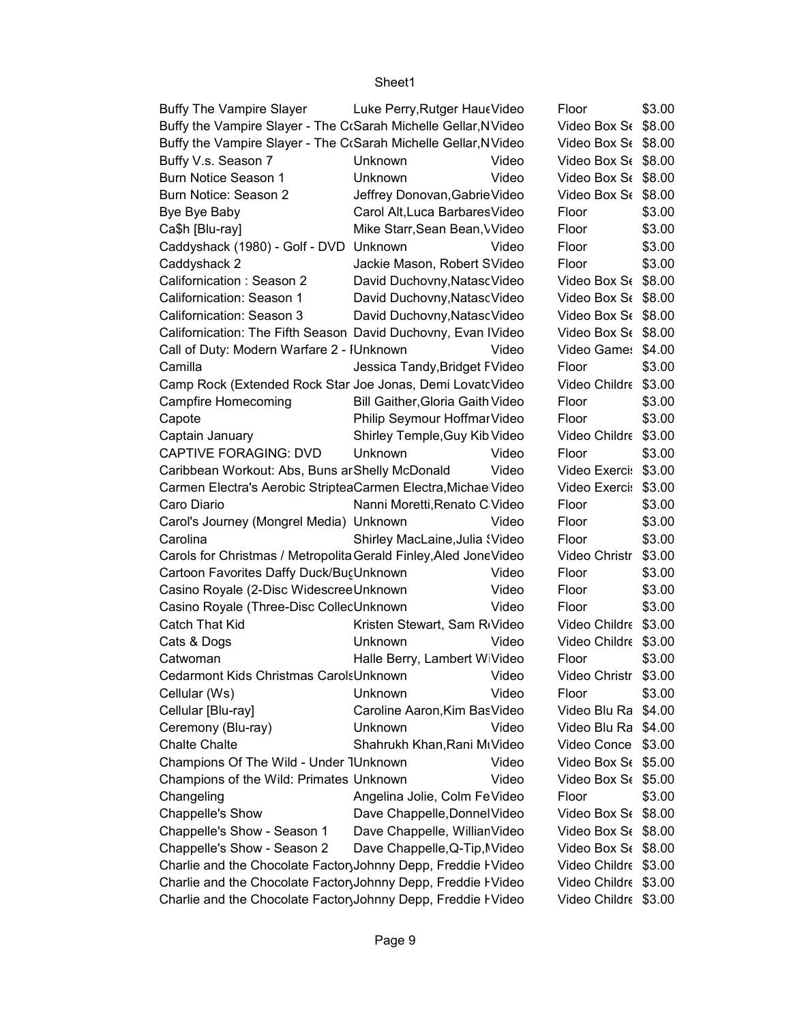| <b>Buffy The Vampire Slayer</b>                                   | Luke Perry, Rutger Haue Video           |       | Floor                           | \$3.00 |
|-------------------------------------------------------------------|-----------------------------------------|-------|---------------------------------|--------|
| Buffy the Vampire Slayer - The CrSarah Michelle Gellar, NVideo    |                                         |       | Video Box S <sub>6</sub> \$8.00 |        |
| Buffy the Vampire Slayer - The CrSarah Michelle Gellar, NVideo    |                                         |       | Video Box S <sub>6</sub> \$8.00 |        |
| Buffy V.s. Season 7                                               | Unknown                                 | Video | Video Box S <sub>6</sub> \$8.00 |        |
| Burn Notice Season 1                                              | Unknown                                 | Video | Video Box S <sub>6</sub> \$8.00 |        |
| Burn Notice: Season 2                                             | Jeffrey Donovan, Gabrie Video           |       | Video Box St \$8.00             |        |
| Bye Bye Baby                                                      | Carol Alt, Luca Barbares Video          |       | Floor                           | \$3.00 |
| Ca\$h [Blu-ray]                                                   | Mike Starr, Sean Bean, VVideo           |       | Floor                           | \$3.00 |
| Caddyshack (1980) - Golf - DVD Unknown                            |                                         | Video | Floor                           | \$3.00 |
| Caddyshack 2                                                      | Jackie Mason, Robert SVideo             |       | Floor                           | \$3.00 |
| Californication: Season 2                                         | David Duchovny, Natasc Video            |       | Video Box S <sub>6</sub> \$8.00 |        |
| Californication: Season 1                                         | David Duchovny, Natasc Video            |       | Video Box S <sub>6</sub> \$8.00 |        |
| Californication: Season 3                                         | David Duchovny, Natasc Video            |       | Video Box S <sub>6</sub> \$8.00 |        |
| Californication: The Fifth Season David Duchovny, Evan IVideo     |                                         |       | Video Box S <sub>6</sub> \$8.00 |        |
| Call of Duty: Modern Warfare 2 - IUnknown                         |                                         | Video | Video Games \$4.00              |        |
| Camilla                                                           | Jessica Tandy, Bridget FVideo           |       | Floor                           | \$3.00 |
| Camp Rock (Extended Rock Star Joe Jonas, Demi LovatcVideo         |                                         |       | Video Childre \$3.00            |        |
| Campfire Homecoming                                               | Bill Gaither, Gloria Gaith Video        |       | Floor                           | \$3.00 |
| Capote                                                            | Philip Seymour Hoffmar Video            |       | Floor                           | \$3.00 |
| Captain January                                                   | Shirley Temple, Guy Kib Video           |       | Video Childre \$3.00            |        |
| <b>CAPTIVE FORAGING: DVD</b>                                      | Unknown                                 | Video | Floor                           | \$3.00 |
| Caribbean Workout: Abs, Buns ar Shelly McDonald                   |                                         | Video | Video Exercis                   | \$3.00 |
| Carmen Electra's Aerobic StripteaCarmen Electra, MichaelVideo     |                                         |       | Video Exerci: \$3.00            |        |
| Caro Diario                                                       | Nanni Moretti, Renato C Video           |       | Floor                           | \$3.00 |
| Carol's Journey (Mongrel Media) Unknown                           |                                         | Video | Floor                           | \$3.00 |
| Carolina                                                          | Shirley MacLaine, Julia (Video          |       | Floor                           | \$3.00 |
| Carols for Christmas / Metropolita Gerald Finley, Aled Jone Video |                                         |       | Video Christr                   | \$3.00 |
| Cartoon Favorites Daffy Duck/Bu(Unknown                           |                                         | Video | Floor                           | \$3.00 |
| Casino Royale (2-Disc WidescreeUnknown                            |                                         | Video | Floor                           | \$3.00 |
| Casino Royale (Three-Disc Collec Unknown                          |                                         | Video | Floor                           | \$3.00 |
| <b>Catch That Kid</b>                                             |                                         |       | Video Childre \$3.00            |        |
|                                                                   | Kristen Stewart, Sam R <sub>Video</sub> |       |                                 |        |
| Cats & Dogs                                                       | Unknown                                 | Video | Video Childre \$3.00            |        |
| Catwoman                                                          | Halle Berry, Lambert WiVideo            |       | Floor                           | \$3.00 |
| Cedarmont Kids Christmas Carols Unknown                           |                                         | Video | Video Christr \$3.00            |        |
| Cellular (Ws)                                                     | Unknown                                 | Video | Floor                           | \$3.00 |
| Cellular [Blu-ray]                                                | Caroline Aaron, Kim Bas Video           |       | Video Blu Ra \$4.00             |        |
| Ceremony (Blu-ray)                                                | Unknown                                 | Video | Video Blu Ra \$4.00             |        |
| <b>Chalte Chalte</b>                                              | Shahrukh Khan, Rani MtVideo             |       | Video Conce \$3.00              |        |
| Champions Of The Wild - Under 1Unknown                            |                                         | Video | Video Box Se \$5.00             |        |
| Champions of the Wild: Primates Unknown                           |                                         | Video | Video Box S <sub>6</sub> \$5.00 |        |
| Changeling                                                        | Angelina Jolie, Colm FeVideo            |       | Floor                           | \$3.00 |
| Chappelle's Show                                                  | Dave Chappelle, Donnel Video            |       | Video Box S <sub>6</sub> \$8.00 |        |
| Chappelle's Show - Season 1                                       | Dave Chappelle, WillianVideo            |       | Video Box St \$8.00             |        |
| Chappelle's Show - Season 2                                       | Dave Chappelle, Q-Tip, NVideo           |       | Video Box St \$8.00             |        |
| Charlie and the Chocolate FactoryJohnny Depp, Freddie FVideo      |                                         |       | Video Childre \$3.00            |        |
| Charlie and the Chocolate FactoryJohnny Depp, Freddie FVideo      |                                         |       | Video Childre \$3.00            |        |
| Charlie and the Chocolate FactoryJohnny Depp, Freddie FVideo      |                                         |       | Video Childre \$3.00            |        |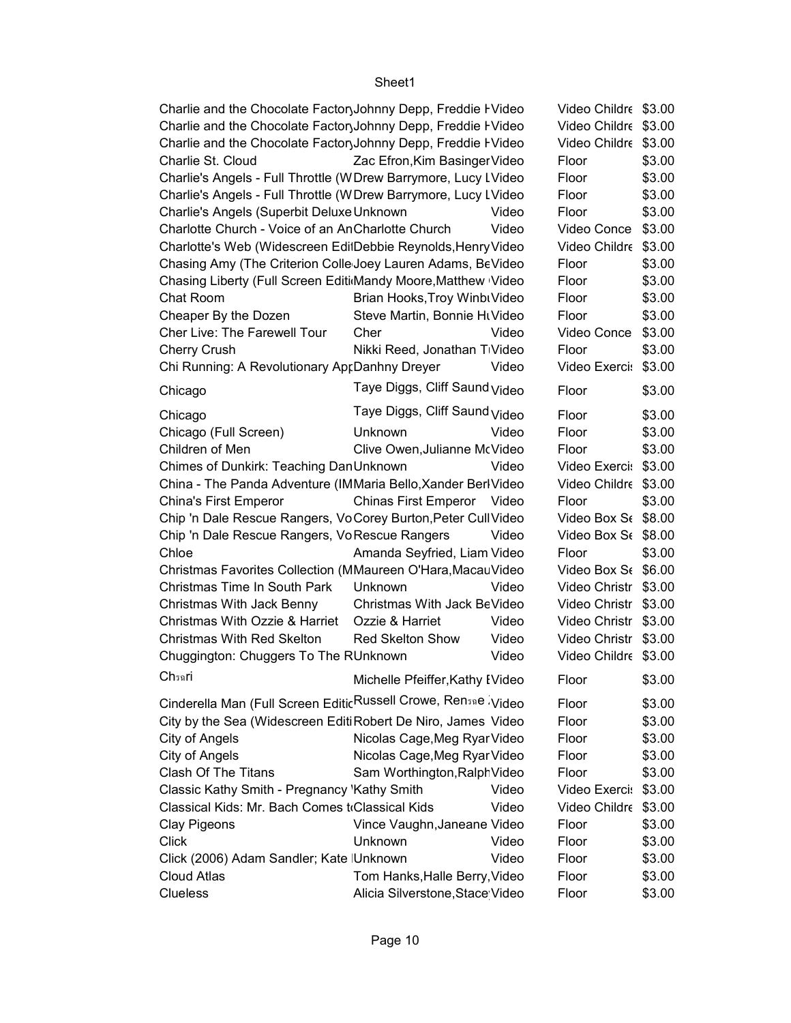| Charlie and the Chocolate FactoryJohnny Depp, Freddie FVideo   |                                          |       | Video Childre \$3.00 |        |
|----------------------------------------------------------------|------------------------------------------|-------|----------------------|--------|
| Charlie and the Chocolate FactoryJohnny Depp, Freddie FVideo   |                                          |       | Video Childre \$3.00 |        |
| Charlie and the Chocolate FactoryJohnny Depp, Freddie FVideo   |                                          |       | Video Childre \$3.00 |        |
| Charlie St. Cloud                                              | Zac Efron, Kim Basinger Video            |       | Floor                | \$3.00 |
| Charlie's Angels - Full Throttle (WDrew Barrymore, Lucy LVideo |                                          |       | Floor                | \$3.00 |
| Charlie's Angels - Full Throttle (WDrew Barrymore, Lucy LVideo |                                          |       | Floor                | \$3.00 |
| Charlie's Angels (Superbit Deluxe Unknown                      |                                          | Video | Floor                | \$3.00 |
| Charlotte Church - Voice of an AnCharlotte Church              |                                          | Video | Video Conce          | \$3.00 |
| Charlotte's Web (Widescreen EditDebbie Reynolds, Henry Video   |                                          |       | Video Childre \$3.00 |        |
| Chasing Amy (The Criterion Colle Joey Lauren Adams, BeVideo    |                                          |       | Floor                | \$3.00 |
| Chasing Liberty (Full Screen Editi Mandy Moore, Matthew Video  |                                          |       | Floor                | \$3.00 |
| Chat Room                                                      | Brian Hooks, Troy WinbtVideo             |       | Floor                | \$3.00 |
| Cheaper By the Dozen                                           | Steve Martin, Bonnie HtVideo             |       | Floor                | \$3.00 |
| Cher Live: The Farewell Tour                                   | Cher                                     | Video | Video Conce          | \$3.00 |
| <b>Cherry Crush</b>                                            | Nikki Reed, Jonathan TiVideo             |       | Floor                | \$3.00 |
|                                                                |                                          |       | Video Exerci: \$3.00 |        |
| Chi Running: A Revolutionary AprDanhny Dreyer                  |                                          | Video |                      |        |
| Chicago                                                        | Taye Diggs, Cliff Saund <sub>Video</sub> |       | Floor                | \$3.00 |
| Chicago                                                        | Taye Diggs, Cliff Saund <sub>Video</sub> |       | Floor                | \$3.00 |
| Chicago (Full Screen)                                          | Unknown                                  | Video | Floor                | \$3.00 |
| Children of Men                                                | Clive Owen, Julianne McVideo             |       | Floor                | \$3.00 |
| Chimes of Dunkirk: Teaching DanUnknown                         |                                          | Video | Video Exerci: \$3.00 |        |
| China - The Panda Adventure (IMMaria Bello, Xander Berl Video  |                                          |       | Video Childre \$3.00 |        |
| <b>China's First Emperor</b>                                   | Chinas First Emperor Video               |       | Floor                | \$3.00 |
| Chip 'n Dale Rescue Rangers, VoCorey Burton, Peter Cull Video  |                                          |       | Video Box St \$8.00  |        |
| Chip 'n Dale Rescue Rangers, VoRescue Rangers                  |                                          | Video | Video Box St \$8.00  |        |
| Chloe                                                          | Amanda Seyfried, Liam Video              |       | Floor                | \$3.00 |
| Christmas Favorites Collection (MMaureen O'Hara, Macau Video   |                                          |       | Video Box St \$6.00  |        |
| Christmas Time In South Park                                   | Unknown                                  | Video | Video Christr \$3.00 |        |
| Christmas With Jack Benny                                      | Christmas With Jack BeVideo              |       | Video Christr \$3.00 |        |
| Christmas With Ozzie & Harriet                                 |                                          |       |                      |        |
|                                                                | Ozzie & Harriet                          | Video | Video Christr \$3.00 |        |
| <b>Christmas With Red Skelton</b>                              | <b>Red Skelton Show</b>                  | Video | Video Christr \$3.00 |        |
| Chuggington: Chuggers To The RUnknown                          |                                          | Video | Video Childre \$3.00 |        |
| <b>Ch</b> sari                                                 | Michelle Pfeiffer, Kathy IVideo          |       | Floor                | \$3.00 |
| Cinderella Man (Full Screen Editic Russell Crowe, Rensae Video |                                          |       | Floor                | \$3.00 |
| City by the Sea (Widescreen Editi Robert De Niro, James Video  |                                          |       | Floor                | \$3.00 |
| City of Angels                                                 | Nicolas Cage, Meg Ryar Video             |       | Floor                | \$3.00 |
| City of Angels                                                 | Nicolas Cage, Meg Ryar Video             |       | Floor                | \$3.00 |
| <b>Clash Of The Titans</b>                                     | Sam Worthington, Ralph Video             |       | Floor                | \$3.00 |
| Classic Kathy Smith - Pregnancy 'Kathy Smith                   |                                          | Video | Video Exerci: \$3.00 |        |
| Classical Kids: Mr. Bach Comes to Classical Kids               |                                          | Video | Video Childre \$3.00 |        |
| Clay Pigeons                                                   | Vince Vaughn, Janeane Video              |       | Floor                | \$3.00 |
| <b>Click</b>                                                   | Unknown                                  | Video | Floor                | \$3.00 |
| Click (2006) Adam Sandler; Kate Unknown                        |                                          | Video | Floor                | \$3.00 |
| Cloud Atlas                                                    | Tom Hanks, Halle Berry, Video            |       | Floor                | \$3.00 |
| <b>Clueless</b>                                                |                                          |       |                      |        |
|                                                                | Alicia Silverstone, Stace Video          |       | Floor                | \$3.00 |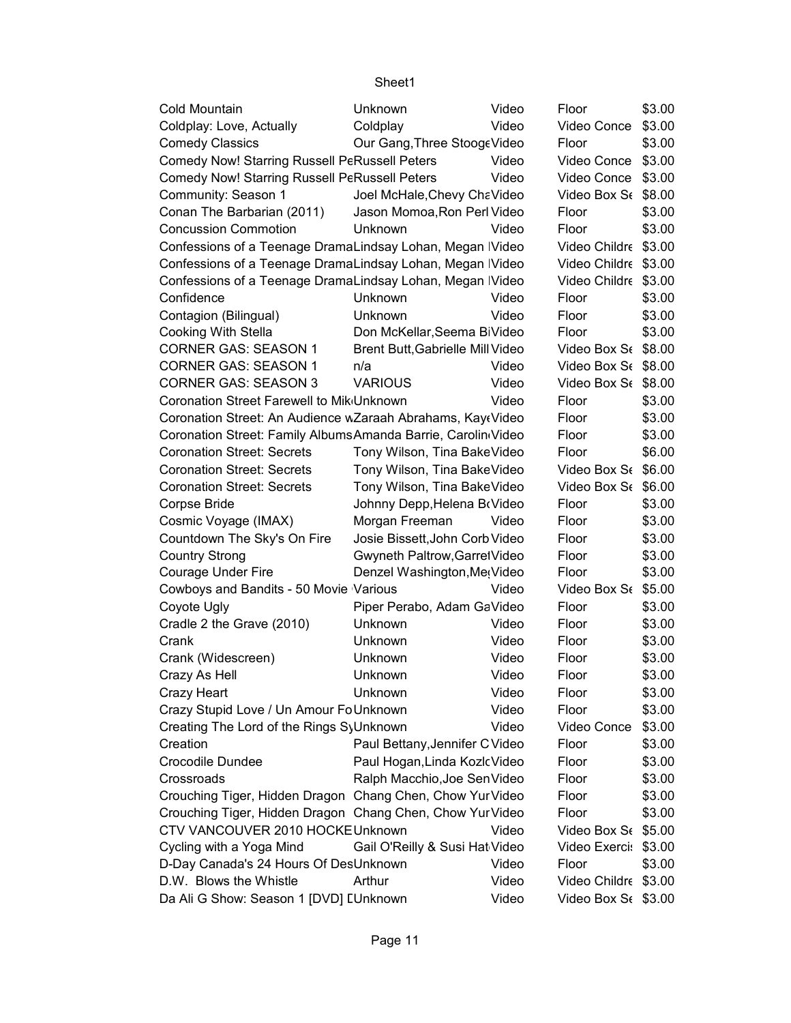| Cold Mountain                                                 | Unknown                          | Video | Floor                           | \$3.00 |
|---------------------------------------------------------------|----------------------------------|-------|---------------------------------|--------|
| Coldplay: Love, Actually                                      | Coldplay                         | Video | Video Conce                     | \$3.00 |
| <b>Comedy Classics</b>                                        | Our Gang, Three Stooge Video     |       | Floor                           | \$3.00 |
| Comedy Now! Starring Russell PeRussell Peters                 |                                  | Video | Video Conce \$3.00              |        |
| <b>Comedy Now! Starring Russell PeRussell Peters</b>          |                                  | Video | Video Conce \$3.00              |        |
| Community: Season 1                                           | Joel McHale, Chevy ChaVideo      |       | Video Box S <sub>6</sub> \$8.00 |        |
| Conan The Barbarian (2011)                                    | Jason Momoa, Ron Perl Video      |       | Floor                           | \$3.00 |
| <b>Concussion Commotion</b>                                   | Unknown                          | Video | Floor                           | \$3.00 |
| Confessions of a Teenage DramaLindsay Lohan, Megan IVideo     |                                  |       | Video Childre \$3.00            |        |
| Confessions of a Teenage DramaLindsay Lohan, Megan IVideo     |                                  |       | Video Childre \$3.00            |        |
| Confessions of a Teenage DramaLindsay Lohan, Megan IVideo     |                                  |       | Video Childre \$3.00            |        |
| Confidence                                                    | Unknown                          | Video | Floor                           | \$3.00 |
| Contagion (Bilingual)                                         | Unknown                          | Video | Floor                           | \$3.00 |
| Cooking With Stella                                           | Don McKellar, Seema BiVideo      |       | Floor                           | \$3.00 |
| <b>CORNER GAS: SEASON 1</b>                                   | Brent Butt, Gabrielle Mill Video |       | Video Box S <sub>6</sub> \$8.00 |        |
| <b>CORNER GAS: SEASON 1</b>                                   | n/a                              | Video | Video Box S <sub>6</sub> \$8.00 |        |
| <b>CORNER GAS: SEASON 3</b>                                   | <b>VARIOUS</b>                   | Video | Video Box Se \$8.00             |        |
| Coronation Street Farewell to Mik <sub>'</sub> Unknown        |                                  | Video | Floor                           | \$3.00 |
| Coronation Street: An Audience wZaraah Abrahams, Kay Video    |                                  |       | Floor                           | \$3.00 |
| Coronation Street: Family Albums Amanda Barrie, Carolin Video |                                  |       | Floor                           | \$3.00 |
| <b>Coronation Street: Secrets</b>                             | Tony Wilson, Tina BakeVideo      |       | Floor                           | \$6.00 |
| <b>Coronation Street: Secrets</b>                             | Tony Wilson, Tina BakeVideo      |       | Video Box S <sub>6</sub> \$6.00 |        |
| <b>Coronation Street: Secrets</b>                             | Tony Wilson, Tina BakeVideo      |       | Video Box St \$6.00             |        |
| Corpse Bride                                                  | Johnny Depp, Helena BrVideo      |       | Floor                           | \$3.00 |
| Cosmic Voyage (IMAX)                                          | Morgan Freeman                   | Video | Floor                           | \$3.00 |
| Countdown The Sky's On Fire                                   | Josie Bissett, John Corb Video   |       | Floor                           | \$3.00 |
|                                                               |                                  |       |                                 | \$3.00 |
| <b>Country Strong</b>                                         | Gwyneth Paltrow, Garret Video    |       | Floor<br>Floor                  | \$3.00 |
| <b>Courage Under Fire</b>                                     | Denzel Washington, Me(Video      |       |                                 |        |
| Cowboys and Bandits - 50 Movie Various                        |                                  | Video | Video Box S <sub>6</sub> \$5.00 |        |
| Coyote Ugly                                                   | Piper Perabo, Adam GaVideo       |       | Floor                           | \$3.00 |
| Cradle 2 the Grave (2010)                                     | Unknown                          | Video | Floor                           | \$3.00 |
| Crank                                                         | Unknown                          | Video | Floor                           | \$3.00 |
| Crank (Widescreen)                                            | Unknown                          | Video | Floor                           | \$3.00 |
| Crazy As Hell                                                 | Unknown                          | Video | Floor                           | \$3.00 |
| Crazy Heart                                                   | Unknown                          | Video | Floor                           | \$3.00 |
| Crazy Stupid Love / Un Amour FoUnknown                        |                                  | Video | Floor                           | \$3.00 |
| Creating The Lord of the Rings SyUnknown                      |                                  | Video | Video Conce                     | \$3.00 |
| Creation                                                      | Paul Bettany, Jennifer C Video   |       | Floor                           | \$3.00 |
| Crocodile Dundee                                              | Paul Hogan, Linda Kozlc Video    |       | Floor                           | \$3.00 |
| Crossroads                                                    | Ralph Macchio, Joe Sen Video     |       | Floor                           | \$3.00 |
| Crouching Tiger, Hidden Dragon Chang Chen, Chow Yur Video     |                                  |       | Floor                           | \$3.00 |
| Crouching Tiger, Hidden Dragon Chang Chen, Chow Yur Video     |                                  |       | Floor                           | \$3.00 |
| CTV VANCOUVER 2010 HOCKEUnknown                               |                                  | Video | Video Box S <sub>6</sub> \$5.00 |        |
| Cycling with a Yoga Mind                                      | Gail O'Reilly & Susi Hat Video   |       | Video Exerci: \$3.00            |        |
| D-Day Canada's 24 Hours Of DesUnknown                         |                                  | Video | Floor                           | \$3.00 |
| D.W. Blows the Whistle                                        | Arthur                           | Video | Video Childre \$3.00            |        |
| Da Ali G Show: Season 1 [DVD] [Unknown                        |                                  | Video | Video Box Se \$3.00             |        |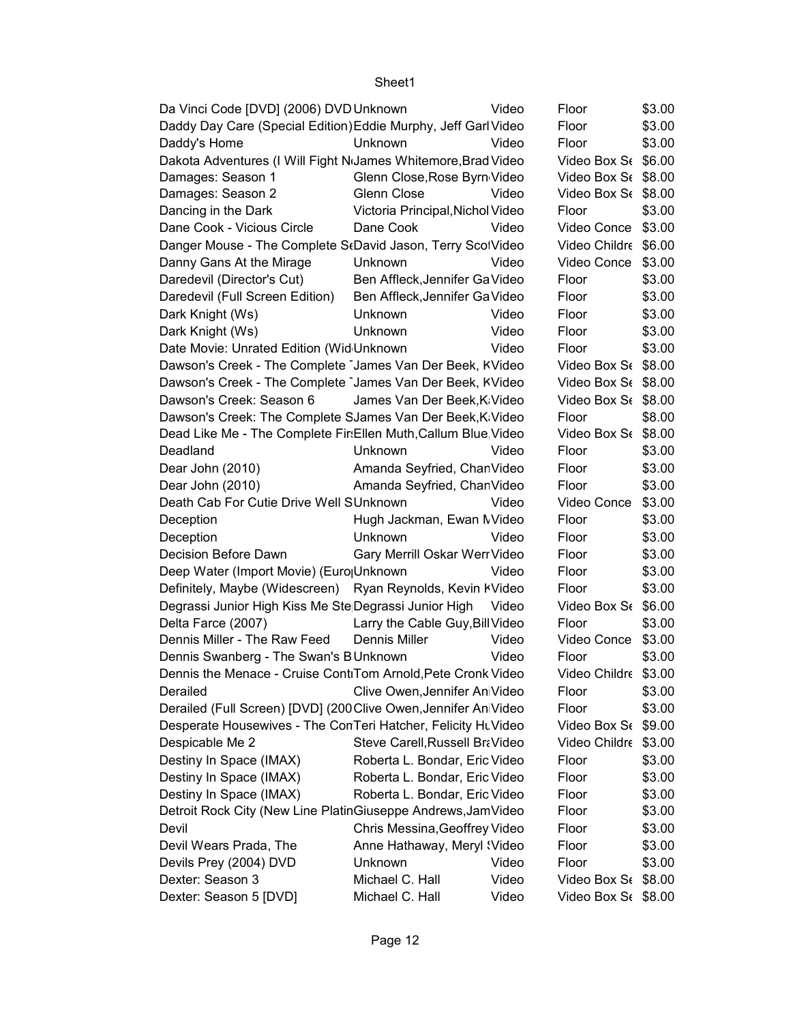| Da Vinci Code [DVD] (2006) DVD Unknown                                    |                                  | Video | Floor                | \$3.00 |
|---------------------------------------------------------------------------|----------------------------------|-------|----------------------|--------|
| Daddy Day Care (Special Edition) Eddie Murphy, Jeff Garl Video            |                                  |       | Floor                | \$3.00 |
| Daddy's Home                                                              | Unknown                          | Video | Floor                | \$3.00 |
| Dakota Adventures (I Will Fight N <sub>'James</sub> Whitemore, Brad Video |                                  |       | Video Box St \$6.00  |        |
| Damages: Season 1                                                         | Glenn Close, Rose Byrn Video     |       | Video Box St \$8.00  |        |
| Damages: Season 2                                                         | Glenn Close                      | Video | Video Box St \$8.00  |        |
| Dancing in the Dark                                                       | Victoria Principal, Nichol Video |       | Floor                | \$3.00 |
| Dane Cook - Vicious Circle                                                | Dane Cook                        | Video | Video Conce \$3.00   |        |
| Danger Mouse - The Complete StDavid Jason, Terry ScolVideo                |                                  |       | Video Childre \$6.00 |        |
| Danny Gans At the Mirage                                                  | Unknown                          | Video | Video Conce \$3.00   |        |
| Daredevil (Director's Cut)                                                | Ben Affleck, Jennifer Ga Video   |       | Floor                | \$3.00 |
| Daredevil (Full Screen Edition)                                           | Ben Affleck, Jennifer Ga Video   |       | Floor                | \$3.00 |
| Dark Knight (Ws)                                                          | Unknown                          | Video | Floor                | \$3.00 |
| Dark Knight (Ws)                                                          | Unknown                          | Video | Floor                | \$3.00 |
| Date Movie: Unrated Edition (Wid Unknown)                                 |                                  | Video | Floor                | \$3.00 |
| Dawson's Creek - The Complete James Van Der Beek, KVideo                  |                                  |       | Video Box St \$8.00  |        |
| Dawson's Creek - The Complete James Van Der Beek, KVideo                  |                                  |       | Video Box St \$8.00  |        |
| Dawson's Creek: Season 6                                                  | James Van Der Beek, KiVideo      |       | Video Box St \$8.00  |        |
| Dawson's Creek: The Complete SJames Van Der Beek, KiVideo                 |                                  |       | Floor                | \$8.00 |
| Dead Like Me - The Complete Fir: Ellen Muth, Callum Blue Video            |                                  |       | Video Box St \$8.00  |        |
| Deadland                                                                  | <b>Unknown</b>                   | Video | Floor                | \$3.00 |
| Dear John (2010)                                                          | Amanda Seyfried, ChanVideo       |       | Floor                | \$3.00 |
| Dear John (2010)                                                          | Amanda Seyfried, ChanVideo       |       | Floor                | \$3.00 |
| Death Cab For Cutie Drive Well SUnknown                                   |                                  | Video | Video Conce \$3.00   |        |
| Deception                                                                 | Hugh Jackman, Ewan MVideo        |       | Floor                | \$3.00 |
| Deception                                                                 | <b>Unknown</b>                   | Video | Floor                | \$3.00 |
| Decision Before Dawn                                                      | Gary Merrill Oskar Werr Video    |       | Floor                | \$3.00 |
| Deep Water (Import Movie) (Euro Unknown                                   |                                  | Video | Floor                | \$3.00 |
| Definitely, Maybe (Widescreen) Ryan Reynolds, Kevin KVideo                |                                  |       | Floor                | \$3.00 |
| Degrassi Junior High Kiss Me Ste Degrassi Junior High                     |                                  | Video | Video Box St \$6.00  |        |
| Delta Farce (2007)                                                        | Larry the Cable Guy, Bill Video  |       | Floor                | \$3.00 |
| Dennis Miller - The Raw Feed                                              | Dennis Miller                    | Video | Video Conce \$3.00   |        |
| Dennis Swanberg - The Swan's BUnknown                                     |                                  | Video | Floor                | \$3.00 |
| Dennis the Menace - Cruise ContiTom Arnold, Pete Cronk Video              |                                  |       | Video Childre \$3.00 |        |
| Derailed                                                                  | Clive Owen, Jennifer AniVideo    |       | Floor                | \$3.00 |
| Derailed (Full Screen) [DVD] (200 Clive Owen, Jennifer AniVideo           |                                  |       | Floor                | \$3.00 |
| Desperate Housewives - The ConTeri Hatcher, Felicity Ht Video             |                                  |       | Video Box St \$9.00  |        |
|                                                                           | Steve Carell, Russell BraVideo   |       | Video Childre \$3.00 |        |
| Despicable Me 2                                                           | Roberta L. Bondar, Eric Video    |       |                      |        |
| Destiny In Space (IMAX)                                                   |                                  |       | Floor                | \$3.00 |
| Destiny In Space (IMAX)                                                   | Roberta L. Bondar, Eric Video    |       | Floor                | \$3.00 |
| Destiny In Space (IMAX)                                                   | Roberta L. Bondar, Eric Video    |       | Floor                | \$3.00 |
| Detroit Rock City (New Line PlatinGiuseppe Andrews, JamVideo              |                                  |       | Floor                | \$3.00 |
| Devil                                                                     | Chris Messina, Geoffrey Video    |       | Floor                | \$3.00 |
| Devil Wears Prada, The                                                    | Anne Hathaway, Meryl Wideo       |       | Floor                | \$3.00 |
| Devils Prey (2004) DVD                                                    | Unknown                          | Video | Floor                | \$3.00 |
| Dexter: Season 3                                                          | Michael C. Hall                  | Video | Video Box Se \$8.00  |        |
| Dexter: Season 5 [DVD]                                                    | Michael C. Hall                  | Video | Video Box St \$8.00  |        |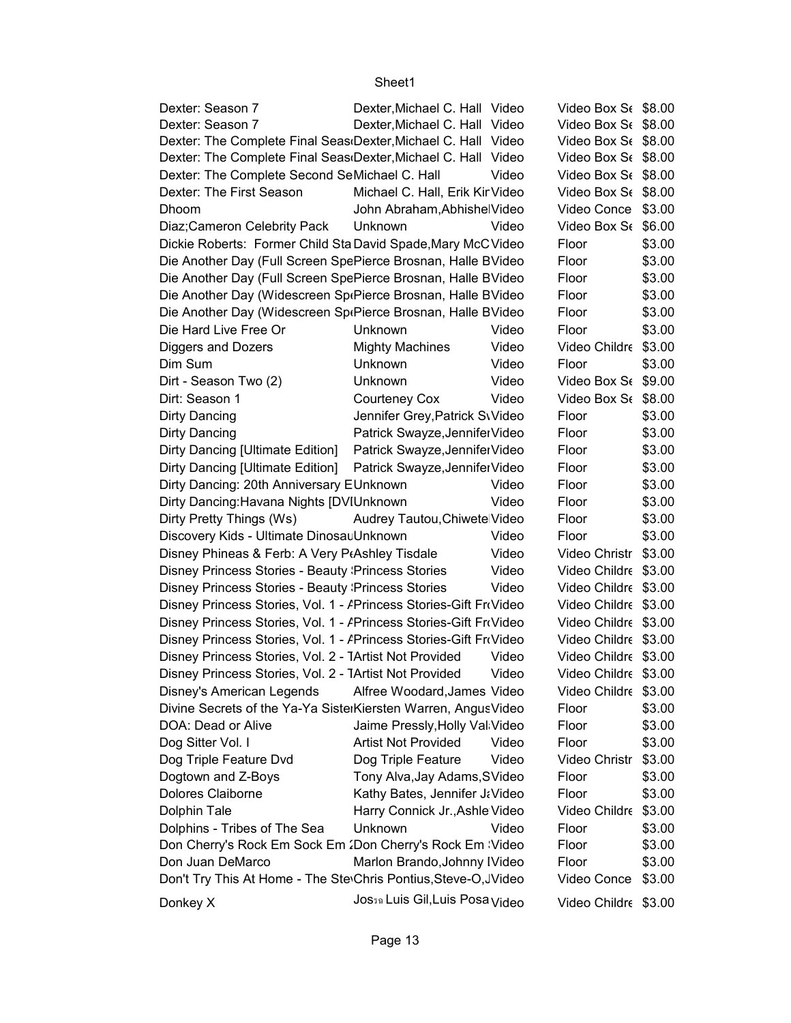| Dexter: Season 7                                                  | Dexter, Michael C. Hall Video                          |       | Video Box St \$8.00             |        |
|-------------------------------------------------------------------|--------------------------------------------------------|-------|---------------------------------|--------|
| Dexter: Season 7                                                  | Dexter, Michael C. Hall Video                          |       | Video Box St \$8.00             |        |
| Dexter: The Complete Final Seas Dexter, Michael C. Hall Video     |                                                        |       | Video Box St \$8.00             |        |
| Dexter: The Complete Final Seas Dexter, Michael C. Hall Video     |                                                        |       | Video Box $S_f$ \$8.00          |        |
| Dexter: The Complete Second SeMichael C. Hall                     |                                                        | Video | Video Box St \$8.00             |        |
| Dexter: The First Season                                          | Michael C. Hall, Erik Kir Video                        |       | Video Box St \$8.00             |        |
| <b>Dhoom</b>                                                      | John Abraham, Abhishel Video                           |       | Video Conce \$3.00              |        |
| Diaz; Cameron Celebrity Pack                                      | Unknown                                                | Video | Video Box St \$6.00             |        |
| Dickie Roberts: Former Child Sta David Spade, Mary McC Video      |                                                        |       | Floor                           | \$3.00 |
| Die Another Day (Full Screen SpePierce Brosnan, Halle BVideo      |                                                        |       | Floor                           | \$3.00 |
| Die Another Day (Full Screen SpePierce Brosnan, Halle BVideo      |                                                        |       | Floor                           | \$3.00 |
| Die Another Day (Widescreen SpiPierce Brosnan, Halle BVideo       |                                                        |       | Floor                           | \$3.00 |
| Die Another Day (Widescreen SpiPierce Brosnan, Halle BVideo       |                                                        |       | Floor                           | \$3.00 |
| Die Hard Live Free Or                                             | Unknown                                                | Video | Floor                           | \$3.00 |
| Diggers and Dozers                                                | <b>Mighty Machines</b>                                 | Video | Video Childre \$3.00            |        |
| Dim Sum                                                           | Unknown                                                | Video | Floor                           | \$3.00 |
| Dirt - Season Two (2)                                             | Unknown                                                | Video | Video Box S <sub>6</sub> \$9.00 |        |
| Dirt: Season 1                                                    | Courteney Cox                                          | Video | Video Box St \$8.00             |        |
| <b>Dirty Dancing</b>                                              | Jennifer Grey, Patrick S\Video                         |       | Floor                           | \$3.00 |
| <b>Dirty Dancing</b>                                              | Patrick Swayze, Jennifer Video                         |       | Floor                           | \$3.00 |
| Dirty Dancing [Ultimate Edition]                                  | Patrick Swayze, Jennifer Video                         |       | Floor                           | \$3.00 |
| Dirty Dancing [Ultimate Edition]                                  | Patrick Swayze, Jennifer Video                         |       | Floor                           | \$3.00 |
| Dirty Dancing: 20th Anniversary EUnknown                          |                                                        | Video | Floor                           | \$3.00 |
| Dirty Dancing: Havana Nights [DVIUnknown                          |                                                        | Video | Floor                           | \$3.00 |
| Dirty Pretty Things (Ws)                                          | Audrey Tautou, Chiwete Video                           |       | Floor                           | \$3.00 |
| Discovery Kids - Ultimate Dinosau Unknown                         |                                                        | Video | Floor                           | \$3.00 |
| Disney Phineas & Ferb: A Very P(Ashley Tisdale                    |                                                        | Video | Video Christr \$3.00            |        |
| Disney Princess Stories - Beauty Princess Stories                 |                                                        | Video | Video Childre \$3.00            |        |
| Disney Princess Stories - Beauty Princess Stories                 |                                                        | Video | Video Childre \$3.00            |        |
| Disney Princess Stories, Vol. 1 - /Princess Stories-Gift FroVideo |                                                        |       | Video Childre \$3.00            |        |
| Disney Princess Stories, Vol. 1 - /Princess Stories-Gift FrtVideo |                                                        |       | Video Childre \$3.00            |        |
| Disney Princess Stories, Vol. 1 - /Princess Stories-Gift FroVideo |                                                        |       | Video Childre \$3.00            |        |
| Disney Princess Stories, Vol. 2 - TArtist Not Provided            |                                                        | Video | Video Childre \$3.00            |        |
| Disney Princess Stories, Vol. 2 - TArtist Not Provided            |                                                        | Video | Video Childre \$3.00            |        |
| Disney's American Legends                                         | Alfree Woodard, James Video                            |       | Video Childre \$3.00            |        |
| Divine Secrets of the Ya-Ya SistelKiersten Warren, AngusVideo     |                                                        |       | Floor                           | \$3.00 |
| DOA: Dead or Alive                                                | Jaime Pressly, Holly Val Video                         |       | Floor                           | \$3.00 |
| Dog Sitter Vol. I                                                 | <b>Artist Not Provided</b>                             | Video | Floor                           | \$3.00 |
| Dog Triple Feature Dvd                                            | Dog Triple Feature                                     | Video | Video Christr                   | \$3.00 |
| Dogtown and Z-Boys                                                | Tony Alva, Jay Adams, SVideo                           |       | Floor                           | \$3.00 |
| Dolores Claiborne                                                 | Kathy Bates, Jennifer J¿Video                          |       | Floor                           | \$3.00 |
| Dolphin Tale                                                      | Harry Connick Jr., Ashle Video                         |       | Video Childre \$3.00            |        |
| Dolphins - Tribes of The Sea                                      | Unknown                                                | Video | Floor                           | \$3.00 |
| Don Cherry's Rock Em Sock Em 2Don Cherry's Rock Em Video          |                                                        |       | Floor                           | \$3.00 |
| Don Juan DeMarco                                                  | Marlon Brando, Johnny IVideo                           |       | Floor                           | \$3.00 |
| Don't Try This At Home - The Ste Chris Pontius, Steve-O, JVideo   |                                                        |       | Video Conce \$3.00              |        |
|                                                                   |                                                        |       |                                 |        |
| Donkey X                                                          | Jos <sub>50</sub> Luis Gil, Luis Posa <sub>Video</sub> |       | Video Childre \$3.00            |        |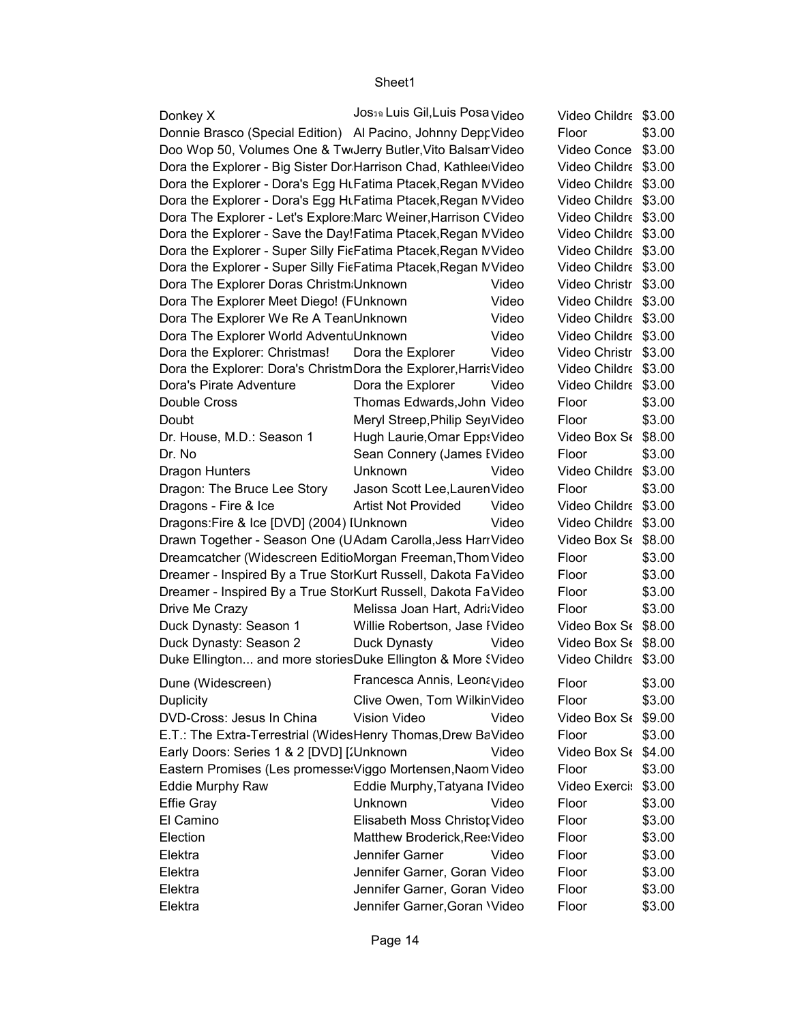| Donkey X                                  | Jos <sub>30</sub> Luis Gil, Luis Posa <sub>Video</sub>           |       | Video Childre \$3.00            |
|-------------------------------------------|------------------------------------------------------------------|-------|---------------------------------|
|                                           | Donnie Brasco (Special Edition) Al Pacino, Johnny DeppVideo      | Floor | \$3.00                          |
|                                           | Doo Wop 50, Volumes One & TwiJerry Butler, Vito Balsam Video     |       | Video Conce \$3.00              |
|                                           | Dora the Explorer - Big Sister Dor Harrison Chad, Kathlee Video  |       | Video Childre \$3.00            |
|                                           | Dora the Explorer - Dora's Egg Ht Fatima Ptacek, Regan NVideo    |       | Video Childre \$3.00            |
|                                           |                                                                  |       |                                 |
|                                           | Dora the Explorer - Dora's Egg Ht Fatima Ptacek, Regan NVideo    |       | Video Childre \$3.00            |
|                                           | Dora The Explorer - Let's Explore Marc Weiner, Harrison CVideo   |       | Video Childre \$3.00            |
|                                           | Dora the Explorer - Save the Day!Fatima Ptacek, Regan NVideo     |       | Video Childre \$3.00            |
|                                           | Dora the Explorer - Super Silly FicFatima Ptacek, Regan NVideo   |       | Video Childre \$3.00            |
|                                           | Dora the Explorer - Super Silly FicFatima Ptacek, Regan NVideo   |       | Video Childre \$3.00            |
| Dora The Explorer Doras Christm Unknown   | Video                                                            |       | Video Christr \$3.00            |
| Dora The Explorer Meet Diego! (FUnknown   | Video                                                            |       | Video Childre \$3.00            |
| Dora The Explorer We Re A TeanUnknown     | Video                                                            |       | Video Childre \$3.00            |
| Dora The Explorer World AdventuUnknown    | Video                                                            |       | Video Childre \$3.00            |
| Dora the Explorer: Christmas!             | Video<br>Dora the Explorer                                       |       | Video Christr \$3.00            |
|                                           | Dora the Explorer: Dora's ChristmDora the Explorer, Harris Video |       | Video Childre \$3.00            |
| Dora's Pirate Adventure                   | Video<br>Dora the Explorer                                       |       | Video Childre \$3.00            |
| Double Cross                              | Thomas Edwards, John Video                                       | Floor | \$3.00                          |
| Doubt                                     | Meryl Streep, Philip Seyı Video                                  | Floor | \$3.00                          |
| Dr. House, M.D.: Season 1                 | Hugh Laurie, Omar Epps Video                                     |       | Video Box S <sub>6</sub> \$8.00 |
|                                           |                                                                  |       | \$3.00                          |
| Dr. No                                    | Sean Connery (James IVideo                                       | Floor |                                 |
| Dragon Hunters                            | Video<br>Unknown                                                 |       | Video Childre \$3.00            |
| Dragon: The Bruce Lee Story               | Jason Scott Lee, Lauren Video                                    | Floor | \$3.00                          |
| Dragons - Fire & Ice                      | <b>Artist Not Provided</b><br>Video                              |       | Video Childre \$3.00            |
| Dragons:Fire & Ice [DVD] (2004) IUnknown  | Video                                                            |       | Video Childre \$3.00            |
|                                           | Drawn Together - Season One (UAdam Carolla, Jess Harr Video      |       | Video Box S <sub>f</sub> \$8.00 |
|                                           | Dreamcatcher (Widescreen EditioMorgan Freeman, Thom Video        | Floor | \$3.00                          |
|                                           | Dreamer - Inspired By a True StorKurt Russell, Dakota FaVideo    | Floor | \$3.00                          |
|                                           | Dreamer - Inspired By a True StorKurt Russell, Dakota FaVideo    | Floor | \$3.00                          |
| Drive Me Crazy                            | Melissa Joan Hart, AdritVideo                                    | Floor | \$3.00                          |
| Duck Dynasty: Season 1                    | Willie Robertson, Jase IVideo                                    |       | Video Box S <sub>6</sub> \$8.00 |
| Duck Dynasty: Season 2                    | Video<br>Duck Dynasty                                            |       | Video Box S <sub>6</sub> \$8.00 |
|                                           | Duke Ellington and more storiesDuke Ellington & More (Video      |       | Video Childre \$3.00            |
|                                           |                                                                  |       |                                 |
| Dune (Widescreen)                         | Francesca Annis, Leonavideo                                      | Floor | \$3.00                          |
| Duplicity                                 | Clive Owen, Tom WilkinVideo                                      | Floor | \$3.00                          |
| DVD-Cross: Jesus In China                 | Vision Video<br>Video                                            |       | Video Box St \$9.00             |
|                                           | E.T.: The Extra-Terrestrial (WidesHenry Thomas, Drew BaVideo     | Floor | \$3.00                          |
| Early Doors: Series 1 & 2 [DVD] ['Unknown | Video                                                            |       | Video Box S <sub>6</sub> \$4.00 |
|                                           | Eastern Promises (Les promesse: Viggo Mortensen, Naom Video      | Floor | \$3.00                          |
| <b>Eddie Murphy Raw</b>                   | Eddie Murphy, Tatyana IVideo                                     |       | Video Exerci: \$3.00            |
| <b>Effie Gray</b>                         | Video                                                            | Floor | \$3.00                          |
|                                           | Unknown                                                          |       |                                 |
| El Camino                                 | Elisabeth Moss Christor Video                                    | Floor | \$3.00                          |
| Election                                  | Matthew Broderick, Ree: Video                                    | Floor | \$3.00                          |
| Elektra                                   | Jennifer Garner<br>Video                                         | Floor | \$3.00                          |
| Elektra                                   | Jennifer Garner, Goran Video                                     | Floor | \$3.00                          |
| Elektra                                   | Jennifer Garner, Goran Video                                     | Floor | \$3.00                          |
| Elektra                                   | Jennifer Garner, Goran Wideo                                     | Floor | \$3.00                          |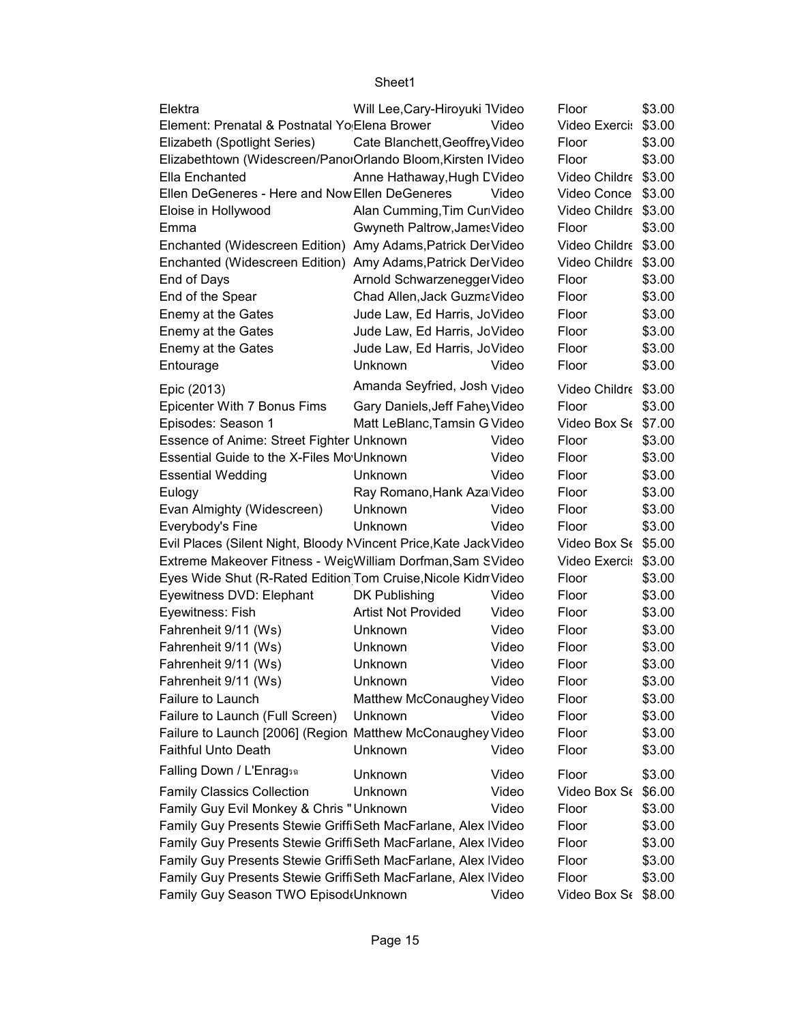| Elektra                                                           | Will Lee, Cary-Hiroyuki 1Video         |       | Floor                           | \$3.00 |
|-------------------------------------------------------------------|----------------------------------------|-------|---------------------------------|--------|
| Element: Prenatal & Postnatal Yo Elena Brower                     |                                        | Video | Video Exercis                   | \$3.00 |
| Elizabeth (Spotlight Series)                                      | Cate Blanchett, Geoffrey Video         |       | Floor                           | \$3.00 |
| Elizabethtown (Widescreen/PanoiOrlando Bloom, Kirsten IVideo      |                                        |       | Floor                           | \$3.00 |
| Ella Enchanted                                                    | Anne Hathaway, Hugh CVideo             |       | Video Childre \$3.00            |        |
| Ellen DeGeneres - Here and Now Ellen DeGeneres                    |                                        | Video | Video Conce \$3.00              |        |
| Eloise in Hollywood                                               | Alan Cumming, Tim CuriVideo            |       | Video Childre \$3.00            |        |
| Emma                                                              | Gwyneth Paltrow, James Video           |       | Floor                           | \$3.00 |
| Enchanted (Widescreen Edition) Amy Adams, Patrick Der Video       |                                        |       | Video Childre \$3.00            |        |
| Enchanted (Widescreen Edition) Amy Adams, Patrick Der Video       |                                        |       | Video Childre \$3.00            |        |
| End of Days                                                       | Arnold Schwarzenegger Video            |       | Floor                           | \$3.00 |
| End of the Spear                                                  | Chad Allen, Jack Guzma Video           |       | Floor                           | \$3.00 |
|                                                                   |                                        |       |                                 |        |
| Enemy at the Gates                                                | Jude Law, Ed Harris, JoVideo           |       | Floor                           | \$3.00 |
| Enemy at the Gates                                                | Jude Law, Ed Harris, JoVideo           |       | Floor                           | \$3.00 |
| Enemy at the Gates                                                | Jude Law, Ed Harris, JoVideo           |       | Floor                           | \$3.00 |
| Entourage                                                         | <b>Unknown</b>                         | Video | Floor                           | \$3.00 |
| Epic (2013)                                                       | Amanda Seyfried, Josh <sub>Video</sub> |       | Video Childre \$3.00            |        |
| Epicenter With 7 Bonus Fims                                       | Gary Daniels, Jeff Fahe Video          |       | Floor                           | \$3.00 |
| Episodes: Season 1                                                | Matt LeBlanc, Tamsin G Video           |       | Video Box S <sub>6</sub> \$7.00 |        |
| Essence of Anime: Street Fighter Unknown                          |                                        | Video | Floor                           | \$3.00 |
| Essential Guide to the X-Files Mo Unknown                         |                                        | Video | Floor                           | \$3.00 |
| <b>Essential Wedding</b>                                          | Unknown                                | Video | Floor                           | \$3.00 |
| Eulogy                                                            | Ray Romano, Hank Aza Video             |       | Floor                           | \$3.00 |
| Evan Almighty (Widescreen)                                        | Unknown                                | Video | Floor                           | \$3.00 |
| Everybody's Fine                                                  | Unknown                                | Video | Floor                           | \$3.00 |
| Evil Places (Silent Night, Bloody NVincent Price, Kate Jack Video |                                        |       | Video Box St \$5.00             |        |
| Extreme Makeover Fitness - Weic William Dorfman, Sam SVideo       |                                        |       | Video Exerci: \$3.00            |        |
| Eyes Wide Shut (R-Rated Edition Tom Cruise, Nicole Kidn Video     |                                        |       | Floor                           | \$3.00 |
|                                                                   |                                        |       |                                 |        |
| Eyewitness DVD: Elephant                                          | DK Publishing                          | Video | Floor                           | \$3.00 |
| Eyewitness: Fish                                                  | <b>Artist Not Provided</b>             | Video | Floor                           | \$3.00 |
| Fahrenheit 9/11 (Ws)                                              | Unknown                                | Video | Floor                           | \$3.00 |
| Fahrenheit 9/11 (Ws)                                              | Unknown                                | Video | Floor                           | \$3.00 |
| Fahrenheit 9/11 (Ws)                                              | Unknown                                | Video | Floor                           | \$3.00 |
| Fahrenheit 9/11 (Ws)                                              | Unknown                                | Video | Floor                           | \$3.00 |
| Failure to Launch                                                 | Matthew McConaughey Video              |       | Floor                           | \$3.00 |
| Failure to Launch (Full Screen)                                   | Unknown                                | Video | Floor                           | \$3.00 |
| Failure to Launch [2006] (Region Matthew McConaughey Video        |                                        |       | Floor                           | \$3.00 |
| <b>Faithful Unto Death</b>                                        | Unknown                                | Video | Floor                           | \$3.00 |
| Falling Down / L'Enragsa                                          | Unknown                                | Video | Floor                           | \$3.00 |
| <b>Family Classics Collection</b>                                 | Unknown                                | Video | Video Box St \$6.00             |        |
| Family Guy Evil Monkey & Chris "Unknown                           |                                        | Video | Floor                           | \$3.00 |
|                                                                   |                                        |       |                                 |        |
| Family Guy Presents Stewie GriffiSeth MacFarlane, Alex IVideo     |                                        |       | Floor                           | \$3.00 |
| Family Guy Presents Stewie GriffiSeth MacFarlane, Alex IVideo     |                                        |       | Floor                           | \$3.00 |
| Family Guy Presents Stewie GriffiSeth MacFarlane, Alex IVideo     |                                        |       | Floor                           | \$3.00 |
| Family Guy Presents Stewie GriffiSeth MacFarlane, Alex IVideo     |                                        |       | Floor                           | \$3.00 |
| Family Guy Season TWO Episod (Unknown                             |                                        | Video | Video Box Se \$8.00             |        |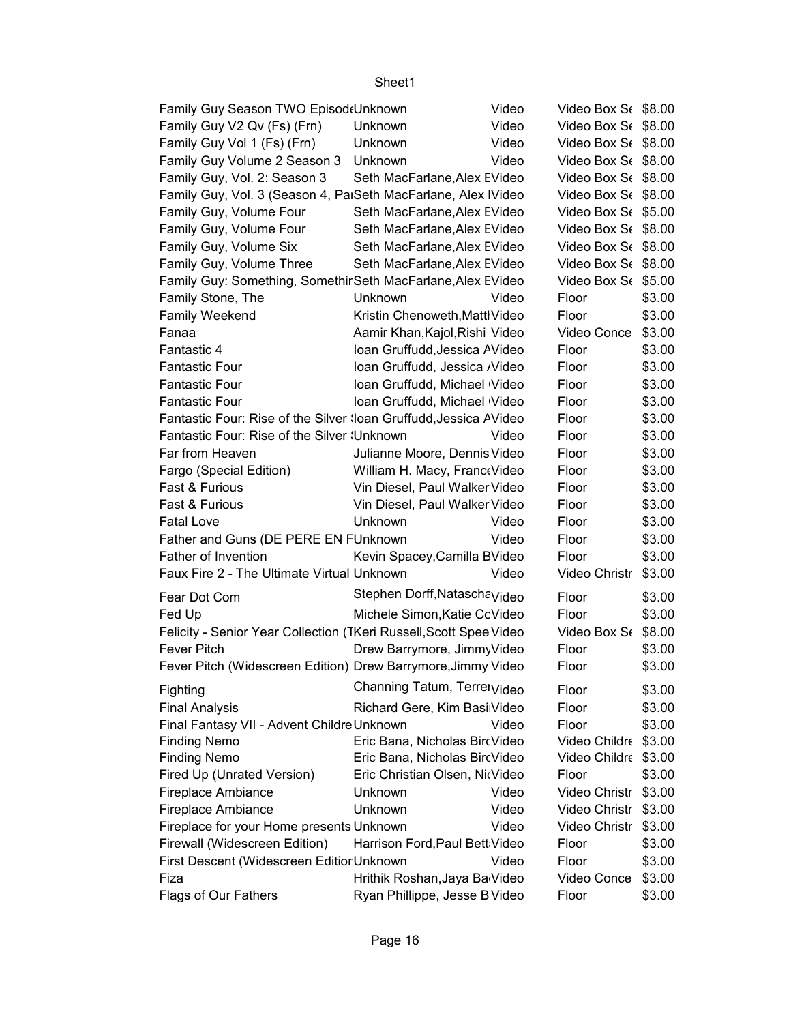| Family Guy Season TWO Episod (Unknown                              |                                | Video | Video Box St \$8.00  |        |
|--------------------------------------------------------------------|--------------------------------|-------|----------------------|--------|
| Family Guy V2 Qv (Fs) (Frn)                                        | Unknown                        | Video | Video Box St \$8.00  |        |
| Family Guy Vol 1 (Fs) (Frn)                                        | Unknown                        | Video | Video Box St \$8.00  |        |
| Family Guy Volume 2 Season 3                                       | Unknown                        | Video | Video Box St \$8.00  |        |
| Family Guy, Vol. 2: Season 3                                       | Seth MacFarlane, Alex EVideo   |       | Video Box St \$8.00  |        |
| Family Guy, Vol. 3 (Season 4, PaiSeth MacFarlane, Alex IVideo      |                                |       | Video Box St \$8.00  |        |
| Family Guy, Volume Four                                            | Seth MacFarlane, Alex EVideo   |       | Video Box St \$5.00  |        |
| Family Guy, Volume Four                                            | Seth MacFarlane, Alex EVideo   |       | Video Box St \$8.00  |        |
| Family Guy, Volume Six                                             | Seth MacFarlane, Alex EVideo   |       | Video Box St \$8.00  |        |
| Family Guy, Volume Three                                           | Seth MacFarlane, Alex EVideo   |       | Video Box St \$8.00  |        |
| Family Guy: Something, Somethir Seth MacFarlane, Alex EVideo       |                                |       | Video Box St \$5.00  |        |
| Family Stone, The                                                  | Unknown                        | Video | Floor                | \$3.00 |
| Family Weekend                                                     | Kristin Chenoweth, Mattl Video |       | Floor                | \$3.00 |
| Fanaa                                                              | Aamir Khan, Kajol, Rishi Video |       | Video Conce \$3.00   |        |
| <b>Fantastic 4</b>                                                 | Ioan Gruffudd, Jessica AVideo  |       | Floor                | \$3.00 |
| <b>Fantastic Four</b>                                              | Ioan Gruffudd, Jessica / Video |       | Floor                | \$3.00 |
| <b>Fantastic Four</b>                                              | Ioan Gruffudd, Michael Video   |       | Floor                | \$3.00 |
| <b>Fantastic Four</b>                                              | Ioan Gruffudd, Michael Video   |       | Floor                | \$3.00 |
| Fantastic Four: Rise of the Silver Ioan Gruffudd, Jessica AVideo   |                                |       | Floor                | \$3.00 |
| Fantastic Four: Rise of the Silver : Unknown                       |                                | Video | Floor                | \$3.00 |
| Far from Heaven                                                    | Julianne Moore, Dennis Video   |       | Floor                | \$3.00 |
| Fargo (Special Edition)                                            | William H. Macy, FranceVideo   |       | Floor                | \$3.00 |
| Fast & Furious                                                     | Vin Diesel, Paul Walker Video  |       | Floor                | \$3.00 |
| Fast & Furious                                                     | Vin Diesel, Paul Walker Video  |       | Floor                | \$3.00 |
| <b>Fatal Love</b>                                                  | Unknown                        | Video | Floor                | \$3.00 |
| Father and Guns (DE PERE EN FUnknown                               |                                | Video | Floor                | \$3.00 |
| Father of Invention                                                | Kevin Spacey, Camilla BVideo   |       | Floor                | \$3.00 |
| Faux Fire 2 - The Ultimate Virtual Unknown                         |                                | Video | Video Christr \$3.00 |        |
|                                                                    |                                |       |                      |        |
| Fear Dot Com                                                       | Stephen Dorff, Nataschavideo   |       | Floor                | \$3.00 |
| Fed Up                                                             | Michele Simon, Katie CcVideo   |       | Floor                | \$3.00 |
| Felicity - Senior Year Collection (TKeri Russell, Scott Spee Video |                                |       | Video Box St \$8.00  |        |
| <b>Fever Pitch</b>                                                 | Drew Barrymore, Jimmy Video    |       | Floor                | \$3.00 |
| Fever Pitch (Widescreen Edition) Drew Barrymore, Jimmy Video       |                                |       | Floor                | \$3.00 |
| Fighting                                                           | Channing Tatum, TerrelVideo    |       | Floor                | \$3.00 |
| <b>Final Analysis</b>                                              | Richard Gere, Kim Basi Video   |       | Floor                | \$3.00 |
| Final Fantasy VII - Advent Childre Unknown                         |                                | Video | Floor                | \$3.00 |
| <b>Finding Nemo</b>                                                | Eric Bana, Nicholas BircVideo  |       | Video Childre \$3.00 |        |
| <b>Finding Nemo</b>                                                | Eric Bana, Nicholas BircVideo  |       | Video Childre \$3.00 |        |
| Fired Up (Unrated Version)                                         | Eric Christian Olsen, NicVideo |       | Floor                | \$3.00 |
| <b>Fireplace Ambiance</b>                                          | Unknown                        | Video | Video Christr \$3.00 |        |
| <b>Fireplace Ambiance</b>                                          | Unknown                        | Video | Video Christr \$3.00 |        |
| Fireplace for your Home presents Unknown                           |                                | Video | Video Christr \$3.00 |        |
| Firewall (Widescreen Edition)                                      | Harrison Ford, Paul Bett Video |       | Floor                | \$3.00 |
| First Descent (Widescreen Editior Unknown                          |                                | Video | Floor                | \$3.00 |
| Fiza                                                               | Hrithik Roshan, Jaya Ba Video  |       | Video Conce          | \$3.00 |
| Flags of Our Fathers                                               | Ryan Phillippe, Jesse B Video  |       | Floor                | \$3.00 |
|                                                                    |                                |       |                      |        |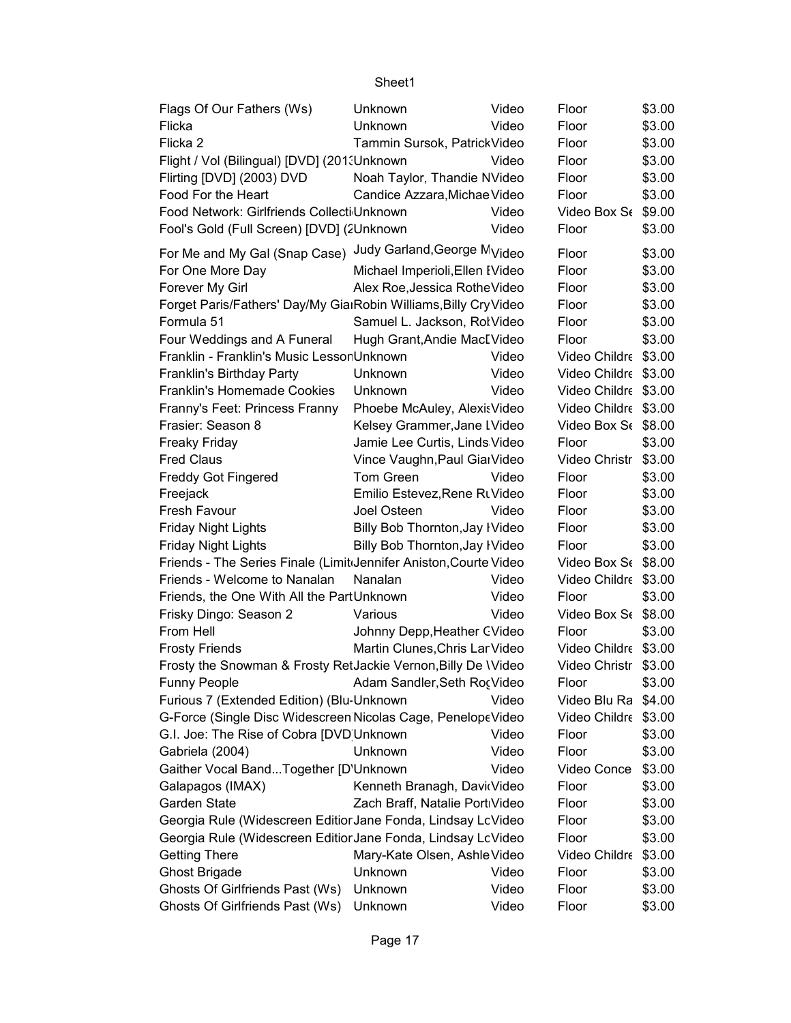| Flags Of Our Fathers (Ws)                                             | Unknown                         | Video | Floor                           | \$3.00 |
|-----------------------------------------------------------------------|---------------------------------|-------|---------------------------------|--------|
| Flicka                                                                | Unknown                         | Video | Floor                           | \$3.00 |
| Flicka <sub>2</sub>                                                   | Tammin Sursok, PatrickVideo     |       | Floor                           | \$3.00 |
| Flight / Vol (Bilingual) [DVD] (201: Unknown                          |                                 | Video | Floor                           | \$3.00 |
| Flirting [DVD] (2003) DVD                                             | Noah Taylor, Thandie NVideo     |       | Floor                           | \$3.00 |
| Food For the Heart                                                    | Candice Azzara, Michae Video    |       | Floor                           | \$3.00 |
| Food Network: Girlfriends Collecti Unknown                            |                                 | Video | Video Box S <sub>6</sub> \$9.00 |        |
| Fool's Gold (Full Screen) [DVD] (2Unknown                             |                                 | Video | Floor                           | \$3.00 |
| For Me and My Gal (Snap Case) Judy Garland, George M <sub>Video</sub> |                                 |       | Floor                           | \$3.00 |
| For One More Day                                                      | Michael Imperioli, Ellen IVideo |       | Floor                           | \$3.00 |
| Forever My Girl                                                       | Alex Roe, Jessica RotheVideo    |       | Floor                           | \$3.00 |
| Forget Paris/Fathers' Day/My GialRobin Williams, Billy CryVideo       |                                 |       | Floor                           | \$3.00 |
| Formula 51                                                            | Samuel L. Jackson, Rol Video    |       | Floor                           | \$3.00 |
| Four Weddings and A Funeral                                           | Hugh Grant, Andie MacDVideo     |       | Floor                           | \$3.00 |
| Franklin - Franklin's Music LessonUnknown                             |                                 | Video | Video Childre \$3.00            |        |
| Franklin's Birthday Party                                             | Unknown                         | Video | Video Childre \$3.00            |        |
| <b>Franklin's Homemade Cookies</b>                                    | Unknown                         | Video | Video Childre \$3.00            |        |
| Franny's Feet: Princess Franny                                        | Phoebe McAuley, Alexis Video    |       | Video Childre \$3.00            |        |
| Frasier: Season 8                                                     | Kelsey Grammer, Jane I Video    |       | Video Box St \$8.00             |        |
| <b>Freaky Friday</b>                                                  | Jamie Lee Curtis, Linds Video   |       | Floor                           | \$3.00 |
| <b>Fred Claus</b>                                                     | Vince Vaughn, Paul GiarVideo    |       | Video Christr \$3.00            |        |
| <b>Freddy Got Fingered</b>                                            | Tom Green                       | Video | Floor                           | \$3.00 |
| Freejack                                                              | Emilio Estevez, Rene Rt Video   |       | Floor                           | \$3.00 |
| Fresh Favour                                                          | Joel Osteen                     | Video | Floor                           | \$3.00 |
| <b>Friday Night Lights</b>                                            | Billy Bob Thornton, Jay IVideo  |       | Floor                           | \$3.00 |
| <b>Friday Night Lights</b>                                            | Billy Bob Thornton, Jay IVideo  |       | Floor                           | \$3.00 |
| Friends - The Series Finale (Limit Jennifer Aniston, Courte Video     |                                 |       | Video Box St \$8.00             |        |
| Friends - Welcome to Nanalan                                          |                                 |       |                                 |        |
|                                                                       | Nanalan                         | Video | Video Childre \$3.00            |        |
| Friends, the One With All the PartUnknown                             |                                 | Video | Floor                           | \$3.00 |
| Frisky Dingo: Season 2                                                | Various                         | Video | Video Box St \$8.00             |        |
| From Hell                                                             | Johnny Depp, Heather CVideo     |       | Floor                           | \$3.00 |
| <b>Frosty Friends</b>                                                 | Martin Clunes, Chris Lar Video  |       | Video Childre \$3.00            |        |
| Frosty the Snowman & Frosty RetJackie Vernon, Billy De Wideo          |                                 |       | Video Christr \$3.00            |        |
| <b>Funny People</b>                                                   | Adam Sandler, Seth RocVideo     |       | Floor                           | \$3.00 |
| Furious 7 (Extended Edition) (Blu-Unknown                             |                                 | Video | Video Blu Ra \$4.00             |        |
| G-Force (Single Disc Widescreen Nicolas Cage, PenelopeVideo           |                                 |       | Video Childre \$3.00            |        |
| G.I. Joe: The Rise of Cobra [DVD Unknown]                             |                                 | Video | Floor                           | \$3.00 |
| Gabriela (2004)                                                       | Unknown                         | Video | Floor                           | \$3.00 |
| Gaither Vocal BandTogether [D'Unknown                                 |                                 | Video | Video Conce                     | \$3.00 |
| Galapagos (IMAX)                                                      | Kenneth Branagh, DavitVideo     |       | Floor                           | \$3.00 |
| Garden State                                                          | Zach Braff, Natalie PortiVideo  |       | Floor                           | \$3.00 |
| Georgia Rule (Widescreen Editior Jane Fonda, Lindsay LcVideo          |                                 |       | Floor                           | \$3.00 |
| Georgia Rule (Widescreen Editior Jane Fonda, Lindsay LcVideo          |                                 |       | Floor                           | \$3.00 |
| <b>Getting There</b>                                                  | Mary-Kate Olsen, Ashle Video    |       | Video Childre \$3.00            |        |
| <b>Ghost Brigade</b>                                                  | Unknown                         | Video | Floor                           | \$3.00 |
| Ghosts Of Girlfriends Past (Ws)                                       | Unknown                         | Video | Floor                           | \$3.00 |
| Ghosts Of Girlfriends Past (Ws)                                       | Unknown                         | Video | Floor                           | \$3.00 |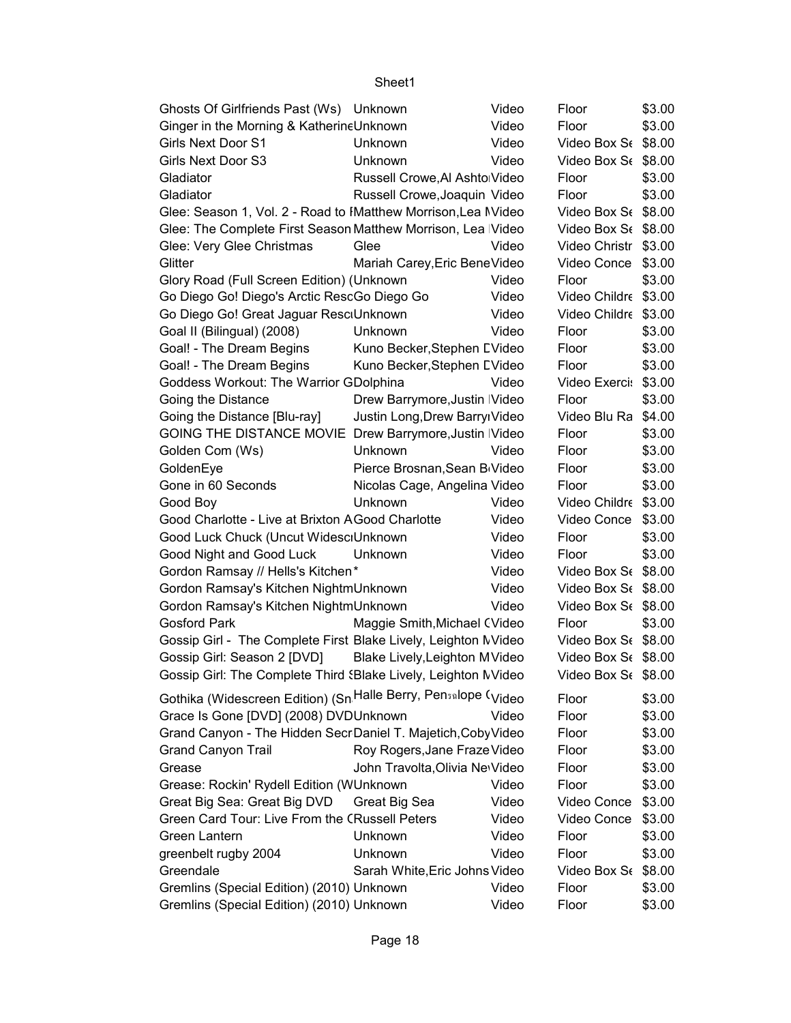| Ghosts Of Girlfriends Past (Ws) Unknown                        |                                         | Video | Floor                           | \$3.00 |
|----------------------------------------------------------------|-----------------------------------------|-------|---------------------------------|--------|
| Ginger in the Morning & KatherineUnknown                       |                                         | Video | Floor                           | \$3.00 |
| Girls Next Door S1                                             | Unknown                                 | Video | Video Box St \$8.00             |        |
| Girls Next Door S3                                             | Unknown                                 | Video | Video Box St \$8.00             |        |
| Gladiator                                                      | Russell Crowe, Al Ashto Video           |       | Floor                           | \$3.00 |
| Gladiator                                                      | Russell Crowe, Joaquin Video            |       | Floor                           | \$3.00 |
| Glee: Season 1, Vol. 2 - Road to IMatthew Morrison, Lea NVideo |                                         |       | Video Box S <sub>6</sub> \$8.00 |        |
| Glee: The Complete First Season Matthew Morrison, Lea Video    |                                         |       | Video Box St \$8.00             |        |
| Glee: Very Glee Christmas                                      | Glee                                    | Video | Video Christr \$3.00            |        |
| Glitter                                                        | Mariah Carey, Eric Bene Video           |       | Video Conce \$3.00              |        |
| Glory Road (Full Screen Edition) (Unknown                      |                                         | Video | Floor                           | \$3.00 |
| Go Diego Go! Diego's Arctic RescGo Diego Go                    |                                         | Video | Video Childre \$3.00            |        |
| Go Diego Go! Great Jaguar ResciUnknown                         |                                         | Video | Video Childre \$3.00            |        |
| Goal II (Bilingual) (2008)                                     | Unknown                                 | Video | Floor                           | \$3.00 |
| Goal! - The Dream Begins                                       | Kuno Becker, Stephen LVideo             |       | Floor                           | \$3.00 |
| Goal! - The Dream Begins                                       | Kuno Becker, Stephen LVideo             |       | Floor                           | \$3.00 |
| Goddess Workout: The Warrior GDolphina                         |                                         | Video | Video Exerci: \$3.00            |        |
| Going the Distance                                             | Drew Barrymore, Justin   Video          |       | Floor                           | \$3.00 |
| Going the Distance [Blu-ray]                                   | Justin Long, Drew Barryı Video          |       | Video Blu Ra \$4.00             |        |
| GOING THE DISTANCE MOVIE Drew Barrymore, Justin   Video        |                                         |       | Floor                           | \$3.00 |
| Golden Com (Ws)                                                | Unknown                                 | Video | Floor                           | \$3.00 |
| GoldenEye                                                      | Pierce Brosnan, Sean B <sub>Video</sub> |       | Floor                           | \$3.00 |
| Gone in 60 Seconds                                             | Nicolas Cage, Angelina Video            |       | Floor                           | \$3.00 |
| Good Boy                                                       | <b>Unknown</b>                          | Video | Video Childre \$3.00            |        |
| Good Charlotte - Live at Brixton AGood Charlotte               |                                         | Video | Video Conce \$3.00              |        |
| Good Luck Chuck (Uncut WidesciUnknown                          |                                         | Video | Floor                           | \$3.00 |
|                                                                |                                         |       | Floor                           | \$3.00 |
| Good Night and Good Luck                                       | Unknown                                 | Video |                                 |        |
| Gordon Ramsay // Hells's Kitchen*                              |                                         | Video | Video Box St \$8.00             |        |
| Gordon Ramsay's Kitchen NightmUnknown                          |                                         | Video | Video Box St \$8.00             |        |
| Gordon Ramsay's Kitchen NightmUnknown                          |                                         | Video | Video Box St \$8.00             |        |
| <b>Gosford Park</b>                                            | Maggie Smith, Michael CVideo            |       | Floor                           | \$3.00 |
| Gossip Girl - The Complete First Blake Lively, Leighton MVideo |                                         |       | Video Box St \$8.00             |        |
| Gossip Girl: Season 2 [DVD]                                    | Blake Lively, Leighton MVideo           |       | Video Box St \$8.00             |        |
| Gossip Girl: The Complete Third {Blake Lively, Leighton MVideo |                                         |       | Video Box St \$8.00             |        |
| Gothika (Widescreen Edition) (Sn Halle Berry, Pensalope (Video |                                         |       | Floor                           | \$3.00 |
| Grace Is Gone [DVD] (2008) DVDUnknown                          |                                         | Video | Floor                           | \$3.00 |
| Grand Canyon - The Hidden SecrDaniel T. Majetich, Coby Video   |                                         |       | Floor                           | \$3.00 |
| <b>Grand Canyon Trail</b>                                      | Roy Rogers, Jane Fraze Video            |       | Floor                           | \$3.00 |
| Grease                                                         | John Travolta, Olivia NetVideo          |       | Floor                           | \$3.00 |
| Grease: Rockin' Rydell Edition (WUnknown)                      |                                         | Video | Floor                           | \$3.00 |
| Great Big Sea: Great Big DVD                                   | Great Big Sea                           | Video | Video Conce                     | \$3.00 |
| Green Card Tour: Live From the CRussell Peters                 |                                         | Video | Video Conce \$3.00              |        |
| Green Lantern                                                  | Unknown                                 | Video | Floor                           | \$3.00 |
| greenbelt rugby 2004                                           | Unknown                                 | Video | Floor                           | \$3.00 |
| Greendale                                                      | Sarah White, Eric Johns Video           |       | Video Box St \$8.00             |        |
| Gremlins (Special Edition) (2010) Unknown                      |                                         | Video | Floor                           | \$3.00 |
| Gremlins (Special Edition) (2010) Unknown                      |                                         | Video | Floor                           | \$3.00 |
|                                                                |                                         |       |                                 |        |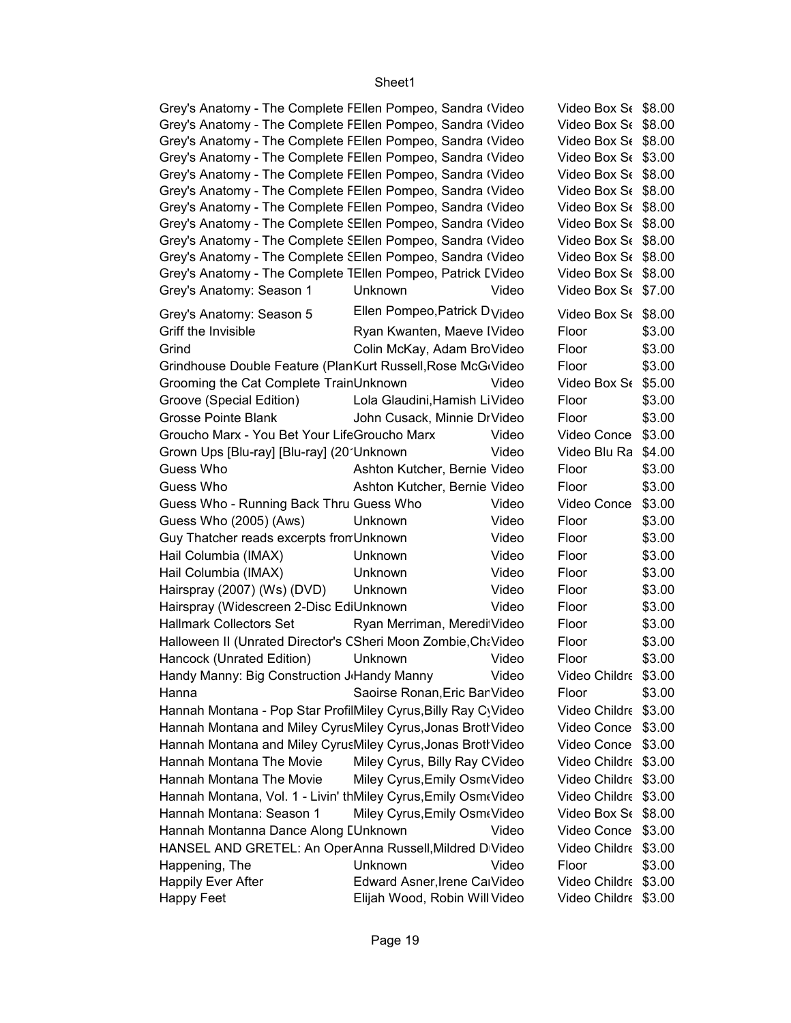| Grey's Anatomy - The Complete FEllen Pompeo, Sandra (Video     |                                          |       | Video Box St \$8.00             |        |
|----------------------------------------------------------------|------------------------------------------|-------|---------------------------------|--------|
| Grey's Anatomy - The Complete FEllen Pompeo, Sandra (Video     |                                          |       | Video Box St \$8.00             |        |
| Grey's Anatomy - The Complete FEllen Pompeo, Sandra (Video     |                                          |       | Video Box St \$8.00             |        |
| Grey's Anatomy - The Complete FEllen Pompeo, Sandra (Video     |                                          |       | Video Box St \$3.00             |        |
| Grey's Anatomy - The Complete FEllen Pompeo, Sandra (Video     |                                          |       | Video Box St \$8.00             |        |
| Grey's Anatomy - The Complete FEllen Pompeo, Sandra (Video     |                                          |       | Video Box St \$8.00             |        |
| Grey's Anatomy - The Complete FEllen Pompeo, Sandra (Video     |                                          |       | Video Box St \$8.00             |        |
| Grey's Anatomy - The Complete SEllen Pompeo, Sandra (Video     |                                          |       | Video Box Se \$8.00             |        |
| Grey's Anatomy - The Complete SEllen Pompeo, Sandra (Video     |                                          |       | Video Box St \$8.00             |        |
| Grey's Anatomy - The Complete SEllen Pompeo, Sandra (Video     |                                          |       | Video Box S <sub>f</sub> \$8.00 |        |
| Grey's Anatomy - The Complete TEllen Pompeo, Patrick LVideo    |                                          |       | Video Box St \$8.00             |        |
| Grey's Anatomy: Season 1                                       | Unknown                                  | Video | Video Box St \$7.00             |        |
| Grey's Anatomy: Season 5                                       | Ellen Pompeo, Patrick D <sub>Video</sub> |       | Video Box Se \$8.00             |        |
| Griff the Invisible                                            | Ryan Kwanten, Maeve IVideo               |       | Floor                           | \$3.00 |
| Grind                                                          | Colin McKay, Adam BroVideo               |       | Floor                           | \$3.00 |
| Grindhouse Double Feature (PlanKurt Russell, Rose McG Video    |                                          |       | Floor                           | \$3.00 |
| Grooming the Cat Complete TrainUnknown                         |                                          | Video | Video Box Se \$5.00             |        |
| Groove (Special Edition)                                       | Lola Glaudini, Hamish LiVideo            |       | Floor                           | \$3.00 |
| Grosse Pointe Blank                                            | John Cusack, Minnie DrVideo              |       | Floor                           | \$3.00 |
| Groucho Marx - You Bet Your LifeGroucho Marx                   |                                          | Video | Video Conce                     | \$3.00 |
| Grown Ups [Blu-ray] [Blu-ray] (20'Unknown                      |                                          | Video | Video Blu Ra \$4.00             |        |
| Guess Who                                                      | Ashton Kutcher, Bernie Video             |       | Floor                           | \$3.00 |
| Guess Who                                                      | Ashton Kutcher, Bernie Video             |       | Floor                           | \$3.00 |
| Guess Who - Running Back Thru Guess Who                        |                                          | Video | Video Conce                     | \$3.00 |
| Guess Who (2005) (Aws)                                         | Unknown                                  | Video | Floor                           | \$3.00 |
| Guy Thatcher reads excerpts fron Unknown                       |                                          | Video | Floor                           | \$3.00 |
| Hail Columbia (IMAX)                                           | Unknown                                  | Video | Floor                           | \$3.00 |
| Hail Columbia (IMAX)                                           | Unknown                                  | Video | Floor                           | \$3.00 |
| Hairspray (2007) (Ws) (DVD)                                    | Unknown                                  | Video | Floor                           | \$3.00 |
| Hairspray (Widescreen 2-Disc EdiUnknown                        |                                          | Video | Floor                           | \$3.00 |
| <b>Hallmark Collectors Set</b>                                 | Ryan Merriman, Meredi Video              |       | Floor                           | \$3.00 |
| Halloween II (Unrated Director's CSheri Moon Zombie, ChaVideo  |                                          |       | Floor                           | \$3.00 |
| Hancock (Unrated Edition)                                      |                                          |       | Floor                           | \$3.00 |
|                                                                | Unknown                                  | Video |                                 |        |
| Handy Manny: Big Construction J Handy Manny                    |                                          | Video | Video Childre \$3.00            |        |
| Hanna                                                          | Saoirse Ronan, Eric BanVideo             |       | Floor                           | \$3.00 |
| Hannah Montana - Pop Star ProfilMiley Cyrus, Billy Ray CyVideo |                                          |       | Video Childre \$3.00            |        |
| Hannah Montana and Miley CyrusMiley Cyrus, Jonas Brott Video   |                                          |       | Video Conce \$3.00              |        |
| Hannah Montana and Miley CyrusMiley Cyrus, Jonas Brotl Video   |                                          |       | Video Conce \$3.00              |        |
| Hannah Montana The Movie                                       | Miley Cyrus, Billy Ray CVideo            |       | Video Childre \$3.00            |        |
| Hannah Montana The Movie                                       | Miley Cyrus, Emily Osm (Video            |       | Video Childre \$3.00            |        |
| Hannah Montana, Vol. 1 - Livin' thMiley Cyrus, Emily Osm Nideo |                                          |       | Video Childre \$3.00            |        |
| Hannah Montana: Season 1                                       | Miley Cyrus, Emily Osm (Video            |       | Video Box Se \$8.00             |        |
| Hannah Montanna Dance Along [Unknown                           |                                          | Video | Video Conce \$3.00              |        |
| HANSEL AND GRETEL: An OperAnna Russell, Mildred DIVideo        |                                          |       | Video Childre \$3.00            |        |
| Happening, The                                                 | Unknown                                  | Video | Floor                           | \$3.00 |
| <b>Happily Ever After</b>                                      | Edward Asner, Irene CalVideo             |       | Video Childre \$3.00            |        |
| Happy Feet                                                     | Elijah Wood, Robin Will Video            |       | Video Childre \$3.00            |        |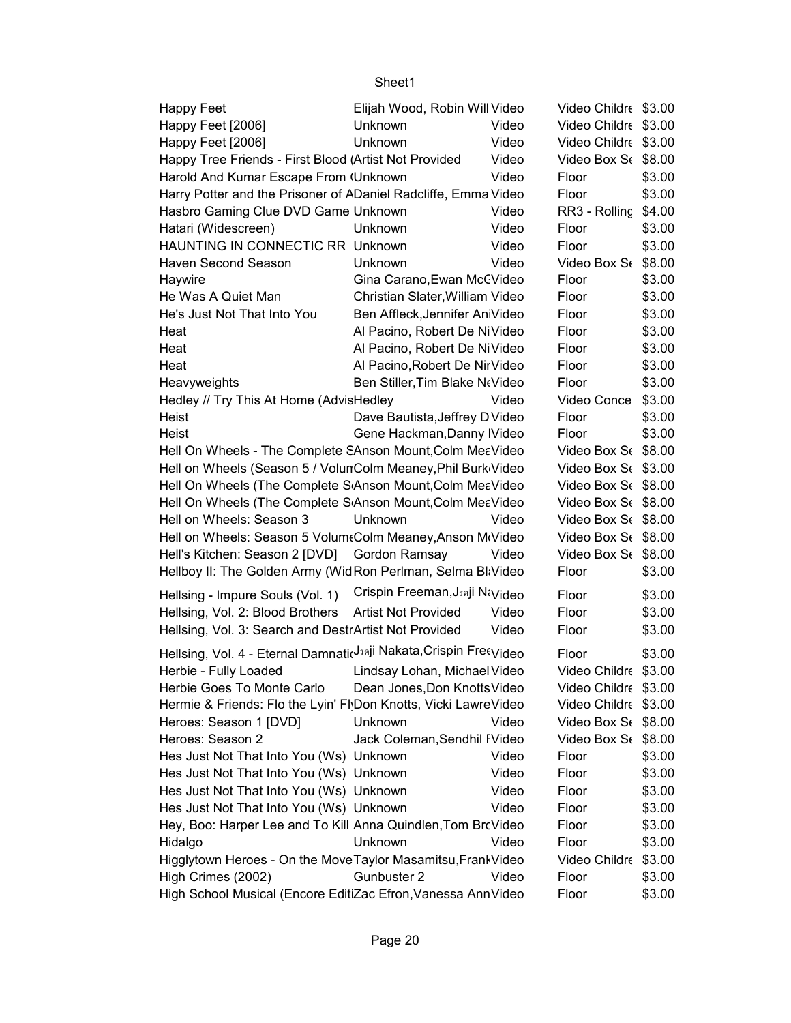| <b>Happy Feet</b>                                                                           | Elijah Wood, Robin Will Video                           |       | Video Childre \$3.00 |        |
|---------------------------------------------------------------------------------------------|---------------------------------------------------------|-------|----------------------|--------|
| Happy Feet [2006]                                                                           | Unknown                                                 | Video | Video Childre \$3.00 |        |
| Happy Feet [2006]                                                                           | Unknown                                                 | Video | Video Childre \$3.00 |        |
| Happy Tree Friends - First Blood (Artist Not Provided                                       |                                                         | Video | Video Box St \$8.00  |        |
| Harold And Kumar Escape From (Unknown)                                                      |                                                         | Video | Floor                | \$3.00 |
| Harry Potter and the Prisoner of ADaniel Radcliffe, Emma Video                              |                                                         |       | Floor                | \$3.00 |
| Hasbro Gaming Clue DVD Game Unknown                                                         |                                                         | Video | RR3 - Rolling \$4.00 |        |
| Hatari (Widescreen)                                                                         | Unknown                                                 | Video | Floor                | \$3.00 |
| HAUNTING IN CONNECTIC RR Unknown                                                            |                                                         | Video | Floor                | \$3.00 |
| Haven Second Season                                                                         | Unknown                                                 | Video | Video Box St \$8.00  |        |
| Haywire                                                                                     | Gina Carano, Ewan McCVideo                              |       | Floor                | \$3.00 |
| He Was A Quiet Man                                                                          | Christian Slater, William Video                         |       | Floor                | \$3.00 |
| He's Just Not That Into You                                                                 | Ben Affleck, Jennifer AniVideo                          |       | Floor                | \$3.00 |
| Heat                                                                                        | Al Pacino, Robert De NiVideo                            |       | Floor                | \$3.00 |
| Heat                                                                                        | Al Pacino, Robert De NiVideo                            |       | Floor                | \$3.00 |
| Heat                                                                                        | Al Pacino, Robert De Nir Video                          |       | Floor                | \$3.00 |
| Heavyweights                                                                                | Ben Stiller, Tim Blake NeVideo                          |       | Floor                | \$3.00 |
| Hedley // Try This At Home (AdvisHedley                                                     |                                                         | Video | Video Conce \$3.00   |        |
| Heist                                                                                       | Dave Bautista, Jeffrey D Video                          |       | Floor                | \$3.00 |
| Heist                                                                                       | Gene Hackman, Danny IVideo                              |       | Floor                | \$3.00 |
| Hell On Wheels - The Complete SAnson Mount, Colm MeaVideo                                   |                                                         |       | Video Box St \$8.00  |        |
| Hell on Wheels (Season 5 / VolunColm Meaney, Phil Burk Video                                |                                                         |       | Video Box St \$3.00  |        |
| Hell On Wheels (The Complete S Anson Mount, Colm Mea Video                                  |                                                         |       | Video Box St \$8.00  |        |
| Hell On Wheels (The Complete SAnson Mount, Colm Mea Video                                   |                                                         |       | Video Box St \$8.00  |        |
| Hell on Wheels: Season 3                                                                    | Unknown                                                 | Video | Video Box St \$8.00  |        |
| Hell on Wheels: Season 5 Volum (Colm Meaney, Anson M Video                                  |                                                         |       | Video Box St \$8.00  |        |
| Hell's Kitchen: Season 2 [DVD] Gordon Ramsay                                                |                                                         | Video | Video Box St \$8.00  |        |
| Hellboy II: The Golden Army (Wid Ron Perlman, Selma Bl: Video                               |                                                         |       | Floor                | \$3.00 |
| Hellsing - Impure Souls (Vol. 1)                                                            | Crispin Freeman, J <sub>39</sub> ji Na <sub>Video</sub> |       | Floor                | \$3.00 |
| Hellsing, Vol. 2: Blood Brothers Artist Not Provided                                        |                                                         | Video | Floor                | \$3.00 |
| Hellsing, Vol. 3: Search and DestrArtist Not Provided                                       |                                                         | Video | Floor                | \$3.00 |
|                                                                                             |                                                         |       |                      |        |
| Hellsing, Vol. 4 - Eternal DamnaticJ <sup>39</sup> ji Nakata, Crispin Free <sub>Video</sub> |                                                         |       | Floor                | \$3.00 |
| Herbie - Fully Loaded                                                                       | Lindsay Lohan, Michael Video                            |       | Video Childre \$3.00 |        |
| Herbie Goes To Monte Carlo                                                                  | Dean Jones, Don Knotts Video                            |       | Video Childre \$3.00 |        |
| Hermie & Friends: Flo the Lyin' FIDon Knotts, Vicki LawreVideo                              |                                                         |       | Video Childre \$3.00 |        |
| Heroes: Season 1 [DVD]                                                                      | Unknown                                                 | Video | Video Box St \$8.00  |        |
| Heroes: Season 2                                                                            | Jack Coleman, Sendhil FVideo                            |       | Video Box St \$8.00  |        |
| Hes Just Not That Into You (Ws) Unknown                                                     |                                                         | Video | Floor                | \$3.00 |
| Hes Just Not That Into You (Ws) Unknown                                                     |                                                         | Video | Floor                | \$3.00 |
| Hes Just Not That Into You (Ws) Unknown                                                     |                                                         | Video | Floor                | \$3.00 |
| Hes Just Not That Into You (Ws) Unknown                                                     |                                                         | Video | Floor                | \$3.00 |
| Hey, Boo: Harper Lee and To Kill Anna Quindlen, Tom BrcVideo                                |                                                         |       | Floor                | \$3.00 |
| Hidalgo                                                                                     | Unknown                                                 | Video | Floor                | \$3.00 |
| Higglytown Heroes - On the Move Taylor Masamitsu, Frank Video                               |                                                         |       | Video Childre \$3.00 |        |
| High Crimes (2002)                                                                          | Gunbuster 2                                             | Video | Floor                | \$3.00 |
| High School Musical (Encore EditiZac Efron, Vanessa Ann Video                               |                                                         |       | Floor                | \$3.00 |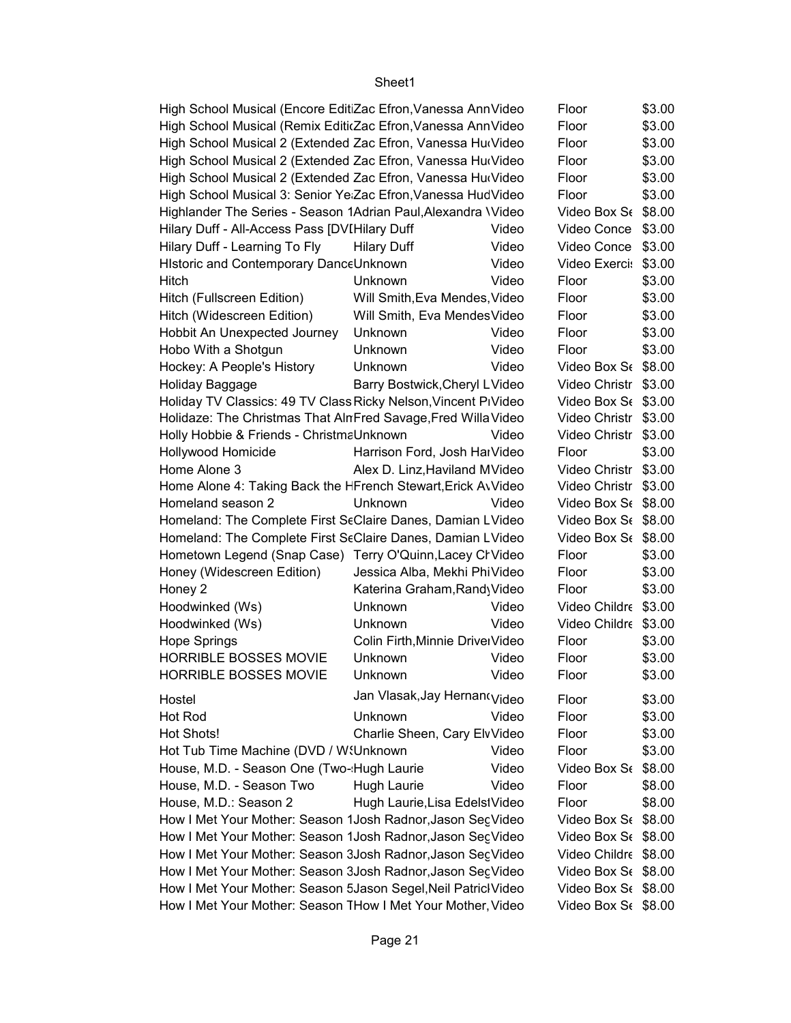| High School Musical (Encore EditiZac Efron, Vanessa Ann Video  |                                 |       | Floor                | \$3.00 |
|----------------------------------------------------------------|---------------------------------|-------|----------------------|--------|
| High School Musical (Remix EditicZac Efron, Vanessa Ann Video  |                                 |       | Floor                | \$3.00 |
| High School Musical 2 (Extended Zac Efron, Vanessa HurVideo    |                                 |       | Floor                | \$3.00 |
| High School Musical 2 (Extended Zac Efron, Vanessa HurVideo    |                                 |       | Floor                | \$3.00 |
| High School Musical 2 (Extended Zac Efron, Vanessa HurVideo    |                                 |       | Floor                | \$3.00 |
| High School Musical 3: Senior Ye Zac Efron, Vanessa HudVideo   |                                 |       | Floor                | \$3.00 |
| Highlander The Series - Season 1Adrian Paul, Alexandra Wideo   |                                 |       | Video Box St \$8.00  |        |
| Hilary Duff - All-Access Pass [DVIHilary Duff                  |                                 | Video | Video Conce \$3.00   |        |
| Hilary Duff - Learning To Fly                                  | <b>Hilary Duff</b>              | Video | Video Conce \$3.00   |        |
|                                                                |                                 |       |                      |        |
| Historic and Contemporary DanceUnknown                         |                                 | Video | Video Exerci: \$3.00 |        |
| Hitch                                                          | <b>Unknown</b>                  | Video | Floor                | \$3.00 |
| Hitch (Fullscreen Edition)                                     | Will Smith, Eva Mendes, Video   |       | Floor                | \$3.00 |
| Hitch (Widescreen Edition)                                     | Will Smith, Eva Mendes Video    |       | Floor                | \$3.00 |
| Hobbit An Unexpected Journey                                   | Unknown                         | Video | Floor                | \$3.00 |
| Hobo With a Shotgun                                            | Unknown                         | Video | Floor                | \$3.00 |
| Hockey: A People's History                                     | Unknown                         | Video | Video Box St \$8.00  |        |
| Holiday Baggage                                                | Barry Bostwick, Cheryl LVideo   |       | Video Christr \$3.00 |        |
| Holiday TV Classics: 49 TV Class Ricky Nelson, Vincent PIVideo |                                 |       | Video Box St \$3.00  |        |
| Holidaze: The Christmas That AlnFred Savage, Fred Willa Video  |                                 |       | Video Christr \$3.00 |        |
| Holly Hobbie & Friends - ChristmaUnknown                       |                                 | Video | Video Christr \$3.00 |        |
| Hollywood Homicide                                             | Harrison Ford, Josh HarVideo    |       | Floor                | \$3.00 |
| Home Alone 3                                                   | Alex D. Linz, Haviland MVideo   |       | Video Christr \$3.00 |        |
| Home Alone 4: Taking Back the HFrench Stewart, Erick AvVideo   |                                 |       | Video Christr \$3.00 |        |
| Homeland season 2                                              | Unknown                         | Video | Video Box St \$8.00  |        |
| Homeland: The Complete First ScClaire Danes, Damian LVideo     |                                 |       | Video Box St \$8.00  |        |
| Homeland: The Complete First ScClaire Danes, Damian LVideo     |                                 |       | Video Box St \$8.00  |        |
| Hometown Legend (Snap Case) Terry O'Quinn, Lacey CrVideo       |                                 |       | Floor                | \$3.00 |
| Honey (Widescreen Edition)                                     | Jessica Alba, Mekhi PhiVideo    |       | Floor                | \$3.00 |
| Honey 2                                                        | Katerina Graham, Rand Video     |       | Floor                | \$3.00 |
| Hoodwinked (Ws)                                                | Unknown                         | Video | Video Childre \$3.00 |        |
| Hoodwinked (Ws)                                                | Unknown                         | Video | Video Childre \$3.00 |        |
| <b>Hope Springs</b>                                            | Colin Firth, Minnie DriverVideo |       | Floor                | \$3.00 |
| <b>HORRIBLE BOSSES MOVIE</b>                                   | Unknown                         |       | Floor                |        |
|                                                                |                                 | Video |                      | \$3.00 |
| HORRIBLE BOSSES MOVIE                                          | Unknown                         | Video | Floor                | \$3.00 |
| Hostel                                                         | Jan Vlasak, Jay Hernan Video    |       | Floor                | \$3.00 |
| Hot Rod                                                        | Unknown                         | Video | Floor                | \$3.00 |
| <b>Hot Shots!</b>                                              | Charlie Sheen, Cary ElvVideo    |       | Floor                | \$3.00 |
| Hot Tub Time Machine (DVD / W!Unknown                          |                                 | Video | Floor                | \$3.00 |
| House, M.D. - Season One (Two-Hugh Laurie                      |                                 | Video | Video Box St \$8.00  |        |
| House, M.D. - Season Two                                       | Hugh Laurie                     | Video | Floor                | \$8.00 |
| House, M.D.: Season 2                                          | Hugh Laurie, Lisa EdelstVideo   |       | Floor                | \$8.00 |
| How I Met Your Mother: Season 1Josh Radnor, Jason SegVideo     |                                 |       | Video Box St \$8.00  |        |
|                                                                |                                 |       |                      |        |
| How I Met Your Mother: Season 1Josh Radnor, Jason SegVideo     |                                 |       | Video Box St \$8.00  |        |
| How I Met Your Mother: Season 3Josh Radnor, Jason SegVideo     |                                 |       | Video Childre \$8.00 |        |
| How I Met Your Mother: Season 3Josh Radnor, Jason SegVideo     |                                 |       | Video Box St \$8.00  |        |
| How I Met Your Mother: Season 5Jason Segel, Neil PatriclVideo  |                                 |       | Video Box St \$8.00  |        |
| How I Met Your Mother: Season THow I Met Your Mother, Video    |                                 |       | Video Box St \$8.00  |        |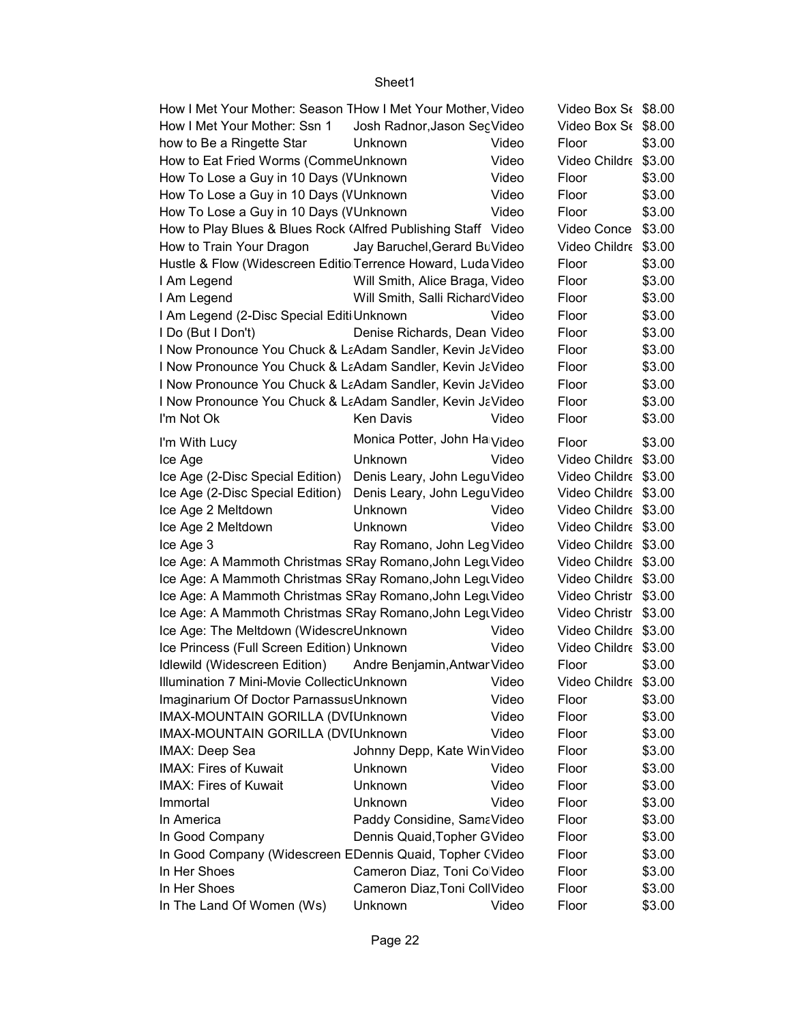| How I Met Your Mother: Season THow I Met Your Mother, Video   |                                |       | Video Box Se \$8.00             |        |
|---------------------------------------------------------------|--------------------------------|-------|---------------------------------|--------|
| How I Met Your Mother: Ssn 1                                  | Josh Radnor, Jason SegVideo    |       | Video Box S <sub>6</sub> \$8.00 |        |
| how to Be a Ringette Star                                     | Unknown                        | Video | Floor                           | \$3.00 |
| How to Eat Fried Worms (CommeUnknown                          |                                | Video | Video Childre \$3.00            |        |
| How To Lose a Guy in 10 Days (VUnknown                        |                                | Video | Floor                           | \$3.00 |
| How To Lose a Guy in 10 Days (VUnknown                        |                                | Video | Floor                           | \$3.00 |
| How To Lose a Guy in 10 Days (VUnknown                        |                                | Video | Floor                           | \$3.00 |
| How to Play Blues & Blues Rock (Alfred Publishing Staff Video |                                |       | Video Conce                     | \$3.00 |
| How to Train Your Dragon                                      | Jay Baruchel, Gerard BuVideo   |       | Video Childre \$3.00            |        |
| Hustle & Flow (Widescreen Editio Terrence Howard, Luda Video  |                                |       | Floor                           | \$3.00 |
| I Am Legend                                                   | Will Smith, Alice Braga, Video |       | Floor                           | \$3.00 |
| I Am Legend                                                   | Will Smith, Salli RichardVideo |       | Floor                           | \$3.00 |
| I Am Legend (2-Disc Special Editi Unknown                     |                                | Video | Floor                           | \$3.00 |
| I Do (But I Don't)                                            | Denise Richards, Dean Video    |       | Floor                           | \$3.00 |
| I Now Pronounce You Chuck & LaAdam Sandler, Kevin JaVideo     |                                |       | Floor                           | \$3.00 |
| I Now Pronounce You Chuck & LaAdam Sandler, Kevin JaVideo     |                                |       | Floor                           | \$3.00 |
| I Now Pronounce You Chuck & LaAdam Sandler, Kevin JaVideo     |                                |       | Floor                           | \$3.00 |
| I Now Pronounce You Chuck & LaAdam Sandler, Kevin JaVideo     |                                |       | Floor                           | \$3.00 |
| I'm Not Ok                                                    | Ken Davis                      | Video | Floor                           | \$3.00 |
|                                                               |                                |       |                                 |        |
| I'm With Lucy                                                 | Monica Potter, John HalVideo   |       | Floor                           | \$3.00 |
| Ice Age                                                       | Unknown                        | Video | Video Childre \$3.00            |        |
| Ice Age (2-Disc Special Edition)                              | Denis Leary, John LeguVideo    |       | Video Childre \$3.00            |        |
| Ice Age (2-Disc Special Edition)                              | Denis Leary, John LeguVideo    |       | Video Childre \$3.00            |        |
| Ice Age 2 Meltdown                                            | Unknown                        | Video | Video Childre \$3.00            |        |
| Ice Age 2 Meltdown                                            | Unknown                        | Video | Video Childre \$3.00            |        |
| Ice Age 3                                                     | Ray Romano, John Leg Video     |       | Video Childre \$3.00            |        |
| Ice Age: A Mammoth Christmas SRay Romano, John Legt Video     |                                |       | Video Childre \$3.00            |        |
| Ice Age: A Mammoth Christmas SRay Romano, John Legt Video     |                                |       | Video Childre \$3.00            |        |
| Ice Age: A Mammoth Christmas SRay Romano, John Legt Video     |                                |       | Video Christr \$3.00            |        |
| Ice Age: A Mammoth Christmas SRay Romano, John Legt Video     |                                |       | Video Christr \$3.00            |        |
| Ice Age: The Meltdown (WidescreUnknown                        |                                | Video | Video Childre \$3.00            |        |
| Ice Princess (Full Screen Edition) Unknown                    |                                | Video | Video Childre \$3.00            |        |
| Idlewild (Widescreen Edition) Andre Benjamin, Antwar Video    |                                |       | Floor                           | \$3.00 |
| Illumination 7 Mini-Movie Collectic Unknown Video             |                                |       | Video Childre \$3.00            |        |
| Imaginarium Of Doctor ParnassusUnknown                        |                                | Video | Floor                           | \$3.00 |
| IMAX-MOUNTAIN GORILLA (DVIUnknown                             |                                | Video | Floor                           | \$3.00 |
| IMAX-MOUNTAIN GORILLA (DVIUnknown                             |                                | Video | Floor                           | \$3.00 |
| IMAX: Deep Sea                                                | Johnny Depp, Kate WinVideo     |       | Floor                           | \$3.00 |
| IMAX: Fires of Kuwait                                         | Unknown                        | Video | Floor                           | \$3.00 |
| IMAX: Fires of Kuwait                                         | Unknown                        | Video | Floor                           | \$3.00 |
| Immortal                                                      | Unknown                        | Video | Floor                           | \$3.00 |
| In America                                                    | Paddy Considine, SamaVideo     |       | Floor                           | \$3.00 |
| In Good Company                                               | Dennis Quaid, Topher GVideo    |       | Floor                           | \$3.00 |
| In Good Company (Widescreen EDennis Quaid, Topher CVideo      |                                |       | Floor                           | \$3.00 |
| In Her Shoes                                                  | Cameron Diaz, Toni ColVideo    |       | Floor                           | \$3.00 |
| In Her Shoes                                                  | Cameron Diaz, Toni CollVideo   |       | Floor                           | \$3.00 |
| In The Land Of Women (Ws)                                     | Unknown                        | Video | Floor                           | \$3.00 |
|                                                               |                                |       |                                 |        |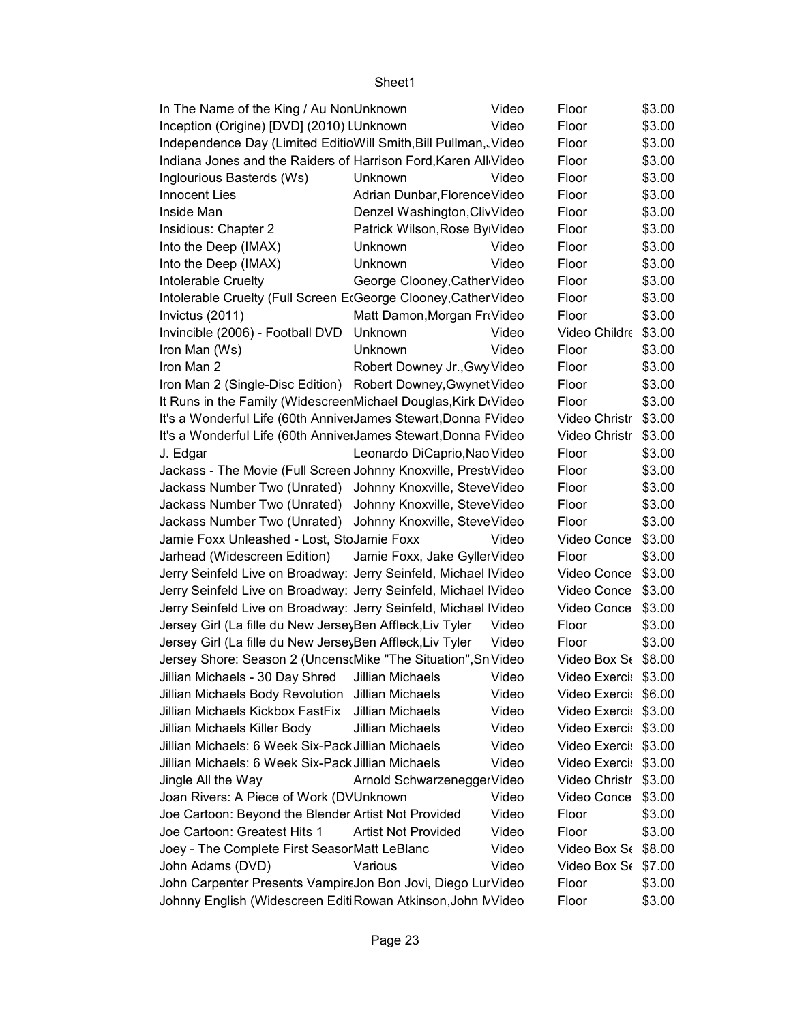| In The Name of the King / Au NonUnknown                         |                               | Video | Floor                           | \$3.00 |
|-----------------------------------------------------------------|-------------------------------|-------|---------------------------------|--------|
| Inception (Origine) [DVD] (2010) I Unknown                      |                               | Video | Floor                           | \$3.00 |
| Independence Day (Limited EditioWill Smith, Bill Pullman, Video |                               |       | Floor                           | \$3.00 |
| Indiana Jones and the Raiders of Harrison Ford, Karen All Video |                               |       | Floor                           | \$3.00 |
| Inglourious Basterds (Ws)                                       | Unknown                       | Video | Floor                           | \$3.00 |
| <b>Innocent Lies</b>                                            | Adrian Dunbar, Florence Video |       | Floor                           | \$3.00 |
| Inside Man                                                      | Denzel Washington, ClivVideo  |       | Floor                           | \$3.00 |
| Insidious: Chapter 2                                            | Patrick Wilson, Rose By Video |       | Floor                           | \$3.00 |
| Into the Deep (IMAX)                                            | Unknown                       | Video | Floor                           | \$3.00 |
| Into the Deep (IMAX)                                            | Unknown                       | Video | Floor                           | \$3.00 |
| Intolerable Cruelty                                             | George Clooney, Cather Video  |       | Floor                           | \$3.00 |
| Intolerable Cruelty (Full Screen ErGeorge Clooney, Cather Video |                               |       | Floor                           | \$3.00 |
| Invictus (2011)                                                 | Matt Damon, Morgan FrtVideo   |       | Floor                           | \$3.00 |
| Invincible (2006) - Football DVD                                | Unknown                       | Video | Video Childre \$3.00            |        |
| Iron Man (Ws)                                                   | Unknown                       | Video | Floor                           | \$3.00 |
| Iron Man 2                                                      | Robert Downey Jr., Gwy Video  |       | Floor                           | \$3.00 |
|                                                                 |                               |       |                                 |        |
| Iron Man 2 (Single-Disc Edition) Robert Downey, Gwynet Video    |                               |       | Floor                           | \$3.00 |
| It Runs in the Family (WidescreenMichael Douglas, Kirk DrVideo  |                               |       | Floor                           | \$3.00 |
| It's a Wonderful Life (60th AnnivelJames Stewart, Donna FVideo  |                               |       | Video Christr \$3.00            |        |
| It's a Wonderful Life (60th AnnivelJames Stewart, Donna FVideo  |                               |       | Video Christr \$3.00            |        |
| J. Edgar                                                        | Leonardo DiCaprio, Nao Video  |       | Floor                           | \$3.00 |
| Jackass - The Movie (Full Screen Johnny Knoxville, Prest Video  |                               |       | Floor                           | \$3.00 |
| Jackass Number Two (Unrated) Johnny Knoxville, SteveVideo       |                               |       | Floor                           | \$3.00 |
| Jackass Number Two (Unrated) Johnny Knoxville, SteveVideo       |                               |       | Floor                           | \$3.00 |
| Jackass Number Two (Unrated) Johnny Knoxville, SteveVideo       |                               |       | Floor                           | \$3.00 |
| Jamie Foxx Unleashed - Lost, StoJamie Foxx                      |                               | Video | Video Conce                     | \$3.00 |
| Jarhead (Widescreen Edition)                                    | Jamie Foxx, Jake Gyller Video |       | Floor                           | \$3.00 |
| Jerry Seinfeld Live on Broadway: Jerry Seinfeld, Michael IVideo |                               |       | Video Conce                     | \$3.00 |
| Jerry Seinfeld Live on Broadway: Jerry Seinfeld, Michael IVideo |                               |       | Video Conce \$3.00              |        |
| Jerry Seinfeld Live on Broadway: Jerry Seinfeld, Michael IVideo |                               |       | Video Conce \$3.00              |        |
| Jersey Girl (La fille du New JerseyBen Affleck, Liv Tyler       |                               | Video | Floor                           | \$3.00 |
| Jersey Girl (La fille du New Jerse Ben Affleck, Liv Tyler       |                               | Video | Floor                           | \$3.00 |
| Jersey Shore: Season 2 (Uncens Mike "The Situation", Sn Video   |                               |       | Video Box S <sub>6</sub> \$8.00 |        |
| Jillian Michaels - 30 Day Shred Jillian Michaels                |                               | Video | Video Exerci: \$3.00            |        |
| Jillian Michaels Body Revolution Jillian Michaels               |                               | Video | Video Exerci: \$6.00            |        |
| Jillian Michaels Kickbox FastFix                                | Jillian Michaels              | Video | Video Exerci: \$3.00            |        |
| Jillian Michaels Killer Body                                    | Jillian Michaels              | Video | Video Exerci: \$3.00            |        |
| Jillian Michaels: 6 Week Six-Pack Jillian Michaels              |                               | Video | Video Exerci: \$3.00            |        |
| Jillian Michaels: 6 Week Six-Pack Jillian Michaels              |                               | Video | Video Exerci: \$3.00            |        |
| Jingle All the Way                                              | Arnold Schwarzenegger Video   |       | Video Christr \$3.00            |        |
| Joan Rivers: A Piece of Work (DVUnknown                         |                               | Video | Video Conce \$3.00              |        |
| Joe Cartoon: Beyond the Blender Artist Not Provided             |                               | Video | Floor                           | \$3.00 |
| Joe Cartoon: Greatest Hits 1                                    | <b>Artist Not Provided</b>    | Video | Floor                           | \$3.00 |
| Joey - The Complete First SeasorMatt LeBlanc                    |                               | Video | Video Box S <sub>6</sub> \$8.00 |        |
|                                                                 | Various                       | Video | Video Box S <sub>6</sub> \$7.00 |        |
| John Adams (DVD)                                                |                               |       |                                 |        |
| John Carpenter Presents VampireJon Bon Jovi, Diego LurVideo     |                               |       | Floor                           | \$3.00 |
| Johnny English (Widescreen Editi Rowan Atkinson, John MVideo    |                               |       | Floor                           | \$3.00 |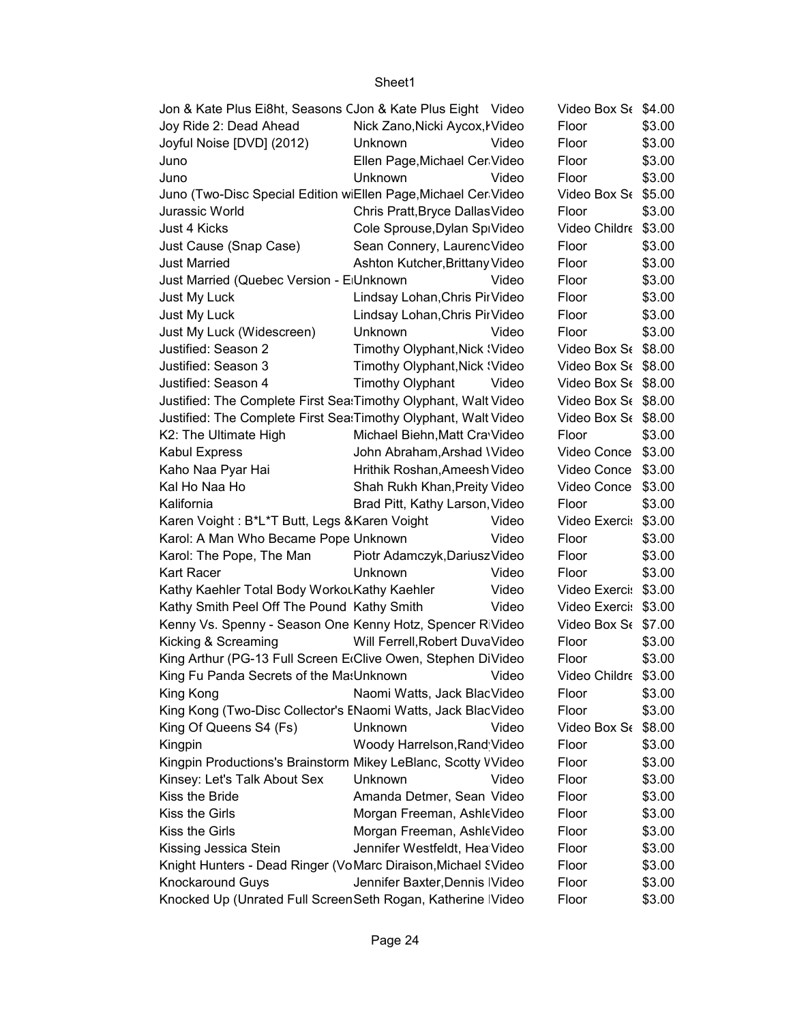| Jon & Kate Plus Ei8ht, Seasons CJon & Kate Plus Eight Video    |                                 |       | Video Box St \$4.00             |        |
|----------------------------------------------------------------|---------------------------------|-------|---------------------------------|--------|
| Joy Ride 2: Dead Ahead                                         | Nick Zano, Nicki Aycox, lVideo  |       | Floor                           | \$3.00 |
| Joyful Noise [DVD] (2012)                                      | Unknown                         | Video | Floor                           | \$3.00 |
| Juno                                                           | Ellen Page, Michael Cer Video   |       | Floor                           | \$3.00 |
| Juno                                                           | Unknown                         | Video | Floor                           | \$3.00 |
| Juno (Two-Disc Special Edition wiEllen Page, Michael Cer Video |                                 |       | Video Box St \$5.00             |        |
| Jurassic World                                                 | Chris Pratt, Bryce Dallas Video |       | Floor                           | \$3.00 |
| Just 4 Kicks                                                   | Cole Sprouse, Dylan SpiVideo    |       | Video Childre \$3.00            |        |
| Just Cause (Snap Case)                                         | Sean Connery, LaurencVideo      |       | Floor                           | \$3.00 |
| <b>Just Married</b>                                            | Ashton Kutcher, Brittany Video  |       | Floor                           | \$3.00 |
| Just Married (Quebec Version - EIUnknown                       |                                 | Video | Floor                           | \$3.00 |
| Just My Luck                                                   | Lindsay Lohan, Chris Pir Video  |       | Floor                           | \$3.00 |
| Just My Luck                                                   | Lindsay Lohan, Chris Pir Video  |       | Floor                           | \$3.00 |
| Just My Luck (Widescreen)                                      | Unknown                         | Video | Floor                           | \$3.00 |
| Justified: Season 2                                            | Timothy Olyphant, Nick ! Video  |       | Video Box St \$8.00             |        |
| Justified: Season 3                                            | Timothy Olyphant, Nick : Video  |       | Video Box Se \$8.00             |        |
| Justified: Season 4                                            | <b>Timothy Olyphant</b>         | Video | Video Box St \$8.00             |        |
| Justified: The Complete First Sea Timothy Olyphant, Walt Video |                                 |       | Video Box S <sub>6</sub> \$8.00 |        |
| Justified: The Complete First Sea Timothy Olyphant, Walt Video |                                 |       | Video Box S <sub>6</sub> \$8.00 |        |
| K2: The Ultimate High                                          | Michael Biehn, Matt Cra Video   |       | Floor                           | \$3.00 |
| Kabul Express                                                  | John Abraham, Arshad Wideo      |       | Video Conce \$3.00              |        |
| Kaho Naa Pyar Hai                                              | Hrithik Roshan, Ameesh Video    |       | Video Conce \$3.00              |        |
| Kal Ho Naa Ho                                                  | Shah Rukh Khan, Preity Video    |       | Video Conce \$3.00              |        |
| Kalifornia                                                     | Brad Pitt, Kathy Larson, Video  |       | Floor                           | \$3.00 |
| Karen Voight: B*L*T Butt, Legs & Karen Voight                  |                                 | Video | Video Exerci: \$3.00            |        |
| Karol: A Man Who Became Pope Unknown                           |                                 | Video | Floor                           | \$3.00 |
| Karol: The Pope, The Man                                       | Piotr Adamczyk, Dariusz Video   |       | Floor                           | \$3.00 |
| <b>Kart Racer</b>                                              | Unknown                         | Video | Floor                           | \$3.00 |
| Kathy Kaehler Total Body Workou Kathy Kaehler                  |                                 | Video | Video Exerci: \$3.00            |        |
| Kathy Smith Peel Off The Pound Kathy Smith                     |                                 | Video | Video Exerci: \$3.00            |        |
| Kenny Vs. Spenny - Season One Kenny Hotz, Spencer RiVideo      |                                 |       | Video Box St \$7.00             |        |
| Kicking & Screaming                                            | Will Ferrell, Robert Duva Video |       |                                 | \$3.00 |
|                                                                |                                 |       | Floor                           | \$3.00 |
| King Arthur (PG-13 Full Screen E Clive Owen, Stephen DiVideo   |                                 | Video | Floor<br>Video Childre \$3.00   |        |
| King Fu Panda Secrets of the MatUnknown                        |                                 |       |                                 | \$3.00 |
| King Kong                                                      | Naomi Watts, Jack BlacVideo     |       | Floor                           | \$3.00 |
| King Kong (Two-Disc Collector's ENaomi Watts, Jack BlacVideo   | Unknown                         |       | Floor<br>Video Box St \$8.00    |        |
| King Of Queens S4 (Fs)                                         |                                 | Video |                                 |        |
| Kingpin                                                        | Woody Harrelson, Rand Video     |       | Floor                           | \$3.00 |
| Kingpin Productions's Brainstorm Mikey LeBlanc, Scotty VVideo  |                                 |       | Floor                           | \$3.00 |
| Kinsey: Let's Talk About Sex                                   | Unknown                         | Video | Floor                           | \$3.00 |
| Kiss the Bride                                                 | Amanda Detmer, Sean Video       |       | Floor                           | \$3.00 |
| Kiss the Girls                                                 | Morgan Freeman, AshleVideo      |       | Floor                           | \$3.00 |
| Kiss the Girls                                                 | Morgan Freeman, AshleVideo      |       | Floor                           | \$3.00 |
| Kissing Jessica Stein                                          | Jennifer Westfeldt, Hea Video   |       | Floor                           | \$3.00 |
| Knight Hunters - Dead Ringer (VoMarc Diraison, Michael SVideo  |                                 |       | Floor                           | \$3.00 |
| Knockaround Guys                                               | Jennifer Baxter, Dennis IVideo  |       | Floor                           | \$3.00 |
| Knocked Up (Unrated Full ScreenSeth Rogan, Katherine IVideo    |                                 |       | Floor                           | \$3.00 |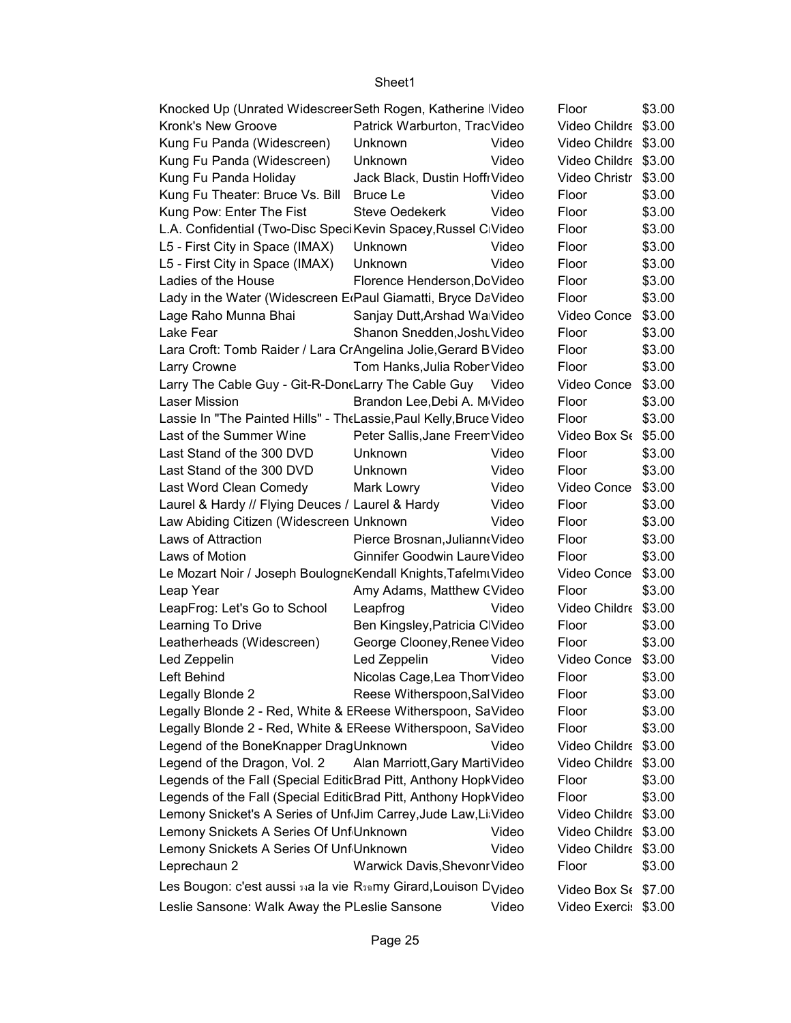| Knocked Up (Unrated Widescreer Seth Rogen, Katherine IVideo                              |                                         |       | Floor                | \$3.00 |
|------------------------------------------------------------------------------------------|-----------------------------------------|-------|----------------------|--------|
| Kronk's New Groove                                                                       | Patrick Warburton, TracVideo            |       | Video Childre \$3.00 |        |
| Kung Fu Panda (Widescreen)                                                               | Unknown                                 | Video | Video Childre \$3.00 |        |
| Kung Fu Panda (Widescreen)                                                               | Unknown                                 | Video | Video Childre \$3.00 |        |
| Kung Fu Panda Holiday                                                                    | Jack Black, Dustin HoffrVideo           |       | Video Christr \$3.00 |        |
| Kung Fu Theater: Bruce Vs. Bill                                                          | Bruce Le                                | Video | Floor                | \$3.00 |
| Kung Pow: Enter The Fist                                                                 | <b>Steve Oedekerk</b>                   | Video | Floor                | \$3.00 |
| L.A. Confidential (Two-Disc Speci Kevin Spacey, Russel CIVideo                           |                                         |       | Floor                | \$3.00 |
| L5 - First City in Space (IMAX)                                                          | Unknown                                 | Video | Floor                | \$3.00 |
| L5 - First City in Space (IMAX)                                                          | Unknown                                 | Video | Floor                | \$3.00 |
| Ladies of the House                                                                      | Florence Henderson, Do Video            |       | Floor                | \$3.00 |
| Lady in the Water (Widescreen E <sub>'</sub> Paul Giamatti, Bryce DaVideo                |                                         |       | Floor                | \$3.00 |
| Lage Raho Munna Bhai                                                                     | Sanjay Dutt, Arshad Wa Video            |       | Video Conce \$3.00   |        |
| Lake Fear                                                                                | Shanon Snedden, Josht Video             |       | Floor                | \$3.00 |
| Lara Croft: Tomb Raider / Lara CrAngelina Jolie, Gerard BVideo                           |                                         |       | Floor                | \$3.00 |
| Larry Crowne                                                                             | Tom Hanks, Julia Rober Video            |       | Floor                | \$3.00 |
| Larry The Cable Guy - Git-R-DontLarry The Cable Guy Video                                |                                         |       | Video Conce          | \$3.00 |
| Laser Mission                                                                            | Brandon Lee, Debi A. M <sub>Video</sub> |       | Floor                | \$3.00 |
| Lassie In "The Painted Hills" - The Lassie, Paul Kelly, Bruce Video                      |                                         |       | Floor                | \$3.00 |
| Last of the Summer Wine                                                                  | Peter Sallis, Jane Freem Video          |       | Video Box St \$5.00  |        |
| Last Stand of the 300 DVD                                                                | Unknown                                 | Video | Floor                | \$3.00 |
| Last Stand of the 300 DVD                                                                | Unknown                                 | Video | Floor                | \$3.00 |
|                                                                                          |                                         |       |                      |        |
| Last Word Clean Comedy                                                                   | Mark Lowry                              | Video | Video Conce \$3.00   |        |
| Laurel & Hardy // Flying Deuces / Laurel & Hardy                                         |                                         | Video | Floor                | \$3.00 |
| Law Abiding Citizen (Widescreen Unknown                                                  |                                         | Video | Floor                | \$3.00 |
| Laws of Attraction                                                                       | Pierce Brosnan, Juliann(Video           |       | Floor                | \$3.00 |
| Laws of Motion                                                                           | Ginnifer Goodwin Laure Video            |       | Floor                | \$3.00 |
| Le Mozart Noir / Joseph BoulogneKendall Knights, Tafelmt Video                           |                                         |       | Video Conce \$3.00   |        |
| Leap Year                                                                                | Amy Adams, Matthew CVideo               |       | Floor                | \$3.00 |
| LeapFrog: Let's Go to School                                                             | Leapfrog                                | Video | Video Childre \$3.00 |        |
| Learning To Drive                                                                        | Ben Kingsley, Patricia ClVideo          |       | Floor                | \$3.00 |
| Leatherheads (Widescreen)                                                                | George Clooney, Renee Video             |       | Floor                | \$3.00 |
| Led Zeppelin                                                                             | Led Zeppelin                            | Video | Video Conce          | \$3.00 |
| Left Behind                                                                              | Nicolas Cage, Lea Thorr Video           |       | Floor                | \$3.00 |
| Legally Blonde 2                                                                         | Reese Witherspoon, Sal Video            |       | Hoor                 | \$3.00 |
| Legally Blonde 2 - Red, White & EReese Witherspoon, SaVideo                              |                                         |       | Floor                | \$3.00 |
| Legally Blonde 2 - Red, White & EReese Witherspoon, SaVideo                              |                                         |       | Floor                | \$3.00 |
| Legend of the BoneKnapper DragUnknown                                                    |                                         | Video | Video Childre \$3.00 |        |
| Legend of the Dragon, Vol. 2                                                             | Alan Marriott, Gary MartiVideo          |       | Video Childre \$3.00 |        |
| Legends of the Fall (Special EditicBrad Pitt, Anthony HopkVideo                          |                                         |       | Floor                | \$3.00 |
| Legends of the Fall (Special EditicBrad Pitt, Anthony HopkVideo                          |                                         |       | Floor                | \$3.00 |
| Lemony Snicket's A Series of Unf Jim Carrey, Jude Law, Li Video                          |                                         |       | Video Childre \$3.00 |        |
| Lemony Snickets A Series Of Unf Unknown                                                  |                                         | Video | Video Childre \$3.00 |        |
| Lemony Snickets A Series Of Unf Unknown                                                  |                                         | Video | Video Childre \$3.00 |        |
| Leprechaun 2                                                                             | Warwick Davis, Shevonr Video            |       | Floor                | \$3.00 |
| Les Bougon: c'est aussi 53 ala vie R <sub>59</sub> my Girard, Louison D <sub>Video</sub> |                                         |       |                      |        |
|                                                                                          |                                         |       | Video Box St \$7.00  |        |
| Leslie Sansone: Walk Away the PLeslie Sansone                                            |                                         | Video | Video Exerci: \$3.00 |        |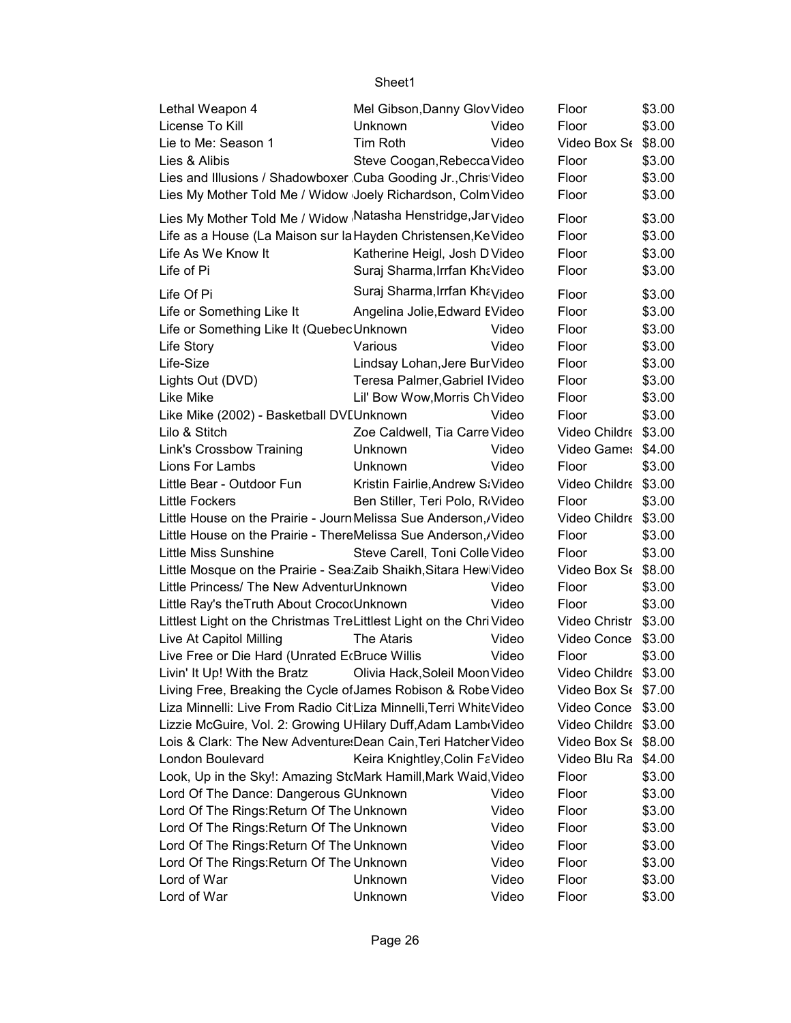| Lethal Weapon 4                                                         | Mel Gibson, Danny Glov Video               |       | Floor                | \$3.00 |
|-------------------------------------------------------------------------|--------------------------------------------|-------|----------------------|--------|
| License To Kill                                                         | Unknown                                    | Video | Floor                | \$3.00 |
| Lie to Me: Season 1                                                     | Tim Roth                                   | Video | Video Box St \$8.00  |        |
| Lies & Alibis                                                           | Steve Coogan, Rebecca Video                |       | Floor                | \$3.00 |
| Lies and Illusions / Shadowboxer Cuba Gooding Jr., Chris Video          |                                            |       | Floor                | \$3.00 |
| Lies My Mother Told Me / Widow Joely Richardson, Colm Video             |                                            |       | Floor                | \$3.00 |
| Lies My Mother Told Me / Widow Natasha Henstridge, Jar <sub>Video</sub> |                                            |       | Floor                | \$3.00 |
| Life as a House (La Maison sur la Hayden Christensen, Ke Video          |                                            |       | Floor                | \$3.00 |
| Life As We Know It                                                      | Katherine Heigl, Josh D Video              |       | Floor                | \$3.00 |
| Life of Pi                                                              | Suraj Sharma, Irrfan KhaVideo              |       | Floor                | \$3.00 |
| Life Of Pi                                                              | Suraj Sharma, Irrfan Khavideo              |       | Floor                | \$3.00 |
| Life or Something Like It                                               | Angelina Jolie, Edward EVideo              |       | Floor                | \$3.00 |
| Life or Something Like It (QuebecUnknown                                |                                            | Video | Floor                | \$3.00 |
| Life Story                                                              | Various                                    | Video | Floor                | \$3.00 |
| Life-Size                                                               | Lindsay Lohan, Jere Bur Video              |       | Floor                | \$3.00 |
| Lights Out (DVD)                                                        | Teresa Palmer, Gabriel IVideo              |       | Floor                | \$3.00 |
| Like Mike                                                               | Lil' Bow Wow, Morris Ch Video              |       | Floor                | \$3.00 |
| Like Mike (2002) - Basketball DVI Unknown                               |                                            | Video | Floor                | \$3.00 |
| Lilo & Stitch                                                           | Zoe Caldwell, Tia Carre Video              |       | Video Childre \$3.00 |        |
| Link's Crossbow Training                                                | Unknown                                    | Video | Video Games \$4.00   |        |
| Lions For Lambs                                                         | Unknown                                    | Video | Floor                | \$3.00 |
| Little Bear - Outdoor Fun                                               | Kristin Fairlie, Andrew StVideo            |       | Video Childre \$3.00 |        |
| <b>Little Fockers</b>                                                   | Ben Stiller, Teri Polo, R <sub>Video</sub> |       | Floor                | \$3.00 |
| Little House on the Prairie - Journ Melissa Sue Anderson, Video         |                                            |       | Video Childre \$3.00 |        |
| Little House on the Prairie - ThereMelissa Sue Anderson, / Video        |                                            |       | Floor                | \$3.00 |
| <b>Little Miss Sunshine</b>                                             | Steve Carell, Toni Colle Video             |       | Floor                | \$3.00 |
| Little Mosque on the Prairie - Sea Zaib Shaikh, Sitara Hew Video        |                                            |       | Video Box St \$8.00  |        |
| Little Princess/ The New Adventur Unknown                               |                                            | Video | Floor                | \$3.00 |
| Little Ray's the Truth About Croco(Unknown                              |                                            | Video | Floor                | \$3.00 |
| Littlest Light on the Christmas TreLittlest Light on the Chri Video     |                                            |       | Video Christr        | \$3.00 |
| Live At Capitol Milling                                                 | The Ataris                                 | Video | Video Conce \$3.00   |        |
| Live Free or Die Hard (Unrated E(Bruce Willis                           |                                            | Video | Floor                | \$3.00 |
| Livin' It Up! With the Bratz                                            | Olivia Hack, Soleil Moon Video             |       | Video Childre \$3.00 |        |
| Living Free, Breaking the Cycle of James Robison & Robe Video           |                                            |       | Video Box St \$7.00  |        |
| Liza Minnelli: Live From Radio Cit Liza Minnelli, Terri WhiteVideo      |                                            |       | Video Conce \$3.00   |        |
| Lizzie McGuire, Vol. 2: Growing UHilary Duff, Adam Lamb(Video           |                                            |       | Video Childre \$3.00 |        |
| Lois & Clark: The New Adventure: Dean Cain, Teri Hatcher Video          |                                            |       | Video Box St \$8.00  |        |
| London Boulevard                                                        | Keira Knightley, Colin FaVideo             |       | Video Blu Ra \$4.00  |        |
| Look, Up in the Sky!: Amazing StcMark Hamill, Mark Waid, Video          |                                            |       | Floor                | \$3.00 |
| Lord Of The Dance: Dangerous GUnknown                                   |                                            | Video | Floor                | \$3.00 |
| Lord Of The Rings: Return Of The Unknown                                |                                            | Video | Floor                | \$3.00 |
| Lord Of The Rings: Return Of The Unknown                                |                                            | Video | Floor                | \$3.00 |
| Lord Of The Rings: Return Of The Unknown                                |                                            | Video | Floor                | \$3.00 |
| Lord Of The Rings: Return Of The Unknown                                |                                            | Video | Floor                | \$3.00 |
| Lord of War                                                             | Unknown                                    | Video | Floor                | \$3.00 |
| Lord of War                                                             | Unknown                                    | Video | Floor                | \$3.00 |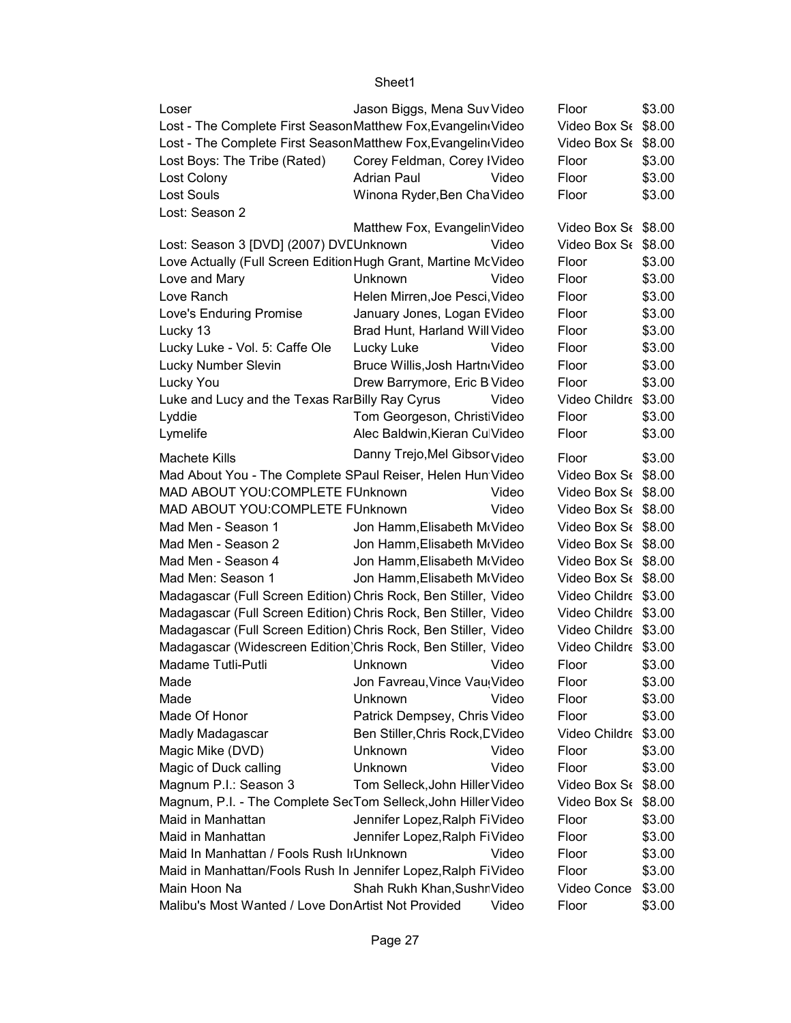| Loser                                                           | Jason Biggs, Mena Suv Video              |       | Floor                           | \$3.00 |
|-----------------------------------------------------------------|------------------------------------------|-------|---------------------------------|--------|
| Lost - The Complete First SeasonMatthew Fox, Evangelin (Video   |                                          |       | Video Box St \$8.00             |        |
| Lost - The Complete First SeasonMatthew Fox, Evangelin (Video   |                                          |       | Video Box St \$8.00             |        |
| Lost Boys: The Tribe (Rated)                                    | Corey Feldman, Corey IVideo              |       | Floor                           | \$3.00 |
| Lost Colony                                                     | <b>Adrian Paul</b>                       | Video | Floor                           | \$3.00 |
| Lost Souls                                                      | Winona Ryder, Ben Cha Video              |       | Floor                           | \$3.00 |
|                                                                 |                                          |       |                                 |        |
| Lost: Season 2                                                  | Matthew Fox, EvangelinVideo              |       | Video Box S <sub>6</sub> \$8.00 |        |
|                                                                 |                                          | Video | Video Box St \$8.00             |        |
| Lost: Season 3 [DVD] (2007) DVEUnknown                          |                                          |       |                                 | \$3.00 |
| Love Actually (Full Screen Edition Hugh Grant, Martine McVideo  |                                          |       | Floor                           |        |
| Love and Mary                                                   | Unknown                                  | Video | Floor                           | \$3.00 |
| Love Ranch                                                      | Helen Mirren, Joe Pesci, Video           |       | Floor                           | \$3.00 |
| Love's Enduring Promise                                         | January Jones, Logan EVideo              |       | Floor                           | \$3.00 |
| Lucky 13                                                        | Brad Hunt, Harland Will Video            |       | Floor                           | \$3.00 |
| Lucky Luke - Vol. 5: Caffe Ole                                  | Lucky Luke                               | Video | Floor                           | \$3.00 |
| Lucky Number Slevin                                             | Bruce Willis, Josh Hartn(Video           |       | Floor                           | \$3.00 |
| Lucky You                                                       | Drew Barrymore, Eric B Video             |       | Floor                           | \$3.00 |
| Luke and Lucy and the Texas RarBilly Ray Cyrus                  |                                          | Video | Video Childre \$3.00            |        |
| Lyddie                                                          | Tom Georgeson, ChristiVideo              |       | Floor                           | \$3.00 |
| Lymelife                                                        | Alec Baldwin, Kieran CulVideo            |       | Floor                           | \$3.00 |
| Machete Kills                                                   | Danny Trejo, Mel Gibsor <sub>Video</sub> |       | Floor                           | \$3.00 |
|                                                                 |                                          |       |                                 |        |
| Mad About You - The Complete SPaul Reiser, Helen Hun Video      |                                          |       | Video Box S <sub>6</sub> \$8.00 |        |
| MAD ABOUT YOU:COMPLETE FUnknown                                 |                                          | Video | Video Box S <sub>6</sub> \$8.00 |        |
| MAD ABOUT YOU:COMPLETE FUnknown                                 |                                          | Video | Video Box S <sub>6</sub> \$8.00 |        |
| Mad Men - Season 1                                              | Jon Hamm, Elisabeth M Video              |       | Video Box St \$8.00             |        |
| Mad Men - Season 2                                              | Jon Hamm, Elisabeth McVideo              |       | Video Box St \$8.00             |        |
| Mad Men - Season 4                                              | Jon Hamm, Elisabeth M Video              |       | Video Box St \$8.00             |        |
| Mad Men: Season 1                                               | Jon Hamm, Elisabeth M Video              |       | Video Box St \$8.00             |        |
| Madagascar (Full Screen Edition) Chris Rock, Ben Stiller, Video |                                          |       | Video Childre \$3.00            |        |
| Madagascar (Full Screen Edition) Chris Rock, Ben Stiller, Video |                                          |       | Video Childre \$3.00            |        |
| Madagascar (Full Screen Edition) Chris Rock, Ben Stiller, Video |                                          |       | Video Childre \$3.00            |        |
| Madagascar (Widescreen Edition)Chris Rock, Ben Stiller, Video   |                                          |       | Video Childre \$3.00            |        |
| Madame Tutli-Putli                                              | Unknown                                  | Video | Floor                           | \$3.00 |
| Made                                                            | Jon Favreau, Vince Vau Video             |       | Floor                           | \$3.00 |
| Made                                                            | Unknown                                  | Video | Floor                           | \$3.00 |
| Made Of Honor                                                   | Patrick Dempsey, Chris Video             |       | Floor                           | \$3.00 |
| Madly Madagascar                                                | Ben Stiller, Chris Rock, LVideo          |       | Video Childre \$3.00            |        |
| Magic Mike (DVD)                                                | Unknown                                  | Video | Floor                           | \$3.00 |
| Magic of Duck calling                                           | Unknown                                  | Video | Floor                           | \$3.00 |
| Magnum P.I.: Season 3                                           | Tom Selleck, John Hiller Video           |       | Video Box St \$8.00             |        |
|                                                                 |                                          |       | Video Box St \$8.00             |        |
| Magnum, P.I. - The Complete SecTom Selleck, John Hiller Video   |                                          |       |                                 |        |
| Maid in Manhattan                                               | Jennifer Lopez, Ralph FiVideo            |       | Floor                           | \$3.00 |
| Maid in Manhattan                                               | Jennifer Lopez, Ralph FiVideo            |       | Floor                           | \$3.00 |
| Maid In Manhattan / Fools Rush IIUnknown                        |                                          | Video | Floor                           | \$3.00 |
| Maid in Manhattan/Fools Rush In Jennifer Lopez, Ralph FiVideo   |                                          |       | Floor                           | \$3.00 |
| Main Hoon Na                                                    | Shah Rukh Khan, Sushn Video              |       | Video Conce                     | \$3.00 |
| Malibu's Most Wanted / Love DonArtist Not Provided              |                                          | Video | Floor                           | \$3.00 |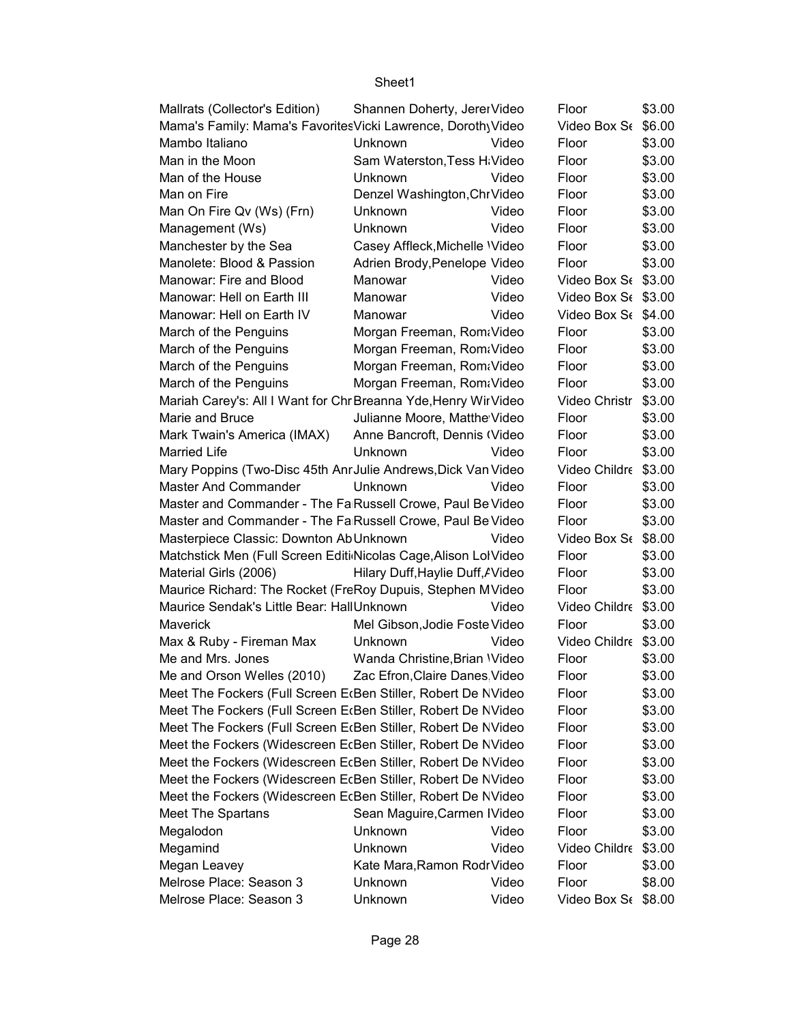| Mallrats (Collector's Edition)                                   | Shannen Doherty, Jerer Video     |       | Floor                           | \$3.00 |
|------------------------------------------------------------------|----------------------------------|-------|---------------------------------|--------|
| Mama's Family: Mama's Favorites Vicki Lawrence, Doroth Video     |                                  |       | Video Box S <sub>6</sub> \$6.00 |        |
| Mambo Italiano                                                   | Unknown                          | Video | Floor                           | \$3.00 |
| Man in the Moon                                                  | Sam Waterston, Tess HiVideo      |       | Floor                           | \$3.00 |
| Man of the House                                                 | Unknown                          | Video | Floor                           | \$3.00 |
| Man on Fire                                                      | Denzel Washington, Chr Video     |       | Floor                           | \$3.00 |
| Man On Fire Qv (Ws) (Frn)                                        | Unknown                          | Video | Floor                           | \$3.00 |
| Management (Ws)                                                  | Unknown                          | Video | Floor                           | \$3.00 |
| Manchester by the Sea                                            | Casey Affleck, Michelle Wideo    |       | Floor                           | \$3.00 |
| Manolete: Blood & Passion                                        | Adrien Brody, Penelope Video     |       | Floor                           | \$3.00 |
| Manowar: Fire and Blood                                          | Manowar                          | Video | Video Box S <sub>6</sub> \$3.00 |        |
| Manowar: Hell on Earth III                                       | Manowar                          | Video | Video Box St \$3.00             |        |
| Manowar: Hell on Earth IV                                        | Manowar                          | Video | Video Box St \$4.00             |        |
| March of the Penguins                                            | Morgan Freeman, Rom; Video       |       | Floor                           | \$3.00 |
| March of the Penguins                                            | Morgan Freeman, Rom; Video       |       | Floor                           | \$3.00 |
| March of the Penguins                                            | Morgan Freeman, Rom; Video       |       | Floor                           | \$3.00 |
| March of the Penguins                                            |                                  |       | Floor                           | \$3.00 |
|                                                                  | Morgan Freeman, Rom; Video       |       |                                 |        |
| Mariah Carey's: All I Want for Chr Breanna Yde, Henry Wir Video  |                                  |       | Video Christr \$3.00            |        |
| Marie and Bruce                                                  | Julianne Moore, Matthe Video     |       | Floor                           | \$3.00 |
| Mark Twain's America (IMAX)                                      | Anne Bancroft, Dennis (Video     |       | Floor                           | \$3.00 |
| <b>Married Life</b>                                              | Unknown                          | Video | Floor                           | \$3.00 |
| Mary Poppins (Two-Disc 45th Anr Julie Andrews, Dick Van Video    |                                  |       | Video Childre \$3.00            |        |
| Master And Commander                                             | Unknown                          | Video | Floor                           | \$3.00 |
| Master and Commander - The Fa Russell Crowe, Paul Be Video       |                                  |       | Floor                           | \$3.00 |
| Master and Commander - The Fa Russell Crowe, Paul Be Video       |                                  |       | Floor                           | \$3.00 |
| Masterpiece Classic: Downton AbUnknown                           |                                  | Video | Video Box St \$8.00             |        |
| Matchstick Men (Full Screen Editi Nicolas Cage, Alison Lol Video |                                  |       | Floor                           | \$3.00 |
| Material Girls (2006)                                            | Hilary Duff, Haylie Duff, AVideo |       | Floor                           | \$3.00 |
| Maurice Richard: The Rocket (FreRoy Dupuis, Stephen MVideo       |                                  |       | Floor                           | \$3.00 |
| Maurice Sendak's Little Bear: HallUnknown                        |                                  | Video | Video Childre \$3.00            |        |
| Maverick                                                         | Mel Gibson, Jodie Foste Video    |       | Floor                           | \$3.00 |
| Max & Ruby - Fireman Max                                         | Unknown                          | Video | Video Childre \$3.00            |        |
| Me and Mrs. Jones                                                | Wanda Christine, Brian Wideo     |       | Floor                           | \$3.00 |
| Me and Orson Welles (2010)                                       | Zac Efron, Claire Danes Video    |       | Floor                           | \$3.00 |
| Meet The Fockers (Full Screen E(Ben Stiller, Robert De NVideo    |                                  |       | Floor                           | \$3.00 |
| Meet The Fockers (Full Screen E(Ben Stiller, Robert De NVideo    |                                  |       | Floor                           | \$3.00 |
| Meet The Fockers (Full Screen E(Ben Stiller, Robert De NVideo    |                                  |       | Floor                           | \$3.00 |
| Meet the Fockers (Widescreen EcBen Stiller, Robert De NVideo     |                                  |       | Floor                           | \$3.00 |
| Meet the Fockers (Widescreen EcBen Stiller, Robert De NVideo     |                                  |       | Floor                           | \$3.00 |
| Meet the Fockers (Widescreen EcBen Stiller, Robert De NVideo     |                                  |       | Floor                           | \$3.00 |
| Meet the Fockers (Widescreen EcBen Stiller, Robert De NVideo     |                                  |       | Floor                           | \$3.00 |
| Meet The Spartans                                                | Sean Maguire, Carmen IVideo      |       | Floor                           | \$3.00 |
| Megalodon                                                        | Unknown                          | Video | Floor                           | \$3.00 |
| Megamind                                                         | Unknown                          | Video | Video Childre \$3.00            |        |
|                                                                  | Kate Mara, Ramon Rodr Video      |       |                                 | \$3.00 |
| Megan Leavey                                                     |                                  |       | Floor                           |        |
| Melrose Place: Season 3                                          | Unknown                          | Video | Floor                           | \$8.00 |
| Melrose Place: Season 3                                          | Unknown                          | Video | Video Box St \$8.00             |        |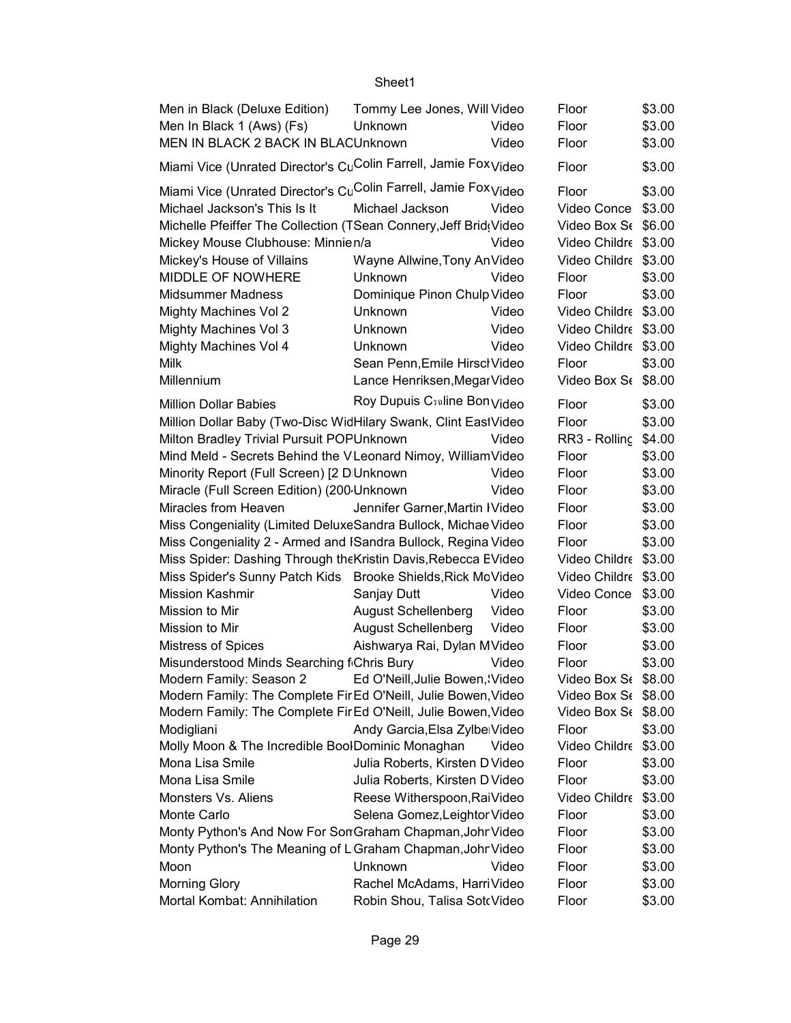| Men in Black (Deluxe Edition)                                    | Tommy Lee Jones, Will Video                          |       | Floor                           | \$3.00 |
|------------------------------------------------------------------|------------------------------------------------------|-------|---------------------------------|--------|
| Men In Black 1 (Aws) (Fs)                                        | Unknown                                              | Video | Floor                           | \$3.00 |
| MEN IN BLACK 2 BACK IN BLACUnknown                               |                                                      | Video | Floor                           | \$3.00 |
| Miami Vice (Unrated Director's CuColin Farrell, Jamie Fox Video  |                                                      |       | Floor                           | \$3.00 |
| Miami Vice (Unrated Director's CuColin Farrell, Jamie Fox Video  |                                                      |       | Floor                           | \$3.00 |
| Michael Jackson's This Is It                                     | Michael Jackson                                      | Video | Video Conce                     | \$3.00 |
| Michelle Pfeiffer The Collection (TSean Connery, Jeff Brid(Video |                                                      |       | Video Box St \$6.00             |        |
| Mickey Mouse Clubhouse: Minnien/a                                |                                                      | Video | Video Childre \$3.00            |        |
| Mickey's House of Villains                                       | Wayne Allwine, Tony AnVideo                          |       | Video Childre \$3.00            |        |
| MIDDLE OF NOWHERE                                                | Unknown                                              | Video | Floor                           | \$3.00 |
| Midsummer Madness                                                | Dominique Pinon Chulp Video                          |       | Floor                           | \$3.00 |
| <b>Mighty Machines Vol 2</b>                                     | Unknown                                              | Video | Video Childre \$3.00            |        |
| Mighty Machines Vol 3                                            | Unknown                                              | Video | Video Childre \$3.00            |        |
| <b>Mighty Machines Vol 4</b>                                     | Unknown                                              | Video | Video Childre \$3.00            |        |
| Milk                                                             | Sean Penn, Emile Hirscl Video                        |       | Floor                           | \$3.00 |
| Millennium                                                       | Lance Henriksen, Megar Video                         |       | Video Box St \$8.00             |        |
| <b>Million Dollar Babies</b>                                     | Roy Dupuis C <sub>50</sub> line Bon <sub>Video</sub> |       | Floor                           | \$3.00 |
| Million Dollar Baby (Two-Disc WidHilary Swank, Clint EastVideo   |                                                      |       | Floor                           | \$3.00 |
| Milton Bradley Trivial Pursuit POPUnknown                        |                                                      | Video | RR3 - Rolling                   | \$4.00 |
| Mind Meld - Secrets Behind the VLeonard Nimoy, WilliamVideo      |                                                      |       | Floor                           | \$3.00 |
| Minority Report (Full Screen) [2 D Unknown                       |                                                      | Video | Floor                           | \$3.00 |
| Miracle (Full Screen Edition) (200 Unknown                       |                                                      | Video | Floor                           | \$3.00 |
| Miracles from Heaven                                             | Jennifer Garner, Martin IVideo                       |       | Floor                           | \$3.00 |
| Miss Congeniality (Limited DeluxeSandra Bullock, Michae Video    |                                                      |       | Floor                           | \$3.00 |
| Miss Congeniality 2 - Armed and ISandra Bullock, Regina Video    |                                                      |       | Floor                           | \$3.00 |
| Miss Spider: Dashing Through the Kristin Davis, Rebecca EVideo   |                                                      |       | Video Childre \$3.00            |        |
| Miss Spider's Sunny Patch Kids Brooke Shields, Rick MoVideo      |                                                      |       | Video Childre \$3.00            |        |
| <b>Mission Kashmir</b>                                           | Sanjay Dutt                                          | Video | Video Conce \$3.00              |        |
| Mission to Mir                                                   | <b>August Schellenberg</b>                           | Video | Floor                           | \$3.00 |
| Mission to Mir                                                   | <b>August Schellenberg</b>                           | Video | Floor                           | \$3.00 |
| Mistress of Spices                                               | Aishwarya Rai, Dylan MVideo                          |       | Floor                           | \$3.00 |
| Misunderstood Minds Searching f Chris Bury                       |                                                      | Video | Floor                           | \$3.00 |
| Modern Family: Season 2 Ed O'Neill, Julie Bowen, Wideo           |                                                      |       | Video Box S <sub>f</sub> \$8.00 |        |
| Modern Family: The Complete FirEd O'Neill, Julie Bowen, Video    |                                                      |       | Video Box Se \$8.00             |        |
| Modern Family: The Complete FirEd O'Neill, Julie Bowen, Video    |                                                      |       | Video Box St \$8.00             |        |
| Modigliani                                                       | Andy Garcia, Elsa Zylbe Video                        |       | Floor                           | \$3.00 |
| Molly Moon & The Incredible BoolDominic Monaghan                 |                                                      | Video | Video Childre \$3.00            |        |
| Mona Lisa Smile                                                  | Julia Roberts, Kirsten D Video                       |       | Floor                           | \$3.00 |
| Mona Lisa Smile                                                  | Julia Roberts, Kirsten D Video                       |       | Floor                           | \$3.00 |
| Monsters Vs. Aliens                                              | Reese Witherspoon, RaiVideo                          |       | Video Childre                   | \$3.00 |
| Monte Carlo                                                      | Selena Gomez, Leightor Video                         |       | Floor                           | \$3.00 |
| Monty Python's And Now For Son Graham Chapman, Johr Video        |                                                      |       | Floor                           | \$3.00 |
| Monty Python's The Meaning of L Graham Chapman, Johr Video       |                                                      |       | Floor                           | \$3.00 |
| Moon                                                             | Unknown                                              | Video | Floor                           | \$3.00 |
| <b>Morning Glory</b>                                             | Rachel McAdams, HarriVideo                           |       | Floor                           | \$3.00 |
| Mortal Kombat: Annihilation                                      | Robin Shou, Talisa SotcVideo                         |       | Floor                           | \$3.00 |
|                                                                  |                                                      |       |                                 |        |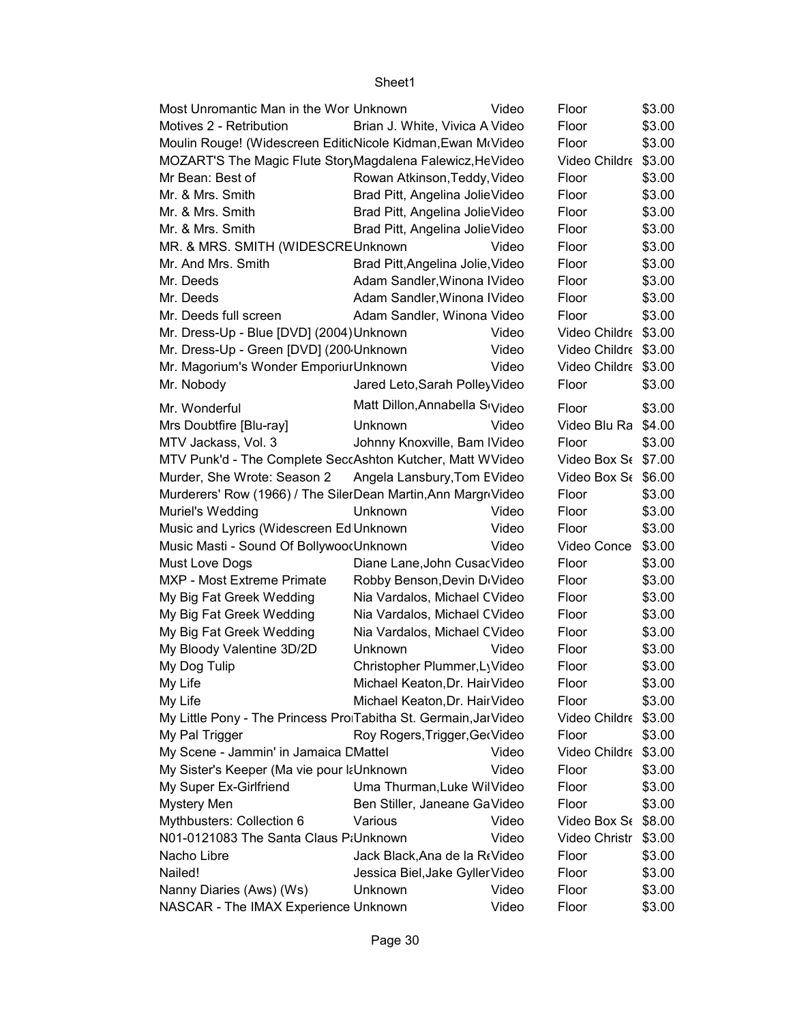| Most Unromantic Man in the Wor Unknown                           |                                  | Video | Floor                           | \$3.00 |
|------------------------------------------------------------------|----------------------------------|-------|---------------------------------|--------|
| Motives 2 - Retribution                                          | Brian J. White, Vivica A Video   |       | Floor                           | \$3.00 |
| Moulin Rouge! (Widescreen EditicNicole Kidman, Ewan McVideo      |                                  |       | Floor                           | \$3.00 |
| MOZART'S The Magic Flute StoryMagdalena Falewicz, HeVideo        |                                  |       | Video Childre \$3.00            |        |
| Mr Bean: Best of                                                 | Rowan Atkinson, Teddy, Video     |       | Floor                           | \$3.00 |
| Mr. & Mrs. Smith                                                 | Brad Pitt, Angelina JolieVideo   |       | Floor                           | \$3.00 |
| Mr. & Mrs. Smith                                                 | Brad Pitt, Angelina JolieVideo   |       | Floor                           | \$3.00 |
| Mr. & Mrs. Smith                                                 | Brad Pitt, Angelina JolieVideo   |       | Floor                           | \$3.00 |
| MR. & MRS. SMITH (WIDESCREUnknown                                |                                  | Video | Floor                           | \$3.00 |
| Mr. And Mrs. Smith                                               | Brad Pitt, Angelina Jolie, Video |       | Floor                           | \$3.00 |
| Mr. Deeds                                                        | Adam Sandler, Winona IVideo      |       | Floor                           | \$3.00 |
| Mr. Deeds                                                        | Adam Sandler, Winona IVideo      |       | Floor                           | \$3.00 |
| Mr. Deeds full screen                                            | Adam Sandler, Winona Video       |       | Floor                           | \$3.00 |
| Mr. Dress-Up - Blue [DVD] (2004) Unknown                         |                                  | Video | Video Childre \$3.00            |        |
| Mr. Dress-Up - Green [DVD] (200 Unknown                          |                                  | Video | Video Childre \$3.00            |        |
| Mr. Magorium's Wonder Emporiur Unknown                           |                                  | Video | Video Childre \$3.00            |        |
| Mr. Nobody                                                       | Jared Leto, Sarah Polley Video   |       | Floor                           | \$3.00 |
|                                                                  | Matt Dillon, Annabella Styideo   |       |                                 |        |
| Mr. Wonderful                                                    |                                  |       | Floor                           | \$3.00 |
| Mrs Doubtfire [Blu-ray]                                          | Unknown                          | Video | Video Blu Ra \$4.00             |        |
| MTV Jackass, Vol. 3                                              | Johnny Knoxville, Bam IVideo     |       | Floor                           | \$3.00 |
| MTV Punk'd - The Complete SeccAshton Kutcher, Matt WVideo        |                                  |       | Video Box S <sub>6</sub> \$7.00 |        |
| Murder, She Wrote: Season 2 Angela Lansbury, Tom EVideo          |                                  |       | Video Box S <sub>6</sub> \$6.00 |        |
| Murderers' Row (1966) / The SilerDean Martin, Ann MargriVideo    |                                  |       | Floor                           | \$3.00 |
| Muriel's Wedding                                                 | Unknown                          | Video | Floor                           | \$3.00 |
| Music and Lyrics (Widescreen Ed Unknown                          |                                  | Video | Floor                           | \$3.00 |
| Music Masti - Sound Of BollywoorUnknown                          |                                  | Video | Video Conce                     | \$3.00 |
| Must Love Dogs                                                   | Diane Lane, John Cusac Video     |       | Floor                           | \$3.00 |
| MXP - Most Extreme Primate                                       | Robby Benson, Devin DrVideo      |       | Floor                           | \$3.00 |
| My Big Fat Greek Wedding                                         | Nia Vardalos, Michael CVideo     |       | Floor                           | \$3.00 |
| My Big Fat Greek Wedding                                         | Nia Vardalos, Michael CVideo     |       | Floor                           | \$3.00 |
| My Big Fat Greek Wedding                                         | Nia Vardalos, Michael CVideo     |       | Floor                           | \$3.00 |
| My Bloody Valentine 3D/2D                                        | Unknown                          | Video | Floor                           | \$3.00 |
| My Dog Tulip                                                     | Christopher Plummer, LyVideo     |       | Floor                           | \$3.00 |
| My Life                                                          | Michael Keaton, Dr. Hair Video   |       | Floor                           | \$3.00 |
| My Life                                                          | Michael Keaton, Dr. Hair Video   |       | Floor                           | \$3.00 |
| My Little Pony - The Princess Pro Tabitha St. Germain, Jar Video |                                  |       | Video Childre \$3.00            |        |
| My Pal Trigger                                                   | Roy Rogers, Trigger, GerVideo    |       | Floor                           | \$3.00 |
| My Scene - Jammin' in Jamaica CMattel                            |                                  | Video | Video Childre \$3.00            |        |
| My Sister's Keeper (Ma vie pour kUnknown                         |                                  | Video | Floor                           | \$3.00 |
| My Super Ex-Girlfriend                                           | Uma Thurman, Luke Wil Video      |       | Floor                           | \$3.00 |
| Mystery Men                                                      | Ben Stiller, Janeane GaVideo     |       | Floor                           | \$3.00 |
| Mythbusters: Collection 6                                        | Various                          | Video | Video Box St \$8.00             |        |
| N01-0121083 The Santa Claus P; Unknown                           |                                  | Video | Video Christr                   | \$3.00 |
| Nacho Libre                                                      | Jack Black, Ana de la ReVideo    |       | Floor                           | \$3.00 |
| Nailed!                                                          | Jessica Biel, Jake Gyller Video  |       | Floor                           | \$3.00 |
| Nanny Diaries (Aws) (Ws)                                         | Unknown                          | Video | Floor                           | \$3.00 |
| NASCAR - The IMAX Experience Unknown                             |                                  | Video | Floor                           | \$3.00 |
|                                                                  |                                  |       |                                 |        |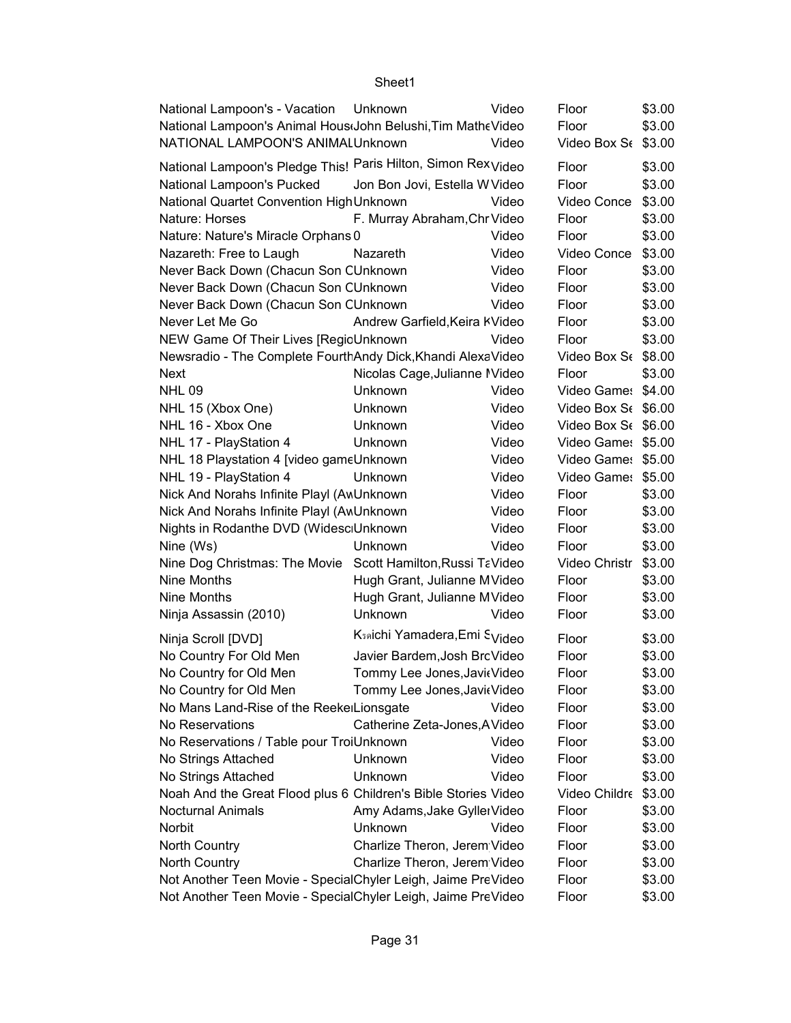| National Lampoon's - Vacation                                  | Unknown                       | Video | Floor                           | \$3.00 |
|----------------------------------------------------------------|-------------------------------|-------|---------------------------------|--------|
| National Lampoon's Animal Housdohn Belushi, Tim MatheVideo     |                               |       | Floor                           | \$3.00 |
| NATIONAL LAMPOON'S ANIMALUnknown                               |                               | Video | Video Box S <sub>6</sub> \$3.00 |        |
| National Lampoon's Pledge This! Paris Hilton, Simon Rex Video  |                               |       | Floor                           | \$3.00 |
| National Lampoon's Pucked                                      | Jon Bon Jovi, Estella W Video |       | Floor                           | \$3.00 |
| National Quartet Convention High Unknown                       |                               | Video | Video Conce                     | \$3.00 |
| Nature: Horses                                                 | F. Murray Abraham, Chr Video  |       | Floor                           | \$3.00 |
| Nature: Nature's Miracle Orphans 0                             |                               | Video | Floor                           | \$3.00 |
| Nazareth: Free to Laugh                                        |                               |       | Video Conce                     | \$3.00 |
|                                                                | Nazareth                      | Video |                                 |        |
| Never Back Down (Chacun Son CUnknown                           |                               | Video | Floor                           | \$3.00 |
| Never Back Down (Chacun Son CUnknown                           |                               | Video | Floor                           | \$3.00 |
| Never Back Down (Chacun Son CUnknown                           |                               | Video | Floor                           | \$3.00 |
| Never Let Me Go                                                | Andrew Garfield, Keira KVideo |       | Floor                           | \$3.00 |
| NEW Game Of Their Lives [RegicUnknown                          |                               | Video | Floor                           | \$3.00 |
| Newsradio - The Complete FourthAndy Dick, Khandi AlexaVideo    |                               |       | Video Box S <sub>6</sub> \$8.00 |        |
| Next                                                           | Nicolas Cage, Julianne IVideo |       | Floor                           | \$3.00 |
| <b>NHL 09</b>                                                  | Unknown                       | Video | Video Games \$4.00              |        |
| NHL 15 (Xbox One)                                              | Unknown                       | Video | Video Box St \$6.00             |        |
| NHL 16 - Xbox One                                              | Unknown                       | Video | Video Box St \$6.00             |        |
| NHL 17 - PlayStation 4                                         | Unknown                       | Video | Video Games \$5.00              |        |
| NHL 18 Playstation 4 [video gameUnknown                        |                               | Video | Video Games \$5.00              |        |
| NHL 19 - PlayStation 4                                         | Unknown                       | Video | Video Game: \$5.00              |        |
| Nick And Norahs Infinite Playl (AwUnknown                      |                               | Video | Floor                           | \$3.00 |
| Nick And Norahs Infinite Playl (AwUnknown                      |                               | Video | Floor                           | \$3.00 |
| Nights in Rodanthe DVD (WidesclUnknown                         |                               | Video | Floor                           | \$3.00 |
| Nine (Ws)                                                      | Unknown                       | Video | Floor                           | \$3.00 |
| Nine Dog Christmas: The Movie Scott Hamilton, Russi TaVideo    |                               |       | Video Christr                   | \$3.00 |
| Nine Months                                                    | Hugh Grant, Julianne MVideo   |       | Floor                           | \$3.00 |
| Nine Months                                                    | Hugh Grant, Julianne MVideo   |       | Floor                           | \$3.00 |
| Ninja Assassin (2010)                                          | Unknown                       | Video | Floor                           | \$3.00 |
|                                                                |                               |       |                                 |        |
| Ninja Scroll [DVD]                                             | Ksaichi Yamadera, Emi Svideo  |       | Floor                           | \$3.00 |
| No Country For Old Men                                         | Javier Bardem, Josh BrcVideo  |       | Floor                           | \$3.00 |
| No Country for Old Men                                         | Tommy Lee Jones, Javit Video  |       | Floor                           | \$3.00 |
| No Country for Old Men                                         | Tommy Lee Jones, Javit Video  |       | Floor                           | \$3.00 |
| No Mans Land-Rise of the Reeke Lionsgate                       |                               | Video | Floor                           | \$3.00 |
| No Reservations                                                | Catherine Zeta-Jones, A Video |       | Floor                           | \$3.00 |
| No Reservations / Table pour TroiUnknown                       |                               | Video | Floor                           | \$3.00 |
| No Strings Attached                                            | Unknown                       | Video | Floor                           | \$3.00 |
| No Strings Attached                                            | Unknown                       | Video | Floor                           | \$3.00 |
| Noah And the Great Flood plus 6 Children's Bible Stories Video |                               |       | Video Childre \$3.00            |        |
| <b>Nocturnal Animals</b>                                       | Amy Adams, Jake Gyller Video  |       | Floor                           | \$3.00 |
| Norbit                                                         | <b>Unknown</b>                | Video | Floor                           | \$3.00 |
| North Country                                                  | Charlize Theron, Jerem Video  |       | Floor                           | \$3.00 |
| North Country                                                  | Charlize Theron, Jerem Video  |       | Floor                           | \$3.00 |
| Not Another Teen Movie - SpecialChyler Leigh, Jaime PreVideo   |                               |       | Floor                           | \$3.00 |
| Not Another Teen Movie - SpecialChyler Leigh, Jaime PreVideo   |                               |       | Floor                           | \$3.00 |
|                                                                |                               |       |                                 |        |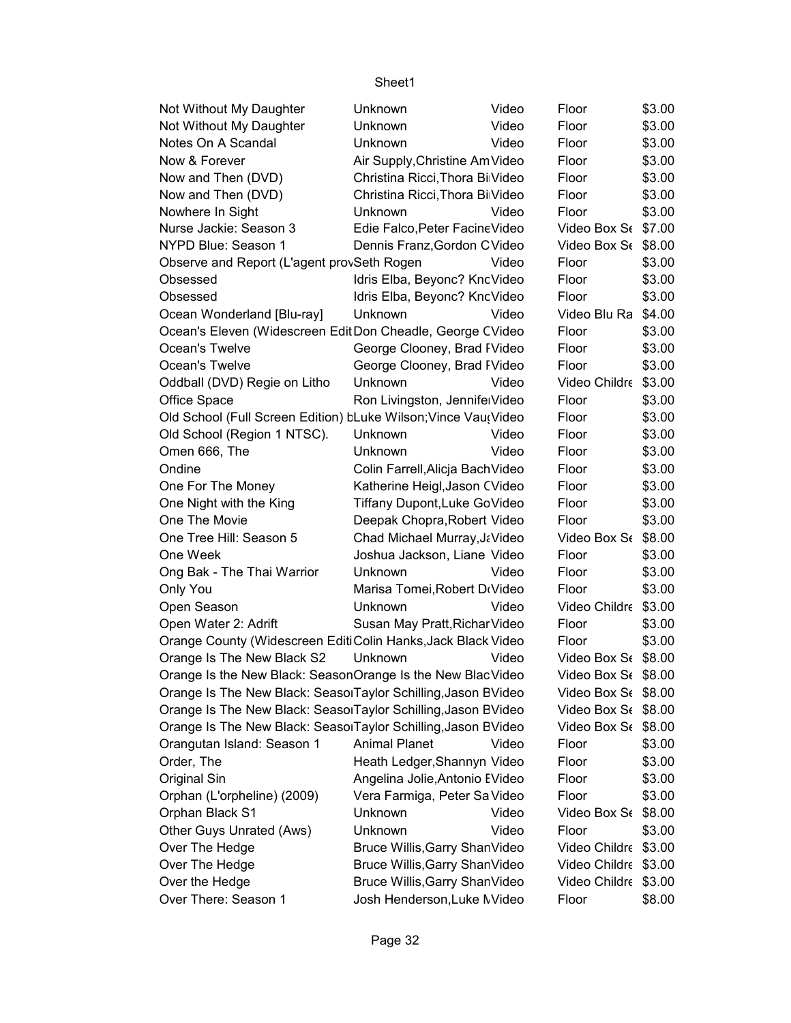| Not Without My Daughter                                        | Unknown                          | Video | Floor                                 | \$3.00 |
|----------------------------------------------------------------|----------------------------------|-------|---------------------------------------|--------|
| Not Without My Daughter                                        | Unknown                          | Video | Floor                                 | \$3.00 |
| Notes On A Scandal                                             | Unknown                          | Video | Floor                                 | \$3.00 |
| Now & Forever                                                  | Air Supply, Christine Am Video   |       | Floor                                 | \$3.00 |
| Now and Then (DVD)                                             | Christina Ricci, Thora Bi Video  |       | Floor                                 | \$3.00 |
| Now and Then (DVD)                                             | Christina Ricci, Thora Bi Video  |       | Floor                                 | \$3.00 |
| Nowhere In Sight                                               | Unknown                          | Video | Floor                                 | \$3.00 |
| Nurse Jackie: Season 3                                         | Edie Falco, Peter Facine Video   |       | Video Box S <sub>6</sub> \$7.00       |        |
| NYPD Blue: Season 1                                            | Dennis Franz, Gordon CVideo      |       | Video Box Se \$8.00                   |        |
| Observe and Report (L'agent provSeth Rogen                     |                                  | Video | Floor                                 | \$3.00 |
| Obsessed                                                       | Idris Elba, Beyonc? KncVideo     |       | Floor                                 | \$3.00 |
| Obsessed                                                       | Idris Elba, Beyonc? KncVideo     |       | Floor                                 | \$3.00 |
| Ocean Wonderland [Blu-ray]                                     | <b>Unknown</b>                   | Video | Video Blu Ra \$4.00                   |        |
| Ocean's Eleven (Widescreen EditDon Cheadle, George CVideo      |                                  |       | Floor                                 | \$3.00 |
| Ocean's Twelve                                                 | George Clooney, Brad FVideo      |       | Floor                                 | \$3.00 |
| Ocean's Twelve                                                 | George Clooney, Brad FVideo      |       | Floor                                 | \$3.00 |
| Oddball (DVD) Regie on Litho                                   | Unknown                          | Video | Video Childre                         | \$3.00 |
| Office Space                                                   | Ron Livingston, JenniferVideo    |       | Floor                                 | \$3.00 |
| Old School (Full Screen Edition) LLuke Wilson; Vince Vau(Video |                                  |       | Floor                                 | \$3.00 |
| Old School (Region 1 NTSC).                                    | Unknown                          | Video | Floor                                 | \$3.00 |
| Omen 666, The                                                  | <b>Unknown</b>                   | Video | Floor                                 | \$3.00 |
| Ondine                                                         | Colin Farrell, Alicja Bach Video |       | Floor                                 | \$3.00 |
| One For The Money                                              | Katherine Heigl, Jason CVideo    |       | Floor                                 | \$3.00 |
| One Night with the King                                        | Tiffany Dupont, Luke GoVideo     |       | Floor                                 | \$3.00 |
| One The Movie                                                  | Deepak Chopra, Robert Video      |       | Floor                                 | \$3.00 |
| One Tree Hill: Season 5                                        | Chad Michael Murray, JaVideo     |       | Video Box St \$8.00                   |        |
| One Week                                                       | Joshua Jackson, Liane Video      |       | Floor                                 | \$3.00 |
|                                                                |                                  |       |                                       |        |
| Ong Bak - The Thai Warrior                                     | Unknown                          | Video | Floor                                 | \$3.00 |
| Only You                                                       | Marisa Tomei, Robert DrVideo     |       | Floor                                 | \$3.00 |
| Open Season                                                    | <b>Unknown</b>                   | Video | Video Childre \$3.00                  |        |
| Open Water 2: Adrift                                           | Susan May Pratt, Richar Video    |       | Floor                                 | \$3.00 |
| Orange County (Widescreen EditiColin Hanks, Jack Black Video   |                                  |       | Floor                                 | \$3.00 |
| Orange Is The New Black S2                                     | Unknown                          | Video | Video Box S <sub>6</sub> \$8.00       |        |
| Orange Is the New Black: SeasonOrange Is the New BlacVideo     |                                  |       | Video Box $\mathsf{S}\epsilon$ \$8.00 |        |
| Orange Is The New Black: SeasorTaylor Schilling, Jason BVideo  |                                  |       | Video Box St \$8.00                   |        |
| Orange Is The New Black: SeasorTaylor Schilling, Jason BVideo  |                                  |       | Video Box St \$8.00                   |        |
| Orange Is The New Black: SeasorTaylor Schilling, Jason BVideo  |                                  |       | Video Box Se \$8.00                   |        |
| Orangutan Island: Season 1                                     | <b>Animal Planet</b>             | Video | Floor                                 | \$3.00 |
| Order, The                                                     | Heath Ledger, Shannyn Video      |       | Floor                                 | \$3.00 |
| Original Sin                                                   | Angelina Jolie, Antonio EVideo   |       | Floor                                 | \$3.00 |
| Orphan (L'orpheline) (2009)                                    | Vera Farmiga, Peter Sa Video     |       | Floor                                 | \$3.00 |
| Orphan Black S1                                                | Unknown                          | Video | Video Box St \$8.00                   |        |
| Other Guys Unrated (Aws)                                       | Unknown                          | Video | Floor                                 | \$3.00 |
| Over The Hedge                                                 | Bruce Willis, Garry ShanVideo    |       | Video Childre \$3.00                  |        |
| Over The Hedge                                                 | Bruce Willis, Garry ShanVideo    |       | Video Childre \$3.00                  |        |
| Over the Hedge                                                 | Bruce Willis, Garry ShanVideo    |       | Video Childre \$3.00                  |        |
| Over There: Season 1                                           | Josh Henderson, Luke NVideo      |       | Floor                                 | \$8.00 |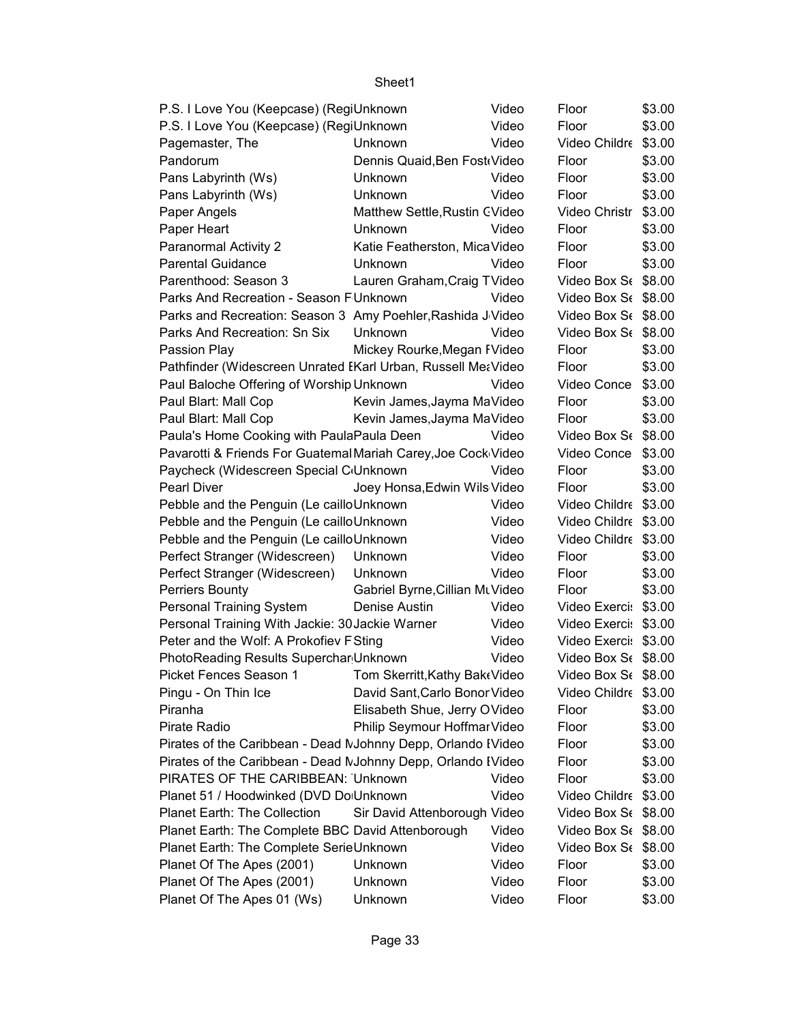| P.S. I Love You (Keepcase) (RegiUnknown                       |                                 | Video | Floor                           | \$3.00 |
|---------------------------------------------------------------|---------------------------------|-------|---------------------------------|--------|
| P.S. I Love You (Keepcase) (RegiUnknown                       |                                 | Video | Floor                           | \$3.00 |
| Pagemaster, The                                               | Unknown                         | Video | Video Childre                   | \$3.00 |
| Pandorum                                                      | Dennis Quaid, Ben Fost Video    |       | Floor                           | \$3.00 |
| Pans Labyrinth (Ws)                                           | Unknown                         | Video | Floor                           | \$3.00 |
| Pans Labyrinth (Ws)                                           | Unknown                         | Video | Floor                           | \$3.00 |
| Paper Angels                                                  | Matthew Settle, Rustin CVideo   |       | Video Christr                   | \$3.00 |
| Paper Heart                                                   | Unknown                         | Video | Floor                           | \$3.00 |
| Paranormal Activity 2                                         | Katie Featherston, Mica Video   |       | Floor                           | \$3.00 |
| <b>Parental Guidance</b>                                      | Unknown                         | Video | Floor                           | \$3.00 |
| Parenthood: Season 3                                          | Lauren Graham, Craig TVideo     |       | Video Box St \$8.00             |        |
| Parks And Recreation - Season FUnknown                        |                                 | Video | Video Box St \$8.00             |        |
| Parks and Recreation: Season 3 Amy Poehler, Rashida J Video   |                                 |       | Video Box S <sub>6</sub> \$8.00 |        |
| Parks And Recreation: Sn Six                                  | Unknown                         | Video | Video Box St \$8.00             |        |
| Passion Play                                                  | Mickey Rourke, Megan FVideo     |       | Floor                           | \$3.00 |
| Pathfinder (Widescreen Unrated EKarl Urban, Russell MetVideo  |                                 |       | Floor                           | \$3.00 |
| Paul Baloche Offering of Worship Unknown                      |                                 | Video | Video Conce                     | \$3.00 |
| Paul Blart: Mall Cop                                          | Kevin James, Jayma MaVideo      |       | Floor                           | \$3.00 |
| Paul Blart: Mall Cop                                          | Kevin James, Jayma MaVideo      |       | Floor                           | \$3.00 |
| Paula's Home Cooking with PaulaPaula Deen                     |                                 | Video | Video Box S <sub>6</sub> \$8.00 |        |
| Pavarotti & Friends For Guatemal Mariah Carey, Joe Cock Video |                                 |       | Video Conce \$3.00              |        |
| Paycheck (Widescreen Special C <sub>'</sub> Unknown           |                                 | Video | Floor                           | \$3.00 |
| Pearl Diver                                                   | Joey Honsa, Edwin Wils Video    |       | Floor                           | \$3.00 |
| Pebble and the Penguin (Le cailloUnknown                      |                                 | Video | Video Childre \$3.00            |        |
| Pebble and the Penguin (Le cailloUnknown                      |                                 | Video | Video Childre \$3.00            |        |
| Pebble and the Penguin (Le cailloUnknown                      |                                 | Video | Video Childre \$3.00            |        |
| Perfect Stranger (Widescreen)                                 | Unknown                         | Video | Floor                           | \$3.00 |
| Perfect Stranger (Widescreen) Unknown                         |                                 | Video | Floor                           | \$3.00 |
| <b>Perriers Bounty</b>                                        | Gabriel Byrne, Cillian Mt Video |       | Floor                           | \$3.00 |
| Personal Training System                                      | Denise Austin                   | Video | Video Exerci: \$3.00            |        |
| Personal Training With Jackie: 30 Jackie Warner               |                                 | Video | Video Exerci: \$3.00            |        |
| Peter and the Wolf: A Prokofiev FSting                        |                                 | Video | Video Exerci: \$3.00            |        |
| PhotoReading Results Superchar Unknown                        |                                 | Video | Video Box St \$8.00             |        |
| Picket Fences Season 1                                        | Tom Skerritt, Kathy BaktVideo   |       | Video Box St \$8.00             |        |
| Pingu - On Thin Ice                                           | David Sant, Carlo Bonor Video   |       | Video Childre \$3.00            |        |
| Piranha                                                       | Elisabeth Shue, Jerry OVideo    |       | Floor                           | \$3.00 |
| Pirate Radio                                                  | Philip Seymour Hoffmar Video    |       | Floor                           | \$3.00 |
| Pirates of the Caribbean - Dead MJohnny Depp, Orlando IVideo  |                                 |       | Floor                           | \$3.00 |
| Pirates of the Caribbean - Dead MJohnny Depp, Orlando IVideo  |                                 |       | Floor                           | \$3.00 |
| PIRATES OF THE CARIBBEAN: Unknown                             |                                 | Video | Floor                           | \$3.00 |
| Planet 51 / Hoodwinked (DVD Do Unknown                        |                                 | Video | Video Childre \$3.00            |        |
| <b>Planet Earth: The Collection</b>                           | Sir David Attenborough Video    |       | Video Box St \$8.00             |        |
| Planet Earth: The Complete BBC David Attenborough             |                                 | Video | Video Box Se \$8.00             |        |
| Planet Earth: The Complete SerieUnknown                       |                                 | Video | Video Box St \$8.00             |        |
| Planet Of The Apes (2001)                                     | Unknown                         | Video | Floor                           | \$3.00 |
| Planet Of The Apes (2001)                                     | Unknown                         | Video | Floor                           |        |
|                                                               |                                 |       |                                 | \$3.00 |
| Planet Of The Apes 01 (Ws)                                    | Unknown                         | Video | Floor                           | \$3.00 |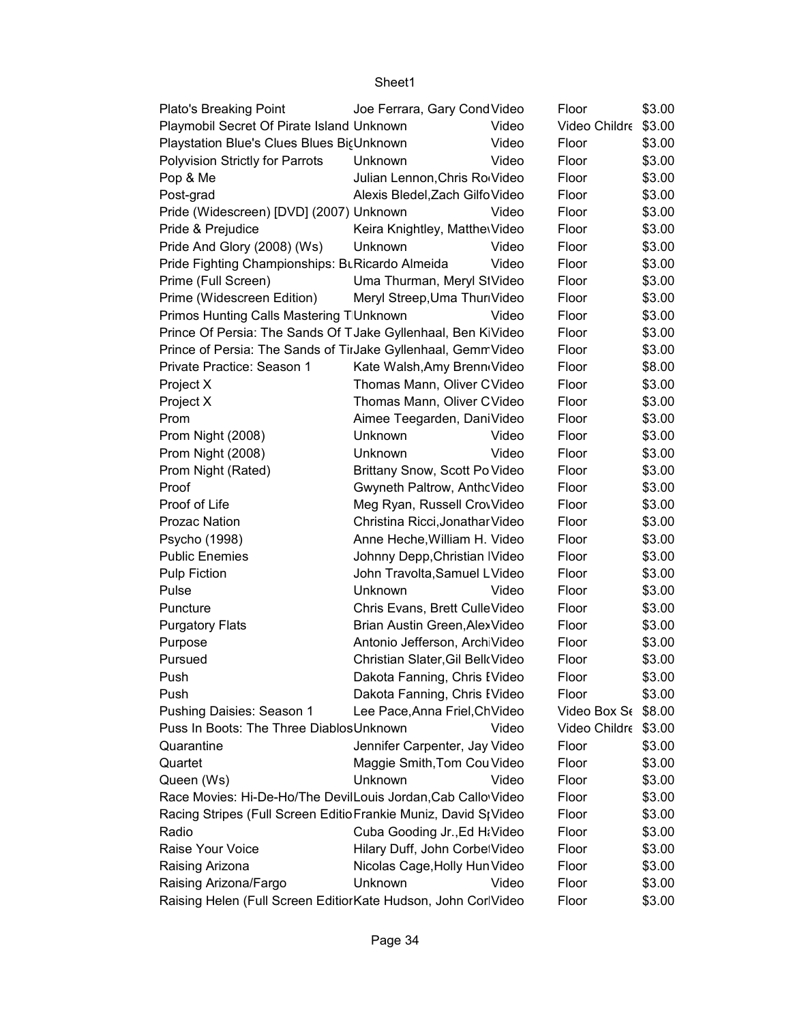| Plato's Breaking Point                                          | Joe Ferrara, Gary Cond Video     |       | Floor                | \$3.00 |
|-----------------------------------------------------------------|----------------------------------|-------|----------------------|--------|
| Playmobil Secret Of Pirate Island Unknown                       |                                  | Video | Video Childre \$3.00 |        |
| Playstation Blue's Clues Blues BicUnknown                       |                                  | Video | Floor                | \$3.00 |
| Polyvision Strictly for Parrots                                 | Unknown                          | Video | Floor                | \$3.00 |
| Pop & Me                                                        | Julian Lennon, Chris Ro Video    |       | Floor                | \$3.00 |
| Post-grad                                                       | Alexis Bledel, Zach Gilfo Video  |       | Floor                | \$3.00 |
| Pride (Widescreen) [DVD] (2007) Unknown                         |                                  | Video | Floor                | \$3.00 |
| Pride & Prejudice                                               | Keira Knightley, Matthe Video    |       | Floor                | \$3.00 |
| Pride And Glory (2008) (Ws)                                     | Unknown                          | Video | Floor                | \$3.00 |
| Pride Fighting Championships: BuRicardo Almeida                 |                                  | Video | Floor                | \$3.00 |
| Prime (Full Screen)                                             | Uma Thurman, Meryl StVideo       |       | Floor                | \$3.00 |
| Prime (Widescreen Edition)                                      | Meryl Streep, Uma ThuriVideo     |       | Floor                | \$3.00 |
| Primos Hunting Calls Mastering TUnknown                         |                                  | Video | Floor                | \$3.00 |
| Prince Of Persia: The Sands Of TJake Gyllenhaal, Ben KiVideo    |                                  |       | Floor                | \$3.00 |
| Prince of Persia: The Sands of TirJake Gyllenhaal, GemmVideo    |                                  |       | Floor                | \$3.00 |
| Private Practice: Season 1                                      | Kate Walsh, Amy Brenn Video      |       | Floor                | \$8.00 |
| Project X                                                       | Thomas Mann, Oliver CVideo       |       | Floor                | \$3.00 |
|                                                                 | Thomas Mann, Oliver CVideo       |       | Floor                | \$3.00 |
| Project X                                                       |                                  |       |                      |        |
| Prom                                                            | Aimee Teegarden, DaniVideo       |       | Floor                | \$3.00 |
| Prom Night (2008)                                               | Unknown                          | Video | Floor                | \$3.00 |
| Prom Night (2008)                                               | Unknown                          | Video | Floor                | \$3.00 |
| Prom Night (Rated)                                              | Brittany Snow, Scott Po Video    |       | Floor                | \$3.00 |
| Proof                                                           | Gwyneth Paltrow, AnthcVideo      |       | Floor                | \$3.00 |
| Proof of Life                                                   | Meg Ryan, Russell CrovVideo      |       | Floor                | \$3.00 |
| Prozac Nation                                                   | Christina Ricci, Jonathar Video  |       | Floor                | \$3.00 |
| Psycho (1998)                                                   | Anne Heche, William H. Video     |       | Floor                | \$3.00 |
| <b>Public Enemies</b>                                           | Johnny Depp, Christian IVideo    |       | Floor                | \$3.00 |
| <b>Pulp Fiction</b>                                             | John Travolta, Samuel LVideo     |       | Floor                | \$3.00 |
| Pulse                                                           | Unknown                          | Video | Floor                | \$3.00 |
| Puncture                                                        | Chris Evans, Brett CulleVideo    |       | Floor                | \$3.00 |
| <b>Purgatory Flats</b>                                          | Brian Austin Green, Alex Video   |       | Floor                | \$3.00 |
| Purpose                                                         | Antonio Jefferson, ArchiVideo    |       | Floor                | \$3.00 |
| Pursued                                                         | Christian Slater, Gil Bell Video |       | Floor                | \$3.00 |
| Push                                                            | Dakota Fanning, Chris EVideo     |       | Floor                | \$3.00 |
| Push                                                            | Dakota Fanning, Chris IVideo     |       | Floor                | \$3.00 |
| Pushing Daisies: Season 1                                       | Lee Pace, Anna Friel, ChVideo    |       | Video Box St \$8.00  |        |
| Puss In Boots: The Three Diablos Unknown                        |                                  | Video | Video Childre \$3.00 |        |
| Quarantine                                                      | Jennifer Carpenter, Jay Video    |       | Floor                | \$3.00 |
| Quartet                                                         | Maggie Smith, Tom Cou Video      |       | Floor                | \$3.00 |
| Queen (Ws)                                                      | Unknown                          | Video | Floor                | \$3.00 |
| Race Movies: Hi-De-Ho/The DevilLouis Jordan, Cab Callo Video    |                                  |       | Floor                | \$3.00 |
| Racing Stripes (Full Screen Editio Frankie Muniz, David StVideo |                                  |       | Floor                | \$3.00 |
| Radio                                                           | Cuba Gooding Jr., Ed HtVideo     |       | Floor                | \$3.00 |
| Raise Your Voice                                                | Hilary Duff, John CorbelVideo    |       | Floor                | \$3.00 |
| Raising Arizona                                                 | Nicolas Cage, Holly Hun Video    |       | Floor                | \$3.00 |
| Raising Arizona/Fargo                                           | Unknown                          | Video | Floor                | \$3.00 |
| Raising Helen (Full Screen EditiorKate Hudson, John CorlVideo   |                                  |       | Floor                | \$3.00 |
|                                                                 |                                  |       |                      |        |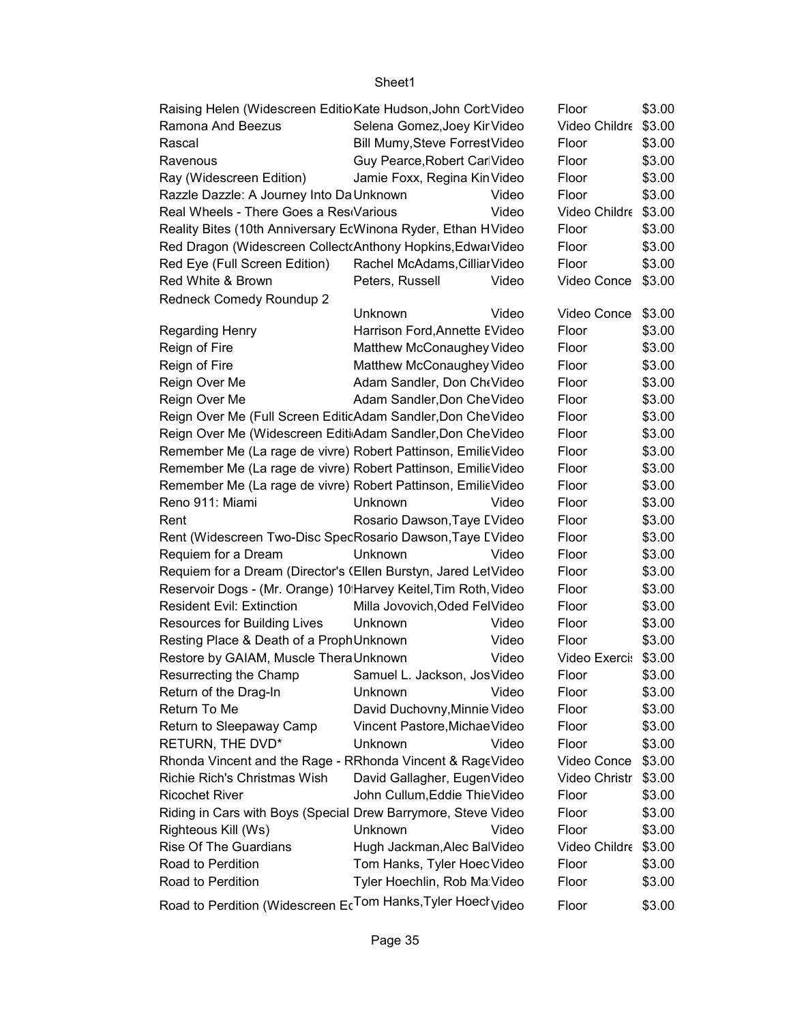| Raising Helen (Widescreen Editio Kate Hudson, John Cort Video   |                                                              |       | Floor                | \$3.00 |
|-----------------------------------------------------------------|--------------------------------------------------------------|-------|----------------------|--------|
| Ramona And Beezus                                               | Selena Gomez, Joey Kir Video                                 |       | Video Childre \$3.00 |        |
| Rascal                                                          | Bill Mumy, Steve Forrest Video                               |       | Floor                | \$3.00 |
| Ravenous                                                        | Guy Pearce, Robert CarlVideo                                 |       | Floor                | \$3.00 |
| Ray (Widescreen Edition)                                        | Jamie Foxx, Regina Kin Video                                 |       | Floor                | \$3.00 |
| Razzle Dazzle: A Journey Into Da Unknown                        |                                                              | Video | Floor                | \$3.00 |
| Real Wheels - There Goes a ResiVarious                          |                                                              | Video | Video Childre \$3.00 |        |
| Reality Bites (10th Anniversary EcWinona Ryder, Ethan HVideo    |                                                              |       | Floor                | \$3.00 |
| Red Dragon (Widescreen Collect Anthony Hopkins, Edwar Video     |                                                              |       | Floor                | \$3.00 |
| Red Eye (Full Screen Edition)                                   | Rachel McAdams, Cilliar Video                                |       | Floor                | \$3.00 |
| Red White & Brown                                               | Peters, Russell                                              | Video | Video Conce          | \$3.00 |
| Redneck Comedy Roundup 2                                        |                                                              |       |                      |        |
|                                                                 | Unknown                                                      | Video | Video Conce \$3.00   |        |
| <b>Regarding Henry</b>                                          | Harrison Ford, Annette EVideo                                |       | Floor                | \$3.00 |
| Reign of Fire                                                   | Matthew McConaughey Video                                    |       | Floor                | \$3.00 |
| Reign of Fire                                                   | Matthew McConaughey Video                                    |       | Floor                | \$3.00 |
|                                                                 |                                                              |       |                      |        |
| Reign Over Me                                                   | Adam Sandler, Don CheVideo                                   |       | Floor                | \$3.00 |
| Reign Over Me                                                   | Adam Sandler, Don Che Video                                  |       | Floor                | \$3.00 |
| Reign Over Me (Full Screen EditicAdam Sandler, Don CheVideo     |                                                              |       | Floor                | \$3.00 |
| Reign Over Me (Widescreen Editi Adam Sandler, Don Che Video     |                                                              |       | Floor                | \$3.00 |
| Remember Me (La rage de vivre) Robert Pattinson, EmilieVideo    |                                                              |       | Floor                | \$3.00 |
| Remember Me (La rage de vivre) Robert Pattinson, EmilieVideo    |                                                              |       | Floor                | \$3.00 |
| Remember Me (La rage de vivre) Robert Pattinson, EmilieVideo    |                                                              |       | Floor                | \$3.00 |
| Reno 911: Miami                                                 | Unknown                                                      | Video | Floor                | \$3.00 |
| Rent                                                            | Rosario Dawson, Taye LVideo                                  |       | Floor                | \$3.00 |
| Rent (Widescreen Two-Disc SpecRosario Dawson, Taye LVideo       |                                                              |       | Floor                | \$3.00 |
| Requiem for a Dream                                             | Unknown                                                      | Video | Floor                | \$3.00 |
| Requiem for a Dream (Director's (Ellen Burstyn, Jared LetVideo  |                                                              |       | Floor                | \$3.00 |
| Reservoir Dogs - (Mr. Orange) 10 Harvey Keitel, Tim Roth, Video |                                                              |       | Floor                | \$3.00 |
| <b>Resident Evil: Extinction</b>                                | Milla Jovovich, Oded Fel Video                               |       | Floor                | \$3.00 |
| Resources for Building Lives                                    | Unknown                                                      | Video | Floor                | \$3.00 |
| Resting Place & Death of a ProphUnknown                         |                                                              | Video | Floor                | \$3.00 |
| Restore by GAIAM, Muscle TheraUnknown                           |                                                              | Video | Video Exercis        | \$3.00 |
| Resurrecting the Champ                                          | Samuel L. Jackson, Jos Video                                 |       | Floor                | \$3.00 |
| Return of the Drag-In                                           | Unknown                                                      | Video | Floor                | \$3.00 |
| Return To Me                                                    | David Duchovny, Minnie Video                                 |       | Floor                | \$3.00 |
| Return to Sleepaway Camp                                        | Vincent Pastore, Michae Video                                |       | Floor                | \$3.00 |
| RETURN, THE DVD*                                                | Unknown                                                      | Video | Floor                | \$3.00 |
| Rhonda Vincent and the Rage - RRhonda Vincent & RageVideo       |                                                              |       | Video Conce          | \$3.00 |
| Richie Rich's Christmas Wish                                    |                                                              |       | Video Christr \$3.00 |        |
| <b>Ricochet River</b>                                           | David Gallagher, EugenVideo<br>John Cullum, Eddie Thie Video |       |                      | \$3.00 |
|                                                                 |                                                              |       | Floor                |        |
| Riding in Cars with Boys (Special Drew Barrymore, Steve Video   |                                                              |       | Floor                | \$3.00 |
| Righteous Kill (Ws)                                             | Unknown                                                      | Video | Floor                | \$3.00 |
| Rise Of The Guardians                                           | Hugh Jackman, Alec BalVideo                                  |       | Video Childre \$3.00 |        |
| Road to Perdition                                               | Tom Hanks, Tyler Hoec Video                                  |       | Floor                | \$3.00 |
| Road to Perdition                                               | Tyler Hoechlin, Rob Ma Video                                 |       | Floor                | \$3.00 |
| Road to Perdition (Widescreen EcTom Hanks, Tyler Hoech Video    |                                                              |       | Floor                | \$3.00 |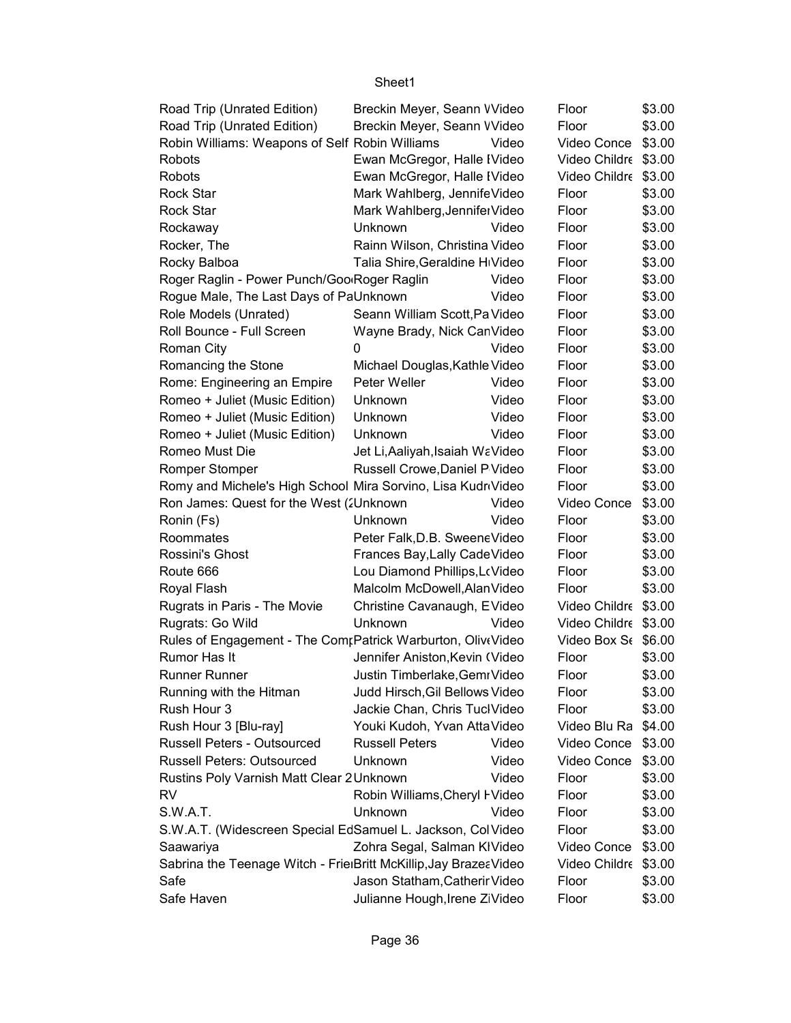| Road Trip (Unrated Edition)                                       | Breckin Meyer, Seann VVideo      |       | Floor                | \$3.00 |
|-------------------------------------------------------------------|----------------------------------|-------|----------------------|--------|
| Road Trip (Unrated Edition)                                       | Breckin Meyer, Seann VVideo      |       | Floor                | \$3.00 |
| Robin Williams: Weapons of Self Robin Williams                    |                                  | Video | Video Conce          | \$3.00 |
| Robots                                                            | Ewan McGregor, Halle IVideo      |       | Video Childre \$3.00 |        |
| Robots                                                            | Ewan McGregor, Halle IVideo      |       | Video Childre \$3.00 |        |
| <b>Rock Star</b>                                                  | Mark Wahlberg, JennifeVideo      |       | Floor                | \$3.00 |
| <b>Rock Star</b>                                                  | Mark Wahlberg, Jennifer Video    |       | Floor                | \$3.00 |
| Rockaway                                                          | Unknown                          | Video | Floor                | \$3.00 |
| Rocker, The                                                       | Rainn Wilson, Christina Video    |       | Floor                | \$3.00 |
| Rocky Balboa                                                      | Talia Shire, Geraldine HiVideo   |       | Floor                | \$3.00 |
| Roger Raglin - Power Punch/Goo Roger Raglin                       |                                  | Video | Floor                | \$3.00 |
| Rogue Male, The Last Days of PaUnknown                            |                                  | Video | Floor                | \$3.00 |
| Role Models (Unrated)                                             | Seann William Scott, Pa Video    |       | Floor                | \$3.00 |
| Roll Bounce - Full Screen                                         | Wayne Brady, Nick CanVideo       |       | Floor                | \$3.00 |
| Roman City                                                        | 0                                | Video | Floor                | \$3.00 |
| Romancing the Stone                                               | Michael Douglas, Kathle Video    |       | Floor                | \$3.00 |
|                                                                   | Peter Weller                     |       |                      | \$3.00 |
| Rome: Engineering an Empire                                       |                                  | Video | Floor                |        |
| Romeo + Juliet (Music Edition)                                    | Unknown                          | Video | Floor                | \$3.00 |
| Romeo + Juliet (Music Edition)                                    | Unknown                          | Video | Floor                | \$3.00 |
| Romeo + Juliet (Music Edition)                                    | Unknown                          | Video | Floor                | \$3.00 |
| Romeo Must Die                                                    | Jet Li, Aaliyah, Isaiah Wa Video |       | Floor                | \$3.00 |
| <b>Romper Stomper</b>                                             | Russell Crowe, Daniel P Video    |       | Floor                | \$3.00 |
| Romy and Michele's High School Mira Sorvino, Lisa KudriVideo      |                                  |       | Floor                | \$3.00 |
| Ron James: Quest for the West (2Unknown                           |                                  | Video | Video Conce          | \$3.00 |
| Ronin (Fs)                                                        | Unknown                          | Video | Floor                | \$3.00 |
| Roommates                                                         | Peter Falk, D.B. Sweene Video    |       | Floor                | \$3.00 |
| Rossini's Ghost                                                   | Frances Bay, Lally Cade Video    |       | Floor                | \$3.00 |
| Route 666                                                         | Lou Diamond Phillips, LtVideo    |       | Floor                | \$3.00 |
| Royal Flash                                                       | Malcolm McDowell, Alan Video     |       | Floor                | \$3.00 |
| Rugrats in Paris - The Movie                                      | Christine Cavanaugh, EVideo      |       | Video Childre \$3.00 |        |
| Rugrats: Go Wild                                                  | Unknown                          | Video | Video Childre \$3.00 |        |
| Rules of Engagement - The Comr Patrick Warburton, OliveVideo      |                                  |       | Video Box St \$6.00  |        |
| Rumor Has It                                                      | Jennifer Aniston, Kevin (Video   |       | Floor                | \$3.00 |
| <b>Runner Runner</b>                                              | Justin Timberlake, Gemr Video    |       | Floor                | \$3.00 |
| Running with the Hitman                                           | Judd Hirsch, Gil Bellows Video   |       | Floor                | \$3.00 |
| Rush Hour 3                                                       | Jackie Chan, Chris TuclVideo     |       | Floor                | \$3.00 |
| Rush Hour 3 [Blu-ray]                                             | Youki Kudoh, Yvan Atta Video     |       | Video Blu Ra         | \$4.00 |
| Russell Peters - Outsourced                                       | <b>Russell Peters</b>            | Video | Video Conce \$3.00   |        |
| <b>Russell Peters: Outsourced</b>                                 | Unknown                          | Video | Video Conce          | \$3.00 |
| Rustins Poly Varnish Matt Clear 2 Unknown                         |                                  | Video | Floor                | \$3.00 |
| <b>RV</b>                                                         | Robin Williams, Cheryl FVideo    |       | Floor                | \$3.00 |
| S.W.A.T.                                                          | Unknown                          | Video | Floor                | \$3.00 |
| S.W.A.T. (Widescreen Special EdSamuel L. Jackson, ColVideo        |                                  |       | Floor                | \$3.00 |
| Saawariya                                                         | Zohra Segal, Salman KIVideo      |       | Video Conce \$3.00   |        |
| Sabrina the Teenage Witch - FrielBritt McKillip, Jay Brazea Video |                                  |       | Video Childre \$3.00 |        |
| Safe                                                              | Jason Statham, Catherir Video    |       | Floor                | \$3.00 |
| Safe Haven                                                        | Julianne Hough, Irene ZiVideo    |       | Floor                | \$3.00 |
|                                                                   |                                  |       |                      |        |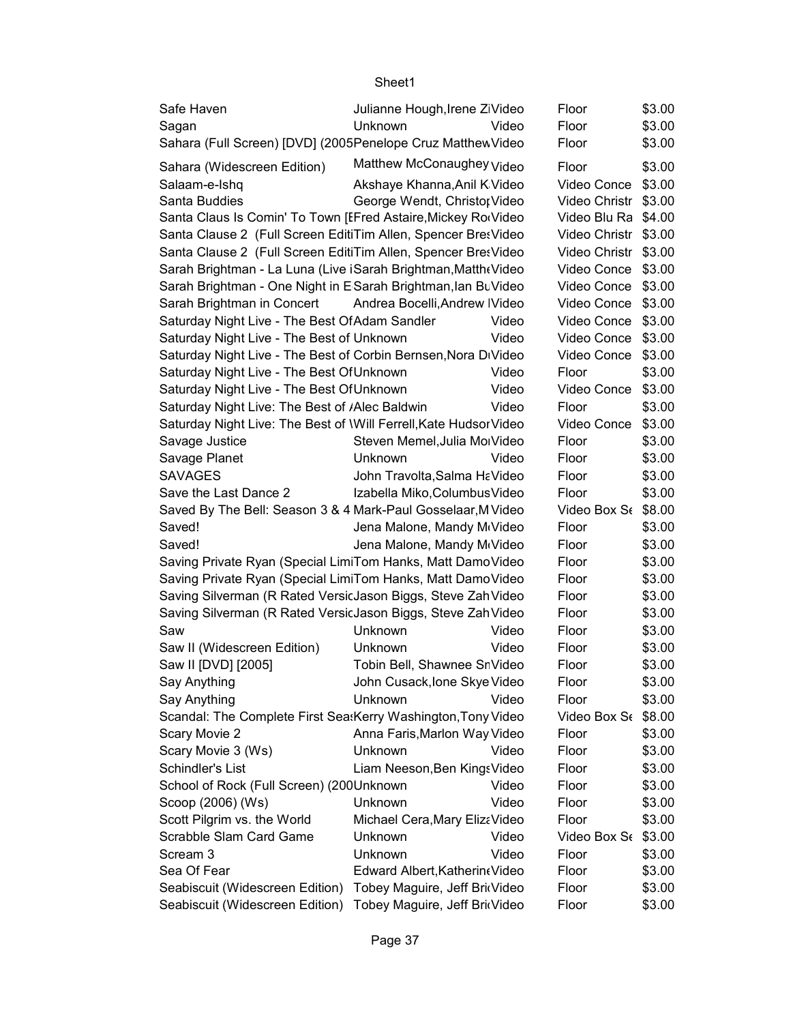| Safe Haven                                                       | Julianne Hough, Irene ZiVideo          |       | Floor                           | \$3.00 |
|------------------------------------------------------------------|----------------------------------------|-------|---------------------------------|--------|
| Sagan                                                            | Unknown                                | Video | Floor                           | \$3.00 |
| Sahara (Full Screen) [DVD] (2005Penelope Cruz Matthew Video      |                                        |       | Floor                           | \$3.00 |
| Sahara (Widescreen Edition)                                      | Matthew McConaughey <sub>Video</sub>   |       | Floor                           | \$3.00 |
| Salaam-e-Ishq                                                    | Akshaye Khanna, Anil K Video           |       | Video Conce                     | \$3.00 |
| Santa Buddies                                                    | George Wendt, Christor Video           |       | Video Christr \$3.00            |        |
| Santa Claus Is Comin' To Town [I Fred Astaire, Mickey Ro Video   |                                        |       | Video Blu Ra \$4.00             |        |
| Santa Clause 2 (Full Screen EditiTim Allen, Spencer BretVideo    |                                        |       | Video Christr \$3.00            |        |
| Santa Clause 2 (Full Screen EditiTim Allen, Spencer BretVideo    |                                        |       | Video Christr \$3.00            |        |
| Sarah Brightman - La Luna (Live iSarah Brightman, Matthe Video   |                                        |       | Video Conce \$3.00              |        |
| Sarah Brightman - One Night in ESarah Brightman, lan BuVideo     |                                        |       | Video Conce \$3.00              |        |
| Sarah Brightman in Concert                                       | Andrea Bocelli, Andrew IVideo          |       | Video Conce \$3.00              |        |
| Saturday Night Live - The Best Of Adam Sandler                   |                                        | Video | Video Conce \$3.00              |        |
| Saturday Night Live - The Best of Unknown                        |                                        | Video | Video Conce \$3.00              |        |
| Saturday Night Live - The Best of Corbin Bernsen, Nora DiVideo   |                                        |       | Video Conce \$3.00              |        |
| Saturday Night Live - The Best Of Unknown                        |                                        | Video | Floor                           | \$3.00 |
| Saturday Night Live - The Best Of Unknown                        |                                        | Video | Video Conce \$3.00              |        |
| Saturday Night Live: The Best of <i>Alec Baldwin</i>             |                                        | Video | Floor                           | \$3.00 |
| Saturday Night Live: The Best of Will Ferrell, Kate Hudsor Video |                                        |       | Video Conce \$3.00              |        |
| Savage Justice                                                   | Steven Memel, Julia MolVideo           |       | Floor                           | \$3.00 |
| Savage Planet                                                    | Unknown                                | Video | Floor                           | \$3.00 |
| <b>SAVAGES</b>                                                   | John Travolta, Salma HaVideo           |       | Floor                           | \$3.00 |
| Save the Last Dance 2                                            | Izabella Miko, Columbus Video          |       | Floor                           | \$3.00 |
| Saved By The Bell: Season 3 & 4 Mark-Paul Gosselaar, M Video     |                                        |       | Video Box S <sub>6</sub> \$8.00 |        |
| Saved!                                                           | Jena Malone, Mandy M <sub>'Video</sub> |       | Floor                           | \$3.00 |
| Saved!                                                           | Jena Malone, Mandy M <sub>'Video</sub> |       | Floor                           | \$3.00 |
| Saving Private Ryan (Special LimiTom Hanks, Matt DamoVideo       |                                        |       | Floor                           | \$3.00 |
| Saving Private Ryan (Special LimiTom Hanks, Matt DamoVideo       |                                        |       | Floor                           | \$3.00 |
| Saving Silverman (R Rated VersicJason Biggs, Steve Zah Video     |                                        |       | Floor                           | \$3.00 |
| Saving Silverman (R Rated VersicJason Biggs, Steve Zah Video     |                                        |       | Floor                           | \$3.00 |
| Saw                                                              | <b>Unknown</b>                         | Video | Floor                           | \$3.00 |
| Saw II (Widescreen Edition)                                      | Unknown                                | Video | Floor                           | \$3.00 |
| Saw II [DVD] [2005]                                              | Tobin Bell, Shawnee SnVideo            |       | Floor                           | \$3.00 |
| Say Anything                                                     | John Cusack, Ione Skye Video           |       | Floor                           | \$3.00 |
| Say Anything                                                     | Unknown                                | Video | Floor                           | \$3.00 |
| Scandal: The Complete First Sea:Kerry Washington, Tony Video     |                                        |       | Video Box St \$8.00             |        |
| Scary Movie 2                                                    | Anna Faris, Marlon Way Video           |       | Floor                           | \$3.00 |
| Scary Movie 3 (Ws)                                               | Unknown                                | Video | Floor                           | \$3.00 |
| Schindler's List                                                 | Liam Neeson, Ben Kings Video           |       | Floor                           | \$3.00 |
| School of Rock (Full Screen) (200Unknown                         |                                        | Video | Floor                           | \$3.00 |
| Scoop (2006) (Ws)                                                | Unknown                                | Video | Floor                           | \$3.00 |
| Scott Pilgrim vs. the World                                      | Michael Cera, Mary ElizaVideo          |       | Floor                           | \$3.00 |
| Scrabble Slam Card Game                                          | Unknown                                | Video | Video Box St \$3.00             |        |
| Scream 3                                                         | Unknown                                | Video | Floor                           | \$3.00 |
| Sea Of Fear                                                      | Edward Albert, Katherin (Video         |       | Floor                           | \$3.00 |
| Seabiscuit (Widescreen Edition)                                  |                                        |       | Floor                           | \$3.00 |
| Seabiscuit (Widescreen Edition) Tobey Maguire, Jeff BritVideo    | Tobey Maguire, Jeff BritVideo          |       | Floor                           | \$3.00 |
|                                                                  |                                        |       |                                 |        |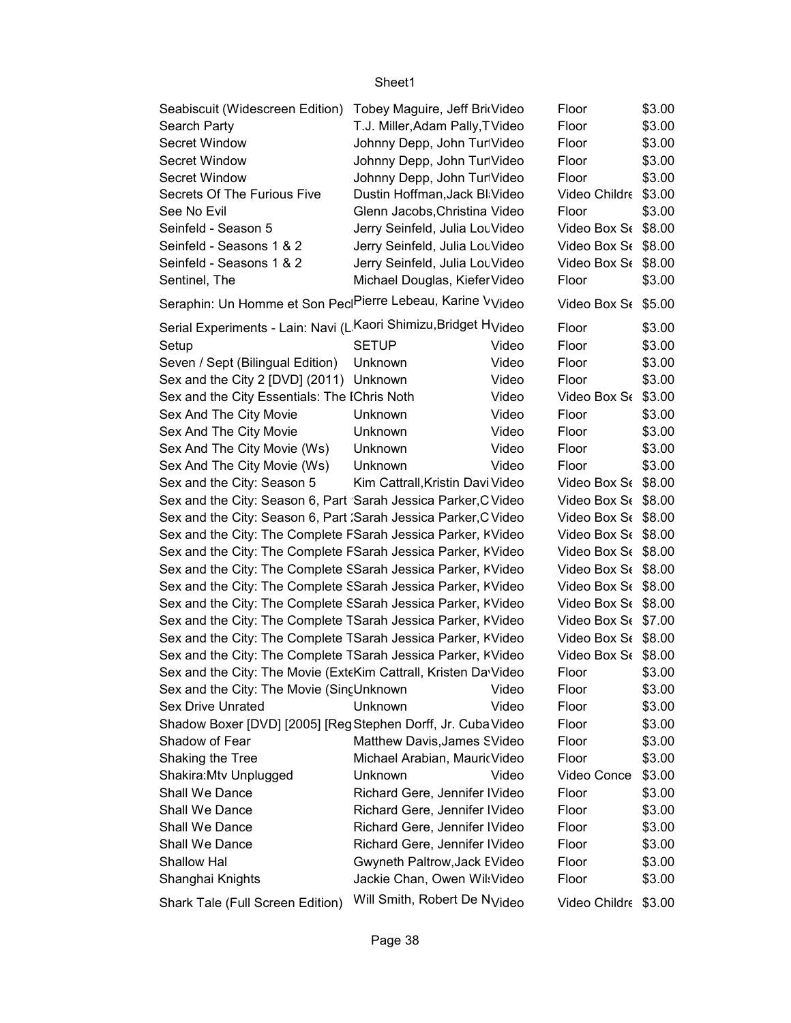| Seabiscuit (Widescreen Edition)                                                                             | Tobey Maguire, Jeff BritVideo            |       | Floor                           | \$3.00 |
|-------------------------------------------------------------------------------------------------------------|------------------------------------------|-------|---------------------------------|--------|
| Search Party                                                                                                | T.J. Miller, Adam Pally, TVideo          |       | Floor                           | \$3.00 |
| Secret Window                                                                                               | Johnny Depp, John TurlVideo              |       | Floor                           | \$3.00 |
| Secret Window                                                                                               | Johnny Depp, John TurlVideo              |       | Floor                           | \$3.00 |
| Secret Window                                                                                               | Johnny Depp, John TurlVideo              |       | Floor                           | \$3.00 |
| Secrets Of The Furious Five                                                                                 | Dustin Hoffman, Jack BliVideo            |       | Video Childre \$3.00            |        |
| See No Evil                                                                                                 | Glenn Jacobs, Christina Video            |       | Floor                           | \$3.00 |
| Seinfeld - Season 5                                                                                         | Jerry Seinfeld, Julia LouVideo           |       | Video Box St \$8.00             |        |
| Seinfeld - Seasons 1 & 2                                                                                    | Jerry Seinfeld, Julia LouVideo           |       | Video Box St \$8.00             |        |
| Seinfeld - Seasons 1 & 2                                                                                    | Jerry Seinfeld, Julia LouVideo           |       | Video Box Se \$8.00             |        |
| Sentinel, The                                                                                               | Michael Douglas, Kiefer Video            |       | Floor                           | \$3.00 |
|                                                                                                             |                                          |       |                                 |        |
| Seraphin: Un Homme et Son Pec Pierre Lebeau, Karine V <sub>Video</sub>                                      |                                          |       | Video Box S <sub>6</sub> \$5.00 |        |
| Serial Experiments - Lain: Navi (L Kaori Shimizu, Bridget H <sub>Video</sub>                                |                                          |       | Floor                           | \$3.00 |
| Setup                                                                                                       | <b>SETUP</b>                             | Video | Floor                           | \$3.00 |
| Seven / Sept (Bilingual Edition)                                                                            | Unknown                                  | Video | Floor                           | \$3.00 |
| Sex and the City 2 [DVD] (2011)                                                                             | Unknown                                  | Video | Floor                           | \$3.00 |
| Sex and the City Essentials: The IChris Noth                                                                |                                          | Video | Video Box St \$3.00             |        |
| Sex And The City Movie                                                                                      | Unknown                                  | Video | Floor                           | \$3.00 |
| Sex And The City Movie                                                                                      | Unknown                                  | Video | Floor                           | \$3.00 |
| Sex And The City Movie (Ws)                                                                                 | Unknown                                  | Video | Floor                           | \$3.00 |
| Sex And The City Movie (Ws)                                                                                 | Unknown                                  | Video | Floor                           | \$3.00 |
| Sex and the City: Season 5                                                                                  | Kim Cattrall, Kristin Davi Video         |       | Video Box S <sub>f</sub> \$8.00 |        |
| Sex and the City: Season 6, Part Sarah Jessica Parker, C Video                                              |                                          |       | Video Box S <sub>f</sub> \$8.00 |        |
| Sex and the City: Season 6, Part : Sarah Jessica Parker, C Video                                            |                                          |       | Video Box St \$8.00             |        |
| Sex and the City: The Complete FSarah Jessica Parker, KVideo                                                |                                          |       | Video Box St \$8.00             |        |
| Sex and the City: The Complete FSarah Jessica Parker, KVideo                                                |                                          |       | Video Box St \$8.00             |        |
| Sex and the City: The Complete SSarah Jessica Parker, KVideo                                                |                                          |       | Video Box St \$8.00             |        |
| Sex and the City: The Complete SSarah Jessica Parker, KVideo                                                |                                          |       | Video Box St \$8.00             |        |
| Sex and the City: The Complete SSarah Jessica Parker, KVideo                                                |                                          |       | Video Box St \$8.00             |        |
| Sex and the City: The Complete TSarah Jessica Parker, KVideo                                                |                                          |       | Video Box S <sub>6</sub> \$7.00 |        |
| Sex and the City: The Complete TSarah Jessica Parker, KVideo                                                |                                          |       | Video Box St \$8.00             |        |
| Sex and the City: The Complete TSarah Jessica Parker, KVideo                                                |                                          |       | Video Box St \$8.00             |        |
|                                                                                                             |                                          |       | Floor                           | \$3.00 |
| Sex and the City: The Movie (ExteKim Cattrall, Kristen Da Video<br>Sex and the City: The Movie (SincUnknown |                                          | Video | Floor                           | \$3.00 |
|                                                                                                             |                                          |       |                                 |        |
| <b>Sex Drive Unrated</b>                                                                                    | Unknown                                  | Video | Floor                           | \$3.00 |
| Shadow Boxer [DVD] [2005] [Reg Stephen Dorff, Jr. Cuba Video                                                |                                          |       | Floor                           | \$3.00 |
| Shadow of Fear                                                                                              | Matthew Davis, James SVideo              |       | Floor                           | \$3.00 |
| Shaking the Tree                                                                                            | Michael Arabian, Mauric Video            |       | Floor                           | \$3.00 |
| Shakira: Mtv Unplugged                                                                                      | Unknown                                  | Video | Video Conce                     | \$3.00 |
| Shall We Dance                                                                                              | Richard Gere, Jennifer IVideo            |       | Floor                           | \$3.00 |
| Shall We Dance                                                                                              | Richard Gere, Jennifer IVideo            |       | Floor                           | \$3.00 |
| Shall We Dance                                                                                              | Richard Gere, Jennifer IVideo            |       | Floor                           | \$3.00 |
| Shall We Dance                                                                                              | Richard Gere, Jennifer IVideo            |       | Floor                           | \$3.00 |
| Shallow Hal                                                                                                 | Gwyneth Paltrow, Jack EVideo             |       | Floor                           | \$3.00 |
| Shanghai Knights                                                                                            | Jackie Chan, Owen Will: Video            |       | Floor                           | \$3.00 |
| Shark Tale (Full Screen Edition)                                                                            | Will Smith, Robert De N <sub>Video</sub> |       | Video Childre \$3.00            |        |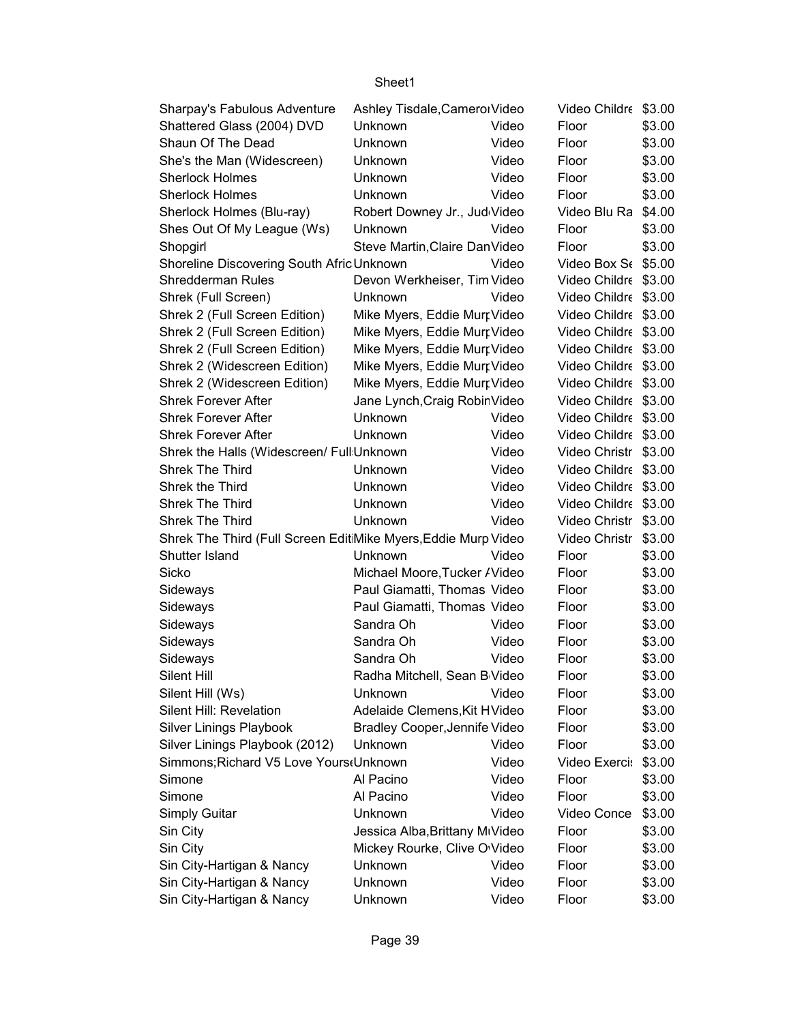| Sharpay's Fabulous Adventure                                   | Ashley Tisdale, Cameror Video  |       | Video Childre \$3.00 |        |
|----------------------------------------------------------------|--------------------------------|-------|----------------------|--------|
| Shattered Glass (2004) DVD                                     | Unknown                        | Video | Floor                | \$3.00 |
| Shaun Of The Dead                                              | Unknown                        | Video | Floor                | \$3.00 |
| She's the Man (Widescreen)                                     | Unknown                        | Video | Floor                | \$3.00 |
| <b>Sherlock Holmes</b>                                         | Unknown                        | Video | Floor                | \$3.00 |
| <b>Sherlock Holmes</b>                                         | Unknown                        | Video | Floor                | \$3.00 |
| Sherlock Holmes (Blu-ray)                                      | Robert Downey Jr., Jud Video   |       | Video Blu Ra \$4.00  |        |
| Shes Out Of My League (Ws)                                     | Unknown                        | Video | Floor                | \$3.00 |
| Shopgirl                                                       | Steve Martin, Claire Dan Video |       | Floor                | \$3.00 |
| Shoreline Discovering South Afric Unknown                      |                                | Video | Video Box St \$5.00  |        |
| Shredderman Rules                                              | Devon Werkheiser, Tim Video    |       | Video Childre \$3.00 |        |
| Shrek (Full Screen)                                            | Unknown                        | Video | Video Childre \$3.00 |        |
| Shrek 2 (Full Screen Edition)                                  | Mike Myers, Eddie Murr Video   |       | Video Childre \$3.00 |        |
| Shrek 2 (Full Screen Edition)                                  | Mike Myers, Eddie Murr Video   |       | Video Childre \$3.00 |        |
| Shrek 2 (Full Screen Edition)                                  | Mike Myers, Eddie Murr Video   |       | Video Childre \$3.00 |        |
| Shrek 2 (Widescreen Edition)                                   | Mike Myers, Eddie Murr Video   |       | Video Childre \$3.00 |        |
| Shrek 2 (Widescreen Edition)                                   | Mike Myers, Eddie MurrVideo    |       | Video Childre \$3.00 |        |
| <b>Shrek Forever After</b>                                     | Jane Lynch, Craig Robin Video  |       | Video Childre \$3.00 |        |
| <b>Shrek Forever After</b>                                     | Unknown                        | Video | Video Childre \$3.00 |        |
| <b>Shrek Forever After</b>                                     | Unknown                        | Video | Video Childre \$3.00 |        |
| Shrek the Halls (Widescreen/ Full Unknown                      |                                | Video | Video Christr \$3.00 |        |
| Shrek The Third                                                | Unknown                        | Video | Video Childre \$3.00 |        |
| Shrek the Third                                                | Unknown                        | Video | Video Childre \$3.00 |        |
| Shrek The Third                                                | Unknown                        | Video | Video Childre \$3.00 |        |
| Shrek The Third                                                | Unknown                        | Video | Video Christr \$3.00 |        |
| Shrek The Third (Full Screen Edit Mike Myers, Eddie Murp Video |                                |       | Video Christr \$3.00 |        |
| Shutter Island                                                 | Unknown                        | Video | Floor                | \$3.00 |
| Sicko                                                          | Michael Moore, Tucker / Video  |       | Floor                | \$3.00 |
| Sideways                                                       | Paul Giamatti, Thomas Video    |       | Floor                | \$3.00 |
| Sideways                                                       | Paul Giamatti, Thomas Video    |       | Floor                | \$3.00 |
| Sideways                                                       | Sandra Oh                      | Video | Floor                | \$3.00 |
| Sideways                                                       | Sandra Oh                      | Video | Floor                | \$3.00 |
| Sideways                                                       | Sandra Oh                      | Video | Floor                | \$3.00 |
| Silent Hill                                                    | Radha Mitchell, Sean B Video   |       | Floor                | \$3.00 |
| Silent Hill (Ws)                                               | Unknown                        | Video | Floor                | \$3.00 |
| Silent Hill: Revelation                                        | Adelaide Clemens, Kit HVideo   |       | Floor                | \$3.00 |
| Silver Linings Playbook                                        | Bradley Cooper, Jennife Video  |       | Floor                | \$3.00 |
| Silver Linings Playbook (2012)                                 | Unknown                        | Video | Floor                | \$3.00 |
| Simmons; Richard V5 Love Yours(Unknown                         |                                | Video | Video Exercis        | \$3.00 |
| Simone                                                         | Al Pacino                      | Video | Floor                | \$3.00 |
| Simone                                                         | Al Pacino                      | Video | Floor                | \$3.00 |
| Simply Guitar                                                  | Unknown                        | Video | Video Conce          | \$3.00 |
| Sin City                                                       | Jessica Alba, Brittany MIVideo |       | Floor                | \$3.00 |
| Sin City                                                       | Mickey Rourke, Clive O'Video   |       | Floor                | \$3.00 |
| Sin City-Hartigan & Nancy                                      | Unknown                        | Video | Floor                | \$3.00 |
| Sin City-Hartigan & Nancy                                      | Unknown                        | Video | Floor                | \$3.00 |
| Sin City-Hartigan & Nancy                                      | Unknown                        | Video | Floor                | \$3.00 |
|                                                                |                                |       |                      |        |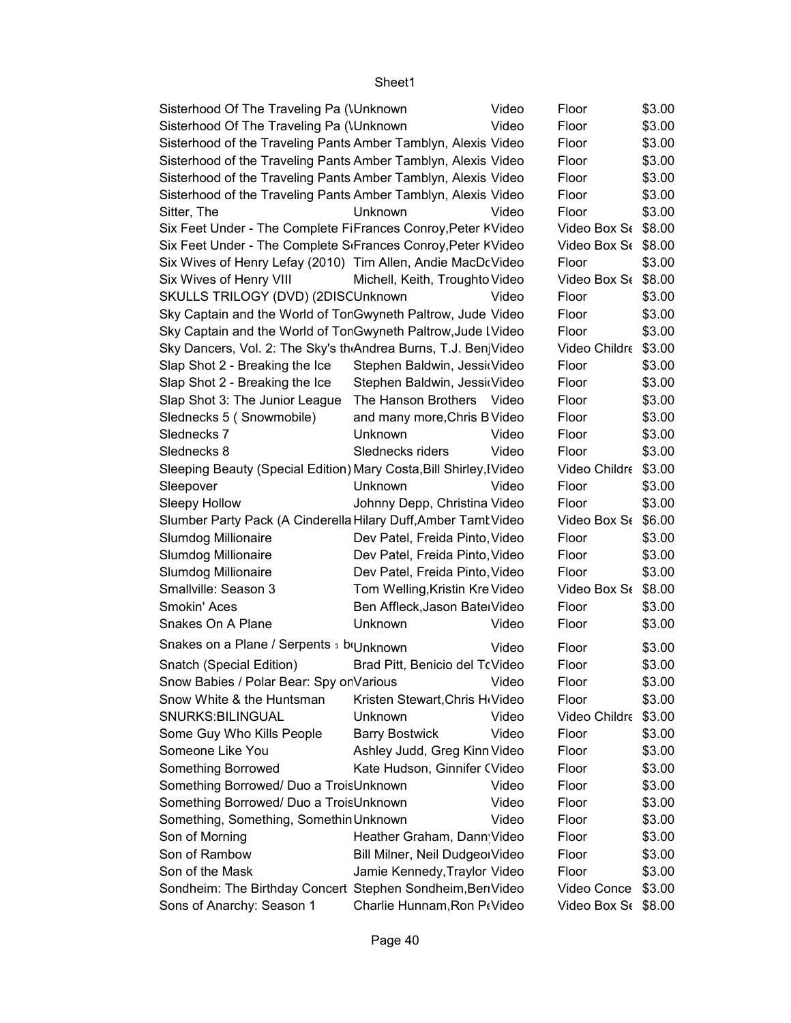| Sisterhood Of The Traveling Pa (\Unknown                                    |                                | Video | Floor                | \$3.00 |
|-----------------------------------------------------------------------------|--------------------------------|-------|----------------------|--------|
| Sisterhood Of The Traveling Pa (\Unknown                                    |                                | Video | Floor                | \$3.00 |
| Sisterhood of the Traveling Pants Amber Tamblyn, Alexis Video               |                                |       | Floor                | \$3.00 |
| Sisterhood of the Traveling Pants Amber Tamblyn, Alexis Video               |                                |       | Floor                | \$3.00 |
| Sisterhood of the Traveling Pants Amber Tamblyn, Alexis Video               |                                |       | Floor                | \$3.00 |
| Sisterhood of the Traveling Pants Amber Tamblyn, Alexis Video               |                                |       | Floor                | \$3.00 |
| Sitter, The                                                                 | <b>Unknown</b>                 | Video | Floor                | \$3.00 |
| Six Feet Under - The Complete FiFrances Conroy, Peter KVideo                |                                |       | Video Box St \$8.00  |        |
| Six Feet Under - The Complete S <sub>'</sub> Frances Conroy, Peter KVideo   |                                |       | Video Box Se \$8.00  |        |
| Six Wives of Henry Lefay (2010) Tim Allen, Andie MacDcVideo                 |                                |       | Floor                | \$3.00 |
| Six Wives of Henry VIII                                                     | Michell, Keith, Troughto Video |       | Video Box St \$8.00  |        |
| SKULLS TRILOGY (DVD) (2DISCUnknown                                          |                                | Video | Floor                | \$3.00 |
|                                                                             |                                |       |                      |        |
| Sky Captain and the World of TonGwyneth Paltrow, Jude Video                 |                                |       | Floor                | \$3.00 |
| Sky Captain and the World of TonGwyneth Paltrow, Jude IVideo                |                                |       | Floor                | \$3.00 |
| Sky Dancers, Vol. 2: The Sky's th <sub>'</sub> Andrea Burns, T.J. BenjVideo |                                |       | Video Childre \$3.00 |        |
| Slap Shot 2 - Breaking the Ice                                              | Stephen Baldwin, Jessi Video   |       | Floor                | \$3.00 |
| Slap Shot 2 - Breaking the Ice                                              | Stephen Baldwin, Jessi Video   |       | Floor                | \$3.00 |
| Slap Shot 3: The Junior League                                              | The Hanson Brothers Video      |       | Floor                | \$3.00 |
| Slednecks 5 (Snowmobile)                                                    | and many more, Chris B Video   |       | Floor                | \$3.00 |
| Slednecks 7                                                                 | Unknown                        | Video | Floor                | \$3.00 |
| Slednecks 8                                                                 | Slednecks riders               | Video | Floor                | \$3.00 |
| Sleeping Beauty (Special Edition) Mary Costa, Bill Shirley, IVideo          |                                |       | Video Childre \$3.00 |        |
| Sleepover                                                                   | Unknown                        | Video | Floor                | \$3.00 |
| Sleepy Hollow                                                               | Johnny Depp, Christina Video   |       | Floor                | \$3.00 |
| Slumber Party Pack (A Cinderella Hilary Duff, Amber Tamt Video              |                                |       | Video Box St \$6.00  |        |
| Slumdog Millionaire                                                         | Dev Patel, Freida Pinto, Video |       | Floor                | \$3.00 |
| Slumdog Millionaire                                                         | Dev Patel, Freida Pinto, Video |       | Floor                | \$3.00 |
| Slumdog Millionaire                                                         | Dev Patel, Freida Pinto, Video |       | Floor                | \$3.00 |
| Smallville: Season 3                                                        | Tom Welling, Kristin Kre Video |       | Video Box St \$8.00  |        |
| Smokin' Aces                                                                | Ben Affleck, Jason BatelVideo  |       | Floor                | \$3.00 |
| Snakes On A Plane                                                           | Unknown                        | Video | Floor                | \$3.00 |
|                                                                             |                                |       |                      |        |
| Snakes on a Plane / Serpents 5 b Unknown                                    |                                | Video | Floor                | \$3.00 |
| Snatch (Special Edition)                                                    | Brad Pitt, Benicio del TcVideo |       | Floor                | \$3.00 |
| Snow Babies / Polar Bear: Spy or Various                                    |                                | Video | Floor                | \$3.00 |
| Snow White & the Huntsman                                                   | Kristen Stewart, Chris HtVideo |       | Floor                | \$3.00 |
| SNURKS: BILINGUAL                                                           | Unknown                        | Video | Video Childre \$3.00 |        |
| Some Guy Who Kills People                                                   | <b>Barry Bostwick</b>          | Video | Floor                | \$3.00 |
| Someone Like You                                                            | Ashley Judd, Greg Kinn Video   |       | Floor                | \$3.00 |
| Something Borrowed                                                          | Kate Hudson, Ginnifer (Video   |       | Floor                | \$3.00 |
| Something Borrowed/ Duo a TroisUnknown                                      |                                | Video | Floor                | \$3.00 |
| Something Borrowed/ Duo a TroisUnknown                                      |                                | Video | Floor                | \$3.00 |
|                                                                             |                                | Video | Floor                | \$3.00 |
| Something, Something, Somethin Unknown                                      |                                |       |                      |        |
| Son of Morning                                                              | Heather Graham, Dann Video     |       | Floor                | \$3.00 |
| Son of Rambow                                                               | Bill Milner, Neil DudgeorVideo |       | Floor                | \$3.00 |
| Son of the Mask                                                             | Jamie Kennedy, Traylor Video   |       | Floor                | \$3.00 |
| Sondheim: The Birthday Concert Stephen Sondheim, BeriVideo                  |                                |       | Video Conce \$3.00   |        |
| Sons of Anarchy: Season 1                                                   | Charlie Hunnam, Ron PtVideo    |       | Video Box Se \$8.00  |        |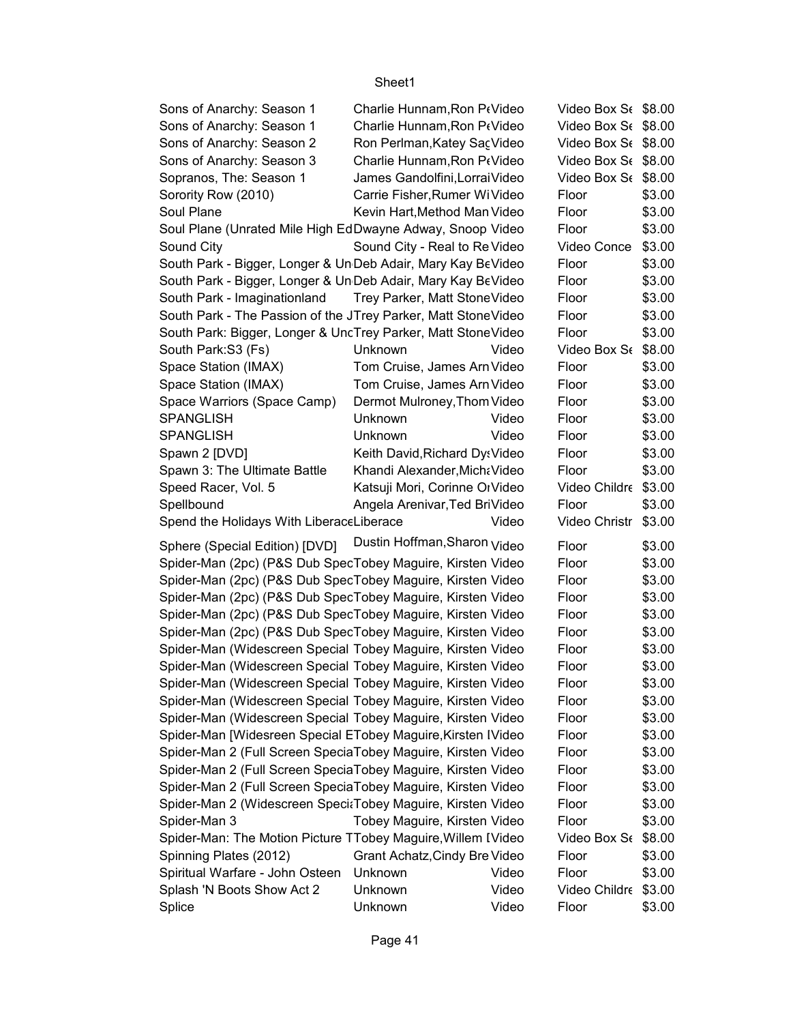| Sons of Anarchy: Season 1                                     | Charlie Hunnam, Ron PtVideo             |       | Video Box S <sub>6</sub> \$8.00 |        |
|---------------------------------------------------------------|-----------------------------------------|-------|---------------------------------|--------|
| Sons of Anarchy: Season 1                                     | Charlie Hunnam, Ron PtVideo             |       | Video Box St \$8.00             |        |
| Sons of Anarchy: Season 2                                     | Ron Perlman, Katey SacVideo             |       | Video Box St \$8.00             |        |
| Sons of Anarchy: Season 3                                     | Charlie Hunnam, Ron PtVideo             |       | Video Box St \$8.00             |        |
| Sopranos, The: Season 1                                       | James Gandolfini, Lorrai Video          |       | Video Box St \$8.00             |        |
| Sorority Row (2010)                                           | Carrie Fisher, Rumer Wi Video           |       | Floor                           | \$3.00 |
| Soul Plane                                                    | Kevin Hart, Method Man Video            |       | Floor                           | \$3.00 |
| Soul Plane (Unrated Mile High EdDwayne Adway, Snoop Video     |                                         |       | Floor                           | \$3.00 |
| Sound City                                                    | Sound City - Real to Re Video           |       | Video Conce                     | \$3.00 |
| South Park - Bigger, Longer & Un Deb Adair, Mary Kay BeVideo  |                                         |       | Floor                           | \$3.00 |
| South Park - Bigger, Longer & Un Deb Adair, Mary Kay BeVideo  |                                         |       | Floor                           | \$3.00 |
| South Park - Imaginationland                                  | Trey Parker, Matt StoneVideo            |       | Floor                           | \$3.00 |
| South Park - The Passion of the JTrey Parker, Matt StoneVideo |                                         |       | Floor                           | \$3.00 |
| South Park: Bigger, Longer & UncTrey Parker, Matt StoneVideo  |                                         |       | Floor                           | \$3.00 |
| South Park: S3 (Fs)                                           | Unknown                                 | Video | Video Box St \$8.00             |        |
| Space Station (IMAX)                                          | Tom Cruise, James Arn Video             |       | Floor                           | \$3.00 |
| Space Station (IMAX)                                          | Tom Cruise, James Arn Video             |       | Floor                           | \$3.00 |
| Space Warriors (Space Camp)                                   | Dermot Mulroney, Thom Video             |       | Floor                           | \$3.00 |
| <b>SPANGLISH</b>                                              | Unknown                                 | Video | Floor                           | \$3.00 |
| <b>SPANGLISH</b>                                              | Unknown                                 | Video | Floor                           | \$3.00 |
| Spawn 2 [DVD]                                                 | Keith David, Richard DytVideo           |       | Floor                           | \$3.00 |
| Spawn 3: The Ultimate Battle                                  | Khandi Alexander, MichaVideo            |       | Floor                           | \$3.00 |
| Speed Racer, Vol. 5                                           | Katsuji Mori, Corinne OrVideo           |       | Video Childre                   | \$3.00 |
| Spellbound                                                    | Angela Arenivar, Ted BriVideo           |       | Floor                           | \$3.00 |
| Spend the Holidays With LiberaceLiberace                      |                                         | Video | Video Christr                   | \$3.00 |
| Sphere (Special Edition) [DVD]                                | Dustin Hoffman, Sharon <sub>Video</sub> |       | Floor                           | \$3.00 |
| Spider-Man (2pc) (P&S Dub SpecTobey Maguire, Kirsten Video    |                                         |       | Floor                           | \$3.00 |
| Spider-Man (2pc) (P&S Dub SpecTobey Maguire, Kirsten Video    |                                         |       | Floor                           | \$3.00 |
| Spider-Man (2pc) (P&S Dub SpecTobey Maguire, Kirsten Video    |                                         |       | Floor                           | \$3.00 |
| Spider-Man (2pc) (P&S Dub SpecTobey Maguire, Kirsten Video    |                                         |       | Floor                           | \$3.00 |
| Spider-Man (2pc) (P&S Dub SpecTobey Maguire, Kirsten Video    |                                         |       | Floor                           | \$3.00 |
| Spider-Man (Widescreen Special Tobey Maguire, Kirsten Video   |                                         |       | Floor                           | \$3.00 |
| Spider-Man (Widescreen Special Tobey Maguire, Kirsten Video   |                                         |       | Floor                           | \$3.00 |
|                                                               |                                         |       | Floor                           | \$3.00 |
| Spider-Man (Widescreen Special Tobey Maguire, Kirsten Video   |                                         |       |                                 |        |
| Spider-Man (Widescreen Special Tobey Maguire, Kirsten Video   |                                         |       | Floor                           | \$3.00 |
| Spider-Man (Widescreen Special Tobey Maguire, Kirsten Video   |                                         |       | Floor                           | \$3.00 |
| Spider-Man [Widesreen Special ETobey Maguire, Kirsten IVideo  |                                         |       | Floor                           | \$3.00 |
| Spider-Man 2 (Full Screen SpeciaTobey Maguire, Kirsten Video  |                                         |       | Floor                           | \$3.00 |
| Spider-Man 2 (Full Screen SpeciaTobey Maguire, Kirsten Video  |                                         |       | Floor                           | \$3.00 |
| Spider-Man 2 (Full Screen SpeciaTobey Maguire, Kirsten Video  |                                         |       | Floor                           | \$3.00 |
| Spider-Man 2 (Widescreen SpeciaTobey Maguire, Kirsten Video   |                                         |       | Floor                           | \$3.00 |
| Spider-Man 3                                                  | Tobey Maguire, Kirsten Video            |       | Floor                           | \$3.00 |
| Spider-Man: The Motion Picture TTobey Maguire, Willem I Video |                                         |       | Video Box St \$8.00             |        |
| Spinning Plates (2012)                                        | Grant Achatz, Cindy Bre Video           |       | Floor                           | \$3.00 |
| Spiritual Warfare - John Osteen                               | Unknown                                 | Video | Floor                           | \$3.00 |
| Splash 'N Boots Show Act 2                                    | Unknown                                 | Video | Video Childre                   | \$3.00 |
| Splice                                                        | Unknown                                 | Video | Floor                           | \$3.00 |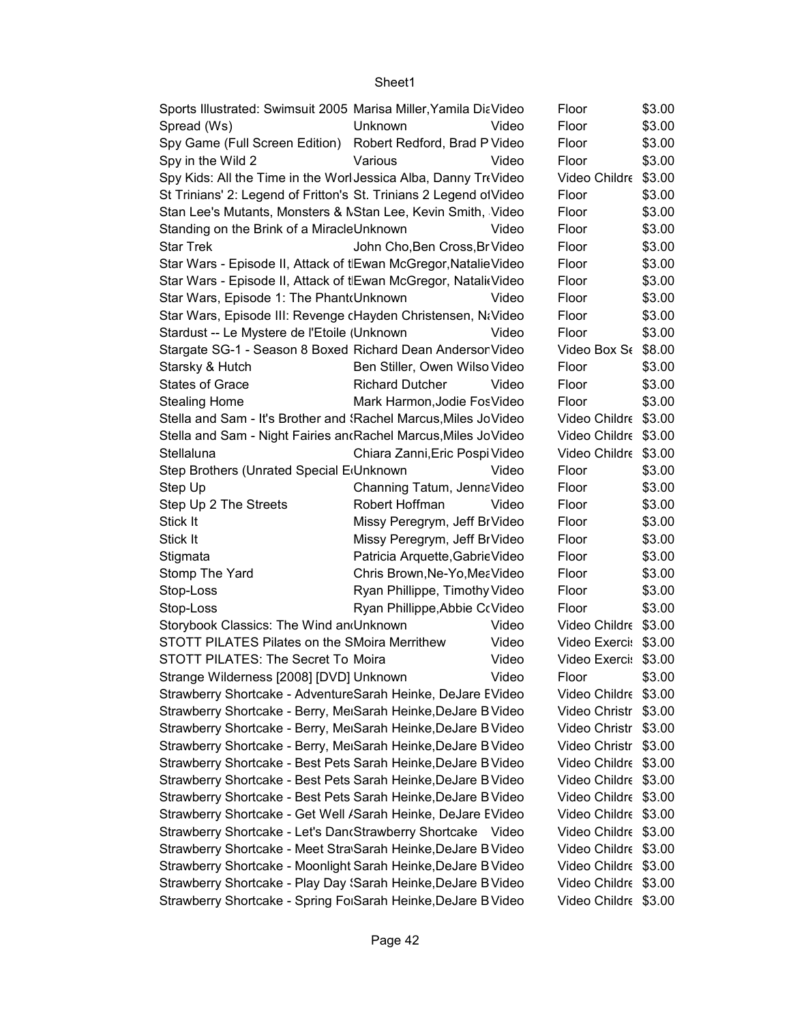| Sports Illustrated: Swimsuit 2005 Marisa Miller, Yamila DiaVideo   |                                              |       | Floor                           | \$3.00 |
|--------------------------------------------------------------------|----------------------------------------------|-------|---------------------------------|--------|
| Spread (Ws)                                                        | Unknown                                      | Video | Floor                           | \$3.00 |
| Spy Game (Full Screen Edition) Robert Redford, Brad P Video        |                                              |       | Floor                           | \$3.00 |
| Spy in the Wild 2                                                  | Various                                      | Video | Floor                           | \$3.00 |
| Spy Kids: All the Time in the Worl Jessica Alba, Danny TreVideo    |                                              |       | Video Childre \$3.00            |        |
| St Trinians' 2: Legend of Fritton's St. Trinians 2 Legend of Video |                                              |       | Floor                           | \$3.00 |
| Stan Lee's Mutants, Monsters & NStan Lee, Kevin Smith, Video       |                                              |       | Floor                           | \$3.00 |
| Standing on the Brink of a MiracleUnknown                          |                                              | Video | Floor                           | \$3.00 |
| <b>Star Trek</b>                                                   | John Cho, Ben Cross, Br Video                |       | Floor                           | \$3.00 |
| Star Wars - Episode II, Attack of tEwan McGregor, Natalie Video    |                                              |       | Floor                           | \$3.00 |
| Star Wars - Episode II, Attack of tEwan McGregor, NatalitVideo     |                                              |       | Floor                           | \$3.00 |
| Star Wars, Episode 1: The Phant Unknown                            |                                              | Video | Floor                           | \$3.00 |
| Star Wars, Episode III: Revenge cHayden Christensen, NaVideo       |                                              |       | Floor                           | \$3.00 |
| Stardust -- Le Mystere de l'Etoile (Unknown                        |                                              | Video | Floor                           | \$3.00 |
| Stargate SG-1 - Season 8 Boxed Richard Dean AndersonVideo          |                                              |       | Video Box S <sub>6</sub> \$8.00 |        |
| Starsky & Hutch                                                    | Ben Stiller, Owen Wilso Video                |       | Floor                           | \$3.00 |
| <b>States of Grace</b>                                             | <b>Richard Dutcher</b>                       | Video | Floor                           | \$3.00 |
| <b>Stealing Home</b>                                               | Mark Harmon, Jodie Fos Video                 |       | Floor                           | \$3.00 |
| Stella and Sam - It's Brother and 'Rachel Marcus, Miles Jo Video   |                                              |       | Video Childre \$3.00            |        |
| Stella and Sam - Night Fairies an Rachel Marcus, Miles Jo Video    |                                              |       | Video Childre \$3.00            |        |
| Stellaluna                                                         | Chiara Zanni, Eric Pospi Video               |       | Video Childre \$3.00            |        |
| Step Brothers (Unrated Special E <sub>I</sub> Unknown              |                                              | Video | Floor                           | \$3.00 |
|                                                                    |                                              |       |                                 |        |
| Step Up<br>Step Up 2 The Streets                                   | Channing Tatum, JennaVideo<br>Robert Hoffman |       | Floor                           | \$3.00 |
|                                                                    |                                              | Video | Floor                           | \$3.00 |
| Stick It                                                           | Missy Peregrym, Jeff BrVideo                 |       | Floor                           | \$3.00 |
| Stick It                                                           | Missy Peregrym, Jeff BrVideo                 |       | Floor                           | \$3.00 |
| Stigmata                                                           | Patricia Arquette, Gabrie Video              |       | Floor                           | \$3.00 |
| Stomp The Yard                                                     | Chris Brown, Ne-Yo, Mea Video                |       | Floor                           | \$3.00 |
| Stop-Loss                                                          | Ryan Phillippe, Timothy Video                |       | Floor                           | \$3.00 |
| Stop-Loss                                                          | Ryan Phillippe, Abbie CcVideo                |       | Floor                           | \$3.00 |
| Storybook Classics: The Wind an Unknown                            |                                              | Video | Video Childre \$3.00            |        |
| STOTT PILATES Pilates on the SMoira Merrithew                      |                                              | Video | Video Exerci: \$3.00            |        |
| STOTT PILATES: The Secret To Moira                                 |                                              | Video | Video Exerci: \$3.00            |        |
| Strange Wilderness [2008] [DVD] Unknown                            |                                              | Video | Floor                           | \$3.00 |
| Strawberry Shortcake - AdventureSarah Heinke, DeJare EVideo        |                                              |       | Video Childre \$3.00            |        |
| Strawberry Shortcake - Berry, MeiSarah Heinke, DeJare B Video      |                                              |       | Video Christr \$3.00            |        |
| Strawberry Shortcake - Berry, MeiSarah Heinke, DeJare B Video      |                                              |       | Video Christr \$3.00            |        |
| Strawberry Shortcake - Berry, MeiSarah Heinke, DeJare B Video      |                                              |       | Video Christr \$3.00            |        |
| Strawberry Shortcake - Best Pets Sarah Heinke, DeJare B Video      |                                              |       | Video Childre \$3.00            |        |
| Strawberry Shortcake - Best Pets Sarah Heinke, DeJare B Video      |                                              |       | Video Childre \$3.00            |        |
| Strawberry Shortcake - Best Pets Sarah Heinke, DeJare B Video      |                                              |       | Video Childre \$3.00            |        |
| Strawberry Shortcake - Get Well / Sarah Heinke, DeJare EVideo      |                                              |       | Video Childre \$3.00            |        |
| Strawberry Shortcake - Let's Dan(Strawberry Shortcake Video        |                                              |       | Video Childre \$3.00            |        |
| Strawberry Shortcake - Meet Stra Sarah Heinke, DeJare B Video      |                                              |       | Video Childre \$3.00            |        |
| Strawberry Shortcake - Moonlight Sarah Heinke, DeJare B Video      |                                              |       | Video Childre \$3.00            |        |
| Strawberry Shortcake - Play Day 'Sarah Heinke, DeJare B Video      |                                              |       | Video Childre \$3.00            |        |
| Strawberry Shortcake - Spring Fo Sarah Heinke, DeJare B Video      |                                              |       | Video Childre \$3.00            |        |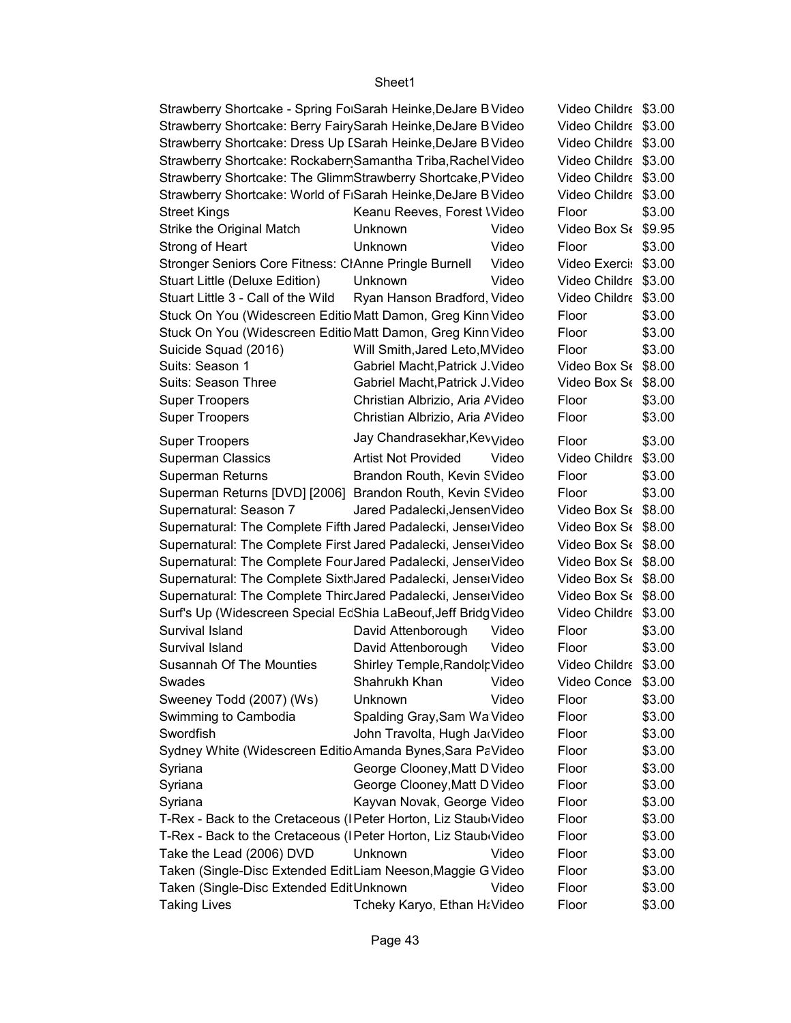| Strawberry Shortcake - Spring Fo Sarah Heinke, DeJare B Video   |                                         |       | Video Childre \$3.00            |        |
|-----------------------------------------------------------------|-----------------------------------------|-------|---------------------------------|--------|
| Strawberry Shortcake: Berry Fairy Sarah Heinke, DeJare B Video  |                                         |       | Video Childre \$3.00            |        |
| Strawberry Shortcake: Dress Up [Sarah Heinke, DeJare B Video    |                                         |       | Video Childre \$3.00            |        |
| Strawberry Shortcake: Rockaberr Samantha Triba, Rachel Video    |                                         |       | Video Childre \$3.00            |        |
| Strawberry Shortcake: The GlimmStrawberry Shortcake, PVideo     |                                         |       | Video Childre \$3.00            |        |
| Strawberry Shortcake: World of FiSarah Heinke, DeJare B Video   |                                         |       | Video Childre \$3.00            |        |
| <b>Street Kings</b>                                             | Keanu Reeves, Forest Wideo              |       | Floor                           | \$3.00 |
| Strike the Original Match                                       | Unknown                                 | Video | Video Box S <sub>6</sub> \$9.95 |        |
| Strong of Heart                                                 | Unknown                                 | Video | Floor                           | \$3.00 |
| Stronger Seniors Core Fitness: CIAnne Pringle Burnell           |                                         | Video | Video Exerci: \$3.00            |        |
| Stuart Little (Deluxe Edition)                                  | Unknown                                 | Video | Video Childre \$3.00            |        |
| Stuart Little 3 - Call of the Wild                              | Ryan Hanson Bradford, Video             |       | Video Childre \$3.00            |        |
| Stuck On You (Widescreen Editio Matt Damon, Greg Kinn Video     |                                         |       | Floor                           | \$3.00 |
| Stuck On You (Widescreen Editio Matt Damon, Greg Kinn Video     |                                         |       | Floor                           | \$3.00 |
| Suicide Squad (2016)                                            | Will Smith, Jared Leto, MVideo          |       | Floor                           | \$3.00 |
| Suits: Season 1                                                 | Gabriel Macht, Patrick J. Video         |       | Video Box S <sub>6</sub> \$8.00 |        |
| Suits: Season Three                                             | Gabriel Macht, Patrick J. Video         |       | Video Box St \$8.00             |        |
| <b>Super Troopers</b>                                           | Christian Albrizio, Aria AVideo         |       | Floor                           | \$3.00 |
| <b>Super Troopers</b>                                           | Christian Albrizio, Aria AVideo         |       | Floor                           | \$3.00 |
| <b>Super Troopers</b>                                           | Jay Chandrasekhar, Kev <sub>Video</sub> |       | Floor                           | \$3.00 |
| <b>Superman Classics</b>                                        | <b>Artist Not Provided</b>              | Video | Video Childre \$3.00            |        |
| Superman Returns                                                | Brandon Routh, Kevin SVideo             |       | Floor                           | \$3.00 |
| Superman Returns [DVD] [2006] Brandon Routh, Kevin SVideo       |                                         |       | Floor                           | \$3.00 |
| Supernatural: Season 7                                          | Jared Padalecki, Jensen Video           |       | Video Box St \$8.00             |        |
| Supernatural: The Complete Fifth Jared Padalecki, JenserVideo   |                                         |       | Video Box St \$8.00             |        |
| Supernatural: The Complete First Jared Padalecki, JenserVideo   |                                         |       | Video Box St \$8.00             |        |
|                                                                 |                                         |       |                                 |        |
| Supernatural: The Complete Four Jared Padalecki, JenserVideo    |                                         |       | Video Box St \$8.00             |        |
| Supernatural: The Complete SixthJared Padalecki, JenserVideo    |                                         |       | Video Box St \$8.00             |        |
| Supernatural: The Complete ThircJared Padalecki, JenserVideo    |                                         |       | Video Box St \$8.00             |        |
| Surf's Up (Widescreen Special EcShia LaBeouf, Jeff Bridg Video  |                                         |       | Video Childre \$3.00            |        |
| Survival Island                                                 | David Attenborough                      | Video | Floor                           | \$3.00 |
| Survival Island                                                 | David Attenborough                      | Video | Floor                           | \$3.00 |
| Susannah Of The Mounties                                        | Shirley Temple, Randolp Video           |       | Video Childre \$3.00            |        |
| Swades                                                          | Shahrukh Khan Video                     |       | Video Conce \$3.00              |        |
| Sweeney Todd (2007) (Ws)                                        | Unknown                                 | Video | Floor                           | \$3.00 |
| Swimming to Cambodia                                            | Spalding Gray, Sam Wa Video             |       | Floor                           | \$3.00 |
| Swordfish                                                       | John Travolta, Hugh Ja Video            |       | Floor                           | \$3.00 |
| Sydney White (Widescreen Editio Amanda Bynes, Sara PaVideo      |                                         |       | Floor                           | \$3.00 |
| Syriana                                                         | George Clooney, Matt D Video            |       | Floor                           | \$3.00 |
| Syriana                                                         | George Clooney, Matt D Video            |       | Floor                           | \$3.00 |
| Syriana                                                         | Kayvan Novak, George Video              |       | Floor                           | \$3.00 |
| T-Rex - Back to the Cretaceous (I Peter Horton, Liz Staub/Video |                                         |       | Floor                           | \$3.00 |
| T-Rex - Back to the Cretaceous (I Peter Horton, Liz Staub/Video |                                         |       | Floor                           | \$3.00 |
| Take the Lead (2006) DVD                                        | Unknown                                 | Video | Floor                           | \$3.00 |
| Taken (Single-Disc Extended EditLiam Neeson, Maggie G Video     |                                         |       | Floor                           | \$3.00 |
| Taken (Single-Disc Extended EditUnknown                         |                                         | Video | Floor                           | \$3.00 |
| <b>Taking Lives</b>                                             | Tcheky Karyo, Ethan HaVideo             |       | Floor                           | \$3.00 |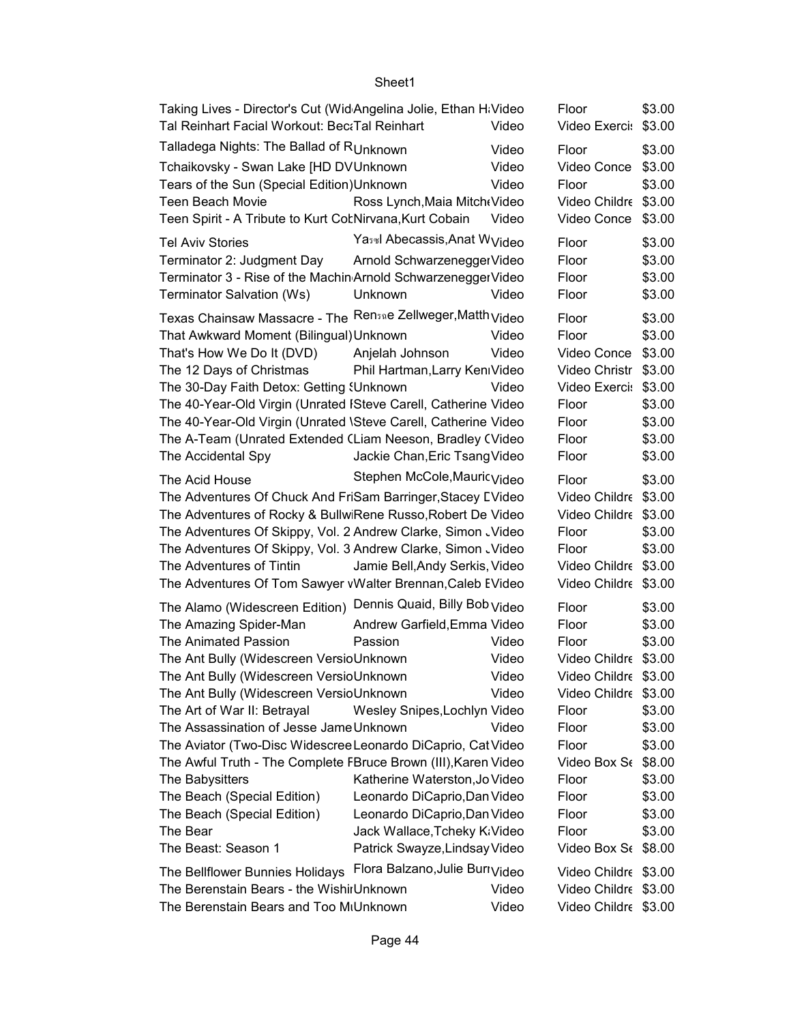| Taking Lives - Director's Cut (Wid Angelina Jolie, Ethan H:Video       |                                                     |       | Floor                | \$3.00 |
|------------------------------------------------------------------------|-----------------------------------------------------|-------|----------------------|--------|
| Tal Reinhart Facial Workout: Bec: Tal Reinhart                         |                                                     | Video | Video Exercis        | \$3.00 |
| Talladega Nights: The Ballad of RUnknown                               |                                                     | Video | Floor                | \$3.00 |
| Tchaikovsky - Swan Lake [HD DVUnknown                                  |                                                     | Video | Video Conce          | \$3.00 |
| Tears of the Sun (Special Edition) Unknown                             |                                                     | Video | Floor                | \$3.00 |
| Teen Beach Movie                                                       | Ross Lynch, Maia Mitch (Video                       |       | Video Childre \$3.00 |        |
| Teen Spirit - A Tribute to Kurt CotNirvana, Kurt Cobain                |                                                     | Video | Video Conce          | \$3.00 |
|                                                                        | Ya <sub>3%</sub> Abecassis, Anat W <sub>Video</sub> |       |                      |        |
| <b>Tel Aviv Stories</b>                                                |                                                     |       | Floor                | \$3.00 |
| Terminator 2: Judgment Day                                             | Arnold Schwarzenegger Video                         |       | Floor                | \$3.00 |
| Terminator 3 - Rise of the Machin Arnold Schwarzenegger Video          |                                                     |       | Floor                | \$3.00 |
| Terminator Salvation (Ws)                                              | Unknown                                             | Video | Floor                | \$3.00 |
| Texas Chainsaw Massacre - The Rensae Zellweger, Matth <sub>Video</sub> |                                                     |       | Floor                | \$3.00 |
| That Awkward Moment (Bilingual) Unknown                                |                                                     | Video | Floor                | \$3.00 |
| That's How We Do It (DVD)                                              | Anjelah Johnson                                     | Video | Video Conce          | \$3.00 |
| The 12 Days of Christmas                                               | Phil Hartman, Larry Keni Video                      |       | Video Christr        | \$3.00 |
| The 30-Day Faith Detox: Getting {Unknown                               |                                                     | Video | Video Exerci: \$3.00 |        |
| The 40-Year-Old Virgin (Unrated ISteve Carell, Catherine Video         |                                                     |       | Floor                | \$3.00 |
| The 40-Year-Old Virgin (Unrated \Steve Carell, Catherine Video         |                                                     |       | Floor                | \$3.00 |
| The A-Team (Unrated Extended (Liam Neeson, Bradley (Video)             |                                                     |       | Floor                | \$3.00 |
| The Accidental Spy                                                     | Jackie Chan, Eric Tsang Video                       |       | Floor                | \$3.00 |
|                                                                        | Stephen McCole, Mauric <sub>Video</sub>             |       |                      | \$3.00 |
| The Acid House                                                         |                                                     |       | Floor                |        |
| The Adventures Of Chuck And FriSam Barringer, Stacey EVideo            |                                                     |       | Video Childre \$3.00 |        |
| The Adventures of Rocky & BullwiRene Russo, Robert De Video            |                                                     |       | Video Childre \$3.00 |        |
| The Adventures Of Skippy, Vol. 2 Andrew Clarke, Simon Jideo            |                                                     |       | Floor                | \$3.00 |
| The Adventures Of Skippy, Vol. 3 Andrew Clarke, Simon . Video          |                                                     |       | Floor                | \$3.00 |
| The Adventures of Tintin                                               | Jamie Bell, Andy Serkis, Video                      |       | Video Childre \$3.00 |        |
| The Adventures Of Tom Sawyer vWalter Brennan, Caleb EVideo             |                                                     |       | Video Childre \$3.00 |        |
| The Alamo (Widescreen Edition)                                         | Dennis Quaid, Billy Bob <sub>Video</sub>            |       | Floor                | \$3.00 |
| The Amazing Spider-Man                                                 | Andrew Garfield, Emma Video                         |       | Floor                | \$3.00 |
| The Animated Passion                                                   | Passion                                             | Video | Floor                | \$3.00 |
| The Ant Bully (Widescreen VersioUnknown                                |                                                     | Video | Video Childre \$3.00 |        |
| The Ant Bully (Widescreen VersioUnknown)                               |                                                     | Video | Video Childre \$3.00 |        |
| The Ant Bully (Widescreen VersioUnknown                                |                                                     | Video | Video Childre \$3.00 |        |
| The Art of War II: Betrayal                                            | Wesley Snipes, Lochlyn Video                        |       | Floor                | \$3.00 |
| The Assassination of Jesse Jame Unknown                                |                                                     | Video | Floor                | \$3.00 |
| The Aviator (Two-Disc Widescree Leonardo DiCaprio, Cat Video           |                                                     |       | Floor                | \$3.00 |
| The Awful Truth - The Complete FBruce Brown (III), Karen Video         |                                                     |       | Video Box Se         | \$8.00 |
| The Babysitters                                                        | Katherine Waterston, Jo Video                       |       | Floor                | \$3.00 |
| The Beach (Special Edition)                                            | Leonardo DiCaprio, Dan Video                        |       | Floor                | \$3.00 |
| The Beach (Special Edition)                                            | Leonardo DiCaprio, Dan Video                        |       | Floor                | \$3.00 |
| The Bear                                                               | Jack Wallace, Tcheky KiVideo                        |       | Floor                | \$3.00 |
| The Beast: Season 1                                                    | Patrick Swayze, Lindsay Video                       |       | Video Box St \$8.00  |        |
| The Bellflower Bunnies Holidays                                        | Flora Balzano, Julie Burrvideo                      |       |                      |        |
|                                                                        |                                                     |       | Video Childre \$3.00 |        |
| The Berenstain Bears - the WishirUnknown                               |                                                     | Video | Video Childre \$3.00 |        |
| The Berenstain Bears and Too MiUnknown                                 |                                                     | Video | Video Childre \$3.00 |        |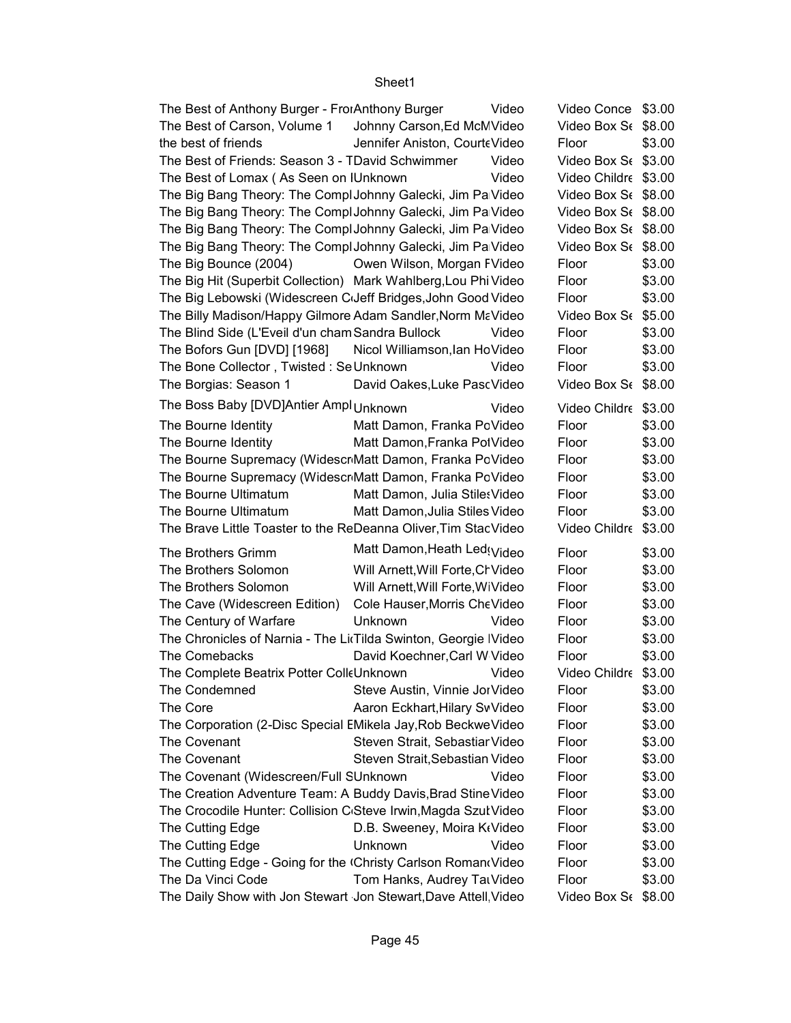| The Best of Anthony Burger - FroiAnthony Burger                           |                                  | Video | Video Conce \$3.00   |        |
|---------------------------------------------------------------------------|----------------------------------|-------|----------------------|--------|
| The Best of Carson, Volume 1                                              | Johnny Carson, Ed McMVideo       |       | Video Box St \$8.00  |        |
| the best of friends                                                       | Jennifer Aniston, CourteVideo    |       | Floor                | \$3.00 |
| The Best of Friends: Season 3 - TDavid Schwimmer                          |                                  | Video | Video Box St \$3.00  |        |
| The Best of Lomax (As Seen on IUnknown                                    |                                  | Video | Video Childre \$3.00 |        |
| The Big Bang Theory: The Compl Johnny Galecki, Jim PalVideo               |                                  |       | Video Box St \$8.00  |        |
| The Big Bang Theory: The Compl Johnny Galecki, Jim PalVideo               |                                  |       | Video Box St \$8.00  |        |
| The Big Bang Theory: The Compl Johnny Galecki, Jim PalVideo               |                                  |       | Video Box St \$8.00  |        |
| The Big Bang Theory: The Compl Johnny Galecki, Jim PalVideo               |                                  |       | Video Box St \$8.00  |        |
| The Big Bounce (2004)                                                     | Owen Wilson, Morgan FVideo       |       | Floor                | \$3.00 |
| The Big Hit (Superbit Collection) Mark Wahlberg, Lou Phi Video            |                                  |       | Floor                | \$3.00 |
| The Big Lebowski (Widescreen C <sub>'</sub> Jeff Bridges, John Good Video |                                  |       | Floor                | \$3.00 |
| The Billy Madison/Happy Gilmore Adam Sandler, Norm MaVideo                |                                  |       | Video Box St \$5.00  |        |
| The Blind Side (L'Eveil d'un cham Sandra Bullock                          |                                  | Video | Floor                | \$3.00 |
| The Bofors Gun [DVD] [1968]                                               | Nicol Williamson, lan HoVideo    |       | Floor                | \$3.00 |
| The Bone Collector, Twisted: Se Unknown                                   |                                  | Video | Floor                | \$3.00 |
|                                                                           |                                  |       |                      |        |
| The Borgias: Season 1                                                     | David Oakes, Luke PascVideo      |       | Video Box St \$8.00  |        |
| The Boss Baby [DVD]Antier Ampl Unknown                                    |                                  | Video | Video Childre \$3.00 |        |
| The Bourne Identity                                                       | Matt Damon, Franka PoVideo       |       | Floor                | \$3.00 |
| The Bourne Identity                                                       | Matt Damon, Franka Pot Video     |       | Floor                | \$3.00 |
| The Bourne Supremacy (WidescrMatt Damon, Franka PoVideo                   |                                  |       | Floor                | \$3.00 |
| The Bourne Supremacy (WidescrMatt Damon, Franka PoVideo                   |                                  |       | Floor                | \$3.00 |
| The Bourne Ultimatum                                                      | Matt Damon, Julia Stiles Video   |       | Floor                | \$3.00 |
| The Bourne Ultimatum                                                      | Matt Damon, Julia Stiles Video   |       | Floor                | \$3.00 |
| The Brave Little Toaster to the ReDeanna Oliver, Tim StacVideo            |                                  |       | Video Childre \$3.00 |        |
| The Brothers Grimm                                                        | Matt Damon, Heath Led Video      |       | Floor                | \$3.00 |
| The Brothers Solomon                                                      | Will Arnett, Will Forte, ChVideo |       | Floor                | \$3.00 |
| The Brothers Solomon                                                      | Will Arnett, Will Forte, WiVideo |       | Floor                | \$3.00 |
| The Cave (Widescreen Edition)                                             | Cole Hauser, Morris Che Video    |       | Floor                | \$3.00 |
| The Century of Warfare                                                    | Unknown                          | Video | Floor                | \$3.00 |
| The Chronicles of Narnia - The LitTilda Swinton, Georgie IVideo           |                                  |       | Floor                | \$3.00 |
| The Comebacks                                                             | David Koechner, Carl W Video     |       | Floor                | \$3.00 |
| The Complete Beatrix Potter ColleUnknown                                  |                                  | Video | Video Childre \$3.00 |        |
| The Condemned                                                             | Steve Austin, Vinnie Jor Video   |       | Floor                | \$3.00 |
| The Core                                                                  |                                  |       |                      |        |
|                                                                           | Aaron Eckhart, Hilary SvVideo    |       | Floor                | \$3.00 |
| The Corporation (2-Disc Special EMikela Jay, Rob Beckwe Video             |                                  |       | Floor                | \$3.00 |
| The Covenant                                                              | Steven Strait, Sebastiar Video   |       | Floor                | \$3.00 |
| The Covenant                                                              | Steven Strait, Sebastian Video   |       | Floor                | \$3.00 |
| The Covenant (Widescreen/Full SUnknown                                    |                                  | Video | Floor                | \$3.00 |
| The Creation Adventure Team: A Buddy Davis, Brad Stine Video              |                                  |       | Floor                | \$3.00 |
| The Crocodile Hunter: Collision C Steve Irwin, Magda SzutVideo            |                                  |       | Floor                | \$3.00 |
| The Cutting Edge                                                          | D.B. Sweeney, Moira KtVideo      |       | Floor                | \$3.00 |
| The Cutting Edge                                                          | Unknown                          | Video | Floor                | \$3.00 |
| The Cutting Edge - Going for the Christy Carlson Roman Video              |                                  |       | Floor                | \$3.00 |
| The Da Vinci Code                                                         | Tom Hanks, Audrey TatVideo       |       | Floor                | \$3.00 |
| The Daily Show with Jon Stewart Jon Stewart, Dave Attell, Video           |                                  |       | Video Box St \$8.00  |        |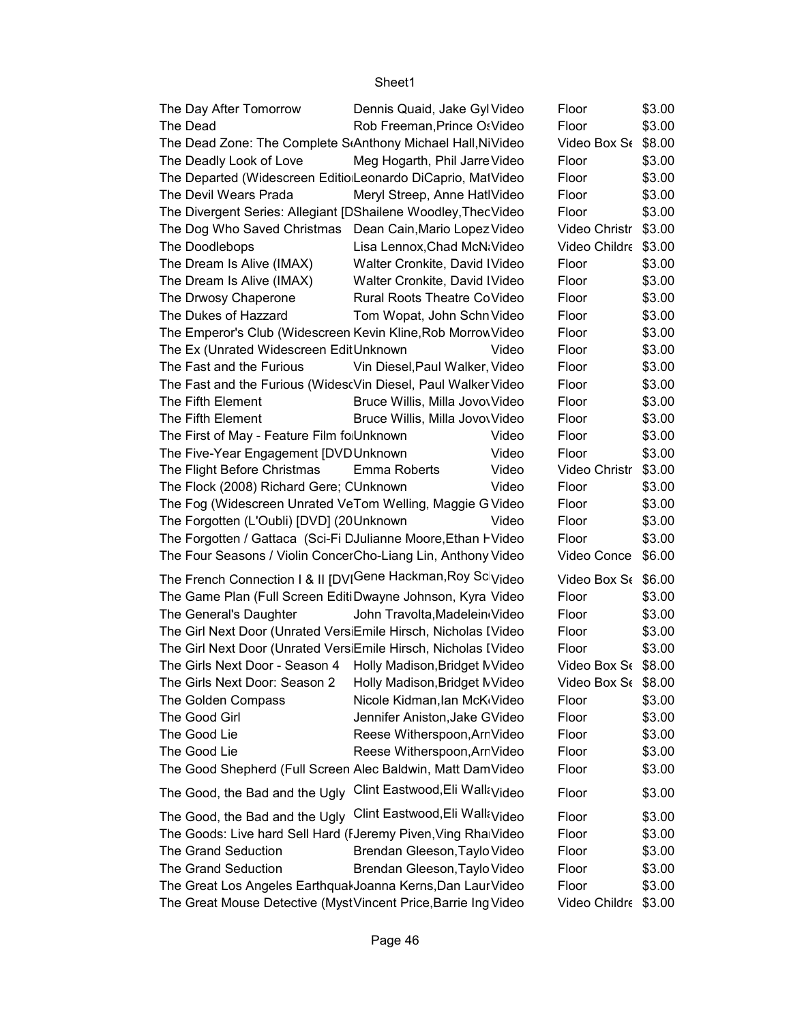| The Day After Tomorrow                                                                                                      | Dennis Quaid, Jake Gyl Video              | Floor                           | \$3.00           |  |
|-----------------------------------------------------------------------------------------------------------------------------|-------------------------------------------|---------------------------------|------------------|--|
| The Dead                                                                                                                    | Rob Freeman, Prince Os Video              | Floor                           | \$3.00           |  |
| The Dead Zone: The Complete S <sub>'Anthony</sub> Michael Hall, NiVideo                                                     |                                           | Video Box St \$8.00             |                  |  |
| The Deadly Look of Love                                                                                                     | Meg Hogarth, Phil Jarre Video             | Floor                           | \$3.00           |  |
| The Departed (Widescreen Editio Leonardo DiCaprio, MatVideo                                                                 |                                           | Floor                           | \$3.00           |  |
| The Devil Wears Prada                                                                                                       | Meryl Streep, Anne HatlVideo              | Floor                           | \$3.00           |  |
| The Divergent Series: Allegiant [DShailene Woodley, ThecVideo                                                               |                                           | Floor                           | \$3.00           |  |
| The Dog Who Saved Christmas Dean Cain, Mario Lopez Video                                                                    |                                           | Video Christr                   | \$3.00           |  |
| The Doodlebops                                                                                                              | Lisa Lennox, Chad McN: Video              | Video Childre \$3.00            |                  |  |
| The Dream Is Alive (IMAX)                                                                                                   | Walter Cronkite, David IVideo             | Floor                           | \$3.00           |  |
| The Dream Is Alive (IMAX)                                                                                                   | Walter Cronkite, David IVideo             | Floor                           | \$3.00           |  |
| The Drwosy Chaperone                                                                                                        | Rural Roots Theatre CoVideo               | Floor                           | \$3.00           |  |
| The Dukes of Hazzard                                                                                                        | Tom Wopat, John Schn Video                | Floor                           | \$3.00           |  |
| The Emperor's Club (Widescreen Kevin Kline, Rob Morrow Video                                                                |                                           | Floor                           | \$3.00           |  |
| The Ex (Unrated Widescreen EditUnknown                                                                                      |                                           | Video<br>Floor                  | \$3.00           |  |
| The Fast and the Furious                                                                                                    | Vin Diesel, Paul Walker, Video            | Floor                           | \$3.00           |  |
| The Fast and the Furious (WidescVin Diesel, Paul Walker Video                                                               |                                           | Floor                           | \$3.00           |  |
| The Fifth Element                                                                                                           | Bruce Willis, Milla Jovo\Video            | Floor                           | \$3.00           |  |
| The Fifth Element                                                                                                           | Bruce Willis, Milla Jovo\Video            | Floor                           | \$3.00           |  |
| The First of May - Feature Film fo Unknown                                                                                  |                                           | Video<br>Floor                  | \$3.00           |  |
| The Five-Year Engagement [DVDUnknown                                                                                        |                                           | Video<br>Floor                  | \$3.00           |  |
| The Flight Before Christmas                                                                                                 | Emma Roberts                              | Video<br>Video Christr          | \$3.00           |  |
| The Flock (2008) Richard Gere; CUnknown                                                                                     |                                           | Video<br>Floor                  | \$3.00           |  |
| The Fog (Widescreen Unrated VeTom Welling, Maggie G Video                                                                   |                                           | Floor                           | \$3.00           |  |
| The Forgotten (L'Oubli) [DVD] (20Unknown                                                                                    |                                           | Video<br>Floor                  | \$3.00           |  |
| The Forgotten / Gattaca (Sci-Fi DJulianne Moore, Ethan FVideo                                                               |                                           | Floor                           | \$3.00           |  |
| The Four Seasons / Violin ConcerCho-Liang Lin, Anthony Video                                                                |                                           | Video Conce                     | \$6.00           |  |
| The French Connection I & II [DVIGene Hackman, Roy Sclvideo                                                                 |                                           | Video Box St \$6.00             |                  |  |
|                                                                                                                             |                                           |                                 | \$3.00           |  |
| The Game Plan (Full Screen EditiDwayne Johnson, Kyra Video<br>The General's Daughter                                        | John Travolta, Madelein Video             | Floor<br>Floor                  | \$3.00           |  |
|                                                                                                                             |                                           |                                 |                  |  |
| The Girl Next Door (Unrated VersiEmile Hirsch, Nicholas IVideo                                                              |                                           | Floor                           | \$3.00<br>\$3.00 |  |
| The Girl Next Door (Unrated VersiEmile Hirsch, Nicholas IVideo                                                              |                                           | Floor<br>Video Box $S_f$ \$8.00 |                  |  |
| The Girls Next Door - Season 4 Holly Madison, Bridget NVideo<br>The Girls Next Door: Season 2 Holly Madison, Bridget NVideo |                                           | Video Box Se \$8.00             |                  |  |
| The Golden Compass                                                                                                          | Nicole Kidman, lan McK <sub>I</sub> Video | Floor                           | \$3.00           |  |
| The Good Girl                                                                                                               | Jennifer Aniston, Jake GVideo             | Floor                           | \$3.00           |  |
| The Good Lie                                                                                                                | Reese Witherspoon, Arn Video              | Floor                           | \$3.00           |  |
| The Good Lie                                                                                                                | Reese Witherspoon, Arn Video              | Floor                           | \$3.00           |  |
| The Good Shepherd (Full Screen Alec Baldwin, Matt DamVideo                                                                  |                                           | Floor                           | \$3.00           |  |
|                                                                                                                             |                                           |                                 |                  |  |
| The Good, the Bad and the Ugly Clint Eastwood, Eli Walla Video                                                              |                                           | Floor                           | \$3.00           |  |
| The Good, the Bad and the Ugly                                                                                              | Clint Eastwood, Eli Wall ivideo           | Floor                           | \$3.00           |  |
| The Goods: Live hard Sell Hard (FJeremy Piven, Ving RhalVideo                                                               |                                           | Floor                           | \$3.00           |  |
| The Grand Seduction                                                                                                         | Brendan Gleeson, Taylo Video              | Floor                           | \$3.00           |  |
| The Grand Seduction                                                                                                         | Brendan Gleeson, Taylo Video              | Floor                           | \$3.00           |  |
| The Great Los Angeles Earthqual Joanna Kerns, Dan Laur Video                                                                |                                           | Floor                           | \$3.00           |  |
| The Great Mouse Detective (MystVincent Price, Barrie Ing Video                                                              |                                           | Video Childre \$3.00            |                  |  |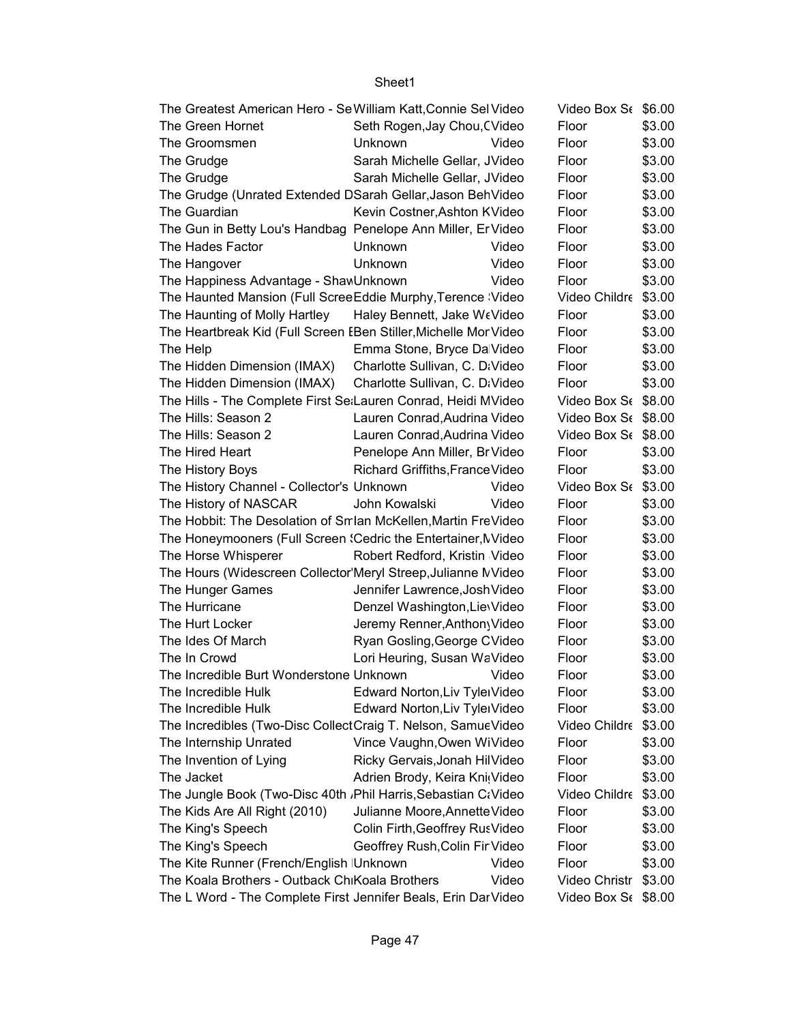| The Greatest American Hero - Se William Katt, Connie Sel Video   |                                 |       | Video Box $St$ \$6.00 |        |
|------------------------------------------------------------------|---------------------------------|-------|-----------------------|--------|
| The Green Hornet                                                 | Seth Rogen, Jay Chou, CVideo    |       | Floor                 | \$3.00 |
| The Groomsmen                                                    | <b>Unknown</b>                  | Video | Floor                 | \$3.00 |
| The Grudge                                                       | Sarah Michelle Gellar, JVideo   |       | Floor                 | \$3.00 |
| The Grudge                                                       | Sarah Michelle Gellar, JVideo   |       | Floor                 | \$3.00 |
| The Grudge (Unrated Extended DSarah Gellar, Jason BehVideo       |                                 |       | Floor                 | \$3.00 |
| The Guardian                                                     | Kevin Costner, Ashton KVideo    |       | Floor                 | \$3.00 |
| The Gun in Betty Lou's Handbag Penelope Ann Miller, Er Video     |                                 |       | Floor                 | \$3.00 |
| The Hades Factor                                                 | Unknown                         | Video | Floor                 | \$3.00 |
| The Hangover                                                     | Unknown                         | Video | Floor                 | \$3.00 |
| The Happiness Advantage - ShawUnknown                            |                                 | Video | Floor                 | \$3.00 |
| The Haunted Mansion (Full ScreeEddie Murphy, Terence : Video     |                                 |       | Video Childre \$3.00  |        |
| The Haunting of Molly Hartley                                    | Haley Bennett, Jake WeVideo     |       | Floor                 | \$3.00 |
| The Heartbreak Kid (Full Screen IBen Stiller, Michelle Mor Video |                                 |       | Floor                 | \$3.00 |
| The Help                                                         | Emma Stone, Bryce DalVideo      |       | Floor                 | \$3.00 |
|                                                                  |                                 |       |                       | \$3.00 |
| The Hidden Dimension (IMAX)                                      | Charlotte Sullivan, C. DiVideo  |       | Floor                 |        |
| The Hidden Dimension (IMAX)                                      | Charlotte Sullivan, C. DiVideo  |       | Floor                 | \$3.00 |
| The Hills - The Complete First Se:Lauren Conrad, Heidi MVideo    |                                 |       | Video Box St \$8.00   |        |
| The Hills: Season 2                                              | Lauren Conrad, Audrina Video    |       | Video Box St \$8.00   |        |
| The Hills: Season 2                                              | Lauren Conrad, Audrina Video    |       | Video Box St \$8.00   |        |
| The Hired Heart                                                  | Penelope Ann Miller, Br Video   |       | Floor                 | \$3.00 |
| The History Boys                                                 | Richard Griffiths, France Video |       | Floor                 | \$3.00 |
| The History Channel - Collector's Unknown                        |                                 | Video | Video Box St \$3.00   |        |
| The History of NASCAR                                            | John Kowalski                   | Video | Floor                 | \$3.00 |
| The Hobbit: The Desolation of Smlan McKellen, Martin FreVideo    |                                 |       | Floor                 | \$3.00 |
| The Honeymooners (Full Screen 'Cedric the Entertainer, NVideo    |                                 |       | Floor                 | \$3.00 |
| The Horse Whisperer                                              | Robert Redford, Kristin Video   |       | Floor                 | \$3.00 |
| The Hours (Widescreen Collector Meryl Streep, Julianne MVideo    |                                 |       | Floor                 | \$3.00 |
| The Hunger Games                                                 | Jennifer Lawrence, Josh Video   |       | Floor                 | \$3.00 |
| The Hurricane                                                    | Denzel Washington, Lie Video    |       | Floor                 | \$3.00 |
| The Hurt Locker                                                  | Jeremy Renner, Anthony Video    |       | Floor                 | \$3.00 |
| The Ides Of March                                                | Ryan Gosling, George CVideo     |       | Floor                 | \$3.00 |
| The In Crowd                                                     | Lori Heuring, Susan WaVideo     |       | Floor                 | \$3.00 |
| The Incredible Burt Wonderstone Unknown                          |                                 | Video | Floor                 | \$3.00 |
| The Incredible Hulk                                              | Edward Norton, Liv Tyle Video   |       | Floor                 | \$3.00 |
| The Incredible Hulk                                              | Edward Norton, Liv Tyle Video   |       | Floor                 | \$3.00 |
| The Incredibles (Two-Disc CollectCraig T. Nelson, SamueVideo     |                                 |       | Video Childre \$3.00  |        |
| The Internship Unrated                                           | Vince Vaughn, Owen WiVideo      |       | Floor                 | \$3.00 |
| The Invention of Lying                                           | Ricky Gervais, Jonah HilVideo   |       | Floor                 | \$3.00 |
| The Jacket                                                       | Adrien Brody, Keira KnięVideo   |       | Floor                 | \$3.00 |
|                                                                  |                                 |       |                       |        |
| The Jungle Book (Two-Disc 40th , Phil Harris, Sebastian C: Video |                                 |       | Video Childre \$3.00  |        |
| The Kids Are All Right (2010)                                    | Julianne Moore, Annette Video   |       | Floor                 | \$3.00 |
| The King's Speech                                                | Colin Firth, Geoffrey Rus Video |       | Floor                 | \$3.00 |
| The King's Speech                                                | Geoffrey Rush, Colin Fir Video  |       | Floor                 | \$3.00 |
| The Kite Runner (French/English Unknown                          |                                 | Video | Floor                 | \$3.00 |
| The Koala Brothers - Outback ChiKoala Brothers                   |                                 | Video | Video Christr \$3.00  |        |
| The L Word - The Complete First Jennifer Beals, Erin Dar Video   |                                 |       | Video Box St \$8.00   |        |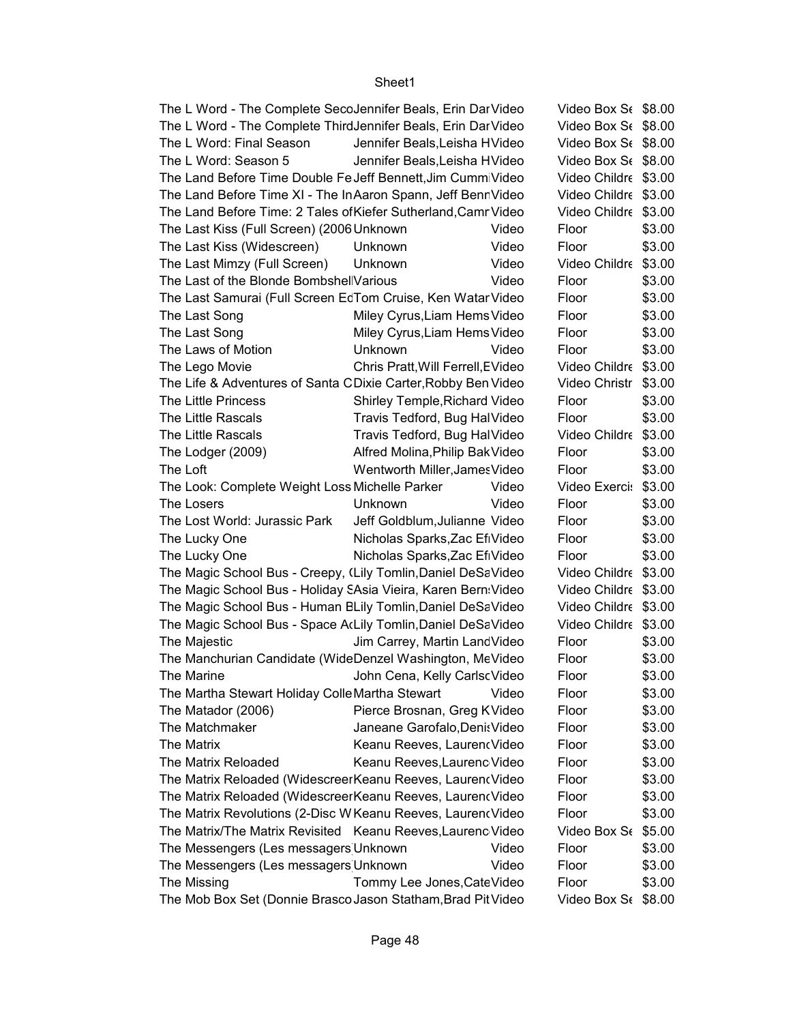| The L Word - The Complete SecoJennifer Beals, Erin DarVideo    |                                   |       | Video Box St \$8.00  |                  |
|----------------------------------------------------------------|-----------------------------------|-------|----------------------|------------------|
| The L Word - The Complete ThirdJennifer Beals, Erin DarVideo   |                                   |       | Video Box St \$8.00  |                  |
| The L Word: Final Season                                       | Jennifer Beals, Leisha HVideo     |       | Video Box St \$8.00  |                  |
| The L Word: Season 5                                           | Jennifer Beals, Leisha HVideo     |       | Video Box St \$8.00  |                  |
| The Land Before Time Double Fe Jeff Bennett, Jim CummiVideo    |                                   |       | Video Childre \$3.00 |                  |
| The Land Before Time XI - The InAaron Spann, Jeff BennVideo    |                                   |       | Video Childre \$3.00 |                  |
| The Land Before Time: 2 Tales of Kiefer Sutherland, Camr Video |                                   |       | Video Childre \$3.00 |                  |
| The Last Kiss (Full Screen) (2006 Unknown                      |                                   | Video | Floor                | \$3.00           |
| The Last Kiss (Widescreen)                                     | Unknown                           | Video | Floor                | \$3.00           |
| The Last Mimzy (Full Screen)                                   | Unknown                           | Video | Video Childre \$3.00 |                  |
| The Last of the Blonde Bombshel Various                        |                                   | Video | Floor                | \$3.00           |
| The Last Samurai (Full Screen EcTom Cruise, Ken Watar Video    |                                   |       | Floor                | \$3.00           |
| The Last Song                                                  | Miley Cyrus, Liam Hems Video      |       | Floor                | \$3.00           |
| The Last Song                                                  | Miley Cyrus, Liam Hems Video      |       | Floor                | \$3.00           |
| The Laws of Motion                                             | Unknown                           | Video | Floor                | \$3.00           |
| The Lego Movie                                                 | Chris Pratt, Will Ferrell, EVideo |       | Video Childre \$3.00 |                  |
| The Life & Adventures of Santa CDixie Carter, Robby Ben Video  |                                   |       | Video Christr \$3.00 |                  |
| The Little Princess                                            | Shirley Temple, Richard Video     |       | Floor                | \$3.00           |
| The Little Rascals                                             | Travis Tedford, Bug HalVideo      |       | Floor                | \$3.00           |
| The Little Rascals                                             | Travis Tedford, Bug HalVideo      |       | Video Childre \$3.00 |                  |
| The Lodger (2009)                                              | Alfred Molina, Philip Bak Video   |       | Floor                | \$3.00           |
| The Loft                                                       | Wentworth Miller, James Video     |       | Floor                | \$3.00           |
| The Look: Complete Weight Loss Michelle Parker                 |                                   | Video | Video Exerci: \$3.00 |                  |
| The Losers                                                     | Unknown                           | Video | Floor                | \$3.00           |
| The Lost World: Jurassic Park                                  | Jeff Goldblum, Julianne Video     |       | Floor                | \$3.00           |
| The Lucky One                                                  | Nicholas Sparks, Zac EfiVideo     |       | Floor                | \$3.00           |
| The Lucky One                                                  | Nicholas Sparks, Zac EfiVideo     |       | Floor                | \$3.00           |
| The Magic School Bus - Creepy, (Lily Tomlin, Daniel DeSaVideo  |                                   |       | Video Childre \$3.00 |                  |
| The Magic School Bus - Holiday SAsia Vieira, Karen Bern: Video |                                   |       | Video Childre \$3.00 |                  |
| The Magic School Bus - Human ELily Tomlin, Daniel DeSaVideo    |                                   |       | Video Childre \$3.00 |                  |
| The Magic School Bus - Space AcLily Tomlin, Daniel DeSaVideo   |                                   |       | Video Childre \$3.00 |                  |
|                                                                |                                   |       |                      | \$3.00           |
| The Majestic                                                   | Jim Carrey, Martin LandVideo      |       | Floor                |                  |
| The Manchurian Candidate (WideDenzel Washington, MeVideo       |                                   |       | Floor                | \$3.00<br>\$3.00 |
| The Marine                                                     | John Cena, Kelly CarlscVideo      |       | Floor                |                  |
| The Martha Stewart Holiday Colle Martha Stewart                |                                   | Video | Floor                | \$3.00           |
| The Matador (2006)                                             | Pierce Brosnan, Greg KVideo       |       | Floor                | \$3.00           |
| The Matchmaker                                                 | Janeane Garofalo, Denis Video     |       | Floor                | \$3.00           |
| The Matrix                                                     | Keanu Reeves, LaurencVideo        |       | Floor                | \$3.00           |
| The Matrix Reloaded                                            | Keanu Reeves, Laurenc Video       |       | Floor                | \$3.00           |
| The Matrix Reloaded (WidescreerKeanu Reeves, LaurencVideo      |                                   |       | Floor                | \$3.00           |
| The Matrix Reloaded (WidescreerKeanu Reeves, LaurencVideo      |                                   |       | Floor                | \$3.00           |
| The Matrix Revolutions (2-Disc W Keanu Reeves, LaurencVideo    |                                   |       | Floor                | \$3.00           |
| The Matrix/The Matrix Revisited Keanu Reeves, Laurenc Video    |                                   |       | Video Box St \$5.00  |                  |
| The Messengers (Les messagers Unknown                          |                                   | Video | Floor                | \$3.00           |
| The Messengers (Les messagers Unknown                          |                                   | Video | Floor                | \$3.00           |
| The Missing                                                    | Tommy Lee Jones, Cate Video       |       | Floor                | \$3.00           |
| The Mob Box Set (Donnie Brasco Jason Statham, Brad Pit Video   |                                   |       | Video Box St \$8.00  |                  |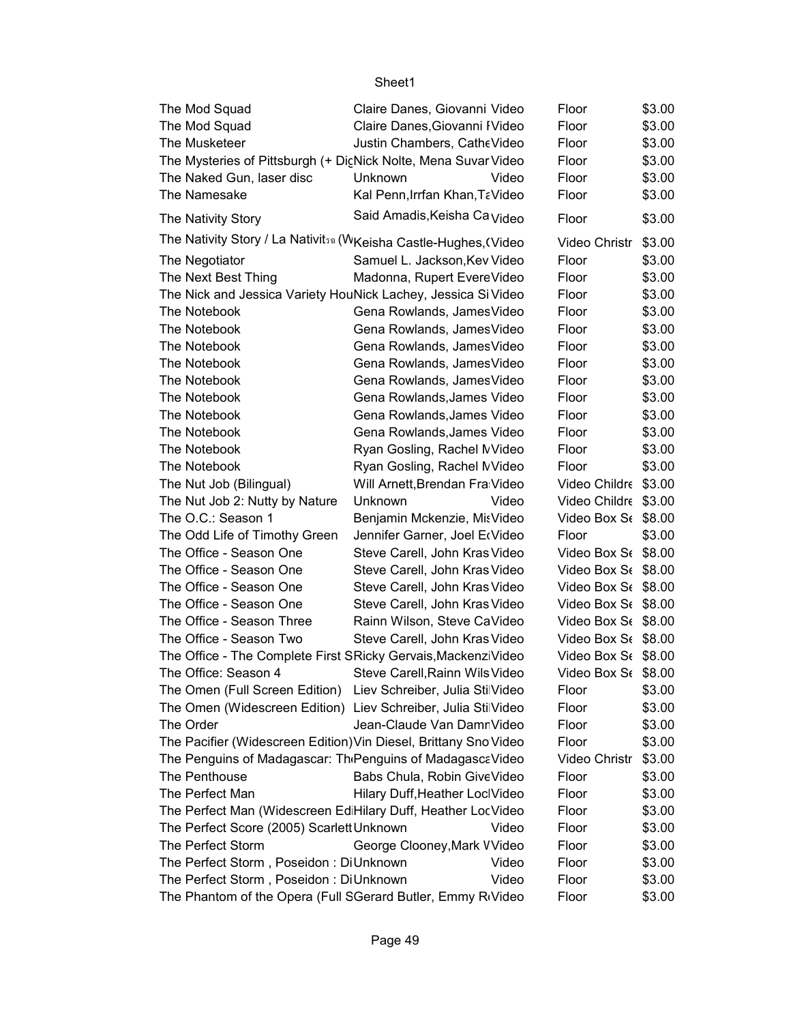| The Mod Squad                                                                            | Claire Danes, Giovanni Video            |       | Floor                | \$3.00 |
|------------------------------------------------------------------------------------------|-----------------------------------------|-------|----------------------|--------|
| The Mod Squad                                                                            | Claire Danes, Giovanni IVideo           |       | Floor                | \$3.00 |
| The Musketeer                                                                            | Justin Chambers, CatheVideo             |       | Floor                | \$3.00 |
| The Mysteries of Pittsburgh (+ DicNick Nolte, Mena Suvar Video                           |                                         |       | Floor                | \$3.00 |
| The Naked Gun, laser disc                                                                | Unknown                                 | Video | Floor                | \$3.00 |
| The Namesake                                                                             | Kal Penn, Irrfan Khan, Ta Video         |       | Floor                | \$3.00 |
| The Nativity Story                                                                       | Said Amadis, Keisha Ca <sub>Video</sub> |       | Floor                | \$3.00 |
| The Nativity Story / La Nativit <sub>50</sub> (W <sub>Keisha Castle-Hughes, Cvideo</sub> |                                         |       | Video Christr        | \$3.00 |
| The Negotiator                                                                           | Samuel L. Jackson, Kev Video            |       | Floor                | \$3.00 |
| The Next Best Thing                                                                      | Madonna, Rupert EvereVideo              |       | Floor                | \$3.00 |
| The Nick and Jessica Variety HouNick Lachey, Jessica Si Video                            |                                         |       | Floor                | \$3.00 |
| The Notebook                                                                             | Gena Rowlands, JamesVideo               |       | Floor                | \$3.00 |
| The Notebook                                                                             | Gena Rowlands, JamesVideo               |       | Floor                | \$3.00 |
| The Notebook                                                                             | Gena Rowlands, James Video              |       | Floor                | \$3.00 |
| The Notebook                                                                             | Gena Rowlands, James Video              |       | Floor                | \$3.00 |
| The Notebook                                                                             | Gena Rowlands, James Video              |       | Floor                | \$3.00 |
| The Notebook                                                                             | Gena Rowlands, James Video              |       | Floor                | \$3.00 |
| The Notebook                                                                             | Gena Rowlands, James Video              |       | Floor                | \$3.00 |
| The Notebook                                                                             | Gena Rowlands, James Video              |       | Floor                | \$3.00 |
| The Notebook                                                                             | Ryan Gosling, Rachel MVideo             |       | Floor                | \$3.00 |
| The Notebook                                                                             | Ryan Gosling, Rachel MVideo             |       | Floor                | \$3.00 |
| The Nut Job (Bilingual)                                                                  | Will Arnett, Brendan Fra: Video         |       | Video Childre \$3.00 |        |
| The Nut Job 2: Nutty by Nature                                                           | Unknown                                 | Video | Video Childre \$3.00 |        |
| The O.C.: Season 1                                                                       | Benjamin Mckenzie, MisVideo             |       | Video Box St \$8.00  |        |
| The Odd Life of Timothy Green                                                            | Jennifer Garner, Joel EtVideo           |       | Floor                | \$3.00 |
| The Office - Season One                                                                  | Steve Carell, John Kras Video           |       | Video Box St \$8.00  |        |
| The Office - Season One                                                                  | Steve Carell, John Kras Video           |       | Video Box St \$8.00  |        |
| The Office - Season One                                                                  | Steve Carell, John Kras Video           |       | Video Box St \$8.00  |        |
| The Office - Season One                                                                  | Steve Carell, John Kras Video           |       | Video Box St \$8.00  |        |
| The Office - Season Three                                                                | Rainn Wilson, Steve CaVideo             |       | Video Box Se \$8.00  |        |
| The Office - Season Two                                                                  | Steve Carell, John Kras Video           |       | Video Box St \$8.00  |        |
| The Office - The Complete First SRicky Gervais, MackenziVideo                            |                                         |       | Video Box St \$8.00  |        |
| The Office: Season 4                                                                     | Steve Carell, Rainn Wils Video          |       | Video Box Se \$8.00  |        |
| The Omen (Full Screen Edition) Liev Schreiber, Julia StilVideo                           |                                         |       | Floor                | \$3.00 |
| The Omen (Widescreen Edition) Liev Schreiber, Julia StilVideo                            |                                         |       | Floor                | \$3.00 |
| The Order                                                                                | Jean-Claude Van DamnVideo               |       | Floor                | \$3.00 |
| The Pacifier (Widescreen Edition) Vin Diesel, Brittany Sno Video                         |                                         |       | Floor                | \$3.00 |
| The Penguins of Madagascar: Th <sub>'</sub> Penguins of Madagasca Video                  |                                         |       | Video Christr        | \$3.00 |
| The Penthouse                                                                            | Babs Chula, Robin GiveVideo             |       | Floor                | \$3.00 |
| The Perfect Man                                                                          | Hilary Duff, Heather LoclVideo          |       | Floor                | \$3.00 |
| The Perfect Man (Widescreen Ed Hilary Duff, Heather LocVideo                             |                                         |       | Floor                | \$3.00 |
| The Perfect Score (2005) Scarlett Unknown                                                |                                         | Video | Floor                | \$3.00 |
| The Perfect Storm                                                                        | George Clooney, Mark VVideo             |       | Floor                | \$3.00 |
| The Perfect Storm, Poseidon: DiUnknown                                                   |                                         | Video | Floor                | \$3.00 |
| The Perfect Storm, Poseidon: DiUnknown                                                   |                                         | Video | Floor                | \$3.00 |
| The Phantom of the Opera (Full SGerard Butler, Emmy RiVideo                              |                                         |       | Floor                | \$3.00 |
|                                                                                          |                                         |       |                      |        |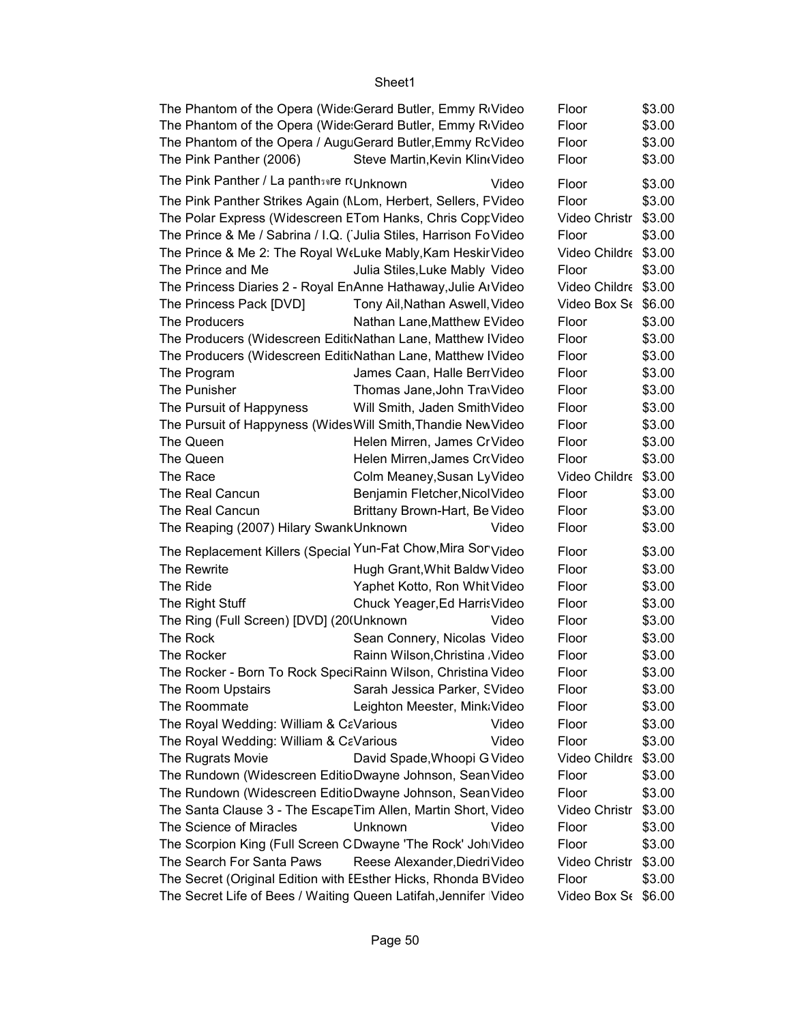| The Phantom of the Opera (Wide Gerard Butler, Emmy RiVideo        |                                 |       | Floor                | \$3.00 |
|-------------------------------------------------------------------|---------------------------------|-------|----------------------|--------|
| The Phantom of the Opera (Wide:Gerard Butler, Emmy RiVideo        |                                 |       | Floor                | \$3.00 |
| The Phantom of the Opera / AuguGerard Butler, Emmy RcVideo        |                                 |       | Floor                | \$3.00 |
| The Pink Panther (2006)                                           | Steve Martin, Kevin Klin (Video |       | Floor                | \$3.00 |
| The Pink Panther / La panthsore r(Unknown)                        |                                 | Video | Floor                | \$3.00 |
| The Pink Panther Strikes Again (NLom, Herbert, Sellers, FVideo    |                                 |       | Floor                | \$3.00 |
| The Polar Express (Widescreen ETom Hanks, Chris CoppVideo         |                                 |       | Video Christr \$3.00 |        |
| The Prince & Me / Sabrina / I.Q. (Julia Stiles, Harrison FoVideo  |                                 |       | Floor                | \$3.00 |
| The Prince & Me 2: The Royal W(Luke Mably, Kam Heskir Video       |                                 |       | Video Childre \$3.00 |        |
| The Prince and Me                                                 | Julia Stiles, Luke Mably Video  |       | Floor                | \$3.00 |
| The Princess Diaries 2 - Royal EnAnne Hathaway, Julie ArVideo     |                                 |       | Video Childre \$3.00 |        |
| The Princess Pack [DVD]                                           | Tony Ail, Nathan Aswell, Video  |       | Video Box St \$6.00  |        |
| The Producers                                                     | Nathan Lane, Matthew EVideo     |       | Floor                | \$3.00 |
| The Producers (Widescreen EditioNathan Lane, Matthew IVideo       |                                 |       | Floor                | \$3.00 |
| The Producers (Widescreen Editi Nathan Lane, Matthew IVideo       |                                 |       | Floor                | \$3.00 |
| The Program                                                       | James Caan, Halle Berr Video    |       | Floor                | \$3.00 |
| The Punisher                                                      | Thomas Jane, John Tra\Video     |       | Floor                | \$3.00 |
| The Pursuit of Happyness                                          | Will Smith, Jaden SmithVideo    |       | Floor                | \$3.00 |
| The Pursuit of Happyness (Wides Will Smith, Thandie New Video     |                                 |       | Floor                | \$3.00 |
| The Queen                                                         | Helen Mirren, James Cr Video    |       | Floor                | \$3.00 |
| The Queen                                                         | Helen Mirren, James CroVideo    |       | Floor                | \$3.00 |
| The Race                                                          | Colm Meaney, Susan LyVideo      |       | Video Childre \$3.00 |        |
| The Real Cancun                                                   | Benjamin Fletcher, Nicol Video  |       | Floor                | \$3.00 |
| The Real Cancun                                                   | Brittany Brown-Hart, Be Video   |       | Floor                | \$3.00 |
| The Reaping (2007) Hilary SwankUnknown                            |                                 | Video | Floor                | \$3.00 |
| The Replacement Killers (Special Yun-Fat Chow, Mira Sor Video     |                                 |       | Floor                | \$3.00 |
| The Rewrite                                                       | Hugh Grant, Whit Baldw Video    |       | Floor                | \$3.00 |
| The Ride                                                          | Yaphet Kotto, Ron Whit Video    |       | Floor                | \$3.00 |
| The Right Stuff                                                   | Chuck Yeager, Ed Harris Video   |       | Floor                | \$3.00 |
| The Ring (Full Screen) [DVD] (20(Unknown                          |                                 | Video | Floor                | \$3.00 |
| The Rock                                                          | Sean Connery, Nicolas Video     |       | Floor                | \$3.00 |
| The Rocker                                                        | Rainn Wilson, Christina , Video |       | Floor                | \$3.00 |
| The Rocker - Born To Rock SpeciRainn Wilson, Christina Video      |                                 |       | Floor                | \$3.00 |
| The Room Upstairs                                                 | Sarah Jessica Parker, SVideo    |       | Floor                | \$3.00 |
| The Roommate                                                      | Leighton Meester, Mink: Video   |       | Floor                | \$3.00 |
| The Royal Wedding: William & CaVarious                            |                                 | Video | Floor                | \$3.00 |
| The Royal Wedding: William & CaVarious                            |                                 | Video | Floor                | \$3.00 |
| The Rugrats Movie                                                 | David Spade, Whoopi G Video     |       | Video Childre \$3.00 |        |
| The Rundown (Widescreen EditioDwayne Johnson, SeanVideo           |                                 |       | Floor                | \$3.00 |
| The Rundown (Widescreen EditioDwayne Johnson, SeanVideo           |                                 |       | Floor                | \$3.00 |
| The Santa Clause 3 - The Escape Tim Allen, Martin Short, Video    |                                 |       | Video Christr \$3.00 |        |
| The Science of Miracles                                           | Unknown                         | Video | Floor                | \$3.00 |
| The Scorpion King (Full Screen CDwayne 'The Rock' Joh Video       |                                 |       | Floor                | \$3.00 |
| The Search For Santa Paws                                         | Reese Alexander, Diedri Video   |       | Video Christr        | \$3.00 |
| The Secret (Original Edition with EEsther Hicks, Rhonda BVideo    |                                 |       | Floor                | \$3.00 |
| The Secret Life of Bees / Waiting Queen Latifah, Jennifer   Video |                                 |       | Video Box St \$6.00  |        |
|                                                                   |                                 |       |                      |        |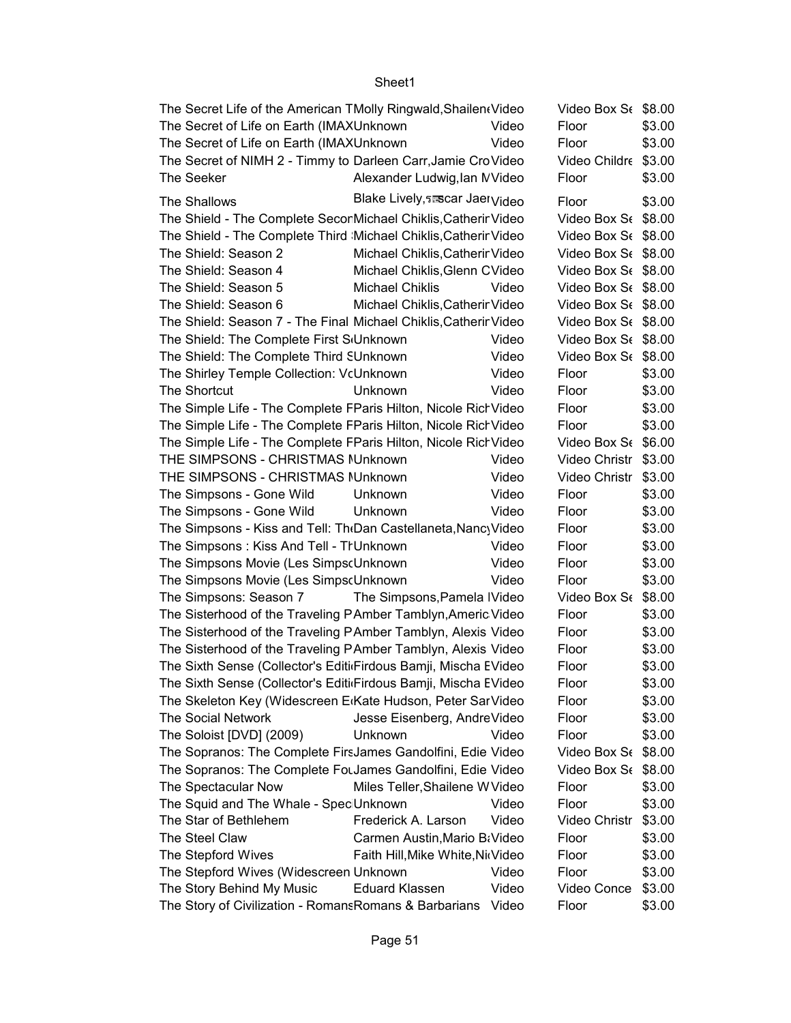| The Secret Life of the American TMolly Ringwald, Shailen (Video            |                                  | Video Box S <sub>f</sub> \$8.00 |        |
|----------------------------------------------------------------------------|----------------------------------|---------------------------------|--------|
| The Secret of Life on Earth (IMAXUnknown                                   | Video                            | Floor                           | \$3.00 |
| The Secret of Life on Earth (IMAXUnknown)                                  | Video                            | Floor                           | \$3.00 |
| The Secret of NIMH 2 - Timmy to Darleen Carr, Jamie CroVideo               |                                  | Video Childre \$3.00            |        |
| The Seeker                                                                 | Alexander Ludwig, lan NVideo     | Floor                           | \$3.00 |
| The Shallows                                                               | Blake Lively, 5 scar Jaer Video  | Floor                           | \$3.00 |
| The Shield - The Complete Secor Michael Chiklis, Catherir Video            |                                  | Video Box S <sub>6</sub> \$8.00 |        |
| The Shield - The Complete Third Michael Chiklis, Catherir Video            |                                  | Video Box St \$8.00             |        |
| The Shield: Season 2                                                       | Michael Chiklis, Catherir Video  | Video Box S <sub>6</sub> \$8.00 |        |
| The Shield: Season 4                                                       | Michael Chiklis, Glenn CVideo    | Video Box St \$8.00             |        |
| The Shield: Season 5<br><b>Michael Chiklis</b>                             | Video                            | Video Box St \$8.00             |        |
| The Shield: Season 6                                                       | Michael Chiklis, Catherir Video  | Video Box St \$8.00             |        |
| The Shield: Season 7 - The Final Michael Chiklis, Catherir Video           |                                  | Video Box St \$8.00             |        |
| The Shield: The Complete First S <sub>'</sub> Unknown                      | Video                            | Video Box St \$8.00             |        |
| The Shield: The Complete Third SUnknown                                    | Video                            | Video Box St \$8.00             |        |
| The Shirley Temple Collection: VcUnknown                                   | Video                            | Floor                           | \$3.00 |
| The Shortcut<br><b>Unknown</b>                                             | Video                            | Floor                           | \$3.00 |
| The Simple Life - The Complete FParis Hilton, Nicole RichVideo             |                                  | Floor                           | \$3.00 |
| The Simple Life - The Complete FParis Hilton, Nicole Rich Video            |                                  | Floor                           | \$3.00 |
| The Simple Life - The Complete FParis Hilton, Nicole RichVideo             |                                  | Video Box $S_f$ \$6.00          |        |
| THE SIMPSONS - CHRISTMAS IUnknown                                          | Video                            | Video Christr \$3.00            |        |
| THE SIMPSONS - CHRISTMAS IUnknown                                          | Video                            | Video Christr                   | \$3.00 |
| The Simpsons - Gone Wild<br>Unknown                                        | Video                            | Floor                           | \$3.00 |
| The Simpsons - Gone Wild<br>Unknown                                        | Video                            | Floor                           | \$3.00 |
| The Simpsons - Kiss and Tell: Th <sub>1</sub> Dan Castellaneta, Nanc Video |                                  | Floor                           | \$3.00 |
| The Simpsons: Kiss And Tell - TrUnknown                                    | Video                            | Floor                           | \$3.00 |
| The Simpsons Movie (Les Simps Unknown                                      | Video                            | Floor                           | \$3.00 |
| The Simpsons Movie (Les Simps Unknown                                      | Video                            | Floor                           | \$3.00 |
| The Simpsons: Season 7                                                     | The Simpsons, Pamela IVideo      | Video Box S <sub>6</sub> \$8.00 |        |
| The Sisterhood of the Traveling PAmber Tamblyn, Americ Video               |                                  | Floor                           | \$3.00 |
| The Sisterhood of the Traveling PAmber Tamblyn, Alexis Video               |                                  | Floor                           | \$3.00 |
| The Sisterhood of the Traveling PAmber Tamblyn, Alexis Video               |                                  | Floor                           | \$3.00 |
| The Sixth Sense (Collector's Editi Firdous Bamji, Mischa EVideo            |                                  | Floor                           | \$3.00 |
| The Sixth Sense (Collector's Editi <sub>firdous</sub> Bamji, Mischa EVideo |                                  | Floor                           | \$3.00 |
| The Skeleton Key (Widescreen E <sub>'</sub> Kate Hudson, Peter SarVideo    |                                  | Floor                           | \$3.00 |
| The Social Network                                                         | Jesse Eisenberg, AndreVideo      | Floor                           | \$3.00 |
| The Soloist [DVD] (2009)<br>Unknown                                        | Video                            | Floor                           | \$3.00 |
| The Sopranos: The Complete FirsJames Gandolfini, Edie Video                |                                  | Video Box St \$8.00             |        |
| The Sopranos: The Complete For James Gandolfini, Edie Video                |                                  | Video Box St \$8.00             |        |
| The Spectacular Now                                                        | Miles Teller, Shailene W Video   | Floor                           | \$3.00 |
| The Squid and The Whale - Spec Unknown                                     | Video                            | Floor                           | \$3.00 |
| The Star of Bethlehem<br>Frederick A. Larson                               | Video                            | Video Christr                   | \$3.00 |
| The Steel Claw                                                             | Carmen Austin, Mario B: Video    | Floor                           | \$3.00 |
| The Stepford Wives                                                         | Faith Hill, Mike White, NicVideo | Floor                           | \$3.00 |
| The Stepford Wives (Widescreen Unknown                                     | Video                            | Floor                           | \$3.00 |
| <b>Eduard Klassen</b><br>The Story Behind My Music                         | Video                            | Video Conce                     | \$3.00 |
| The Story of Civilization - Romans Romans & Barbarians                     | Video                            | Floor                           | \$3.00 |
|                                                                            |                                  |                                 |        |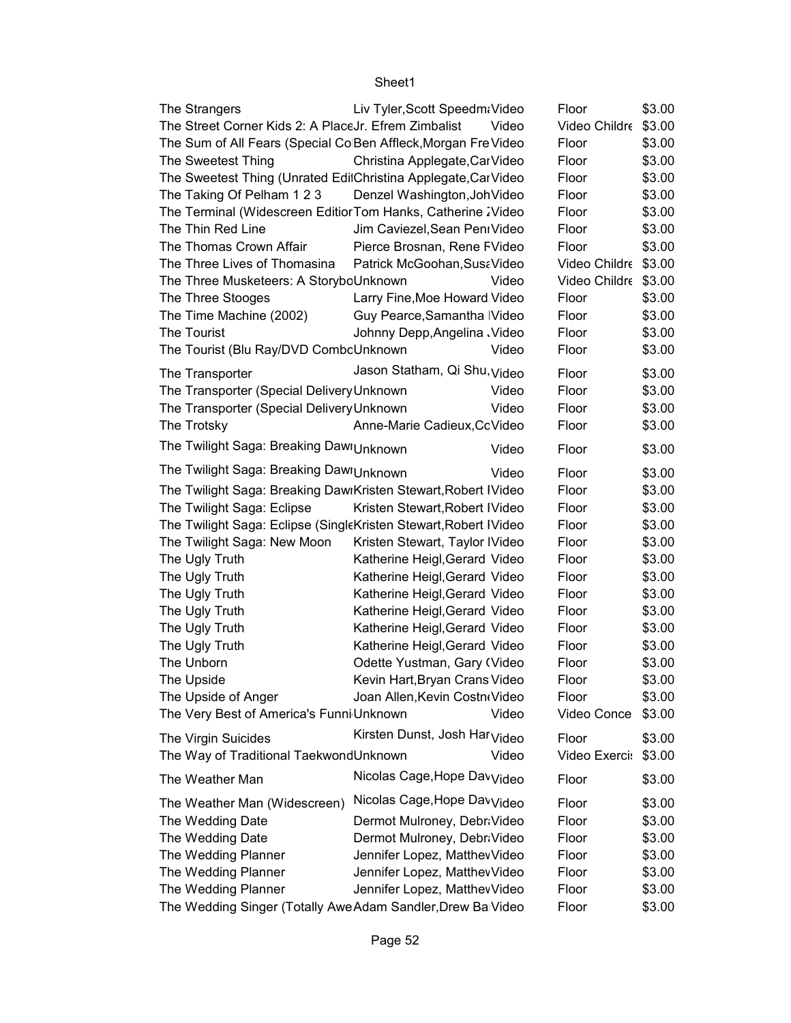| The Strangers                                                    | Liv Tyler, Scott Speedm : Video          |       | Floor                | \$3.00 |  |
|------------------------------------------------------------------|------------------------------------------|-------|----------------------|--------|--|
| The Street Corner Kids 2: A PlaceJr. Efrem Zimbalist             |                                          | Video | Video Childre \$3.00 |        |  |
| The Sum of All Fears (Special Co Ben Affleck, Morgan Fre Video   |                                          |       | Floor                | \$3.00 |  |
| The Sweetest Thing                                               | Christina Applegate, Car Video           |       | Floor                | \$3.00 |  |
| The Sweetest Thing (Unrated EditChristina Applegate, CarVideo    |                                          |       | Floor                | \$3.00 |  |
| The Taking Of Pelham 1 2 3                                       | Denzel Washington, Joh Video             |       | Floor                | \$3.00 |  |
| The Terminal (Widescreen Editior Tom Hanks, Catherine JVideo     |                                          |       | Floor                | \$3.00 |  |
| The Thin Red Line                                                | Jim Caviezel, Sean PenrVideo             |       | Floor                | \$3.00 |  |
| The Thomas Crown Affair                                          | Pierce Brosnan, Rene FVideo              |       | Floor                | \$3.00 |  |
| The Three Lives of Thomasina                                     | Patrick McGoohan, SusaVideo              |       | Video Childre \$3.00 |        |  |
| The Three Musketeers: A StoryboUnknown                           |                                          | Video | Video Childre \$3.00 |        |  |
| The Three Stooges                                                | Larry Fine, Moe Howard Video             |       | Floor                | \$3.00 |  |
| The Time Machine (2002)                                          | Guy Pearce, Samantha IVideo              |       | Floor                | \$3.00 |  |
| The Tourist                                                      | Johnny Depp, Angelina . Video            |       | Floor                | \$3.00 |  |
| The Tourist (Blu Ray/DVD CombcUnknown                            |                                          | Video | Floor                | \$3.00 |  |
|                                                                  | Jason Statham, Qi Shu, Video             |       |                      |        |  |
| The Transporter                                                  |                                          |       | Floor                | \$3.00 |  |
| The Transporter (Special Delivery Unknown                        |                                          | Video | Floor                | \$3.00 |  |
| The Transporter (Special Delivery Unknown                        |                                          | Video | Floor                | \$3.00 |  |
| The Trotsky                                                      | Anne-Marie Cadieux, CcVideo              |       | Floor                | \$3.00 |  |
| The Twilight Saga: Breaking DawlUnknown                          |                                          | Video | Floor                | \$3.00 |  |
| The Twilight Saga: Breaking Dawl Unknown                         |                                          | Video | Floor                | \$3.00 |  |
| The Twilight Saga: Breaking DawiKristen Stewart, Robert IVideo   |                                          |       | Floor                | \$3.00 |  |
| The Twilight Saga: Eclipse                                       | Kristen Stewart, Robert IVideo           |       | Floor                | \$3.00 |  |
| The Twilight Saga: Eclipse (SingleKristen Stewart, Robert IVideo |                                          |       | Floor                | \$3.00 |  |
| The Twilight Saga: New Moon                                      | Kristen Stewart, Taylor IVideo           |       | Floor                | \$3.00 |  |
| The Ugly Truth                                                   | Katherine Heigl, Gerard Video            |       | Floor                | \$3.00 |  |
| The Ugly Truth                                                   | Katherine Heigl, Gerard Video            |       | Floor                | \$3.00 |  |
| The Ugly Truth                                                   | Katherine Heigl, Gerard Video            |       | Floor                | \$3.00 |  |
| The Ugly Truth                                                   | Katherine Heigl, Gerard Video            |       | Floor                | \$3.00 |  |
| The Ugly Truth                                                   | Katherine Heigl, Gerard Video            |       | Floor                | \$3.00 |  |
| The Ugly Truth                                                   | Katherine Heigl, Gerard Video            |       | Floor                | \$3.00 |  |
| The Unborn                                                       | Odette Yustman, Gary (Video              |       | Floor                | \$3.00 |  |
| The Upside                                                       | Kevin Hart, Bryan Crans Video            |       | Floor                | \$3.00 |  |
|                                                                  | Joan Allen, Kevin Costn Video            |       |                      | \$3.00 |  |
| The Upside of Anger                                              |                                          |       | Floor<br>Video Conce |        |  |
| The Very Best of America's Funni Unknown                         |                                          | Video |                      | \$3.00 |  |
| The Virgin Suicides                                              | Kirsten Dunst, Josh Har <sub>Video</sub> |       | Floor                | \$3.00 |  |
| The Way of Traditional TaekwondUnknown                           |                                          | Video | Video Exerci: \$3.00 |        |  |
| The Weather Man                                                  | Nicolas Cage, Hope Dav <sub>Video</sub>  |       | Floor                | \$3.00 |  |
| The Weather Man (Widescreen)                                     | Nicolas Cage, Hope Dav <sub>Video</sub>  |       | Floor                | \$3.00 |  |
| The Wedding Date                                                 | Dermot Mulroney, DebraVideo              |       | Floor                | \$3.00 |  |
| The Wedding Date                                                 | Dermot Mulroney, DebraVideo              |       | Floor                | \$3.00 |  |
| The Wedding Planner                                              | Jennifer Lopez, MatthevVideo             |       | Floor                | \$3.00 |  |
| The Wedding Planner                                              | Jennifer Lopez, Matthev Video            |       | Floor                | \$3.00 |  |
| The Wedding Planner                                              | Jennifer Lopez, MatthevVideo             |       | Floor                | \$3.00 |  |
| The Wedding Singer (Totally Awe Adam Sandler, Drew BalVideo      |                                          |       | Floor                | \$3.00 |  |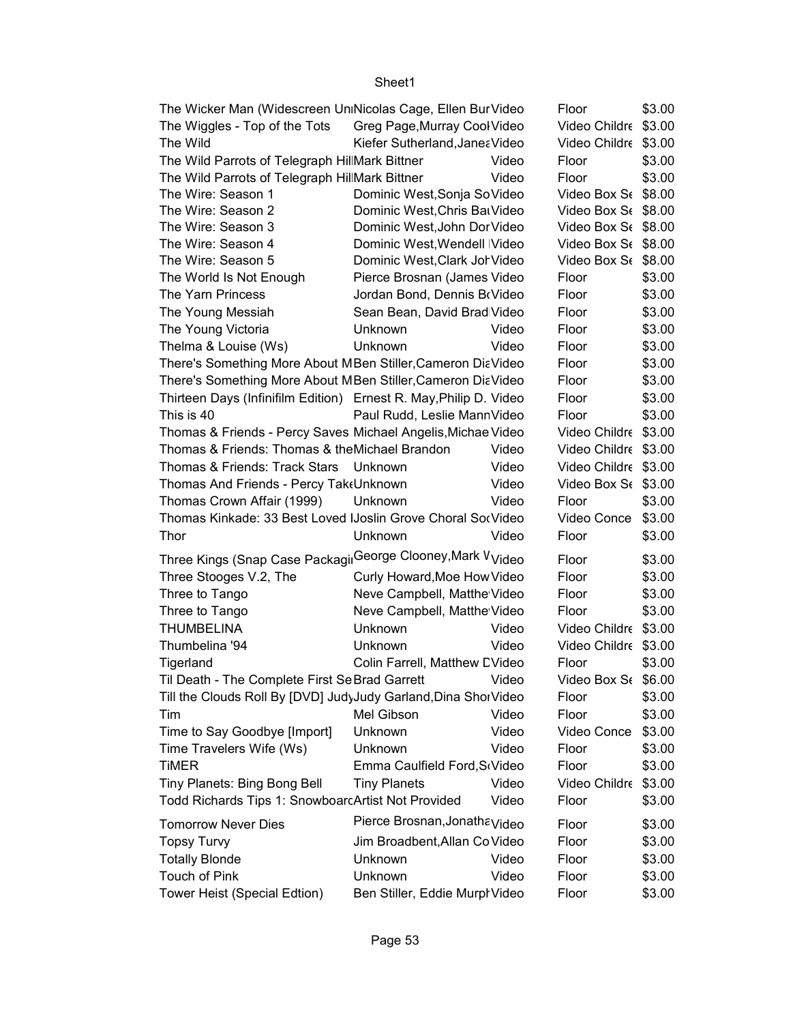| The Wicker Man (Widescreen Un Nicolas Cage, Ellen Bur Video       |                                |       | Floor                           | \$3.00 |
|-------------------------------------------------------------------|--------------------------------|-------|---------------------------------|--------|
| The Wiggles - Top of the Tots                                     | Greg Page, Murray Cool Video   |       | Video Childre \$3.00            |        |
| The Wild                                                          | Kiefer Sutherland, Janea Video |       | Video Childre \$3.00            |        |
| The Wild Parrots of Telegraph Hil Mark Bittner                    |                                | Video | Floor                           | \$3.00 |
| The Wild Parrots of Telegraph Hil Mark Bittner                    |                                | Video | Floor                           | \$3.00 |
| The Wire: Season 1                                                | Dominic West, Sonja So Video   |       | Video Box S <sub>6</sub> \$8.00 |        |
| The Wire: Season 2                                                | Dominic West, Chris Bat Video  |       | Video Box S <sub>6</sub> \$8.00 |        |
| The Wire: Season 3                                                | Dominic West, John Dor Video   |       | Video Box S <sub>6</sub> \$8.00 |        |
| The Wire: Season 4                                                | Dominic West, Wendell   Video  |       | Video Box S <sub>6</sub> \$8.00 |        |
| The Wire: Season 5                                                | Dominic West, Clark Jor Video  |       | Video Box S <sub>6</sub> \$8.00 |        |
| The World Is Not Enough                                           | Pierce Brosnan (James Video    |       | Floor                           | \$3.00 |
| The Yarn Princess                                                 | Jordan Bond, Dennis BrVideo    |       | Floor                           | \$3.00 |
| The Young Messiah                                                 | Sean Bean, David Brad Video    |       | Floor                           | \$3.00 |
| The Young Victoria                                                | Unknown                        | Video | Floor                           | \$3.00 |
| Thelma & Louise (Ws)                                              | Unknown                        | Video | Floor                           | \$3.00 |
| There's Something More About MBen Stiller, Cameron DiaVideo       |                                |       | Floor                           | \$3.00 |
| There's Something More About MBen Stiller, Cameron DiaVideo       |                                |       | Floor                           | \$3.00 |
|                                                                   |                                |       |                                 |        |
| Thirteen Days (Infinifilm Edition) Ernest R. May, Philip D. Video |                                |       | Floor                           | \$3.00 |
| This is 40                                                        | Paul Rudd, Leslie MannVideo    |       | Floor                           | \$3.00 |
| Thomas & Friends - Percy Saves Michael Angelis, Michae Video      |                                |       | Video Childre \$3.00            |        |
| Thomas & Friends: Thomas & the Michael Brandon                    |                                | Video | Video Childre \$3.00            |        |
| Thomas & Friends: Track Stars Unknown                             |                                | Video | Video Childre \$3.00            |        |
| Thomas And Friends - Percy Tak(Unknown                            |                                | Video | Video Box S <sub>6</sub> \$3.00 |        |
| Thomas Crown Affair (1999)                                        | Unknown                        | Video | Floor                           | \$3.00 |
| Thomas Kinkade: 33 Best Loved IJoslin Grove Choral SocVideo       |                                |       | Video Conce \$3.00              |        |
| Thor                                                              | Unknown                        | Video | Floor                           | \$3.00 |
| Three Kings (Snap Case Packagil George Clooney, Mark V Video      |                                |       | Floor                           | \$3.00 |
| Three Stooges V.2, The                                            | Curly Howard, Moe How Video    |       | Floor                           | \$3.00 |
| Three to Tango                                                    | Neve Campbell, Matthe Video    |       | Floor                           | \$3.00 |
| Three to Tango                                                    | Neve Campbell, Matthe Video    |       | Floor                           | \$3.00 |
| <b>THUMBELINA</b>                                                 | Unknown                        | Video | Video Childre \$3.00            |        |
| Thumbelina '94                                                    | Unknown                        | Video | Video Childre \$3.00            |        |
| Tigerland                                                         | Colin Farrell, Matthew CVideo  |       | Floor                           | \$3.00 |
|                                                                   |                                |       |                                 |        |
| Til Death - The Complete First Se Brad Garrett                    |                                | Video | Video Box St \$6.00             |        |
| Till the Clouds Roll By [DVD] JudyJudy Garland, Dina ShorVideo    |                                |       | Floor                           | \$3.00 |
| Tim                                                               | Mel Gibson                     | Video | Floor                           | \$3.00 |
| Time to Say Goodbye [Import]                                      | Unknown                        | Video | Video Conce                     | \$3.00 |
| Time Travelers Wife (Ws)                                          | Unknown                        | Video | Floor                           | \$3.00 |
| <b>TiMER</b>                                                      | Emma Caulfield Ford, S Video   |       | Floor                           | \$3.00 |
| Tiny Planets: Bing Bong Bell                                      | <b>Tiny Planets</b>            | Video | Video Childre \$3.00            |        |
| Todd Richards Tips 1: SnowboarcArtist Not Provided                |                                | Video | Floor                           | \$3.00 |
| <b>Tomorrow Never Dies</b>                                        | Pierce Brosnan, Jonatha Video  |       | Floor                           | \$3.00 |
| <b>Topsy Turvy</b>                                                | Jim Broadbent, Allan Co Video  |       | Floor                           | \$3.00 |
| <b>Totally Blonde</b>                                             | Unknown                        | Video | Floor                           | \$3.00 |
| Touch of Pink                                                     | Unknown                        | Video | Floor                           | \$3.00 |
| Tower Heist (Special Edtion)                                      | Ben Stiller, Eddie Murpl Video |       | Floor                           | \$3.00 |
|                                                                   |                                |       |                                 |        |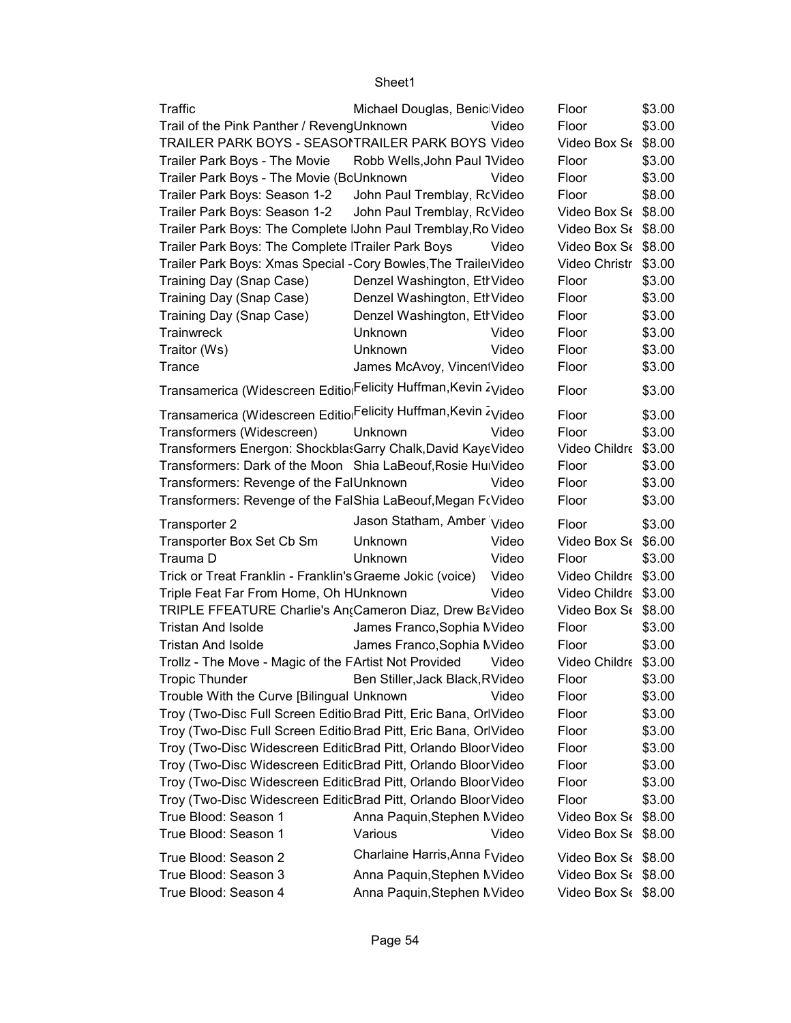| Traffic                                                                    | Michael Douglas, Benic Video              |       | Floor                | \$3.00 |  |
|----------------------------------------------------------------------------|-------------------------------------------|-------|----------------------|--------|--|
| Trail of the Pink Panther / RevengUnknown                                  |                                           | Video | Floor                | \$3.00 |  |
| TRAILER PARK BOYS - SEASONTRAILER PARK BOYS Video                          |                                           |       | Video Box St \$8.00  |        |  |
| Trailer Park Boys - The Movie                                              | Robb Wells, John Paul 1Video              |       | Floor                | \$3.00 |  |
| Trailer Park Boys - The Movie (BcUnknown                                   |                                           | Video | Floor                | \$3.00 |  |
| Trailer Park Boys: Season 1-2                                              | John Paul Tremblay, RcVideo               |       | Floor                | \$8.00 |  |
| Trailer Park Boys: Season 1-2                                              | John Paul Tremblay, RcVideo               |       | Video Box St \$8.00  |        |  |
| Trailer Park Boys: The Complete IJohn Paul Tremblay, RolVideo              |                                           |       | Video Box Se \$8.00  |        |  |
| Trailer Park Boys: The Complete   Trailer Park Boys                        |                                           | Video | Video Box St \$8.00  |        |  |
| Trailer Park Boys: Xmas Special - Cory Bowles, The Traile Video            |                                           |       | Video Christr \$3.00 |        |  |
| Training Day (Snap Case)                                                   | Denzel Washington, Eth Video              |       | Floor                | \$3.00 |  |
| Training Day (Snap Case)                                                   | Denzel Washington, Eth Video              |       | Floor                | \$3.00 |  |
|                                                                            | Denzel Washington, Eth Video              |       | Floor                | \$3.00 |  |
| Training Day (Snap Case)<br>Trainwreck                                     | Unknown                                   | Video | Floor                | \$3.00 |  |
|                                                                            |                                           | Video | Floor                | \$3.00 |  |
| Traitor (Ws)                                                               | Unknown                                   |       |                      |        |  |
| Trance                                                                     | James McAvoy, VincentVideo                |       | Floor                | \$3.00 |  |
| Transamerica (Widescreen Editio Felicity Huffman, Kevin Z <sub>Video</sub> |                                           |       | Floor                | \$3.00 |  |
| Transamerica (Widescreen Editio Felicity Huffman, Kevin Zvideo             |                                           |       | Floor                | \$3.00 |  |
| Transformers (Widescreen)                                                  | Unknown                                   | Video | Floor                | \$3.00 |  |
| Transformers Energon: Shockbla: Garry Chalk, David Kaye Video              |                                           |       | Video Childre \$3.00 |        |  |
| Transformers: Dark of the Moon Shia LaBeouf, Rosie HulVideo                |                                           |       | Floor                | \$3.00 |  |
| Transformers: Revenge of the FalUnknown                                    |                                           | Video | Floor                | \$3.00 |  |
| Transformers: Revenge of the FalShia LaBeouf, Megan FrVideo                |                                           |       | Floor                | \$3.00 |  |
| Transporter 2                                                              | Jason Statham, Amber Video                |       | Floor                | \$3.00 |  |
| Transporter Box Set Cb Sm                                                  | Unknown                                   | Video | Video Box St \$6.00  |        |  |
| Trauma D                                                                   | Unknown                                   | Video | Floor                | \$3.00 |  |
| Trick or Treat Franklin - Franklin's Graeme Jokic (voice)                  |                                           | Video | Video Childre \$3.00 |        |  |
| Triple Feat Far From Home, Oh HUnknown                                     |                                           | Video | Video Childre \$3.00 |        |  |
| TRIPLE FFEATURE Charlie's An(Cameron Diaz, Drew BaVideo                    |                                           |       | Video Box St \$8.00  |        |  |
| <b>Tristan And Isolde</b>                                                  | James Franco, Sophia NVideo               |       | Floor                | \$3.00 |  |
| <b>Tristan And Isolde</b>                                                  | James Franco, Sophia NVideo               |       | Floor                | \$3.00 |  |
| Trollz - The Move - Magic of the FArtist Not Provided                      |                                           | Video | Video Childre \$3.00 |        |  |
| <b>Tropic Thunder</b>                                                      | Ben Stiller, Jack Black, RVideo           |       | Floor                | \$3.00 |  |
|                                                                            |                                           |       |                      | \$3.00 |  |
| Trouble With the Curve [Bilingual Unknown                                  |                                           | Video | Floor                |        |  |
| Troy (Two-Disc Full Screen Editio Brad Pitt, Eric Bana, OrlVideo           |                                           |       | Floor                | \$3.00 |  |
| Troy (Two-Disc Full Screen Editio Brad Pitt, Eric Bana, OrlVideo           |                                           |       | Floor                | \$3.00 |  |
| Troy (Two-Disc Widescreen EditicBrad Pitt, Orlando Bloor Video             |                                           |       | Floor                | \$3.00 |  |
| Troy (Two-Disc Widescreen EditicBrad Pitt, Orlando Bloor Video             |                                           |       | Floor                | \$3.00 |  |
| Troy (Two-Disc Widescreen EditicBrad Pitt, Orlando Bloor Video             |                                           |       | Floor                | \$3.00 |  |
| Troy (Two-Disc Widescreen EditicBrad Pitt, Orlando Bloor Video             |                                           |       | Floor                | \$3.00 |  |
| True Blood: Season 1                                                       | Anna Paquin, Stephen NVideo               |       | Video Box Se \$8.00  |        |  |
| True Blood: Season 1                                                       | Various                                   | Video | Video Box St \$8.00  |        |  |
| True Blood: Season 2                                                       | Charlaine Harris, Anna F <sub>Video</sub> |       | Video Box Se \$8.00  |        |  |
| True Blood: Season 3                                                       | Anna Paquin, Stephen NVideo               |       | Video Box Se \$8.00  |        |  |
|                                                                            |                                           |       |                      |        |  |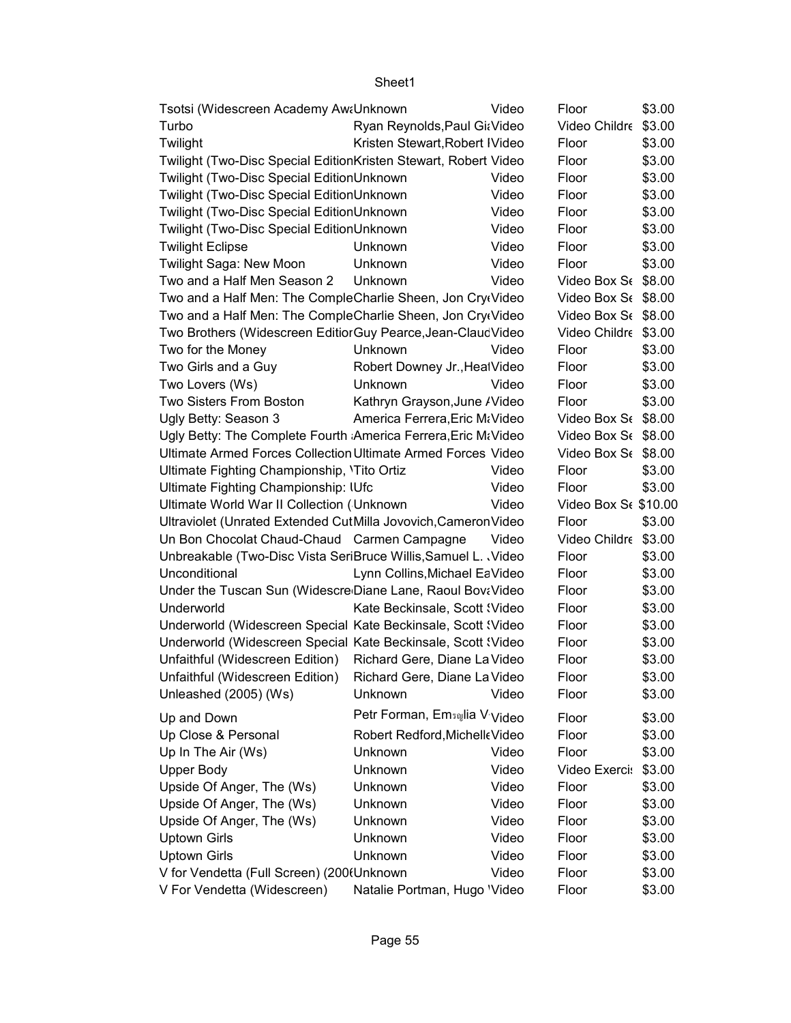| Tsotsi (Widescreen Academy Aw: Unknown                                                |                                | Video | Floor                            | \$3.00           |
|---------------------------------------------------------------------------------------|--------------------------------|-------|----------------------------------|------------------|
| Turbo                                                                                 | Ryan Reynolds, Paul GitVideo   |       | Video Childre \$3.00             |                  |
| Twilight                                                                              | Kristen Stewart, Robert IVideo |       | Floor                            | \$3.00           |
| Twilight (Two-Disc Special EditionKristen Stewart, Robert Video                       |                                |       | Floor                            | \$3.00           |
| Twilight (Two-Disc Special EditionUnknown                                             |                                | Video | Floor                            | \$3.00           |
| Twilight (Two-Disc Special EditionUnknown                                             |                                | Video | Floor                            | \$3.00           |
| Twilight (Two-Disc Special EditionUnknown                                             |                                | Video | Floor                            | \$3.00           |
| Twilight (Two-Disc Special EditionUnknown                                             |                                | Video | Floor                            | \$3.00           |
| <b>Twilight Eclipse</b>                                                               | Unknown                        | Video | Floor                            | \$3.00           |
| Twilight Saga: New Moon                                                               | Unknown                        | Video | Floor                            | \$3.00           |
| Two and a Half Men Season 2                                                           | Unknown                        | Video | Video Box Se \$8.00              |                  |
| Two and a Half Men: The CompleCharlie Sheen, Jon CrytVideo                            |                                |       | Video Box St \$8.00              |                  |
| Two and a Half Men: The CompleCharlie Sheen, Jon CrytVideo                            |                                |       | Video Box St \$8.00              |                  |
| Two Brothers (Widescreen Editior Guy Pearce, Jean-Claud Video                         |                                |       | Video Childre \$3.00             |                  |
| Two for the Money                                                                     | Unknown                        | Video | Floor                            | \$3.00           |
| Two Girls and a Guy                                                                   | Robert Downey Jr., HealVideo   |       | Floor                            | \$3.00           |
| Two Lovers (Ws)                                                                       | Unknown                        | Video | Floor                            | \$3.00           |
| Two Sisters From Boston                                                               | Kathryn Grayson, June / Video  |       | Floor                            | \$3.00           |
| Ugly Betty: Season 3                                                                  | America Ferrera, Eric MtVideo  |       | Video Box S <sub>6</sub> \$8.00  |                  |
| Ugly Betty: The Complete Fourth America Ferrera, Eric MtVideo                         |                                |       | Video Box Se \$8.00              |                  |
| Ultimate Armed Forces Collection Ultimate Armed Forces Video                          |                                |       | Video Box S <sub>6</sub> \$8.00  |                  |
| Ultimate Fighting Championship, 'Tito Ortiz                                           |                                | Video | Floor                            | \$3.00           |
| Ultimate Fighting Championship: IUfc                                                  |                                | Video | Floor                            | \$3.00           |
| Ultimate World War II Collection (Unknown                                             |                                | Video | Video Box S <sub>6</sub> \$10.00 |                  |
| Ultraviolet (Unrated Extended CutMilla Jovovich, Cameron Video                        |                                |       | Floor                            | \$3.00           |
| Un Bon Chocolat Chaud-Chaud Carmen Campagne                                           |                                | Video | Video Childre \$3.00             |                  |
| Unbreakable (Two-Disc Vista SeriBruce Willis, Samuel L. Video                         |                                |       | Floor                            | \$3.00           |
| Unconditional                                                                         | Lynn Collins, Michael EaVideo  |       | Floor                            | \$3.00           |
| Under the Tuscan Sun (Widescre Diane Lane, Raoul Bova Video                           |                                |       | Floor                            | \$3.00           |
| Underworld                                                                            | Kate Beckinsale, Scott Wideo   |       | Floor                            | \$3.00           |
| Underworld (Widescreen Special Kate Beckinsale, Scott (Video                          |                                |       | Floor                            | \$3.00           |
| Underworld (Widescreen Special Kate Beckinsale, Scott (Video                          |                                |       | Floor                            | \$3.00           |
| Unfaithful (Widescreen Edition) Richard Gere, Diane La Video                          |                                |       | Floor                            | \$3.00           |
|                                                                                       |                                |       |                                  |                  |
| Unfaithful (Widescreen Edition) Richard Gere, Diane La Video<br>Unleashed (2005) (Ws) |                                |       | Floor                            | \$3.00<br>\$3.00 |
|                                                                                       | Unknown                        | Video | Floor                            |                  |
| Up and Down                                                                           | Petr Forman, Emsaylia V Video  |       | Floor                            | \$3.00           |
| Up Close & Personal                                                                   | Robert Redford, Michell eVideo |       | Floor                            | \$3.00           |
| Up In The Air (Ws)                                                                    | Unknown                        | Video | Floor                            | \$3.00           |
| <b>Upper Body</b>                                                                     | Unknown                        | Video | Video Exerci: \$3.00             |                  |
| Upside Of Anger, The (Ws)                                                             | Unknown                        | Video | Floor                            | \$3.00           |
| Upside Of Anger, The (Ws)                                                             | Unknown                        | Video | Floor                            | \$3.00           |
| Upside Of Anger, The (Ws)                                                             | Unknown                        | Video | Floor                            | \$3.00           |
| <b>Uptown Girls</b>                                                                   | Unknown                        | Video | Floor                            | \$3.00           |
| <b>Uptown Girls</b>                                                                   | Unknown                        | Video | Floor                            | \$3.00           |
| V for Vendetta (Full Screen) (200(Unknown                                             |                                | Video | Floor                            | \$3.00           |
| V For Vendetta (Widescreen)                                                           | Natalie Portman, Hugo 'Video   |       | Floor                            | \$3.00           |
|                                                                                       |                                |       |                                  |                  |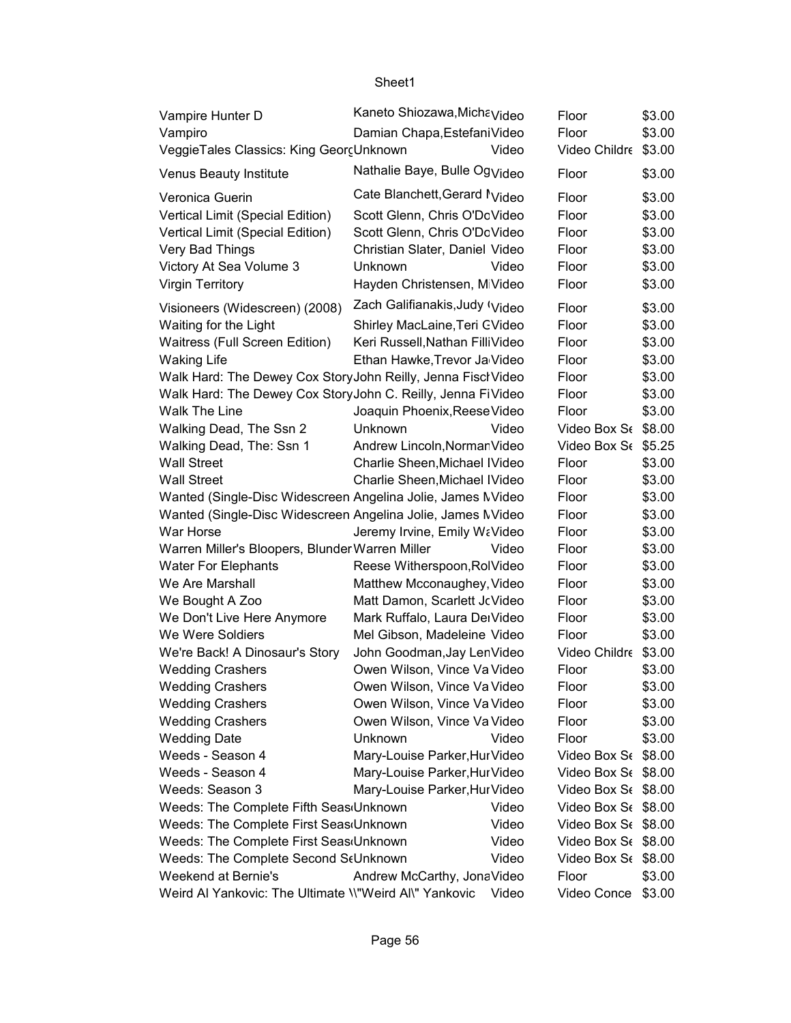| Vampire Hunter D                                             | Kaneto Shiozawa, Michavideo               |       | Floor                           | \$3.00 |
|--------------------------------------------------------------|-------------------------------------------|-------|---------------------------------|--------|
| Vampiro                                                      | Damian Chapa, Estefani Video              |       | Floor                           | \$3.00 |
| VeggieTales Classics: King GeorgUnknown                      |                                           | Video | Video Childre \$3.00            |        |
| <b>Venus Beauty Institute</b>                                | Nathalie Baye, Bulle Og <sub>Video</sub>  |       | Floor                           | \$3.00 |
| Veronica Guerin                                              | Cate Blanchett, Gerard N <sub>Video</sub> |       | Floor                           | \$3.00 |
| Vertical Limit (Special Edition)                             | Scott Glenn, Chris O'DoVideo              |       | Floor                           | \$3.00 |
| Vertical Limit (Special Edition)                             | Scott Glenn, Chris O'DoVideo              |       | Floor                           | \$3.00 |
| Very Bad Things                                              | Christian Slater, Daniel Video            |       | Floor                           | \$3.00 |
| Victory At Sea Volume 3                                      | Unknown                                   | Video | Floor                           | \$3.00 |
|                                                              |                                           |       |                                 |        |
| <b>Virgin Territory</b>                                      | Hayden Christensen, MiVideo               |       | Floor                           | \$3.00 |
| Visioneers (Widescreen) (2008)                               | Zach Galifianakis, Judy (Video            |       | Floor                           | \$3.00 |
| Waiting for the Light                                        | Shirley MacLaine, Teri CVideo             |       | Floor                           | \$3.00 |
| Waitress (Full Screen Edition)                               | Keri Russell, Nathan FilliVideo           |       | Floor                           | \$3.00 |
| <b>Waking Life</b>                                           | Ethan Hawke, Trevor Ja Video              |       | Floor                           | \$3.00 |
| Walk Hard: The Dewey Cox StoryJohn Reilly, Jenna FischVideo  |                                           |       | Floor                           | \$3.00 |
| Walk Hard: The Dewey Cox StoryJohn C. Reilly, Jenna FiVideo  |                                           |       | Floor                           | \$3.00 |
| <b>Walk The Line</b>                                         | Joaquin Phoenix, Reese Video              |       | Floor                           | \$3.00 |
| Walking Dead, The Ssn 2                                      | Unknown                                   | Video | Video Box S <sub>6</sub> \$8.00 |        |
| Walking Dead, The: Ssn 1                                     | Andrew Lincoln, Norman Video              |       | Video Box S <sub>6</sub> \$5.25 |        |
| <b>Wall Street</b>                                           | Charlie Sheen, Michael IVideo             |       | Floor                           | \$3.00 |
| <b>Wall Street</b>                                           | Charlie Sheen, Michael IVideo             |       | Floor                           | \$3.00 |
| Wanted (Single-Disc Widescreen Angelina Jolie, James NVideo  |                                           |       | Floor                           | \$3.00 |
| Wanted (Single-Disc Widescreen Angelina Jolie, James NVideo  |                                           |       | Floor                           | \$3.00 |
| War Horse                                                    | Jeremy Irvine, Emily WaVideo              |       | Floor                           | \$3.00 |
|                                                              |                                           |       |                                 |        |
| Warren Miller's Bloopers, Blunder Warren Miller              |                                           | Video | Floor                           | \$3.00 |
| <b>Water For Elephants</b>                                   | Reese Witherspoon, Rol Video              |       | Floor                           | \$3.00 |
| We Are Marshall                                              | Matthew Mcconaughey, Video                |       | Floor                           | \$3.00 |
| We Bought A Zoo                                              | Matt Damon, Scarlett JcVideo              |       | Floor                           | \$3.00 |
| We Don't Live Here Anymore                                   | Mark Ruffalo, Laura DerVideo              |       | Floor                           | \$3.00 |
| We Were Soldiers                                             | Mel Gibson, Madeleine Video               |       | Floor                           | \$3.00 |
| We're Back! A Dinosaur's Story                               | John Goodman, Jay LenVideo                |       | Video Childre \$3.00            |        |
| <b>Wedding Crashers</b>                                      | Owen Wilson, Vince Va Video               |       | Floor                           | \$3.00 |
| <b>Wedding Crashers</b>                                      | Owen Wilson, Vince Va Video               |       | Floor                           | \$3.00 |
| <b>Wedding Crashers</b>                                      | Owen Wilson, Vince Va Video               |       | Floor                           | \$3.00 |
| <b>Wedding Crashers</b>                                      | Owen Wilson, Vince Va Video               |       | Floor                           | \$3.00 |
| <b>Wedding Date</b>                                          | Unknown                                   | Video | Floor                           | \$3.00 |
| Weeds - Season 4                                             | Mary-Louise Parker, Hur Video             |       | Video Box Se \$8.00             |        |
| Weeds - Season 4                                             | Mary-Louise Parker, Hur Video             |       | Video Box St \$8.00             |        |
| Weeds: Season 3                                              | Mary-Louise Parker, Hur Video             |       | Video Box S <sub>6</sub> \$8.00 |        |
| Weeds: The Complete Fifth Seas Unknown                       |                                           | Video | Video Box S <sub>f</sub> \$8.00 |        |
| Weeds: The Complete First Seas Unknown                       |                                           | Video | Video Box St \$8.00             |        |
| Weeds: The Complete First Seas Unknown                       |                                           | Video | Video Box St \$8.00             |        |
| Weeds: The Complete Second StUnknown                         |                                           | Video | Video Box S <sub>6</sub> \$8.00 |        |
| Weekend at Bernie's                                          | Andrew McCarthy, JonaVideo                |       | Floor                           | \$3.00 |
|                                                              |                                           |       |                                 |        |
| Weird Al Yankovic: The Ultimate \\"Weird Al\" Yankovic Video |                                           |       | Video Conce \$3.00              |        |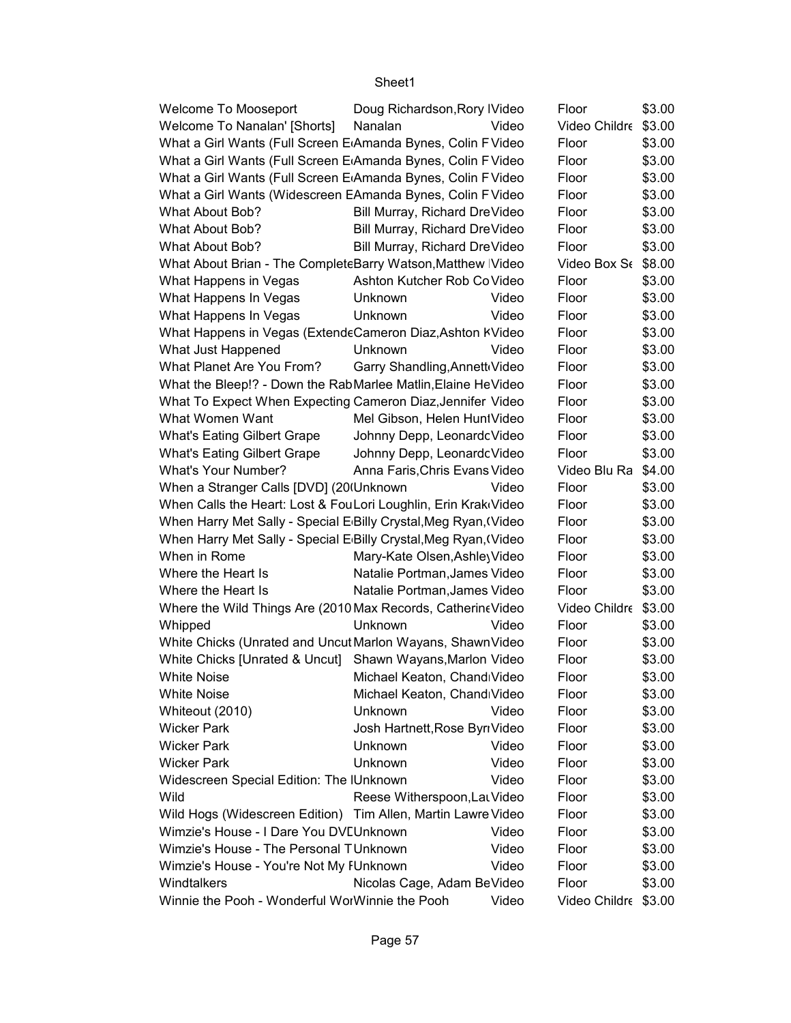| <b>Welcome To Mooseport</b>                                               | Doug Richardson, Rory IVideo   |       | Floor                | \$3.00 |
|---------------------------------------------------------------------------|--------------------------------|-------|----------------------|--------|
| Welcome To Nanalan' [Shorts]                                              | Nanalan                        | Video | Video Childre        | \$3.00 |
| What a Girl Wants (Full Screen E <sub>'</sub> Amanda Bynes, Colin F Video |                                |       | Floor                | \$3.00 |
| What a Girl Wants (Full Screen E <sub>'</sub> Amanda Bynes, Colin F Video |                                |       | Floor                | \$3.00 |
| What a Girl Wants (Full Screen E <sub>'</sub> Amanda Bynes, Colin F Video |                                |       | Floor                | \$3.00 |
| What a Girl Wants (Widescreen EAmanda Bynes, Colin F Video                |                                |       | Floor                | \$3.00 |
| What About Bob?                                                           | Bill Murray, Richard DreVideo  |       | Floor                | \$3.00 |
| What About Bob?                                                           | Bill Murray, Richard DreVideo  |       | Floor                | \$3.00 |
| What About Bob?                                                           | Bill Murray, Richard DreVideo  |       | Floor                | \$3.00 |
| What About Brian - The CompleteBarry Watson, Matthew IVideo               |                                |       | Video Box Se \$8.00  |        |
| What Happens in Vegas                                                     | Ashton Kutcher Rob Co Video    |       | Floor                | \$3.00 |
| What Happens In Vegas                                                     | Unknown                        | Video | Floor                | \$3.00 |
| What Happens In Vegas                                                     | Unknown                        | Video | Floor                | \$3.00 |
| What Happens in Vegas (ExtendeCameron Diaz, Ashton KVideo                 |                                |       | Floor                | \$3.00 |
| What Just Happened                                                        | Unknown                        | Video | Floor                | \$3.00 |
| What Planet Are You From?                                                 | Garry Shandling, Annett Video  |       | Floor                | \$3.00 |
| What the Bleep!? - Down the RabMarlee Matlin, Elaine HeVideo              |                                |       | Floor                | \$3.00 |
| What To Expect When Expecting Cameron Diaz, Jennifer Video                |                                |       | Floor                | \$3.00 |
| What Women Want                                                           | Mel Gibson, Helen HuntVideo    |       | Floor                | \$3.00 |
| <b>What's Eating Gilbert Grape</b>                                        | Johnny Depp, LeonardcVideo     |       | Floor                | \$3.00 |
| What's Eating Gilbert Grape                                               | Johnny Depp, LeonardcVideo     |       | Floor                | \$3.00 |
| <b>What's Your Number?</b>                                                | Anna Faris, Chris Evans Video  |       | Video Blu Ra         | \$4.00 |
| When a Stranger Calls [DVD] (20 Unknown)                                  |                                | Video | Floor                | \$3.00 |
| When Calls the Heart: Lost & FouLori Loughlin, Erin Krak Video            |                                |       | Floor                | \$3.00 |
| When Harry Met Sally - Special E Billy Crystal, Meg Ryan, (Video          |                                |       | Floor                | \$3.00 |
| When Harry Met Sally - Special E Billy Crystal, Meg Ryan, (Video          |                                |       | Floor                | \$3.00 |
| When in Rome                                                              | Mary-Kate Olsen, Ashle Video   |       | Floor                | \$3.00 |
| Where the Heart Is                                                        | Natalie Portman, James Video   |       | Floor                | \$3.00 |
| Where the Heart Is                                                        | Natalie Portman, James Video   |       | Floor                | \$3.00 |
| Where the Wild Things Are (2010 Max Records, Catherine Video              |                                |       | Video Childre        | \$3.00 |
| Whipped                                                                   | Unknown                        | Video | Floor                | \$3.00 |
| White Chicks (Unrated and Uncut Marlon Wayans, Shawn Video                |                                |       | Floor                | \$3.00 |
| White Chicks [Unrated & Uncut] Shawn Wayans, Marlon Video                 |                                |       | Floor                | \$3.00 |
|                                                                           |                                |       |                      |        |
| White Noise                                                               | Michael Keaton, Chand Video    |       | Floor                | \$3.00 |
| <b>White Noise</b>                                                        | Michael Keaton, ChandiVideo    |       | Floor                | \$3.00 |
| Whiteout (2010)                                                           | Unknown                        | Video | Floor                | \$3.00 |
| <b>Wicker Park</b>                                                        | Josh Hartnett, Rose Byrr Video |       | Floor                | \$3.00 |
| <b>Wicker Park</b>                                                        | Unknown                        | Video | Floor                | \$3.00 |
| <b>Wicker Park</b>                                                        | Unknown                        | Video | Floor                | \$3.00 |
| Widescreen Special Edition: The IUnknown                                  |                                | Video | Floor                | \$3.00 |
| Wild                                                                      | Reese Witherspoon, Lat Video   |       | Floor                | \$3.00 |
| Wild Hogs (Widescreen Edition) Tim Allen, Martin Lawre Video              |                                |       | Floor                | \$3.00 |
| Wimzie's House - I Dare You DVEUnknown                                    |                                | Video | Floor                | \$3.00 |
| Wimzie's House - The Personal TUnknown                                    |                                | Video | Floor                | \$3.00 |
| Wimzie's House - You're Not My FUnknown                                   |                                | Video | Floor                | \$3.00 |
| Windtalkers                                                               | Nicolas Cage, Adam BeVideo     |       | Floor                | \$3.00 |
| Winnie the Pooh - Wonderful WorWinnie the Pooh                            |                                | Video | Video Childre \$3.00 |        |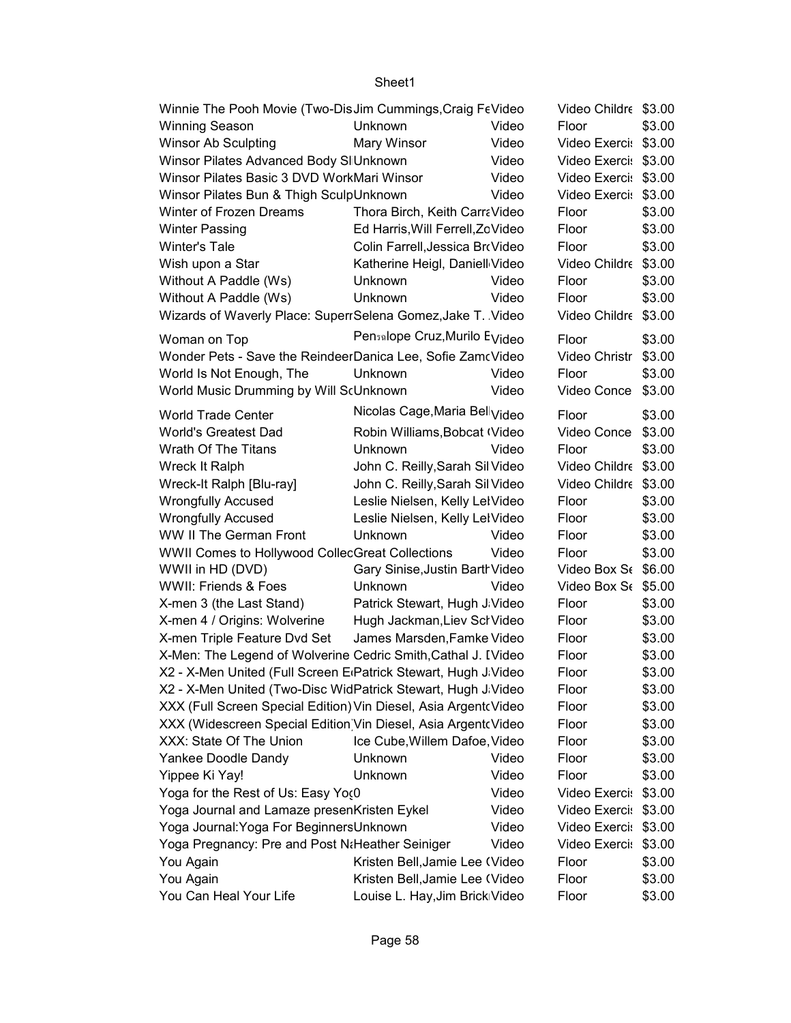| Winnie The Pooh Movie (Two-Dis Jim Cummings, Craig FeVideo                  |                                                        |       | Video Childre \$3.00            |        |
|-----------------------------------------------------------------------------|--------------------------------------------------------|-------|---------------------------------|--------|
| <b>Winning Season</b>                                                       | Unknown                                                | Video | Floor                           | \$3.00 |
| <b>Winsor Ab Sculpting</b>                                                  | Mary Winsor                                            | Video | Video Exerci: \$3.00            |        |
| Winsor Pilates Advanced Body SI Unknown                                     |                                                        | Video | Video Exerci: \$3.00            |        |
| Winsor Pilates Basic 3 DVD WorkMari Winsor                                  |                                                        | Video | Video Exerci: \$3.00            |        |
| Winsor Pilates Bun & Thigh SculpUnknown                                     |                                                        | Video | Video Exerci: \$3.00            |        |
| Winter of Frozen Dreams                                                     | Thora Birch, Keith CarraVideo                          |       | Floor                           | \$3.00 |
| <b>Winter Passing</b>                                                       | Ed Harris, Will Ferrell, Zo Video                      |       | Floor                           | \$3.00 |
| <b>Winter's Tale</b>                                                        | Colin Farrell, Jessica BroVideo                        |       | Floor                           | \$3.00 |
| Wish upon a Star                                                            | Katherine Heigl, Daniell Video                         |       | Video Childre \$3.00            |        |
| Without A Paddle (Ws)                                                       | Unknown                                                | Video | Floor                           | \$3.00 |
| Without A Paddle (Ws)                                                       | Unknown                                                | Video | Floor                           | \$3.00 |
| Wizards of Waverly Place: SuperrSelena Gomez, Jake T. Video                 |                                                        |       | Video Childre \$3.00            |        |
|                                                                             | Pen <sub>5</sub> alope Cruz, Murilo E <sub>Video</sub> |       | Floor                           | \$3.00 |
| Woman on Top                                                                |                                                        |       |                                 |        |
| Wonder Pets - Save the ReindeerDanica Lee, Sofie ZamcVideo                  |                                                        |       | Video Christr \$3.00            |        |
| World Is Not Enough, The                                                    | Unknown                                                | Video | Floor                           | \$3.00 |
| World Music Drumming by Will ScUnknown                                      |                                                        | Video | Video Conce \$3.00              |        |
| <b>World Trade Center</b>                                                   | Nicolas Cage, Maria Bell <sub>Video</sub>              |       | Floor                           | \$3.00 |
| <b>World's Greatest Dad</b>                                                 | Robin Williams, Bobcat (Video                          |       | Video Conce \$3.00              |        |
| Wrath Of The Titans                                                         | Unknown                                                | Video | Floor                           | \$3.00 |
| Wreck It Ralph                                                              | John C. Reilly, Sarah Sil Video                        |       | Video Childre \$3.00            |        |
| Wreck-It Ralph [Blu-ray]                                                    | John C. Reilly, Sarah Sil Video                        |       | Video Childre \$3.00            |        |
| <b>Wrongfully Accused</b>                                                   | Leslie Nielsen, Kelly LelVideo                         |       | Floor                           | \$3.00 |
| <b>Wrongfully Accused</b>                                                   | Leslie Nielsen, Kelly LelVideo                         |       | Floor                           | \$3.00 |
| WW II The German Front                                                      | Unknown                                                | Video | Floor                           | \$3.00 |
| WWII Comes to Hollywood CollecGreat Collections                             |                                                        | Video | Floor                           | \$3.00 |
| WWII in HD (DVD)                                                            | Gary Sinise, Justin Barth Video                        |       | Video Box S <sub>f</sub> \$6.00 |        |
| WWII: Friends & Foes                                                        | <b>Unknown</b>                                         | Video | Video Box St \$5.00             |        |
| X-men 3 (the Last Stand)                                                    | Patrick Stewart, Hugh J Video                          |       | Floor                           | \$3.00 |
| X-men 4 / Origins: Wolverine                                                | Hugh Jackman, Liev ScrVideo                            |       | Floor                           | \$3.00 |
| X-men Triple Feature Dvd Set                                                | James Marsden, Famke Video                             |       | Floor                           | \$3.00 |
| X-Men: The Legend of Wolverine Cedric Smith, Cathal J. IVideo               |                                                        |       | Floor                           | \$3.00 |
| X2 - X-Men United (Full Screen E <sub>'</sub> Patrick Stewart, Hugh J'Video |                                                        |       | Floor                           | \$3.00 |
| X2 - X-Men United (Two-Disc WidPatrick Stewart, Hugh J Video                |                                                        |       | Floor                           | \$3.00 |
| XXX (Full Screen Special Edition) Vin Diesel, Asia ArgentcVideo             |                                                        |       | Floor                           | \$3.00 |
| XXX (Widescreen Special Edition Vin Diesel, Asia ArgentcVideo               |                                                        |       | Floor                           | \$3.00 |
| XXX: State Of The Union                                                     | Ice Cube, Willem Dafoe, Video                          |       | Floor                           | \$3.00 |
| Yankee Doodle Dandy                                                         | Unknown                                                | Video | Floor                           | \$3.00 |
| Yippee Ki Yay!                                                              | Unknown                                                | Video | Floor                           | \$3.00 |
| Yoga for the Rest of Us: Easy Yoo0                                          |                                                        | Video | Video Exerci: \$3.00            |        |
| Yoga Journal and Lamaze presenKristen Eykel                                 |                                                        | Video | Video Exerci: \$3.00            |        |
| Yoga Journal: Yoga For Beginners Unknown                                    |                                                        | Video | Video Exerci: \$3.00            |        |
| Yoga Pregnancy: Pre and Post N&Heather Seiniger                             |                                                        | Video | Video Exerci: \$3.00            |        |
| You Again                                                                   | Kristen Bell, Jamie Lee (Video                         |       | Floor                           | \$3.00 |
| You Again                                                                   | Kristen Bell, Jamie Lee (Video                         |       | Floor                           | \$3.00 |
| You Can Heal Your Life                                                      | Louise L. Hay, Jim Brick Video                         |       | Floor                           | \$3.00 |
|                                                                             |                                                        |       |                                 |        |